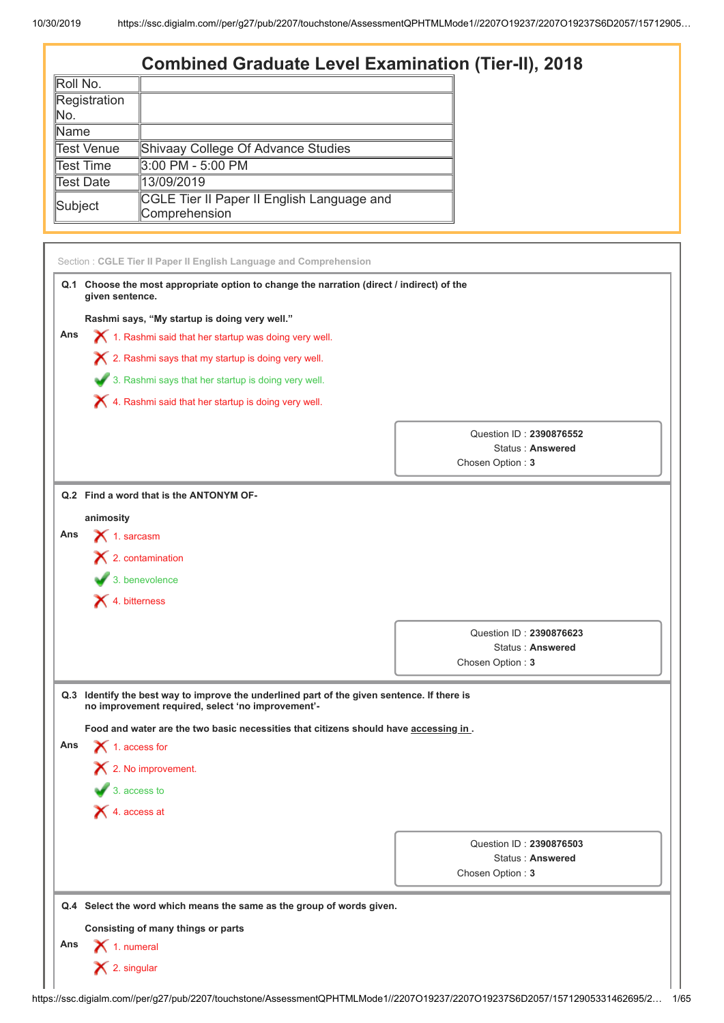# **Combined Graduate Level Examination (Tier-II), 2018**

| Roll No.     |                                                             |
|--------------|-------------------------------------------------------------|
| Registration |                                                             |
| INo.         |                                                             |
| lName        |                                                             |
| Test Venue   | Shivaay College Of Advance Studies                          |
| ∥Test Time   | 3:00 PM - 5:00 PM                                           |
| Test Date    | 13/09/2019                                                  |
| Subject      | CGLE Tier II Paper II English Language and<br>Comprehension |

| Q.1 Choose the most appropriate option to change the narration (direct / indirect) of the<br>given sentence.<br>Rashmi says, "My startup is doing very well."<br>1. Rashmi said that her startup was doing very well.<br>$\boldsymbol{\times}$ 2. Rashmi says that my startup is doing very well.<br>3. Rashmi says that her startup is doing very well. |                                                                                                                                                                     |
|----------------------------------------------------------------------------------------------------------------------------------------------------------------------------------------------------------------------------------------------------------------------------------------------------------------------------------------------------------|---------------------------------------------------------------------------------------------------------------------------------------------------------------------|
|                                                                                                                                                                                                                                                                                                                                                          |                                                                                                                                                                     |
|                                                                                                                                                                                                                                                                                                                                                          |                                                                                                                                                                     |
|                                                                                                                                                                                                                                                                                                                                                          |                                                                                                                                                                     |
|                                                                                                                                                                                                                                                                                                                                                          |                                                                                                                                                                     |
|                                                                                                                                                                                                                                                                                                                                                          |                                                                                                                                                                     |
| X 4. Rashmi said that her startup is doing very well.                                                                                                                                                                                                                                                                                                    |                                                                                                                                                                     |
|                                                                                                                                                                                                                                                                                                                                                          |                                                                                                                                                                     |
|                                                                                                                                                                                                                                                                                                                                                          | Question ID: 2390876552<br>Status: Answered                                                                                                                         |
|                                                                                                                                                                                                                                                                                                                                                          | Chosen Option: 3                                                                                                                                                    |
|                                                                                                                                                                                                                                                                                                                                                          |                                                                                                                                                                     |
|                                                                                                                                                                                                                                                                                                                                                          |                                                                                                                                                                     |
|                                                                                                                                                                                                                                                                                                                                                          |                                                                                                                                                                     |
|                                                                                                                                                                                                                                                                                                                                                          |                                                                                                                                                                     |
|                                                                                                                                                                                                                                                                                                                                                          |                                                                                                                                                                     |
|                                                                                                                                                                                                                                                                                                                                                          |                                                                                                                                                                     |
|                                                                                                                                                                                                                                                                                                                                                          |                                                                                                                                                                     |
|                                                                                                                                                                                                                                                                                                                                                          | Question ID: 2390876623                                                                                                                                             |
|                                                                                                                                                                                                                                                                                                                                                          | Status: Answered                                                                                                                                                    |
|                                                                                                                                                                                                                                                                                                                                                          | Chosen Option: 3                                                                                                                                                    |
| Q.3 Identify the best way to improve the underlined part of the given sentence. If there is<br>no improvement required, select 'no improvement'-                                                                                                                                                                                                         |                                                                                                                                                                     |
| Food and water are the two basic necessities that citizens should have accessing in.                                                                                                                                                                                                                                                                     |                                                                                                                                                                     |
| $\bigtimes$ 1. access for                                                                                                                                                                                                                                                                                                                                |                                                                                                                                                                     |
| 2. No improvement.                                                                                                                                                                                                                                                                                                                                       |                                                                                                                                                                     |
| $\overline{\phantom{a}}$ 3. access to                                                                                                                                                                                                                                                                                                                    |                                                                                                                                                                     |
|                                                                                                                                                                                                                                                                                                                                                          |                                                                                                                                                                     |
|                                                                                                                                                                                                                                                                                                                                                          |                                                                                                                                                                     |
| $\blacktriangleright$ 4. access at                                                                                                                                                                                                                                                                                                                       |                                                                                                                                                                     |
|                                                                                                                                                                                                                                                                                                                                                          | Question ID: 2390876503<br><b>Status: Answered</b>                                                                                                                  |
|                                                                                                                                                                                                                                                                                                                                                          | Q.2 Find a word that is the ANTONYM OF-<br>animosity<br>$\bigtimes$ 1. sarcasm<br>$\mathsf{\times}$ 2. contamination<br>$\bullet$ 3. benevolence<br>X 4. bitterness |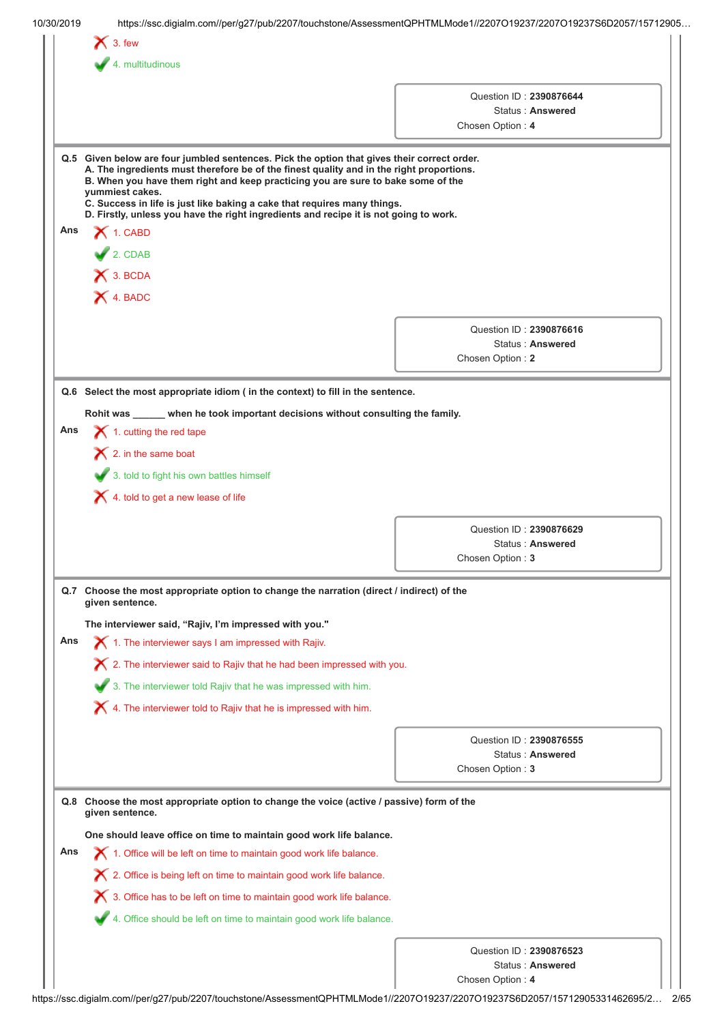|     | $\bigtimes$ 3. few                                                                                                                                                                                                                                                                                                                                                                                                                                                  |                                             |
|-----|---------------------------------------------------------------------------------------------------------------------------------------------------------------------------------------------------------------------------------------------------------------------------------------------------------------------------------------------------------------------------------------------------------------------------------------------------------------------|---------------------------------------------|
|     | $\blacktriangleright$ 4. multitudinous                                                                                                                                                                                                                                                                                                                                                                                                                              |                                             |
|     |                                                                                                                                                                                                                                                                                                                                                                                                                                                                     |                                             |
|     |                                                                                                                                                                                                                                                                                                                                                                                                                                                                     | Question ID: 2390876644<br>Status: Answered |
|     |                                                                                                                                                                                                                                                                                                                                                                                                                                                                     | Chosen Option: 4                            |
|     |                                                                                                                                                                                                                                                                                                                                                                                                                                                                     |                                             |
|     | Q.5 Given below are four jumbled sentences. Pick the option that gives their correct order.<br>A. The ingredients must therefore be of the finest quality and in the right proportions.<br>B. When you have them right and keep practicing you are sure to bake some of the<br>yummiest cakes.<br>C. Success in life is just like baking a cake that requires many things.<br>D. Firstly, unless you have the right ingredients and recipe it is not going to work. |                                             |
| Ans | 1. CABD                                                                                                                                                                                                                                                                                                                                                                                                                                                             |                                             |
|     | 2. CDAB                                                                                                                                                                                                                                                                                                                                                                                                                                                             |                                             |
|     | X 3. BCDA                                                                                                                                                                                                                                                                                                                                                                                                                                                           |                                             |
|     |                                                                                                                                                                                                                                                                                                                                                                                                                                                                     |                                             |
|     | X 4. BADC                                                                                                                                                                                                                                                                                                                                                                                                                                                           |                                             |
|     |                                                                                                                                                                                                                                                                                                                                                                                                                                                                     |                                             |
|     |                                                                                                                                                                                                                                                                                                                                                                                                                                                                     | Question ID: 2390876616<br>Status: Answered |
|     |                                                                                                                                                                                                                                                                                                                                                                                                                                                                     | Chosen Option: 2                            |
|     |                                                                                                                                                                                                                                                                                                                                                                                                                                                                     |                                             |
|     | Q.6 Select the most appropriate idiom ( in the context) to fill in the sentence.                                                                                                                                                                                                                                                                                                                                                                                    |                                             |
|     | Rohit was _____ when he took important decisions without consulting the family.                                                                                                                                                                                                                                                                                                                                                                                     |                                             |
| Ans | $\blacktriangleright$ 1. cutting the red tape                                                                                                                                                                                                                                                                                                                                                                                                                       |                                             |
|     |                                                                                                                                                                                                                                                                                                                                                                                                                                                                     |                                             |
|     | $\bigtimes$ 2. in the same boat                                                                                                                                                                                                                                                                                                                                                                                                                                     |                                             |
|     | 3. told to fight his own battles himself                                                                                                                                                                                                                                                                                                                                                                                                                            |                                             |
|     | $\bigtimes$ 4. told to get a new lease of life                                                                                                                                                                                                                                                                                                                                                                                                                      |                                             |
|     |                                                                                                                                                                                                                                                                                                                                                                                                                                                                     |                                             |
|     |                                                                                                                                                                                                                                                                                                                                                                                                                                                                     |                                             |
|     |                                                                                                                                                                                                                                                                                                                                                                                                                                                                     | Question ID: 2390876629                     |
|     |                                                                                                                                                                                                                                                                                                                                                                                                                                                                     | Status: Answered                            |
|     |                                                                                                                                                                                                                                                                                                                                                                                                                                                                     | Chosen Option: 3                            |
|     | Q.7 Choose the most appropriate option to change the narration (direct / indirect) of the<br>given sentence.                                                                                                                                                                                                                                                                                                                                                        |                                             |
|     | The interviewer said, "Rajiv, I'm impressed with you."                                                                                                                                                                                                                                                                                                                                                                                                              |                                             |
| Ans | $\blacktriangleright$ 1. The interviewer says I am impressed with Rajiv.                                                                                                                                                                                                                                                                                                                                                                                            |                                             |
|     |                                                                                                                                                                                                                                                                                                                                                                                                                                                                     |                                             |
|     | $\boldsymbol{\times}$ 2. The interviewer said to Rajiv that he had been impressed with you.                                                                                                                                                                                                                                                                                                                                                                         |                                             |
|     | 3. The interviewer told Rajiv that he was impressed with him.                                                                                                                                                                                                                                                                                                                                                                                                       |                                             |
|     | $\blacktriangleright$ 4. The interviewer told to Rajiv that he is impressed with him.                                                                                                                                                                                                                                                                                                                                                                               |                                             |
|     |                                                                                                                                                                                                                                                                                                                                                                                                                                                                     |                                             |
|     |                                                                                                                                                                                                                                                                                                                                                                                                                                                                     | Question ID: 2390876555                     |
|     |                                                                                                                                                                                                                                                                                                                                                                                                                                                                     | Status: Answered<br>Chosen Option: 3        |
|     |                                                                                                                                                                                                                                                                                                                                                                                                                                                                     |                                             |
|     | Q.8 Choose the most appropriate option to change the voice (active / passive) form of the                                                                                                                                                                                                                                                                                                                                                                           |                                             |
|     | given sentence.                                                                                                                                                                                                                                                                                                                                                                                                                                                     |                                             |
|     | One should leave office on time to maintain good work life balance.                                                                                                                                                                                                                                                                                                                                                                                                 |                                             |
| Ans | 1. Office will be left on time to maintain good work life balance.                                                                                                                                                                                                                                                                                                                                                                                                  |                                             |
|     | X 2. Office is being left on time to maintain good work life balance.                                                                                                                                                                                                                                                                                                                                                                                               |                                             |
|     |                                                                                                                                                                                                                                                                                                                                                                                                                                                                     |                                             |
|     | X 3. Office has to be left on time to maintain good work life balance.                                                                                                                                                                                                                                                                                                                                                                                              |                                             |
|     | 4. Office should be left on time to maintain good work life balance.                                                                                                                                                                                                                                                                                                                                                                                                |                                             |
|     |                                                                                                                                                                                                                                                                                                                                                                                                                                                                     |                                             |
|     |                                                                                                                                                                                                                                                                                                                                                                                                                                                                     | Question ID: 2390876523<br>Status: Answered |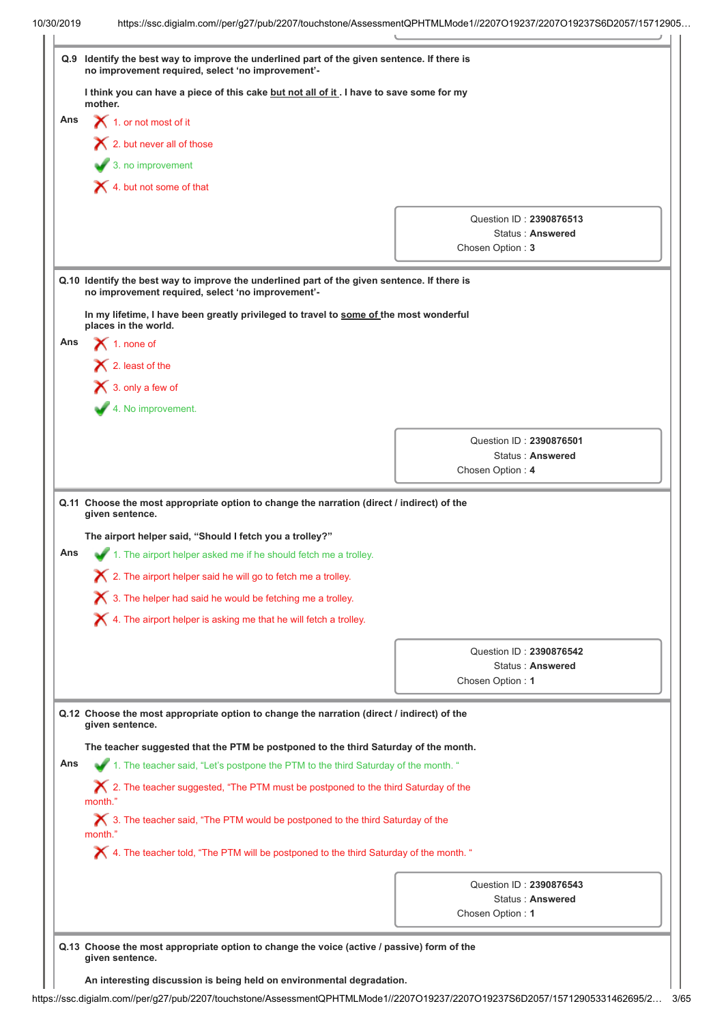| Q.9        | Identify the best way to improve the underlined part of the given sentence. If there is<br>no improvement required, select 'no improvement'-                                                                       |                                      |
|------------|--------------------------------------------------------------------------------------------------------------------------------------------------------------------------------------------------------------------|--------------------------------------|
|            | I think you can have a piece of this cake but not all of it. I have to save some for my<br>mother.                                                                                                                 |                                      |
| Ans        | $\bigtimes$ 1. or not most of it                                                                                                                                                                                   |                                      |
|            | $\blacktriangleright$ 2. but never all of those                                                                                                                                                                    |                                      |
|            | $\overline{\phantom{a}}$ 3. no improvement                                                                                                                                                                         |                                      |
|            |                                                                                                                                                                                                                    |                                      |
|            | X 4. but not some of that                                                                                                                                                                                          |                                      |
|            |                                                                                                                                                                                                                    | Question ID: 2390876513              |
|            |                                                                                                                                                                                                                    | Status: Answered                     |
|            |                                                                                                                                                                                                                    | Chosen Option: 3                     |
|            | Q.10 Identify the best way to improve the underlined part of the given sentence. If there is<br>no improvement required, select 'no improvement'-                                                                  |                                      |
|            | In my lifetime, I have been greatly privileged to travel to some of the most wonderful<br>places in the world.                                                                                                     |                                      |
| Ans        | $\blacktriangleright$ 1. none of                                                                                                                                                                                   |                                      |
|            | $\bigtimes$ 2. least of the                                                                                                                                                                                        |                                      |
|            | $\bigtimes$ 3. only a few of                                                                                                                                                                                       |                                      |
|            | 4. No improvement.                                                                                                                                                                                                 |                                      |
|            |                                                                                                                                                                                                                    | Question ID: 2390876501              |
|            |                                                                                                                                                                                                                    | Status: Answered                     |
|            |                                                                                                                                                                                                                    | Chosen Option: 4                     |
|            | Q.11 Choose the most appropriate option to change the narration (direct / indirect) of the<br>given sentence.<br>The airport helper said, "Should I fetch you a trolley?"                                          |                                      |
|            | 1. The airport helper asked me if he should fetch me a trolley.<br>2. The airport helper said he will go to fetch me a trolley.<br>$\boldsymbol{\times}$ 3. The helper had said he would be fetching me a trolley. |                                      |
|            | $\bigtimes$ 4. The airport helper is asking me that he will fetch a trolley.                                                                                                                                       |                                      |
|            |                                                                                                                                                                                                                    | Question ID: 2390876542              |
|            |                                                                                                                                                                                                                    | Status: Answered                     |
|            |                                                                                                                                                                                                                    | Chosen Option: 1                     |
|            | Q.12 Choose the most appropriate option to change the narration (direct / indirect) of the<br>given sentence.                                                                                                      |                                      |
|            | The teacher suggested that the PTM be postponed to the third Saturday of the month.                                                                                                                                |                                      |
|            | 1. The teacher said, "Let's postpone the PTM to the third Saturday of the month. "                                                                                                                                 |                                      |
|            | X 2. The teacher suggested, "The PTM must be postponed to the third Saturday of the<br>month.'                                                                                                                     |                                      |
|            | X 3. The teacher said, "The PTM would be postponed to the third Saturday of the<br>month."                                                                                                                         |                                      |
|            | X 4. The teacher told, "The PTM will be postponed to the third Saturday of the month. "                                                                                                                            |                                      |
|            |                                                                                                                                                                                                                    | Question ID: 2390876543              |
| Ans<br>Ans |                                                                                                                                                                                                                    | Status: Answered<br>Chosen Option: 1 |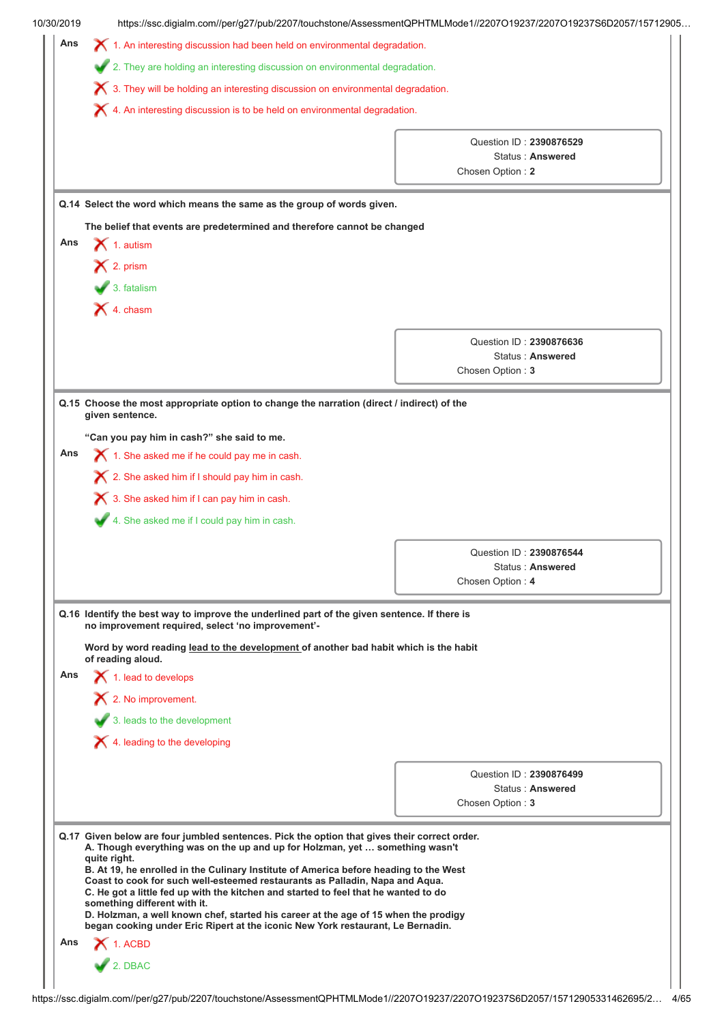|     | https://ssc.digialm.com//per/g27/pub/2207/touchstone/AssessmentQPHTMLMode1//2207O19237/2207O19237S6D2057/15712905                                                   |                                             |  |  |
|-----|---------------------------------------------------------------------------------------------------------------------------------------------------------------------|---------------------------------------------|--|--|
| Ans | $\chi$ 1. An interesting discussion had been held on environmental degradation.                                                                                     |                                             |  |  |
|     | 2. They are holding an interesting discussion on environmental degradation.                                                                                         |                                             |  |  |
|     | $\boldsymbol{\times}$ 3. They will be holding an interesting discussion on environmental degradation.                                                               |                                             |  |  |
|     | X 4. An interesting discussion is to be held on environmental degradation.                                                                                          |                                             |  |  |
|     |                                                                                                                                                                     |                                             |  |  |
|     |                                                                                                                                                                     | Question ID: 2390876529<br>Status: Answered |  |  |
|     |                                                                                                                                                                     | Chosen Option: 2                            |  |  |
|     |                                                                                                                                                                     |                                             |  |  |
|     | Q.14 Select the word which means the same as the group of words given.                                                                                              |                                             |  |  |
|     | The belief that events are predetermined and therefore cannot be changed                                                                                            |                                             |  |  |
| Ans | $\bigtimes$ 1. autism                                                                                                                                               |                                             |  |  |
|     | $\bigtimes$ 2. prism                                                                                                                                                |                                             |  |  |
|     | $\bigvee$ 3. fatalism                                                                                                                                               |                                             |  |  |
|     | $\blacktriangleright$ 4. chasm                                                                                                                                      |                                             |  |  |
|     |                                                                                                                                                                     |                                             |  |  |
|     |                                                                                                                                                                     | Question ID: 2390876636<br>Status: Answered |  |  |
|     |                                                                                                                                                                     | Chosen Option: 3                            |  |  |
|     |                                                                                                                                                                     |                                             |  |  |
|     | Q.15 Choose the most appropriate option to change the narration (direct / indirect) of the<br>given sentence.                                                       |                                             |  |  |
|     | "Can you pay him in cash?" she said to me.                                                                                                                          |                                             |  |  |
| Ans | $\blacktriangleright$ 1. She asked me if he could pay me in cash.                                                                                                   |                                             |  |  |
|     | X 2. She asked him if I should pay him in cash.                                                                                                                     |                                             |  |  |
|     | <b>X</b> 3. She asked him if I can pay him in cash.                                                                                                                 |                                             |  |  |
|     | 4. She asked me if I could pay him in cash.                                                                                                                         |                                             |  |  |
|     |                                                                                                                                                                     |                                             |  |  |
|     |                                                                                                                                                                     | Question ID: 2390876544                     |  |  |
|     |                                                                                                                                                                     | <b>Status: Answered</b>                     |  |  |
|     |                                                                                                                                                                     |                                             |  |  |
|     |                                                                                                                                                                     | Chosen Option: 4                            |  |  |
|     | Q.16 Identify the best way to improve the underlined part of the given sentence. If there is                                                                        |                                             |  |  |
|     | no improvement required, select 'no improvement'-                                                                                                                   |                                             |  |  |
|     | Word by word reading lead to the development of another bad habit which is the habit                                                                                |                                             |  |  |
| Ans | of reading aloud.<br>$\blacktriangleright$ 1. lead to develops                                                                                                      |                                             |  |  |
|     |                                                                                                                                                                     |                                             |  |  |
|     | $\mathsf{\times}$ 2. No improvement.                                                                                                                                |                                             |  |  |
|     | 3. leads to the development                                                                                                                                         |                                             |  |  |
|     | X 4. leading to the developing                                                                                                                                      |                                             |  |  |
|     |                                                                                                                                                                     | Question ID: 2390876499                     |  |  |
|     |                                                                                                                                                                     | Status: Answered                            |  |  |
|     |                                                                                                                                                                     | Chosen Option: 3                            |  |  |
|     | Q.17 Given below are four jumbled sentences. Pick the option that gives their correct order.                                                                        |                                             |  |  |
|     | A. Though everything was on the up and up for Holzman, yet  something wasn't<br>quite right.                                                                        |                                             |  |  |
|     | B. At 19, he enrolled in the Culinary Institute of America before heading to the West                                                                               |                                             |  |  |
|     | Coast to cook for such well-esteemed restaurants as Palladin, Napa and Aqua.<br>C. He got a little fed up with the kitchen and started to feel that he wanted to do |                                             |  |  |
|     | something different with it.<br>D. Holzman, a well known chef, started his career at the age of 15 when the prodigy                                                 |                                             |  |  |
|     | began cooking under Eric Ripert at the iconic New York restaurant, Le Bernadin.                                                                                     |                                             |  |  |
| Ans | $\bigtimes$ 1. ACBD<br>2. DBAC                                                                                                                                      |                                             |  |  |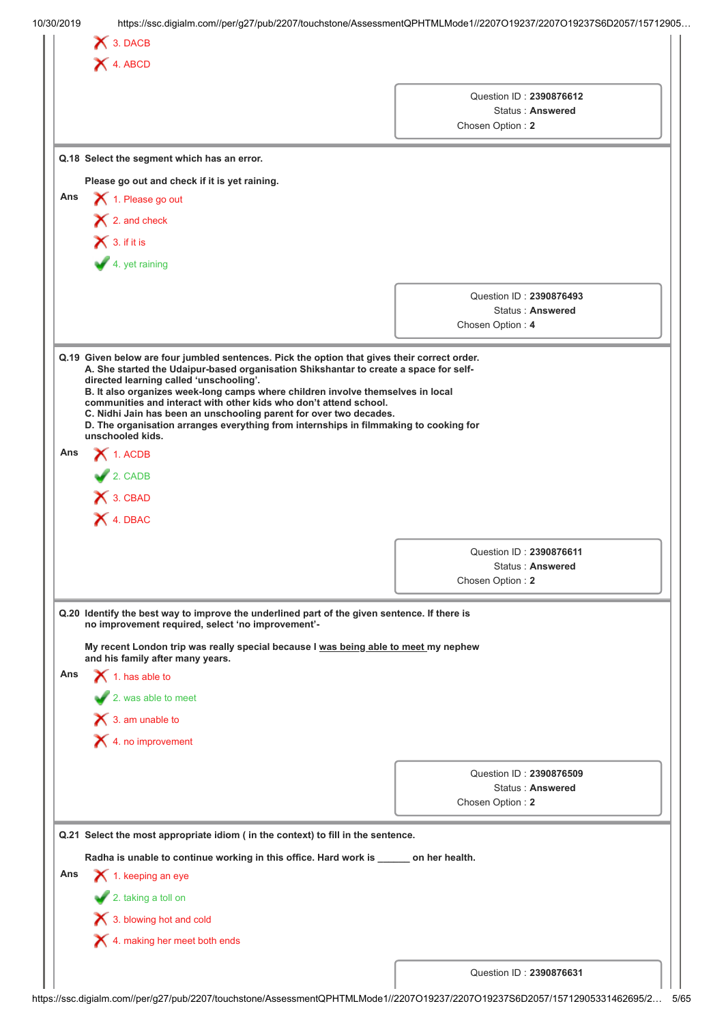|     | X 4. ABCD                                                                                                                                                                                                                                                                                                                                                                                                                           |                                                                 |
|-----|-------------------------------------------------------------------------------------------------------------------------------------------------------------------------------------------------------------------------------------------------------------------------------------------------------------------------------------------------------------------------------------------------------------------------------------|-----------------------------------------------------------------|
|     |                                                                                                                                                                                                                                                                                                                                                                                                                                     | Question ID: 2390876612<br>Status: Answered<br>Chosen Option: 2 |
|     | Q.18 Select the segment which has an error.                                                                                                                                                                                                                                                                                                                                                                                         |                                                                 |
|     | Please go out and check if it is yet raining.                                                                                                                                                                                                                                                                                                                                                                                       |                                                                 |
| Ans | 1. Please go out                                                                                                                                                                                                                                                                                                                                                                                                                    |                                                                 |
|     | $\blacktriangleright$ 2. and check                                                                                                                                                                                                                                                                                                                                                                                                  |                                                                 |
|     | $\bigtimes$ 3. if it is                                                                                                                                                                                                                                                                                                                                                                                                             |                                                                 |
|     | 4. yet raining                                                                                                                                                                                                                                                                                                                                                                                                                      |                                                                 |
|     |                                                                                                                                                                                                                                                                                                                                                                                                                                     | Question ID: 2390876493                                         |
|     |                                                                                                                                                                                                                                                                                                                                                                                                                                     | Status: Answered                                                |
|     |                                                                                                                                                                                                                                                                                                                                                                                                                                     | Chosen Option: 4                                                |
| Ans | directed learning called 'unschooling'.<br>B. It also organizes week-long camps where children involve themselves in local<br>communities and interact with other kids who don't attend school.<br>C. Nidhi Jain has been an unschooling parent for over two decades.<br>D. The organisation arranges everything from internships in filmmaking to cooking for<br>unschooled kids.<br>$\bigtimes$ 1. ACDB<br>$2.$ CADB<br>X 3. CBAD |                                                                 |
|     | X 4. DBAC                                                                                                                                                                                                                                                                                                                                                                                                                           |                                                                 |
|     |                                                                                                                                                                                                                                                                                                                                                                                                                                     |                                                                 |
|     |                                                                                                                                                                                                                                                                                                                                                                                                                                     | Question ID: 2390876611<br>Status: Answered                     |
|     |                                                                                                                                                                                                                                                                                                                                                                                                                                     | Chosen Option: 2                                                |
|     | Q.20 Identify the best way to improve the underlined part of the given sentence. If there is<br>no improvement required, select 'no improvement'-                                                                                                                                                                                                                                                                                   |                                                                 |
|     | My recent London trip was really special because I was being able to meet my nephew<br>and his family after many years.                                                                                                                                                                                                                                                                                                             |                                                                 |
|     | $\blacktriangleright$ 1. has able to                                                                                                                                                                                                                                                                                                                                                                                                |                                                                 |
|     | 2. was able to meet                                                                                                                                                                                                                                                                                                                                                                                                                 |                                                                 |
|     | $\bigtimes$ 3. am unable to                                                                                                                                                                                                                                                                                                                                                                                                         |                                                                 |
|     | $\blacktriangleright$ 4. no improvement                                                                                                                                                                                                                                                                                                                                                                                             |                                                                 |
|     |                                                                                                                                                                                                                                                                                                                                                                                                                                     | Question ID: 2390876509                                         |
| Ans |                                                                                                                                                                                                                                                                                                                                                                                                                                     | Status: Answered                                                |
|     |                                                                                                                                                                                                                                                                                                                                                                                                                                     | Chosen Option: 2                                                |
|     | Q.21 Select the most appropriate idiom ( in the context) to fill in the sentence.                                                                                                                                                                                                                                                                                                                                                   |                                                                 |
|     | Radha is unable to continue working in this office. Hard work is _____ on her health.                                                                                                                                                                                                                                                                                                                                               |                                                                 |
|     | $\blacktriangleright$ 1. keeping an eye                                                                                                                                                                                                                                                                                                                                                                                             |                                                                 |
|     | 2. taking a toll on                                                                                                                                                                                                                                                                                                                                                                                                                 |                                                                 |
| Ans | 3. blowing hot and cold<br>4. making her meet both ends                                                                                                                                                                                                                                                                                                                                                                             |                                                                 |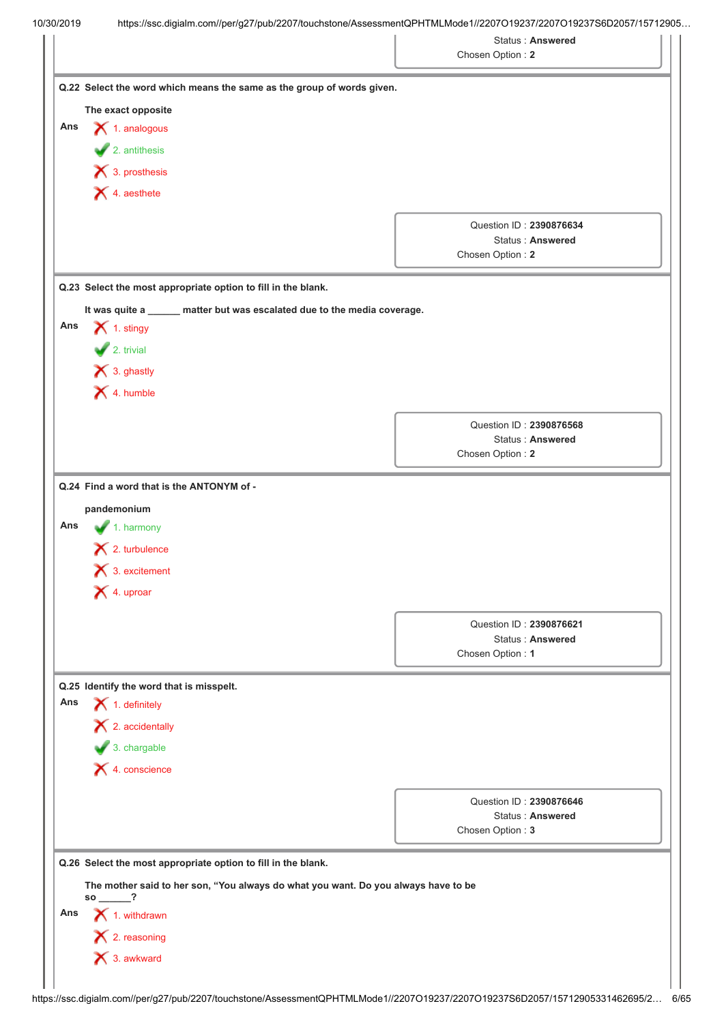|                                                                                        | Chosen Option: 2 | <b>Status: Answered</b>                            |
|----------------------------------------------------------------------------------------|------------------|----------------------------------------------------|
| Q.22 Select the word which means the same as the group of words given.                 |                  |                                                    |
| The exact opposite                                                                     |                  |                                                    |
| Ans<br>$\blacktriangleright$ 1. analogous                                              |                  |                                                    |
| $\blacktriangleright$ 2. antithesis                                                    |                  |                                                    |
| $\blacktriangleright$ 3. prosthesis                                                    |                  |                                                    |
| $\blacktriangleright$ 4. aesthete                                                      |                  |                                                    |
|                                                                                        |                  | Question ID: 2390876634                            |
|                                                                                        |                  | Status: Answered                                   |
|                                                                                        | Chosen Option: 2 |                                                    |
| Q.23 Select the most appropriate option to fill in the blank.                          |                  |                                                    |
| It was quite a _____ matter but was escalated due to the media coverage.               |                  |                                                    |
| $\blacktriangleright$ 1. stingy<br>Ans                                                 |                  |                                                    |
| $\bigvee$ 2. trivial                                                                   |                  |                                                    |
| X 3. ghastly                                                                           |                  |                                                    |
| $\blacktriangleright$ 4. humble                                                        |                  |                                                    |
|                                                                                        |                  | Question ID: 2390876568                            |
|                                                                                        | Chosen Option: 2 | <b>Status: Answered</b>                            |
|                                                                                        |                  |                                                    |
| Q.24 Find a word that is the ANTONYM of -                                              |                  |                                                    |
| pandemonium                                                                            |                  |                                                    |
| Ans<br>1. harmony<br>$\mathsf{\times}$ 2. turbulence                                   |                  |                                                    |
| $\bigtimes$ 3. excitement                                                              |                  |                                                    |
| X 4. uproar                                                                            |                  |                                                    |
|                                                                                        |                  |                                                    |
|                                                                                        |                  | Question ID: 2390876621                            |
|                                                                                        | Chosen Option: 1 | <b>Status: Answered</b>                            |
|                                                                                        |                  |                                                    |
| Q.25 Identify the word that is misspelt.<br>Ans<br>$\blacktriangleright$ 1. definitely |                  |                                                    |
| $\blacktriangleright$ 2. accidentally                                                  |                  |                                                    |
| $\bigvee$ 3. chargable                                                                 |                  |                                                    |
| $\bigtimes$ 4. conscience                                                              |                  |                                                    |
|                                                                                        |                  |                                                    |
|                                                                                        |                  | Question ID: 2390876646<br><b>Status: Answered</b> |
|                                                                                        | Chosen Option: 3 |                                                    |
| Q.26 Select the most appropriate option to fill in the blank.                          |                  |                                                    |
| The mother said to her son, "You always do what you want. Do you always have to be     |                  |                                                    |
| $so \_\_?$<br>Ans                                                                      |                  |                                                    |
| $\blacktriangleright$ 1. withdrawn<br>$\blacktriangleright$ 2. reasoning               |                  |                                                    |
| × 3. awkward                                                                           |                  |                                                    |
|                                                                                        |                  |                                                    |
|                                                                                        |                  |                                                    |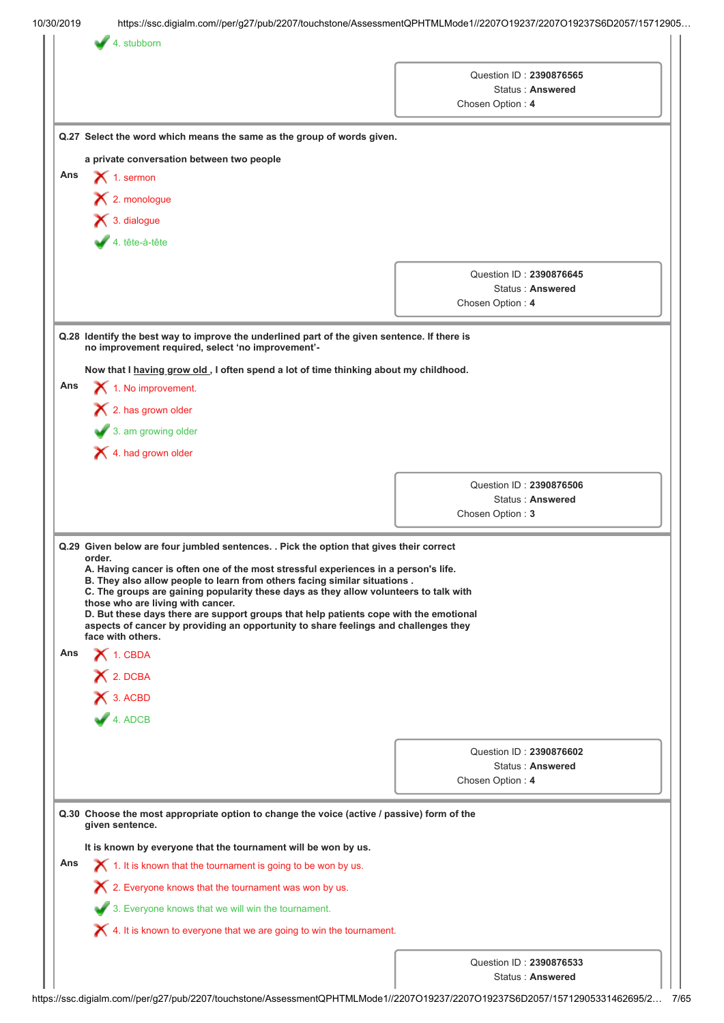|     |                                                                                                                                                                  | Question ID: 2390876565 |                  |  |  |  |
|-----|------------------------------------------------------------------------------------------------------------------------------------------------------------------|-------------------------|------------------|--|--|--|
|     |                                                                                                                                                                  |                         | Status: Answered |  |  |  |
|     |                                                                                                                                                                  | Chosen Option: 4        |                  |  |  |  |
|     | Q.27 Select the word which means the same as the group of words given.                                                                                           |                         |                  |  |  |  |
|     | a private conversation between two people                                                                                                                        |                         |                  |  |  |  |
| Ans | $\bigtimes$ 1. sermon                                                                                                                                            |                         |                  |  |  |  |
|     | $\blacktriangleright$ 2. monologue                                                                                                                               |                         |                  |  |  |  |
|     | $\blacktriangleright$ 3. dialogue                                                                                                                                |                         |                  |  |  |  |
|     | $4. tête-a-tête$                                                                                                                                                 |                         |                  |  |  |  |
|     |                                                                                                                                                                  |                         |                  |  |  |  |
|     |                                                                                                                                                                  | Question ID: 2390876645 | Status: Answered |  |  |  |
|     |                                                                                                                                                                  | Chosen Option: 4        |                  |  |  |  |
|     |                                                                                                                                                                  |                         |                  |  |  |  |
|     | Q.28 Identify the best way to improve the underlined part of the given sentence. If there is<br>no improvement required, select 'no improvement'-                |                         |                  |  |  |  |
|     | Now that I having grow old., I often spend a lot of time thinking about my childhood.                                                                            |                         |                  |  |  |  |
| Ans | 1. No improvement.                                                                                                                                               |                         |                  |  |  |  |
|     | $\mathsf{\times}$ 2. has grown older                                                                                                                             |                         |                  |  |  |  |
|     | 3. am growing older                                                                                                                                              |                         |                  |  |  |  |
|     | 4. had grown older                                                                                                                                               |                         |                  |  |  |  |
|     |                                                                                                                                                                  |                         |                  |  |  |  |
|     |                                                                                                                                                                  | Question ID: 2390876506 |                  |  |  |  |
|     |                                                                                                                                                                  | Chosen Option: 3        | Status: Answered |  |  |  |
|     |                                                                                                                                                                  |                         |                  |  |  |  |
|     | Q.29 Given below are four jumbled sentences. . Pick the option that gives their correct                                                                          |                         |                  |  |  |  |
|     | order.                                                                                                                                                           |                         |                  |  |  |  |
|     | A. Having cancer is often one of the most stressful experiences in a person's life.<br>B. They also allow people to learn from others facing similar situations. |                         |                  |  |  |  |
|     | C. The groups are gaining popularity these days as they allow volunteers to talk with                                                                            |                         |                  |  |  |  |
|     | those who are living with cancer.<br>D. But these days there are support groups that help patients cope with the emotional                                       |                         |                  |  |  |  |
|     | aspects of cancer by providing an opportunity to share feelings and challenges they<br>face with others.                                                         |                         |                  |  |  |  |
| Ans | $\blacktriangleright$ 1. CBDA                                                                                                                                    |                         |                  |  |  |  |
|     |                                                                                                                                                                  |                         |                  |  |  |  |
|     | X 2. DCBA                                                                                                                                                        |                         |                  |  |  |  |
|     | X 3. ACBD                                                                                                                                                        |                         |                  |  |  |  |
|     | $4.$ ADCB                                                                                                                                                        |                         |                  |  |  |  |
|     |                                                                                                                                                                  | Question ID: 2390876602 |                  |  |  |  |
|     |                                                                                                                                                                  |                         | Status: Answered |  |  |  |
|     |                                                                                                                                                                  | Chosen Option: 4        |                  |  |  |  |
|     | Q.30 Choose the most appropriate option to change the voice (active / passive) form of the                                                                       |                         |                  |  |  |  |
|     | given sentence.                                                                                                                                                  |                         |                  |  |  |  |
|     | It is known by everyone that the tournament will be won by us.                                                                                                   |                         |                  |  |  |  |
| Ans | $\blacktriangleright$ 1. It is known that the tournament is going to be won by us.                                                                               |                         |                  |  |  |  |
|     | $\boldsymbol{\times}$ 2. Everyone knows that the tournament was won by us.                                                                                       |                         |                  |  |  |  |
|     | 3. Everyone knows that we will win the tournament.                                                                                                               |                         |                  |  |  |  |
|     | $\blacktriangleright$ 4. It is known to everyone that we are going to win the tournament.                                                                        |                         |                  |  |  |  |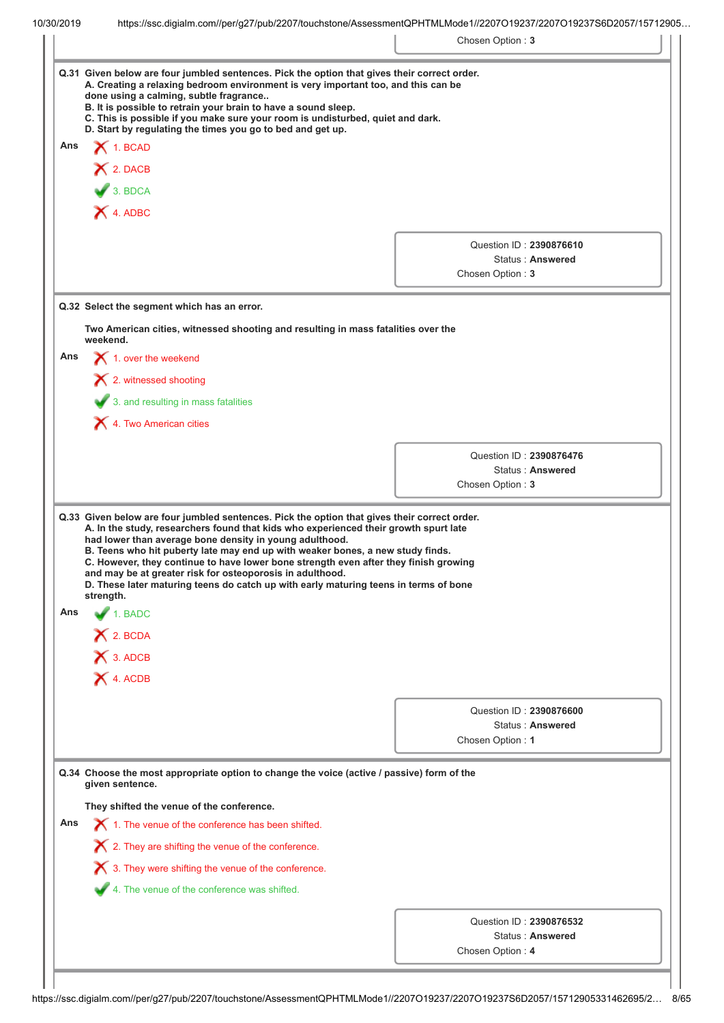|  |  |  | 10/30/2019 |
|--|--|--|------------|
|  |  |  |            |

|     |                                                                                                                                                                                                                                                                                                                                                                                 | Chosen Option: 3                            |
|-----|---------------------------------------------------------------------------------------------------------------------------------------------------------------------------------------------------------------------------------------------------------------------------------------------------------------------------------------------------------------------------------|---------------------------------------------|
|     | Q.31 Given below are four jumbled sentences. Pick the option that gives their correct order.<br>A. Creating a relaxing bedroom environment is very important too, and this can be<br>done using a calming, subtle fragrance<br>B. It is possible to retrain your brain to have a sound sleep.<br>C. This is possible if you make sure your room is undisturbed, quiet and dark. |                                             |
| Ans | D. Start by regulating the times you go to bed and get up.<br>$\bigtimes$ 1. BCAD                                                                                                                                                                                                                                                                                               |                                             |
|     |                                                                                                                                                                                                                                                                                                                                                                                 |                                             |
|     | X 2. DACB                                                                                                                                                                                                                                                                                                                                                                       |                                             |
|     | 3. BDCA                                                                                                                                                                                                                                                                                                                                                                         |                                             |
|     | X 4. ADBC                                                                                                                                                                                                                                                                                                                                                                       |                                             |
|     |                                                                                                                                                                                                                                                                                                                                                                                 | Question ID: 2390876610                     |
|     |                                                                                                                                                                                                                                                                                                                                                                                 | Status: Answered                            |
|     |                                                                                                                                                                                                                                                                                                                                                                                 | Chosen Option: 3                            |
|     | Q.32 Select the segment which has an error.                                                                                                                                                                                                                                                                                                                                     |                                             |
|     | Two American cities, witnessed shooting and resulting in mass fatalities over the<br>weekend.                                                                                                                                                                                                                                                                                   |                                             |
| Ans | $\blacktriangleright$ 1. over the weekend                                                                                                                                                                                                                                                                                                                                       |                                             |
|     | X 2. witnessed shooting                                                                                                                                                                                                                                                                                                                                                         |                                             |
|     | 3. and resulting in mass fatalities                                                                                                                                                                                                                                                                                                                                             |                                             |
|     | 4. Two American cities                                                                                                                                                                                                                                                                                                                                                          |                                             |
|     |                                                                                                                                                                                                                                                                                                                                                                                 |                                             |
|     |                                                                                                                                                                                                                                                                                                                                                                                 |                                             |
|     |                                                                                                                                                                                                                                                                                                                                                                                 | Question ID: 2390876476                     |
|     | Q.33 Given below are four jumbled sentences. Pick the option that gives their correct order.<br>A. In the study, researchers found that kids who experienced their growth spurt late<br>had lower than average bone density in young adulthood.<br>B. Teens who hit puberty late may end up with weaker bones, a new study finds.                                               | Status: Answered<br>Chosen Option: 3        |
|     | C. However, they continue to have lower bone strength even after they finish growing<br>and may be at greater risk for osteoporosis in adulthood.<br>D. These later maturing teens do catch up with early maturing teens in terms of bone<br>strength.                                                                                                                          |                                             |
| Ans | $\blacktriangle$ 1. BADC                                                                                                                                                                                                                                                                                                                                                        |                                             |
|     | $X$ 2. BCDA                                                                                                                                                                                                                                                                                                                                                                     |                                             |
|     | X 3. ADCB                                                                                                                                                                                                                                                                                                                                                                       |                                             |
|     | X 4. ACDB                                                                                                                                                                                                                                                                                                                                                                       |                                             |
|     |                                                                                                                                                                                                                                                                                                                                                                                 |                                             |
|     |                                                                                                                                                                                                                                                                                                                                                                                 | Question ID: 2390876600<br>Status: Answered |
|     |                                                                                                                                                                                                                                                                                                                                                                                 | Chosen Option: 1                            |
|     | Q.34 Choose the most appropriate option to change the voice (active / passive) form of the<br>given sentence.                                                                                                                                                                                                                                                                   |                                             |
|     | They shifted the venue of the conference.                                                                                                                                                                                                                                                                                                                                       |                                             |
| Ans | 1. The venue of the conference has been shifted.                                                                                                                                                                                                                                                                                                                                |                                             |
|     | $\boldsymbol{\times}$ 2. They are shifting the venue of the conference.                                                                                                                                                                                                                                                                                                         |                                             |
|     | 3. They were shifting the venue of the conference.                                                                                                                                                                                                                                                                                                                              |                                             |
|     | 4. The venue of the conference was shifted.                                                                                                                                                                                                                                                                                                                                     |                                             |
|     |                                                                                                                                                                                                                                                                                                                                                                                 |                                             |
|     |                                                                                                                                                                                                                                                                                                                                                                                 | Question ID: 2390876532<br>Status: Answered |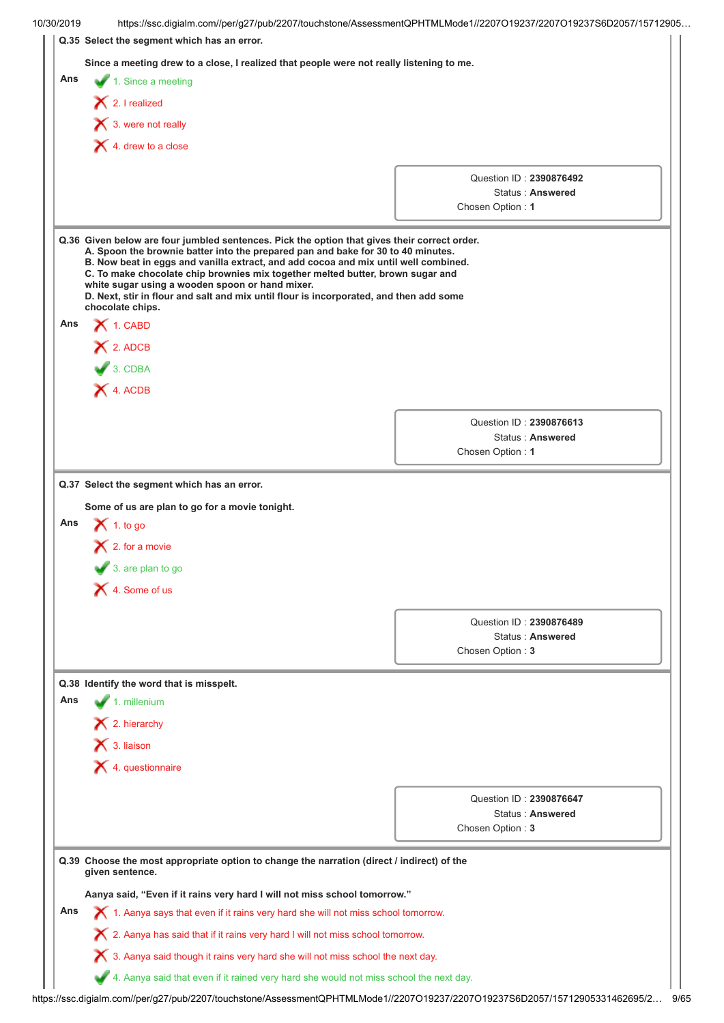| 10/30/2019 | https://ssc.digialm.com//per/g27/pub/2207/touchstone/AssessmentQPHTMLMode1//2207O19237/2207O19237S6D2057/15712905                                                                                                                                                                                                                                                                                                                                                                                                          |                                                                 |
|------------|----------------------------------------------------------------------------------------------------------------------------------------------------------------------------------------------------------------------------------------------------------------------------------------------------------------------------------------------------------------------------------------------------------------------------------------------------------------------------------------------------------------------------|-----------------------------------------------------------------|
|            | Q.35 Select the segment which has an error.                                                                                                                                                                                                                                                                                                                                                                                                                                                                                |                                                                 |
|            | Since a meeting drew to a close, I realized that people were not really listening to me.                                                                                                                                                                                                                                                                                                                                                                                                                                   |                                                                 |
| Ans        | 1. Since a meeting                                                                                                                                                                                                                                                                                                                                                                                                                                                                                                         |                                                                 |
|            | $\bigtimes$ 2. I realized                                                                                                                                                                                                                                                                                                                                                                                                                                                                                                  |                                                                 |
|            | $\mathsf{\times}$ 3. were not really                                                                                                                                                                                                                                                                                                                                                                                                                                                                                       |                                                                 |
|            | $\blacktriangleright$ 4. drew to a close                                                                                                                                                                                                                                                                                                                                                                                                                                                                                   |                                                                 |
|            |                                                                                                                                                                                                                                                                                                                                                                                                                                                                                                                            |                                                                 |
|            |                                                                                                                                                                                                                                                                                                                                                                                                                                                                                                                            | Question ID: 2390876492                                         |
|            |                                                                                                                                                                                                                                                                                                                                                                                                                                                                                                                            | Status: Answered                                                |
|            |                                                                                                                                                                                                                                                                                                                                                                                                                                                                                                                            | Chosen Option: 1                                                |
|            | Q.36 Given below are four jumbled sentences. Pick the option that gives their correct order.<br>A. Spoon the brownie batter into the prepared pan and bake for 30 to 40 minutes.<br>B. Now beat in eggs and vanilla extract, and add cocoa and mix until well combined.<br>C. To make chocolate chip brownies mix together melted butter, brown sugar and<br>white sugar using a wooden spoon or hand mixer.<br>D. Next, stir in flour and salt and mix until flour is incorporated, and then add some<br>chocolate chips. |                                                                 |
| Ans        | $\bigtimes$ 1. CABD                                                                                                                                                                                                                                                                                                                                                                                                                                                                                                        |                                                                 |
|            | X 2. ADCB                                                                                                                                                                                                                                                                                                                                                                                                                                                                                                                  |                                                                 |
|            | $3.$ CDBA                                                                                                                                                                                                                                                                                                                                                                                                                                                                                                                  |                                                                 |
|            | X 4. ACDB                                                                                                                                                                                                                                                                                                                                                                                                                                                                                                                  |                                                                 |
|            |                                                                                                                                                                                                                                                                                                                                                                                                                                                                                                                            |                                                                 |
|            |                                                                                                                                                                                                                                                                                                                                                                                                                                                                                                                            | Question ID: 2390876613                                         |
|            |                                                                                                                                                                                                                                                                                                                                                                                                                                                                                                                            | Status: Answered<br>Chosen Option: 1                            |
|            |                                                                                                                                                                                                                                                                                                                                                                                                                                                                                                                            |                                                                 |
| Ans        | Q.37 Select the segment which has an error.<br>Some of us are plan to go for a movie tonight.<br>$\bigtimes$ 1. to go                                                                                                                                                                                                                                                                                                                                                                                                      |                                                                 |
|            | $\blacktriangleright$ 2. for a movie<br>3. are plan to go<br>$\bigtimes$ 4. Some of us                                                                                                                                                                                                                                                                                                                                                                                                                                     |                                                                 |
|            |                                                                                                                                                                                                                                                                                                                                                                                                                                                                                                                            |                                                                 |
|            |                                                                                                                                                                                                                                                                                                                                                                                                                                                                                                                            | Question ID: 2390876489                                         |
|            |                                                                                                                                                                                                                                                                                                                                                                                                                                                                                                                            | Status: Answered<br>Chosen Option: 3                            |
|            |                                                                                                                                                                                                                                                                                                                                                                                                                                                                                                                            |                                                                 |
|            | Q.38 Identify the word that is misspelt.                                                                                                                                                                                                                                                                                                                                                                                                                                                                                   |                                                                 |
| Ans        | 1. millenium                                                                                                                                                                                                                                                                                                                                                                                                                                                                                                               |                                                                 |
|            | $\blacktriangleright$ 2. hierarchy                                                                                                                                                                                                                                                                                                                                                                                                                                                                                         |                                                                 |
|            | $\mathsf{\times}$ 3. liaison                                                                                                                                                                                                                                                                                                                                                                                                                                                                                               |                                                                 |
|            | $\blacktriangleright$ 4. questionnaire                                                                                                                                                                                                                                                                                                                                                                                                                                                                                     |                                                                 |
|            |                                                                                                                                                                                                                                                                                                                                                                                                                                                                                                                            | Question ID: 2390876647<br>Status: Answered<br>Chosen Option: 3 |
|            |                                                                                                                                                                                                                                                                                                                                                                                                                                                                                                                            |                                                                 |
|            | Q.39 Choose the most appropriate option to change the narration (direct / indirect) of the<br>given sentence.                                                                                                                                                                                                                                                                                                                                                                                                              |                                                                 |
|            | Aanya said, "Even if it rains very hard I will not miss school tomorrow."                                                                                                                                                                                                                                                                                                                                                                                                                                                  |                                                                 |
| Ans        |                                                                                                                                                                                                                                                                                                                                                                                                                                                                                                                            |                                                                 |
|            | $\bm{\times}$ 1. Aanya says that even if it rains very hard she will not miss school tomorrow.                                                                                                                                                                                                                                                                                                                                                                                                                             |                                                                 |
|            | $\boldsymbol{\times}$ 2. Aanya has said that if it rains very hard I will not miss school tomorrow.<br>$\boldsymbol{\times}$ 3. Aanya said though it rains very hard she will not miss school the next day.                                                                                                                                                                                                                                                                                                                |                                                                 |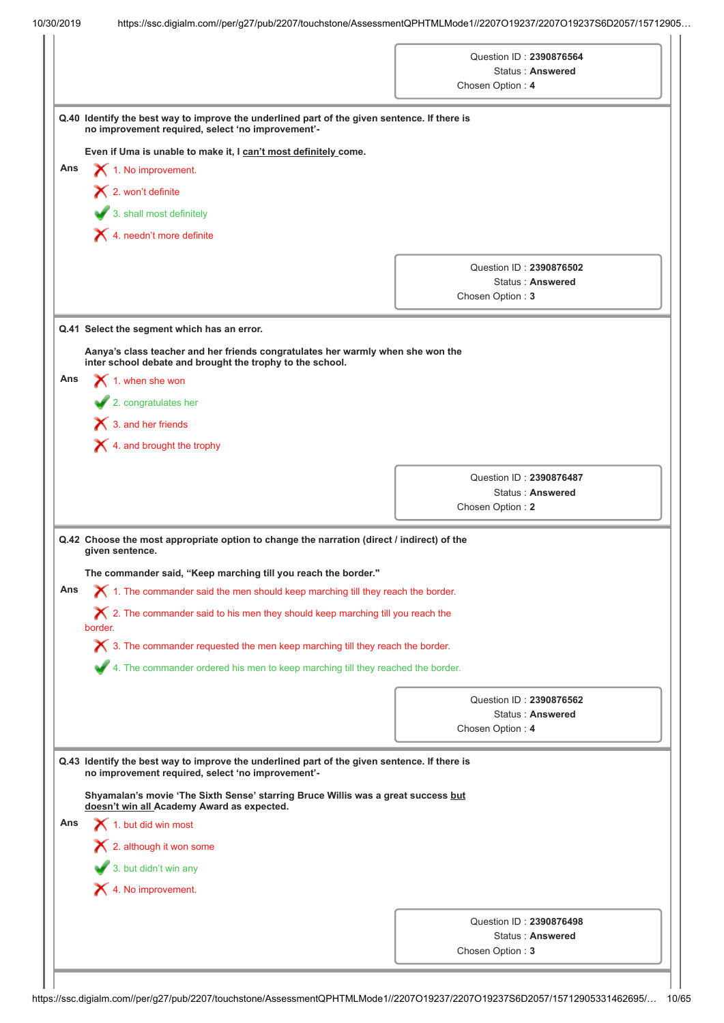|     |                                                                                                                                                                                                                                        | Question ID: 2390876564<br>Status: Answered<br>Chosen Option: 4 |
|-----|----------------------------------------------------------------------------------------------------------------------------------------------------------------------------------------------------------------------------------------|-----------------------------------------------------------------|
|     | Q.40 Identify the best way to improve the underlined part of the given sentence. If there is<br>no improvement required, select 'no improvement'-                                                                                      |                                                                 |
|     | Even if Uma is unable to make it, I can't most definitely come.                                                                                                                                                                        |                                                                 |
| Ans | 1. No improvement.                                                                                                                                                                                                                     |                                                                 |
|     | $\blacktriangleright$ 2. won't definite                                                                                                                                                                                                |                                                                 |
|     | 3. shall most definitely                                                                                                                                                                                                               |                                                                 |
|     | $\blacktriangleright$ 4. needn't more definite                                                                                                                                                                                         |                                                                 |
|     |                                                                                                                                                                                                                                        |                                                                 |
|     |                                                                                                                                                                                                                                        | Question ID: 2390876502                                         |
|     |                                                                                                                                                                                                                                        | Status: Answered<br>Chosen Option: 3                            |
|     |                                                                                                                                                                                                                                        |                                                                 |
|     | Q.41 Select the segment which has an error.                                                                                                                                                                                            |                                                                 |
|     | Aanya's class teacher and her friends congratulates her warmly when she won the<br>inter school debate and brought the trophy to the school.                                                                                           |                                                                 |
| Ans | $\bigtimes$ 1. when she won                                                                                                                                                                                                            |                                                                 |
|     | 2. congratulates her                                                                                                                                                                                                                   |                                                                 |
|     | $\bigtimes$ 3. and her friends                                                                                                                                                                                                         |                                                                 |
|     | $\blacktriangleright$ 4. and brought the trophy                                                                                                                                                                                        |                                                                 |
|     |                                                                                                                                                                                                                                        |                                                                 |
|     |                                                                                                                                                                                                                                        | Question ID: 2390876487<br>Status: Answered                     |
|     |                                                                                                                                                                                                                                        | Chosen Option: 2                                                |
|     | Q.42 Choose the most appropriate option to change the narration (direct / indirect) of the                                                                                                                                             |                                                                 |
|     | given sentence.                                                                                                                                                                                                                        |                                                                 |
| Ans | The commander said, "Keep marching till you reach the border."<br>$\blacktriangleright$ 1. The commander said the men should keep marching till they reach the border.                                                                 |                                                                 |
|     | $\chi$ 2. The commander said to his men they should keep marching till you reach the                                                                                                                                                   |                                                                 |
|     | border.                                                                                                                                                                                                                                |                                                                 |
|     | $\boldsymbol{\times}$ 3. The commander requested the men keep marching till they reach the border.                                                                                                                                     |                                                                 |
|     | 4. The commander ordered his men to keep marching till they reached the border.                                                                                                                                                        |                                                                 |
|     |                                                                                                                                                                                                                                        | Question ID: 2390876562                                         |
|     |                                                                                                                                                                                                                                        | <b>Status: Answered</b>                                         |
|     |                                                                                                                                                                                                                                        | Chosen Option: 4                                                |
|     | Q.43 Identify the best way to improve the underlined part of the given sentence. If there is<br>no improvement required, select 'no improvement'-<br>Shyamalan's movie 'The Sixth Sense' starring Bruce Willis was a great success but |                                                                 |
| Ans | doesn't win all Academy Award as expected.<br>$\blacktriangleright$ 1. but did win most                                                                                                                                                |                                                                 |
|     | 2. although it won some                                                                                                                                                                                                                |                                                                 |
|     |                                                                                                                                                                                                                                        |                                                                 |
|     | 3. but didn't win any                                                                                                                                                                                                                  |                                                                 |
|     |                                                                                                                                                                                                                                        |                                                                 |
|     | X 4. No improvement.                                                                                                                                                                                                                   |                                                                 |
|     |                                                                                                                                                                                                                                        | Question ID: 2390876498<br>Status: Answered<br>Chosen Option: 3 |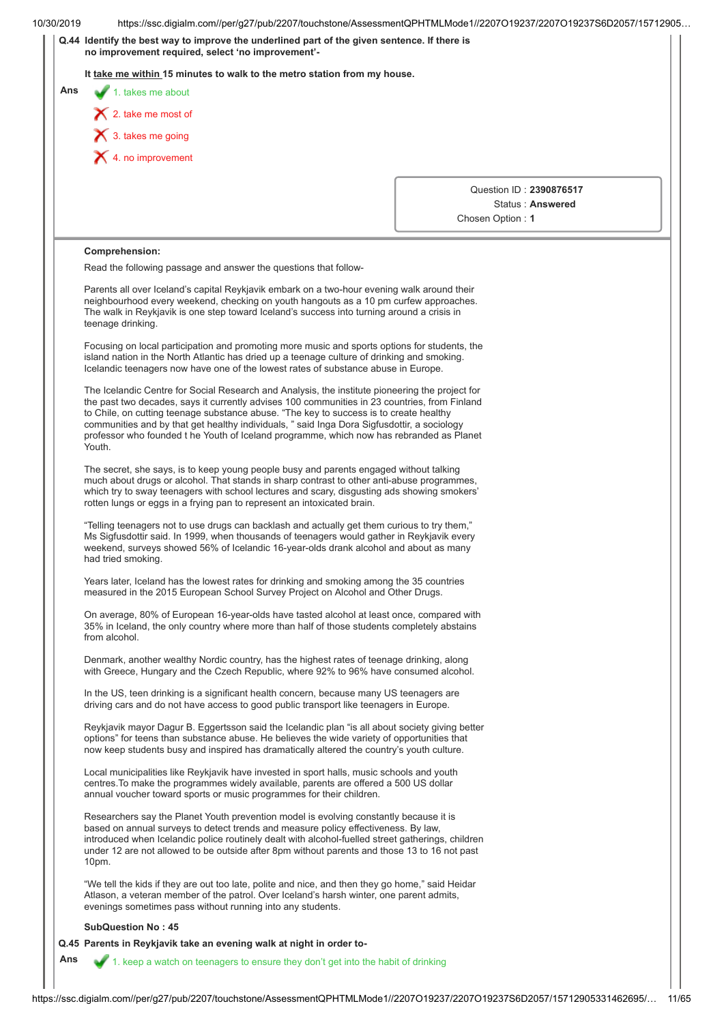| 10/30/2019 | https://ssc.digialm.com//per/g27/pub/2207/touchstone/AssessmentQPHTMLMode1//2207O19237/2207O19237S6D2057/15712905                                                                                                                                                                                                                                                                                                                                                                               |                                      |
|------------|-------------------------------------------------------------------------------------------------------------------------------------------------------------------------------------------------------------------------------------------------------------------------------------------------------------------------------------------------------------------------------------------------------------------------------------------------------------------------------------------------|--------------------------------------|
|            | Q.44 Identify the best way to improve the underlined part of the given sentence. If there is<br>no improvement required, select 'no improvement'-                                                                                                                                                                                                                                                                                                                                               |                                      |
|            | It take me within 15 minutes to walk to the metro station from my house.                                                                                                                                                                                                                                                                                                                                                                                                                        |                                      |
| Ans        | $\blacktriangleright$ 1. takes me about                                                                                                                                                                                                                                                                                                                                                                                                                                                         |                                      |
|            | $\bigtimes$ 2. take me most of                                                                                                                                                                                                                                                                                                                                                                                                                                                                  |                                      |
|            | $\bigtimes$ 3. takes me going                                                                                                                                                                                                                                                                                                                                                                                                                                                                   |                                      |
|            | $\blacktriangleright$ 4. no improvement                                                                                                                                                                                                                                                                                                                                                                                                                                                         |                                      |
|            |                                                                                                                                                                                                                                                                                                                                                                                                                                                                                                 |                                      |
|            |                                                                                                                                                                                                                                                                                                                                                                                                                                                                                                 | Question ID: 2390876517              |
|            |                                                                                                                                                                                                                                                                                                                                                                                                                                                                                                 | Status: Answered<br>Chosen Option: 1 |
|            |                                                                                                                                                                                                                                                                                                                                                                                                                                                                                                 |                                      |
|            | Comprehension:                                                                                                                                                                                                                                                                                                                                                                                                                                                                                  |                                      |
|            | Read the following passage and answer the questions that follow-                                                                                                                                                                                                                                                                                                                                                                                                                                |                                      |
|            | Parents all over Iceland's capital Reykjavik embark on a two-hour evening walk around their<br>neighbourhood every weekend, checking on youth hangouts as a 10 pm curfew approaches.<br>The walk in Reykjavik is one step toward Iceland's success into turning around a crisis in<br>teenage drinking.                                                                                                                                                                                         |                                      |
|            | Focusing on local participation and promoting more music and sports options for students, the<br>island nation in the North Atlantic has dried up a teenage culture of drinking and smoking.<br>Icelandic teenagers now have one of the lowest rates of substance abuse in Europe.                                                                                                                                                                                                              |                                      |
|            | The Icelandic Centre for Social Research and Analysis, the institute pioneering the project for<br>the past two decades, says it currently advises 100 communities in 23 countries, from Finland<br>to Chile, on cutting teenage substance abuse. "The key to success is to create healthy<br>communities and by that get healthy individuals, " said Inga Dora Sigfusdottir, a sociology<br>professor who founded t he Youth of Iceland programme, which now has rebranded as Planet<br>Youth. |                                      |
|            | The secret, she says, is to keep young people busy and parents engaged without talking<br>much about drugs or alcohol. That stands in sharp contrast to other anti-abuse programmes,<br>which try to sway teenagers with school lectures and scary, disgusting ads showing smokers'<br>rotten lungs or eggs in a frying pan to represent an intoxicated brain.                                                                                                                                  |                                      |
|            | "Telling teenagers not to use drugs can backlash and actually get them curious to try them,"<br>Ms Sigfusdottir said. In 1999, when thousands of teenagers would gather in Reykjavik every<br>weekend, surveys showed 56% of Icelandic 16-year-olds drank alcohol and about as many<br>had tried smoking.                                                                                                                                                                                       |                                      |
|            | Years later, Iceland has the lowest rates for drinking and smoking among the 35 countries<br>measured in the 2015 European School Survey Project on Alcohol and Other Drugs.                                                                                                                                                                                                                                                                                                                    |                                      |
|            | On average, 80% of European 16-year-olds have tasted alcohol at least once, compared with<br>35% in Iceland, the only country where more than half of those students completely abstains<br>from alcohol.                                                                                                                                                                                                                                                                                       |                                      |
|            | Denmark, another wealthy Nordic country, has the highest rates of teenage drinking, along<br>with Greece, Hungary and the Czech Republic, where 92% to 96% have consumed alcohol.                                                                                                                                                                                                                                                                                                               |                                      |
|            | In the US, teen drinking is a significant health concern, because many US teenagers are<br>driving cars and do not have access to good public transport like teenagers in Europe.                                                                                                                                                                                                                                                                                                               |                                      |
|            | Reykjavik mayor Dagur B. Eggertsson said the Icelandic plan "is all about society giving better<br>options" for teens than substance abuse. He believes the wide variety of opportunities that<br>now keep students busy and inspired has dramatically altered the country's youth culture.                                                                                                                                                                                                     |                                      |
|            | Local municipalities like Reykjavik have invested in sport halls, music schools and youth<br>centres. To make the programmes widely available, parents are offered a 500 US dollar<br>annual voucher toward sports or music programmes for their children.                                                                                                                                                                                                                                      |                                      |
|            | Researchers say the Planet Youth prevention model is evolving constantly because it is<br>based on annual surveys to detect trends and measure policy effectiveness. By law,<br>introduced when Icelandic police routinely dealt with alcohol-fuelled street gatherings, children<br>under 12 are not allowed to be outside after 8pm without parents and those 13 to 16 not past<br>10pm.                                                                                                      |                                      |
|            | "We tell the kids if they are out too late, polite and nice, and then they go home," said Heidar<br>Atlason, a veteran member of the patrol. Over Iceland's harsh winter, one parent admits,<br>evenings sometimes pass without running into any students.                                                                                                                                                                                                                                      |                                      |
|            | <b>SubQuestion No: 45</b>                                                                                                                                                                                                                                                                                                                                                                                                                                                                       |                                      |
|            | Q.45 Parents in Reykjavik take an evening walk at night in order to-                                                                                                                                                                                                                                                                                                                                                                                                                            |                                      |
| Ans        | 1. keep a watch on teenagers to ensure they don't get into the habit of drinking                                                                                                                                                                                                                                                                                                                                                                                                                |                                      |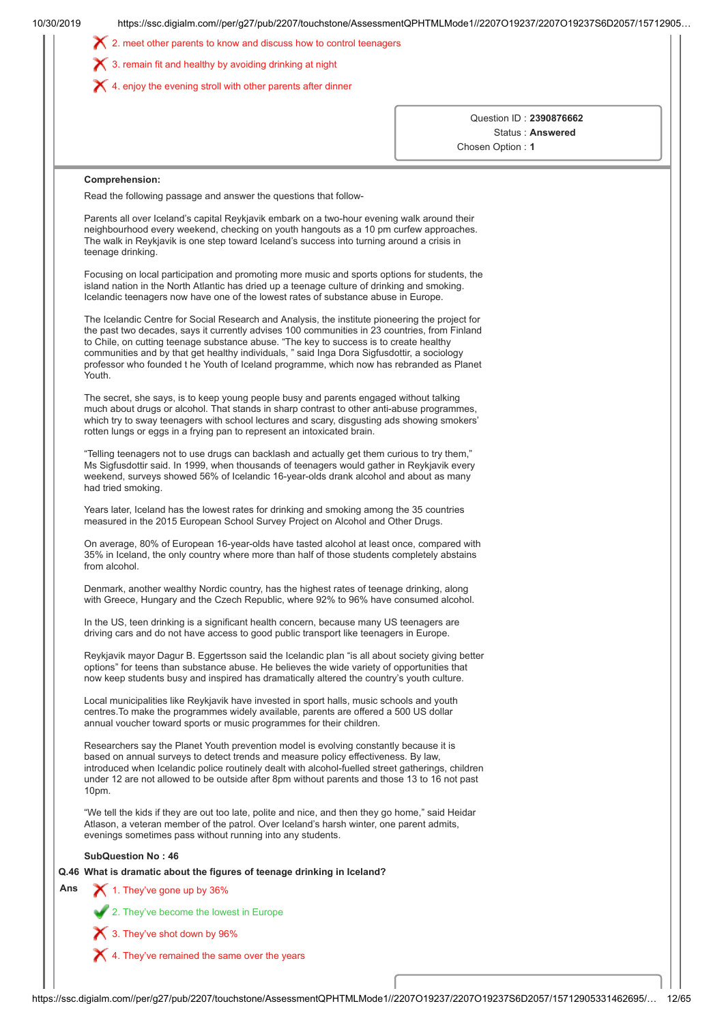|     | $\boldsymbol{\times}$ 3. remain fit and healthy by avoiding drinking at night<br>$\blacktriangleright$ 4. enjoy the evening stroll with other parents after dinner                                                                                                                                                                                                                                                                                                                              |                                      |
|-----|-------------------------------------------------------------------------------------------------------------------------------------------------------------------------------------------------------------------------------------------------------------------------------------------------------------------------------------------------------------------------------------------------------------------------------------------------------------------------------------------------|--------------------------------------|
|     |                                                                                                                                                                                                                                                                                                                                                                                                                                                                                                 |                                      |
|     |                                                                                                                                                                                                                                                                                                                                                                                                                                                                                                 | Question ID: 2390876662              |
|     |                                                                                                                                                                                                                                                                                                                                                                                                                                                                                                 | Status: Answered<br>Chosen Option: 1 |
|     |                                                                                                                                                                                                                                                                                                                                                                                                                                                                                                 |                                      |
|     | Comprehension:                                                                                                                                                                                                                                                                                                                                                                                                                                                                                  |                                      |
|     | Read the following passage and answer the questions that follow-                                                                                                                                                                                                                                                                                                                                                                                                                                |                                      |
|     | Parents all over Iceland's capital Reykjavik embark on a two-hour evening walk around their<br>neighbourhood every weekend, checking on youth hangouts as a 10 pm curfew approaches.<br>The walk in Reykjavik is one step toward Iceland's success into turning around a crisis in<br>teenage drinking.                                                                                                                                                                                         |                                      |
|     | Focusing on local participation and promoting more music and sports options for students, the<br>island nation in the North Atlantic has dried up a teenage culture of drinking and smoking.<br>Icelandic teenagers now have one of the lowest rates of substance abuse in Europe.                                                                                                                                                                                                              |                                      |
|     | The Icelandic Centre for Social Research and Analysis, the institute pioneering the project for<br>the past two decades, says it currently advises 100 communities in 23 countries, from Finland<br>to Chile, on cutting teenage substance abuse. "The key to success is to create healthy<br>communities and by that get healthy individuals, " said Inga Dora Sigfusdottir, a sociology<br>professor who founded t he Youth of Iceland programme, which now has rebranded as Planet<br>Youth. |                                      |
|     | The secret, she says, is to keep young people busy and parents engaged without talking<br>much about drugs or alcohol. That stands in sharp contrast to other anti-abuse programmes,<br>which try to sway teenagers with school lectures and scary, disgusting ads showing smokers'<br>rotten lungs or eggs in a frying pan to represent an intoxicated brain.                                                                                                                                  |                                      |
|     | "Telling teenagers not to use drugs can backlash and actually get them curious to try them,"<br>Ms Sigfusdottir said. In 1999, when thousands of teenagers would gather in Reykjavik every<br>weekend, surveys showed 56% of Icelandic 16-year-olds drank alcohol and about as many<br>had tried smoking.                                                                                                                                                                                       |                                      |
|     | Years later, Iceland has the lowest rates for drinking and smoking among the 35 countries<br>measured in the 2015 European School Survey Project on Alcohol and Other Drugs.                                                                                                                                                                                                                                                                                                                    |                                      |
|     | On average, 80% of European 16-year-olds have tasted alcohol at least once, compared with<br>35% in Iceland, the only country where more than half of those students completely abstains<br>from alcohol.                                                                                                                                                                                                                                                                                       |                                      |
|     | Denmark, another wealthy Nordic country, has the highest rates of teenage drinking, along<br>with Greece, Hungary and the Czech Republic, where 92% to 96% have consumed alcohol.                                                                                                                                                                                                                                                                                                               |                                      |
|     | In the US, teen drinking is a significant health concern, because many US teenagers are<br>driving cars and do not have access to good public transport like teenagers in Europe.                                                                                                                                                                                                                                                                                                               |                                      |
|     | Reykjavik mayor Dagur B. Eggertsson said the Icelandic plan "is all about society giving better<br>options" for teens than substance abuse. He believes the wide variety of opportunities that<br>now keep students busy and inspired has dramatically altered the country's youth culture.                                                                                                                                                                                                     |                                      |
|     | Local municipalities like Reykjavik have invested in sport halls, music schools and youth<br>centres. To make the programmes widely available, parents are offered a 500 US dollar<br>annual voucher toward sports or music programmes for their children.                                                                                                                                                                                                                                      |                                      |
|     | Researchers say the Planet Youth prevention model is evolving constantly because it is<br>based on annual surveys to detect trends and measure policy effectiveness. By law,<br>introduced when Icelandic police routinely dealt with alcohol-fuelled street gatherings, children<br>under 12 are not allowed to be outside after 8pm without parents and those 13 to 16 not past<br>10pm.                                                                                                      |                                      |
|     | "We tell the kids if they are out too late, polite and nice, and then they go home," said Heidar<br>Atlason, a veteran member of the patrol. Over Iceland's harsh winter, one parent admits,<br>evenings sometimes pass without running into any students.                                                                                                                                                                                                                                      |                                      |
|     | <b>SubQuestion No: 46</b>                                                                                                                                                                                                                                                                                                                                                                                                                                                                       |                                      |
|     | Q.46 What is dramatic about the figures of teenage drinking in Iceland?                                                                                                                                                                                                                                                                                                                                                                                                                         |                                      |
| Ans | 1. They've gone up by 36%                                                                                                                                                                                                                                                                                                                                                                                                                                                                       |                                      |
|     | 2. They've become the lowest in Europe                                                                                                                                                                                                                                                                                                                                                                                                                                                          |                                      |
|     | X 3. They've shot down by 96%                                                                                                                                                                                                                                                                                                                                                                                                                                                                   |                                      |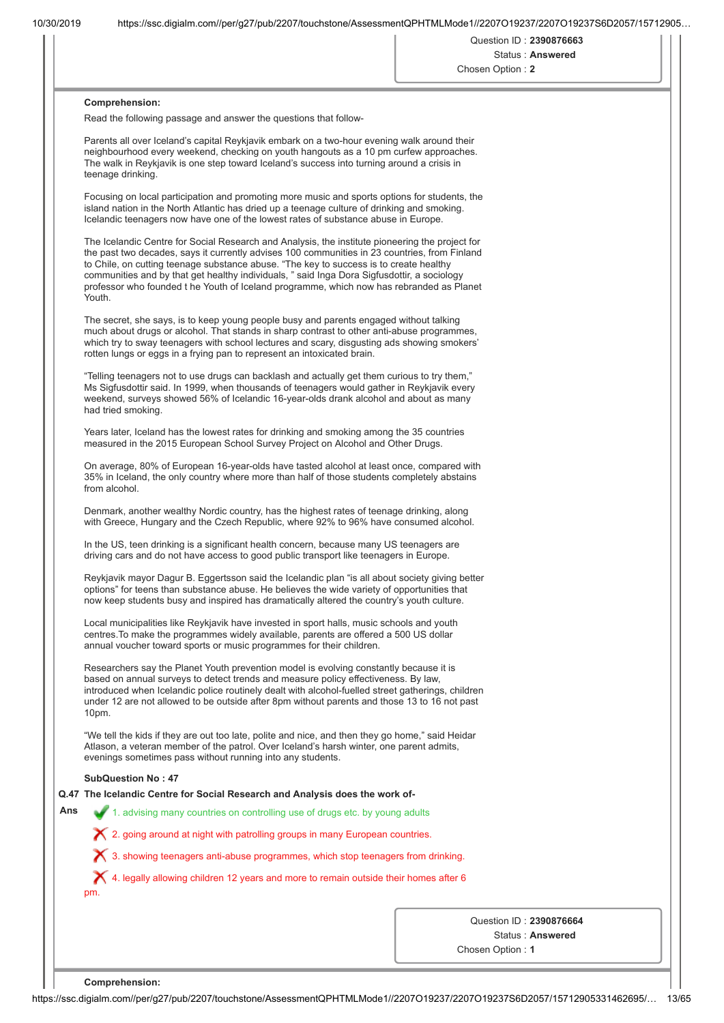Question ID : **2390876663** Status : **Answered**

| Chosen Option: 2 |  |  |  |
|------------------|--|--|--|

### **Comprehension:**

Read the following passage and answer the questions that follow-

Parents all over Iceland's capital Reykjavik embark on a two-hour evening walk around their neighbourhood every weekend, checking on youth hangouts as a 10 pm curfew approaches. The walk in Reykjavik is one step toward Iceland's success into turning around a crisis in teenage drinking.

Focusing on local participation and promoting more music and sports options for students, the island nation in the North Atlantic has dried up a teenage culture of drinking and smoking. Icelandic teenagers now have one of the lowest rates of substance abuse in Europe.

The Icelandic Centre for Social Research and Analysis, the institute pioneering the project for the past two decades, says it currently advises 100 communities in 23 countries, from Finland to Chile, on cutting teenage substance abuse. "The key to success is to create healthy communities and by that get healthy individuals, " said Inga Dora Sigfusdottir, a sociology professor who founded t he Youth of Iceland programme, which now has rebranded as Planet Youth.

The secret, she says, is to keep young people busy and parents engaged without talking much about drugs or alcohol. That stands in sharp contrast to other anti-abuse programmes, which try to sway teenagers with school lectures and scary, disgusting ads showing smokers' rotten lungs or eggs in a frying pan to represent an intoxicated brain.

"Telling teenagers not to use drugs can backlash and actually get them curious to try them," Ms Sigfusdottir said. In 1999, when thousands of teenagers would gather in Reykjavik every weekend, surveys showed 56% of Icelandic 16-year-olds drank alcohol and about as many had tried smoking.

Years later, Iceland has the lowest rates for drinking and smoking among the 35 countries measured in the 2015 European School Survey Project on Alcohol and Other Drugs.

On average, 80% of European 16-year-olds have tasted alcohol at least once, compared with 35% in Iceland, the only country where more than half of those students completely abstains from alcohol.

Denmark, another wealthy Nordic country, has the highest rates of teenage drinking, along with Greece, Hungary and the Czech Republic, where 92% to 96% have consumed alcohol.

In the US, teen drinking is a significant health concern, because many US teenagers are driving cars and do not have access to good public transport like teenagers in Europe.

Reykjavik mayor Dagur B. Eggertsson said the Icelandic plan "is all about society giving better options" for teens than substance abuse. He believes the wide variety of opportunities that now keep students busy and inspired has dramatically altered the country's youth culture.

Local municipalities like Reykjavik have invested in sport halls, music schools and youth centres.To make the programmes widely available, parents are offered a 500 US dollar annual voucher toward sports or music programmes for their children.

Researchers say the Planet Youth prevention model is evolving constantly because it is based on annual surveys to detect trends and measure policy effectiveness. By law, introduced when Icelandic police routinely dealt with alcohol-fuelled street gatherings, children under 12 are not allowed to be outside after 8pm without parents and those 13 to 16 not past 10pm.

"We tell the kids if they are out too late, polite and nice, and then they go home," said Heidar Atlason, a veteran member of the patrol. Over Iceland's harsh winter, one parent admits, evenings sometimes pass without running into any students.

## **SubQuestion No : 47**

**Q.47 The Icelandic Centre for Social Research and Analysis does the work of-**

**Ans** 1. advising many countries on controlling use of drugs etc. by young adults

2. going around at night with patrolling groups in many European countries.

3. showing teenagers anti-abuse programmes, which stop teenagers from drinking.

4. legally allowing children 12 years and more to remain outside their homes after 6 pm.

> Question ID : **2390876664** Status : **Answered**

Chosen Option : **1**

**Comprehension:**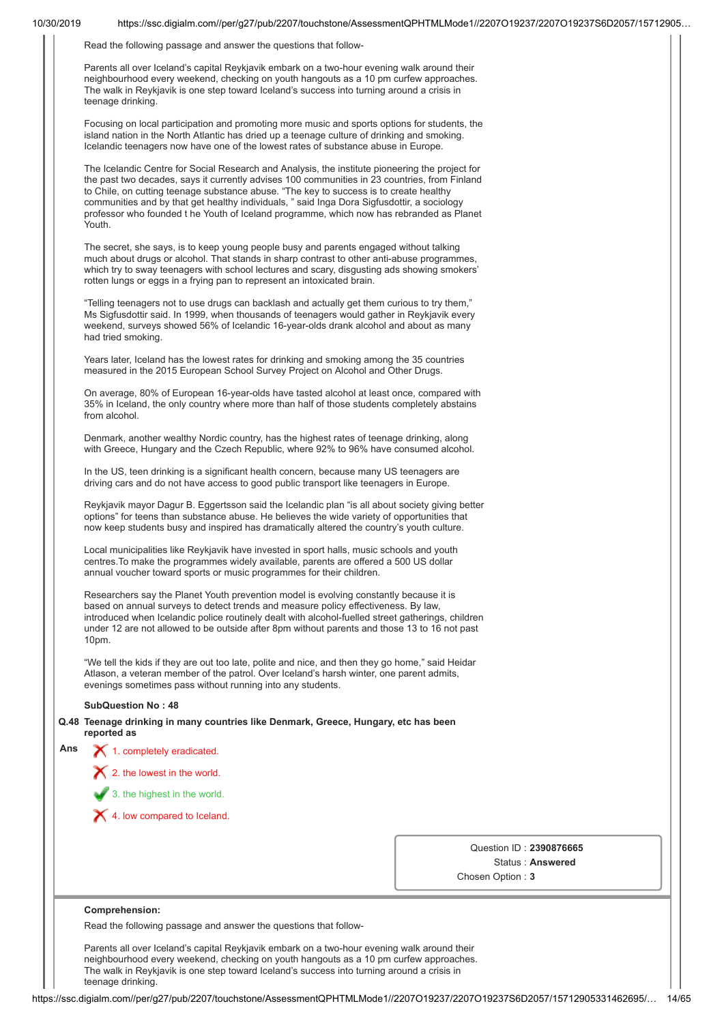Read the following passage and answer the questions that follow-

Parents all over Iceland's capital Reykjavik embark on a two-hour evening walk around their neighbourhood every weekend, checking on youth hangouts as a 10 pm curfew approaches. The walk in Reykjavik is one step toward Iceland's success into turning around a crisis in teenage drinking.

Focusing on local participation and promoting more music and sports options for students, the island nation in the North Atlantic has dried up a teenage culture of drinking and smoking. Icelandic teenagers now have one of the lowest rates of substance abuse in Europe.

The Icelandic Centre for Social Research and Analysis, the institute pioneering the project for the past two decades, says it currently advises 100 communities in 23 countries, from Finland to Chile, on cutting teenage substance abuse. "The key to success is to create healthy communities and by that get healthy individuals, " said Inga Dora Sigfusdottir, a sociology professor who founded t he Youth of Iceland programme, which now has rebranded as Planet Youth.

The secret, she says, is to keep young people busy and parents engaged without talking much about drugs or alcohol. That stands in sharp contrast to other anti-abuse programmes, which try to sway teenagers with school lectures and scary, disgusting ads showing smokers' rotten lungs or eggs in a frying pan to represent an intoxicated brain.

"Telling teenagers not to use drugs can backlash and actually get them curious to try them," Ms Sigfusdottir said. In 1999, when thousands of teenagers would gather in Reykjavik every weekend, surveys showed 56% of Icelandic 16-year-olds drank alcohol and about as many had tried smoking.

Years later, Iceland has the lowest rates for drinking and smoking among the 35 countries measured in the 2015 European School Survey Project on Alcohol and Other Drugs.

On average, 80% of European 16-year-olds have tasted alcohol at least once, compared with 35% in Iceland, the only country where more than half of those students completely abstains from alcohol.

Denmark, another wealthy Nordic country, has the highest rates of teenage drinking, along with Greece, Hungary and the Czech Republic, where 92% to 96% have consumed alcohol.

In the US, teen drinking is a significant health concern, because many US teenagers are driving cars and do not have access to good public transport like teenagers in Europe.

Reykjavik mayor Dagur B. Eggertsson said the Icelandic plan "is all about society giving better options" for teens than substance abuse. He believes the wide variety of opportunities that now keep students busy and inspired has dramatically altered the country's youth culture.

Local municipalities like Reykjavik have invested in sport halls, music schools and youth centres.To make the programmes widely available, parents are offered a 500 US dollar annual voucher toward sports or music programmes for their children.

Researchers say the Planet Youth prevention model is evolving constantly because it is based on annual surveys to detect trends and measure policy effectiveness. By law, introduced when Icelandic police routinely dealt with alcohol-fuelled street gatherings, children under 12 are not allowed to be outside after 8pm without parents and those 13 to 16 not past 10pm.

"We tell the kids if they are out too late, polite and nice, and then they go home," said Heidar Atlason, a veteran member of the patrol. Over Iceland's harsh winter, one parent admits, evenings sometimes pass without running into any students.

#### **SubQuestion No : 48**

**Q.48 Teenage drinking in many countries like Denmark, Greece, Hungary, etc has been reported as**

| Ans | $\blacktriangleright$ 1. completely eradicated.   |
|-----|---------------------------------------------------|
|     | $\blacktriangleright$ 2. the lowest in the world. |
|     | 3. the highest in the world.                      |
|     | 4. Iow compared to Iceland.                       |

Question ID : **2390876665** Status : **Answered** Chosen Option : **3**

## **Comprehension:**

Read the following passage and answer the questions that follow-

Parents all over Iceland's capital Reykjavik embark on a two-hour evening walk around their neighbourhood every weekend, checking on youth hangouts as a 10 pm curfew approaches. The walk in Reykjavik is one step toward Iceland's success into turning around a crisis in teenage drinking.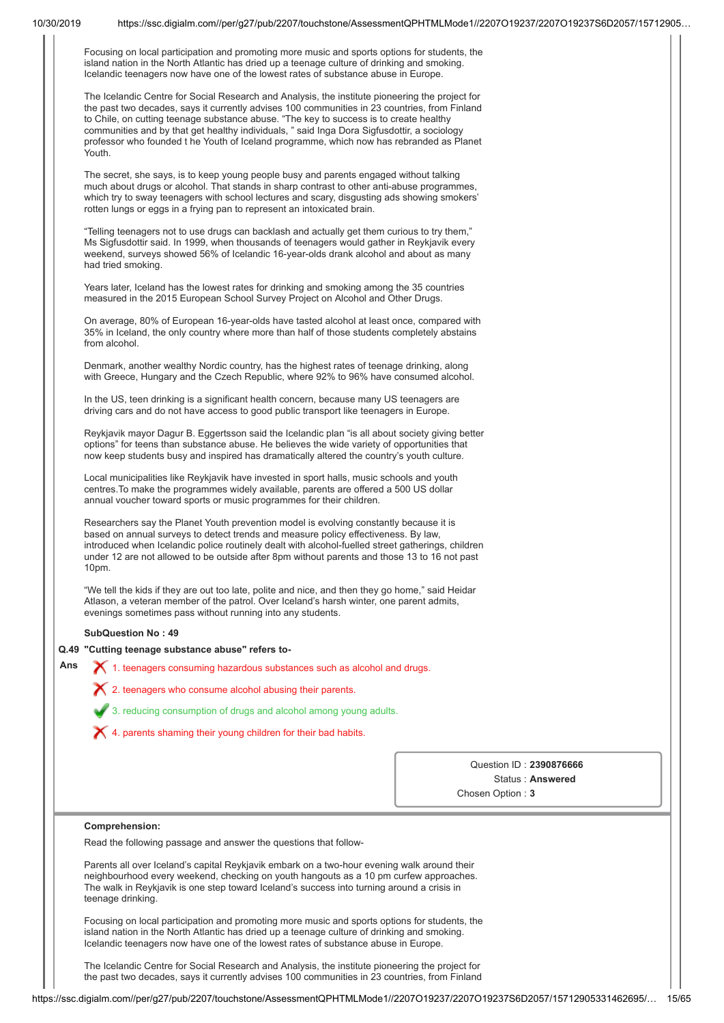| Focusing on local participation and promoting more music and sports options for students, the |  |
|-----------------------------------------------------------------------------------------------|--|
| island nation in the North Atlantic has dried up a teenage culture of drinking and smoking.   |  |
| Icelandic teenagers now have one of the lowest rates of substance abuse in Europe.            |  |

The Icelandic Centre for Social Research and Analysis, the institute pioneering the project for the past two decades, says it currently advises 100 communities in 23 countries, from Finland to Chile, on cutting teenage substance abuse. "The key to success is to create healthy communities and by that get healthy individuals, " said Inga Dora Sigfusdottir, a sociology professor who founded t he Youth of Iceland programme, which now has rebranded as Planet Youth.

The secret, she says, is to keep young people busy and parents engaged without talking much about drugs or alcohol. That stands in sharp contrast to other anti-abuse programmes, which try to sway teenagers with school lectures and scary, disgusting ads showing smokers' rotten lungs or eggs in a frying pan to represent an intoxicated brain.

"Telling teenagers not to use drugs can backlash and actually get them curious to try them," Ms Sigfusdottir said. In 1999, when thousands of teenagers would gather in Reykjavik every weekend, surveys showed 56% of Icelandic 16-year-olds drank alcohol and about as many had tried smoking.

Years later, Iceland has the lowest rates for drinking and smoking among the 35 countries measured in the 2015 European School Survey Project on Alcohol and Other Drugs.

On average, 80% of European 16-year-olds have tasted alcohol at least once, compared with 35% in Iceland, the only country where more than half of those students completely abstains from alcohol.

Denmark, another wealthy Nordic country, has the highest rates of teenage drinking, along with Greece, Hungary and the Czech Republic, where 92% to 96% have consumed alcohol.

In the US, teen drinking is a significant health concern, because many US teenagers are driving cars and do not have access to good public transport like teenagers in Europe.

Reykjavik mayor Dagur B. Eggertsson said the Icelandic plan "is all about society giving better options" for teens than substance abuse. He believes the wide variety of opportunities that now keep students busy and inspired has dramatically altered the country's youth culture.

Local municipalities like Reykjavik have invested in sport halls, music schools and youth centres.To make the programmes widely available, parents are offered a 500 US dollar annual voucher toward sports or music programmes for their children.

Researchers say the Planet Youth prevention model is evolving constantly because it is based on annual surveys to detect trends and measure policy effectiveness. By law, introduced when Icelandic police routinely dealt with alcohol-fuelled street gatherings, children under 12 are not allowed to be outside after 8pm without parents and those 13 to 16 not past 10pm.

"We tell the kids if they are out too late, polite and nice, and then they go home," said Heidar Atlason, a veteran member of the patrol. Over Iceland's harsh winter, one parent admits, evenings sometimes pass without running into any students.

#### **SubQuestion No : 49**

### **Q.49 "Cutting teenage substance abuse" refers to-**

Ans  $\bigtimes$  1. teenagers consuming hazardous substances such as alcohol and drugs.

2. teenagers who consume alcohol abusing their parents.



4. parents shaming their young children for their bad habits.

Question ID : **2390876666** Status : **Answered** Chosen Option : **3**

#### **Comprehension:**

Read the following passage and answer the questions that follow-

Parents all over Iceland's capital Reykjavik embark on a two-hour evening walk around their neighbourhood every weekend, checking on youth hangouts as a 10 pm curfew approaches. The walk in Reykjavik is one step toward Iceland's success into turning around a crisis in teenage drinking.

Focusing on local participation and promoting more music and sports options for students, the island nation in the North Atlantic has dried up a teenage culture of drinking and smoking. Icelandic teenagers now have one of the lowest rates of substance abuse in Europe.

The Icelandic Centre for Social Research and Analysis, the institute pioneering the project for the past two decades, says it currently advises 100 communities in 23 countries, from Finland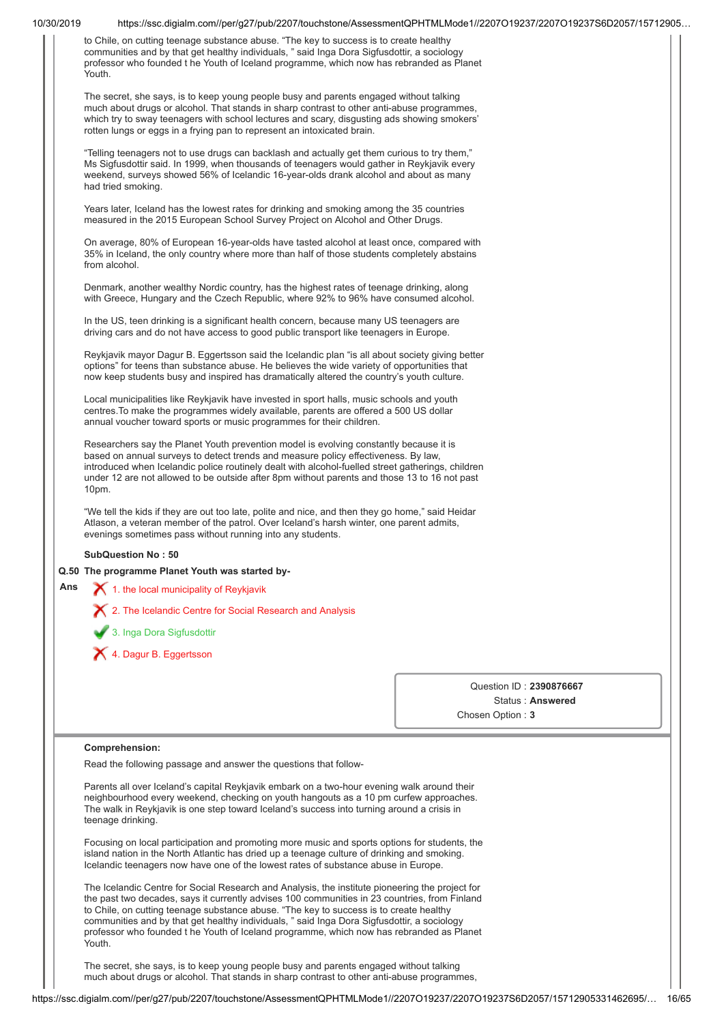|     | to Chile, on cutting teenage substance abuse. "The key to success is to create healthy<br>communities and by that get healthy individuals, " said Inga Dora Sigfusdottir, a sociology<br>professor who founded t he Youth of Iceland programme, which now has rebranded as Planet<br>Youth.                                                                                                                                                                                                     |                         |
|-----|-------------------------------------------------------------------------------------------------------------------------------------------------------------------------------------------------------------------------------------------------------------------------------------------------------------------------------------------------------------------------------------------------------------------------------------------------------------------------------------------------|-------------------------|
|     | The secret, she says, is to keep young people busy and parents engaged without talking<br>much about drugs or alcohol. That stands in sharp contrast to other anti-abuse programmes,<br>which try to sway teenagers with school lectures and scary, disgusting ads showing smokers'<br>rotten lungs or eggs in a frying pan to represent an intoxicated brain.                                                                                                                                  |                         |
|     | "Telling teenagers not to use drugs can backlash and actually get them curious to try them,"<br>Ms Sigfusdottir said. In 1999, when thousands of teenagers would gather in Reykjavik every<br>weekend, surveys showed 56% of Icelandic 16-year-olds drank alcohol and about as many<br>had tried smoking.                                                                                                                                                                                       |                         |
|     | Years later, Iceland has the lowest rates for drinking and smoking among the 35 countries<br>measured in the 2015 European School Survey Project on Alcohol and Other Drugs.                                                                                                                                                                                                                                                                                                                    |                         |
|     | On average, 80% of European 16-year-olds have tasted alcohol at least once, compared with<br>35% in Iceland, the only country where more than half of those students completely abstains<br>from alcohol.                                                                                                                                                                                                                                                                                       |                         |
|     | Denmark, another wealthy Nordic country, has the highest rates of teenage drinking, along<br>with Greece, Hungary and the Czech Republic, where 92% to 96% have consumed alcohol.                                                                                                                                                                                                                                                                                                               |                         |
|     | In the US, teen drinking is a significant health concern, because many US teenagers are<br>driving cars and do not have access to good public transport like teenagers in Europe.                                                                                                                                                                                                                                                                                                               |                         |
|     | Reykjavik mayor Dagur B. Eggertsson said the Icelandic plan "is all about society giving better<br>options" for teens than substance abuse. He believes the wide variety of opportunities that<br>now keep students busy and inspired has dramatically altered the country's youth culture.                                                                                                                                                                                                     |                         |
|     | Local municipalities like Reykjavik have invested in sport halls, music schools and youth<br>centres. To make the programmes widely available, parents are offered a 500 US dollar<br>annual voucher toward sports or music programmes for their children.                                                                                                                                                                                                                                      |                         |
|     | Researchers say the Planet Youth prevention model is evolving constantly because it is<br>based on annual surveys to detect trends and measure policy effectiveness. By law,<br>introduced when Icelandic police routinely dealt with alcohol-fuelled street gatherings, children<br>under 12 are not allowed to be outside after 8pm without parents and those 13 to 16 not past<br>10pm.                                                                                                      |                         |
|     | "We tell the kids if they are out too late, polite and nice, and then they go home," said Heidar<br>Atlason, a veteran member of the patrol. Over Iceland's harsh winter, one parent admits,<br>evenings sometimes pass without running into any students.                                                                                                                                                                                                                                      |                         |
|     | <b>SubQuestion No: 50</b>                                                                                                                                                                                                                                                                                                                                                                                                                                                                       |                         |
|     | Q.50 The programme Planet Youth was started by-                                                                                                                                                                                                                                                                                                                                                                                                                                                 |                         |
| Ans | $\boldsymbol{\times}$ 1. the local municipality of Reykjavik                                                                                                                                                                                                                                                                                                                                                                                                                                    |                         |
|     | X 2. The Icelandic Centre for Social Research and Analysis                                                                                                                                                                                                                                                                                                                                                                                                                                      |                         |
|     | 3. Inga Dora Sigfusdottir                                                                                                                                                                                                                                                                                                                                                                                                                                                                       |                         |
|     |                                                                                                                                                                                                                                                                                                                                                                                                                                                                                                 |                         |
|     | X 4. Dagur B. Eggertsson                                                                                                                                                                                                                                                                                                                                                                                                                                                                        |                         |
|     |                                                                                                                                                                                                                                                                                                                                                                                                                                                                                                 | Question ID: 2390876667 |
|     |                                                                                                                                                                                                                                                                                                                                                                                                                                                                                                 | Status: Answered        |
|     |                                                                                                                                                                                                                                                                                                                                                                                                                                                                                                 | Chosen Option: 3        |
|     | Comprehension:                                                                                                                                                                                                                                                                                                                                                                                                                                                                                  |                         |
|     | Read the following passage and answer the questions that follow-                                                                                                                                                                                                                                                                                                                                                                                                                                |                         |
|     | Parents all over Iceland's capital Reykjavik embark on a two-hour evening walk around their<br>neighbourhood every weekend, checking on youth hangouts as a 10 pm curfew approaches.<br>The walk in Reykjavik is one step toward Iceland's success into turning around a crisis in<br>teenage drinking.                                                                                                                                                                                         |                         |
|     | Focusing on local participation and promoting more music and sports options for students, the<br>island nation in the North Atlantic has dried up a teenage culture of drinking and smoking.<br>Icelandic teenagers now have one of the lowest rates of substance abuse in Europe.                                                                                                                                                                                                              |                         |
|     |                                                                                                                                                                                                                                                                                                                                                                                                                                                                                                 |                         |
|     | The Icelandic Centre for Social Research and Analysis, the institute pioneering the project for<br>the past two decades, says it currently advises 100 communities in 23 countries, from Finland<br>to Chile, on cutting teenage substance abuse. "The key to success is to create healthy<br>communities and by that get healthy individuals, " said Inga Dora Sigfusdottir, a sociology<br>professor who founded t he Youth of Iceland programme, which now has rebranded as Planet<br>Youth. |                         |
|     | The secret, she says, is to keep young people busy and parents engaged without talking<br>much about drugs or alcohol. That stands in sharp contrast to other anti-abuse programmes,                                                                                                                                                                                                                                                                                                            |                         |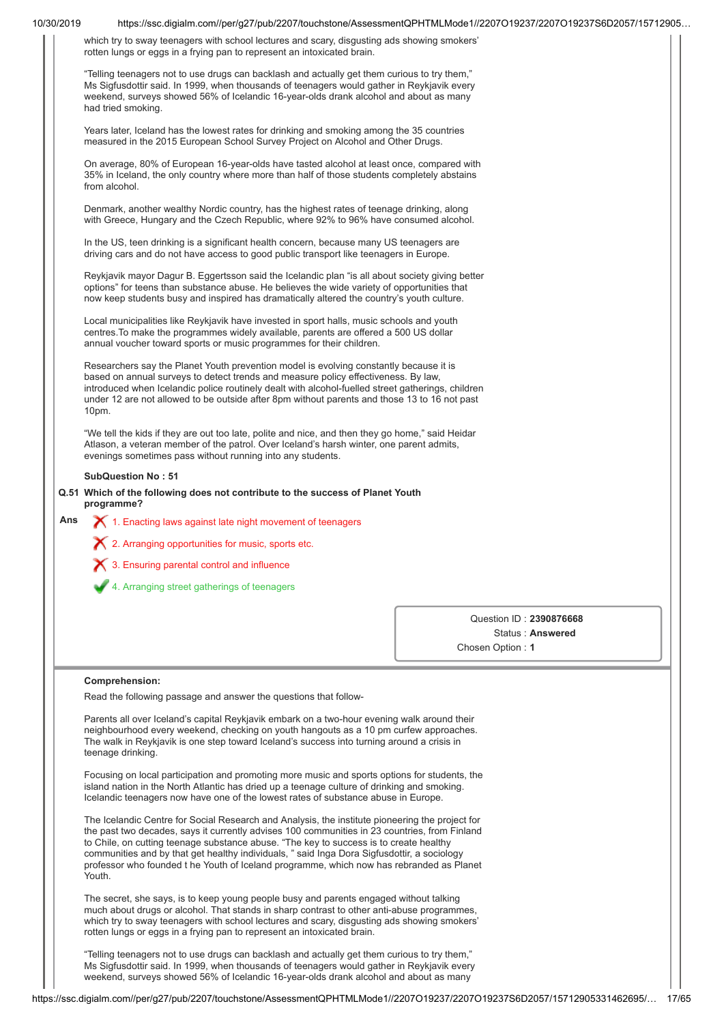| 10/30/2019 | https://ssc.digialm.com//per/g27/pub/2207/touchstone/AssessmentQPHTMLMode1//2207O19237/2207O19237S6D2057/15712905                                                                                                                                                                                                                                                                                                                                                                               |                         |
|------------|-------------------------------------------------------------------------------------------------------------------------------------------------------------------------------------------------------------------------------------------------------------------------------------------------------------------------------------------------------------------------------------------------------------------------------------------------------------------------------------------------|-------------------------|
|            | which try to sway teenagers with school lectures and scary, disgusting ads showing smokers'<br>rotten lungs or eggs in a frying pan to represent an intoxicated brain.                                                                                                                                                                                                                                                                                                                          |                         |
|            | "Telling teenagers not to use drugs can backlash and actually get them curious to try them,"<br>Ms Sigfusdottir said. In 1999, when thousands of teenagers would gather in Reykjavik every<br>weekend, surveys showed 56% of Icelandic 16-year-olds drank alcohol and about as many<br>had tried smoking.                                                                                                                                                                                       |                         |
|            | Years later, Iceland has the lowest rates for drinking and smoking among the 35 countries<br>measured in the 2015 European School Survey Project on Alcohol and Other Drugs.                                                                                                                                                                                                                                                                                                                    |                         |
|            | On average, 80% of European 16-year-olds have tasted alcohol at least once, compared with<br>35% in Iceland, the only country where more than half of those students completely abstains<br>from alcohol.                                                                                                                                                                                                                                                                                       |                         |
|            | Denmark, another wealthy Nordic country, has the highest rates of teenage drinking, along<br>with Greece, Hungary and the Czech Republic, where 92% to 96% have consumed alcohol.                                                                                                                                                                                                                                                                                                               |                         |
|            | In the US, teen drinking is a significant health concern, because many US teenagers are<br>driving cars and do not have access to good public transport like teenagers in Europe.                                                                                                                                                                                                                                                                                                               |                         |
|            | Reykjavik mayor Dagur B. Eggertsson said the Icelandic plan "is all about society giving better<br>options" for teens than substance abuse. He believes the wide variety of opportunities that<br>now keep students busy and inspired has dramatically altered the country's youth culture.                                                                                                                                                                                                     |                         |
|            | Local municipalities like Reykjavik have invested in sport halls, music schools and youth<br>centres. To make the programmes widely available, parents are offered a 500 US dollar<br>annual voucher toward sports or music programmes for their children.                                                                                                                                                                                                                                      |                         |
|            | Researchers say the Planet Youth prevention model is evolving constantly because it is<br>based on annual surveys to detect trends and measure policy effectiveness. By law,<br>introduced when Icelandic police routinely dealt with alcohol-fuelled street gatherings, children<br>under 12 are not allowed to be outside after 8pm without parents and those 13 to 16 not past<br>10pm.                                                                                                      |                         |
|            | "We tell the kids if they are out too late, polite and nice, and then they go home," said Heidar<br>Atlason, a veteran member of the patrol. Over Iceland's harsh winter, one parent admits,<br>evenings sometimes pass without running into any students.                                                                                                                                                                                                                                      |                         |
|            | <b>SubQuestion No: 51</b>                                                                                                                                                                                                                                                                                                                                                                                                                                                                       |                         |
|            | Q.51 Which of the following does not contribute to the success of Planet Youth                                                                                                                                                                                                                                                                                                                                                                                                                  |                         |
|            | programme?                                                                                                                                                                                                                                                                                                                                                                                                                                                                                      |                         |
|            |                                                                                                                                                                                                                                                                                                                                                                                                                                                                                                 |                         |
| Ans        | X 1. Enacting laws against late night movement of teenagers                                                                                                                                                                                                                                                                                                                                                                                                                                     |                         |
|            | $\boldsymbol{\times}$ 2. Arranging opportunities for music, sports etc.                                                                                                                                                                                                                                                                                                                                                                                                                         |                         |
|            | 3. Ensuring parental control and influence                                                                                                                                                                                                                                                                                                                                                                                                                                                      |                         |
|            | 4. Arranging street gatherings of teenagers                                                                                                                                                                                                                                                                                                                                                                                                                                                     |                         |
|            |                                                                                                                                                                                                                                                                                                                                                                                                                                                                                                 |                         |
|            |                                                                                                                                                                                                                                                                                                                                                                                                                                                                                                 | Question ID: 2390876668 |
|            |                                                                                                                                                                                                                                                                                                                                                                                                                                                                                                 | Status: Answered        |
|            |                                                                                                                                                                                                                                                                                                                                                                                                                                                                                                 | Chosen Option: 1        |
|            | Comprehension:                                                                                                                                                                                                                                                                                                                                                                                                                                                                                  |                         |
|            | Read the following passage and answer the questions that follow-                                                                                                                                                                                                                                                                                                                                                                                                                                |                         |
|            | Parents all over Iceland's capital Reykjavik embark on a two-hour evening walk around their<br>neighbourhood every weekend, checking on youth hangouts as a 10 pm curfew approaches.<br>The walk in Reykjavik is one step toward Iceland's success into turning around a crisis in<br>teenage drinking.                                                                                                                                                                                         |                         |
|            | Focusing on local participation and promoting more music and sports options for students, the<br>island nation in the North Atlantic has dried up a teenage culture of drinking and smoking.<br>Icelandic teenagers now have one of the lowest rates of substance abuse in Europe.                                                                                                                                                                                                              |                         |
|            | The Icelandic Centre for Social Research and Analysis, the institute pioneering the project for<br>the past two decades, says it currently advises 100 communities in 23 countries, from Finland<br>to Chile, on cutting teenage substance abuse. "The key to success is to create healthy<br>communities and by that get healthy individuals, " said Inga Dora Sigfusdottir, a sociology<br>professor who founded t he Youth of Iceland programme, which now has rebranded as Planet<br>Youth. |                         |
|            | The secret, she says, is to keep young people busy and parents engaged without talking<br>much about drugs or alcohol. That stands in sharp contrast to other anti-abuse programmes,<br>which try to sway teenagers with school lectures and scary, disgusting ads showing smokers'<br>rotten lungs or eggs in a frying pan to represent an intoxicated brain.                                                                                                                                  |                         |
|            | "Telling teenagers not to use drugs can backlash and actually get them curious to try them,"<br>Ms Sigfusdottir said. In 1999, when thousands of teenagers would gather in Reykjavik every<br>weekend, surveys showed 56% of Icelandic 16-year-olds drank alcohol and about as many                                                                                                                                                                                                             |                         |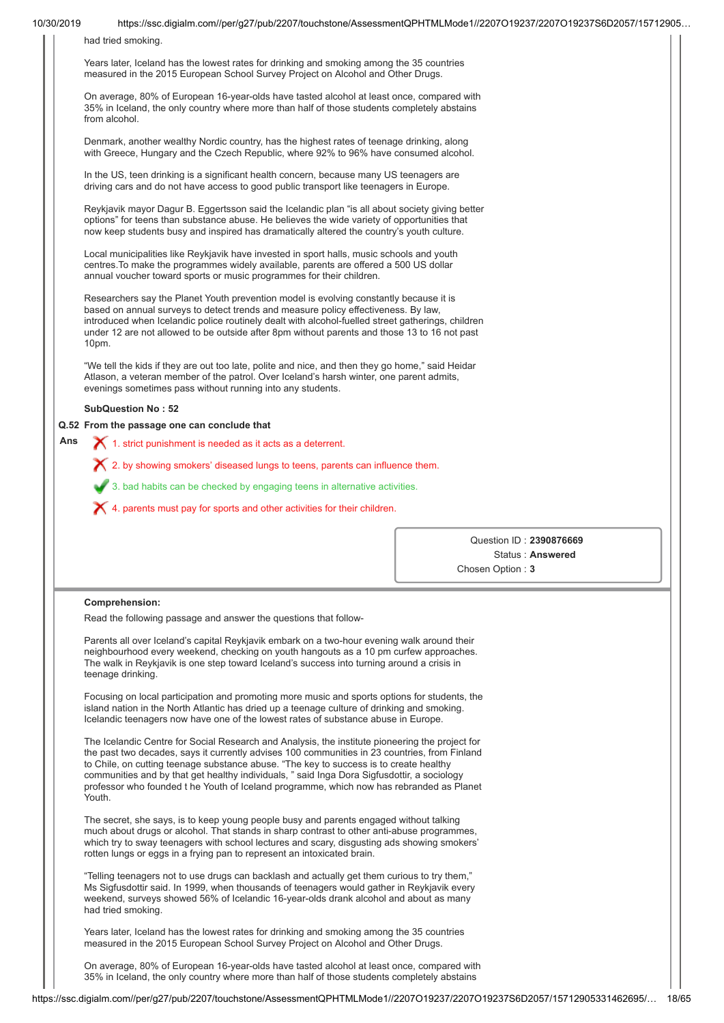| had tried smoking.<br>Years later, Iceland has the lowest rates for drinking and smoking among the 35 countries<br>measured in the 2015 European School Survey Project on Alcohol and Other Drugs.<br>On average, 80% of European 16-year-olds have tasted alcohol at least once, compared with<br>35% in Iceland, the only country where more than half of those students completely abstains<br>from alcohol.<br>Denmark, another wealthy Nordic country, has the highest rates of teenage drinking, along<br>with Greece, Hungary and the Czech Republic, where 92% to 96% have consumed alcohol.<br>In the US, teen drinking is a significant health concern, because many US teenagers are<br>driving cars and do not have access to good public transport like teenagers in Europe.<br>Reykjavik mayor Dagur B. Eggertsson said the Icelandic plan "is all about society giving better<br>options" for teens than substance abuse. He believes the wide variety of opportunities that<br>now keep students busy and inspired has dramatically altered the country's youth culture.<br>Local municipalities like Reykjavik have invested in sport halls, music schools and youth<br>centres. To make the programmes widely available, parents are offered a 500 US dollar<br>annual voucher toward sports or music programmes for their children.<br>Researchers say the Planet Youth prevention model is evolving constantly because it is<br>based on annual surveys to detect trends and measure policy effectiveness. By law,<br>introduced when Icelandic police routinely dealt with alcohol-fuelled street gatherings, children<br>under 12 are not allowed to be outside after 8pm without parents and those 13 to 16 not past<br>10pm.<br>"We tell the kids if they are out too late, polite and nice, and then they go home," said Heidar<br>Atlason, a veteran member of the patrol. Over Iceland's harsh winter, one parent admits,<br>evenings sometimes pass without running into any students.<br><b>SubQuestion No: 52</b><br>Q.52 From the passage one can conclude that<br>Ans<br>1. strict punishment is needed as it acts as a deterrent.<br>X 2. by showing smokers' diseased lungs to teens, parents can influence them.<br>3. bad habits can be checked by engaging teens in alternative activities.<br>$\chi$ 4. parents must pay for sports and other activities for their children.<br>Question ID: 2390876669<br>Status: Answered<br>Chosen Option: 3<br>Comprehension:<br>Read the following passage and answer the questions that follow-<br>Parents all over Iceland's capital Reykjavik embark on a two-hour evening walk around their<br>neighbourhood every weekend, checking on youth hangouts as a 10 pm curfew approaches.<br>The walk in Reykjavik is one step toward Iceland's success into turning around a crisis in<br>teenage drinking.<br>Focusing on local participation and promoting more music and sports options for students, the<br>island nation in the North Atlantic has dried up a teenage culture of drinking and smoking.<br>Icelandic teenagers now have one of the lowest rates of substance abuse in Europe.<br>The Icelandic Centre for Social Research and Analysis, the institute pioneering the project for<br>the past two decades, says it currently advises 100 communities in 23 countries, from Finland<br>to Chile, on cutting teenage substance abuse. "The key to success is to create healthy<br>communities and by that get healthy individuals, " said Inga Dora Sigfusdottir, a sociology<br>professor who founded t he Youth of Iceland programme, which now has rebranded as Planet<br>Youth.<br>The secret, she says, is to keep young people busy and parents engaged without talking<br>much about drugs or alcohol. That stands in sharp contrast to other anti-abuse programmes,<br>which try to sway teenagers with school lectures and scary, disgusting ads showing smokers'<br>rotten lungs or eggs in a frying pan to represent an intoxicated brain.<br>"Telling teenagers not to use drugs can backlash and actually get them curious to try them,"<br>Ms Sigfusdottir said. In 1999, when thousands of teenagers would gather in Reykjavik every<br>weekend, surveys showed 56% of Icelandic 16-year-olds drank alcohol and about as many<br>had tried smoking.<br>Years later, Iceland has the lowest rates for drinking and smoking among the 35 countries<br>measured in the 2015 European School Survey Project on Alcohol and Other Drugs.<br>On average, 80% of European 16-year-olds have tasted alcohol at least once, compared with<br>35% in Iceland, the only country where more than half of those students completely abstains |  |  |
|--------------------------------------------------------------------------------------------------------------------------------------------------------------------------------------------------------------------------------------------------------------------------------------------------------------------------------------------------------------------------------------------------------------------------------------------------------------------------------------------------------------------------------------------------------------------------------------------------------------------------------------------------------------------------------------------------------------------------------------------------------------------------------------------------------------------------------------------------------------------------------------------------------------------------------------------------------------------------------------------------------------------------------------------------------------------------------------------------------------------------------------------------------------------------------------------------------------------------------------------------------------------------------------------------------------------------------------------------------------------------------------------------------------------------------------------------------------------------------------------------------------------------------------------------------------------------------------------------------------------------------------------------------------------------------------------------------------------------------------------------------------------------------------------------------------------------------------------------------------------------------------------------------------------------------------------------------------------------------------------------------------------------------------------------------------------------------------------------------------------------------------------------------------------------------------------------------------------------------------------------------------------------------------------------------------------------------------------------------------------------------------------------------------------------------------------------------------------------------------------------------------------------------------------------------------------------------------------------------------------------------------------------------------------------------------------------------------------------------------------------------------------------------------------------------------------------------------------------------------------------------------------------------------------------------------------------------------------------------------------------------------------------------------------------------------------------------------------------------------------------------------------------------------------------------------------------------------------------------------------------------------------------------------------------------------------------------------------------------------------------------------------------------------------------------------------------------------------------------------------------------------------------------------------------------------------------------------------------------------------------------------------------------------------------------------------------------------------------------------------------------------------------------------------------------------------------------------------------------------------------------------------------------------------------------------------------------------------------------------------------------------------------------------------------------------------------------------------------------------------------------------------------------------------------------------------------------------------------------------------------------------------------------------------------------------------------------------------------------------------------------------------------------------------------------------------------------------------------------------------------------------------------------------------------------------------------------------------------------------------------------------------------------------------------------------------------------------------------------------------|--|--|
|                                                                                                                                                                                                                                                                                                                                                                                                                                                                                                                                                                                                                                                                                                                                                                                                                                                                                                                                                                                                                                                                                                                                                                                                                                                                                                                                                                                                                                                                                                                                                                                                                                                                                                                                                                                                                                                                                                                                                                                                                                                                                                                                                                                                                                                                                                                                                                                                                                                                                                                                                                                                                                                                                                                                                                                                                                                                                                                                                                                                                                                                                                                                                                                                                                                                                                                                                                                                                                                                                                                                                                                                                                                                                                                                                                                                                                                                                                                                                                                                                                                                                                                                                                                                                                                                                                                                                                                                                                                                                                                                                                                                                                                                                                                                            |  |  |
|                                                                                                                                                                                                                                                                                                                                                                                                                                                                                                                                                                                                                                                                                                                                                                                                                                                                                                                                                                                                                                                                                                                                                                                                                                                                                                                                                                                                                                                                                                                                                                                                                                                                                                                                                                                                                                                                                                                                                                                                                                                                                                                                                                                                                                                                                                                                                                                                                                                                                                                                                                                                                                                                                                                                                                                                                                                                                                                                                                                                                                                                                                                                                                                                                                                                                                                                                                                                                                                                                                                                                                                                                                                                                                                                                                                                                                                                                                                                                                                                                                                                                                                                                                                                                                                                                                                                                                                                                                                                                                                                                                                                                                                                                                                                            |  |  |
|                                                                                                                                                                                                                                                                                                                                                                                                                                                                                                                                                                                                                                                                                                                                                                                                                                                                                                                                                                                                                                                                                                                                                                                                                                                                                                                                                                                                                                                                                                                                                                                                                                                                                                                                                                                                                                                                                                                                                                                                                                                                                                                                                                                                                                                                                                                                                                                                                                                                                                                                                                                                                                                                                                                                                                                                                                                                                                                                                                                                                                                                                                                                                                                                                                                                                                                                                                                                                                                                                                                                                                                                                                                                                                                                                                                                                                                                                                                                                                                                                                                                                                                                                                                                                                                                                                                                                                                                                                                                                                                                                                                                                                                                                                                                            |  |  |
|                                                                                                                                                                                                                                                                                                                                                                                                                                                                                                                                                                                                                                                                                                                                                                                                                                                                                                                                                                                                                                                                                                                                                                                                                                                                                                                                                                                                                                                                                                                                                                                                                                                                                                                                                                                                                                                                                                                                                                                                                                                                                                                                                                                                                                                                                                                                                                                                                                                                                                                                                                                                                                                                                                                                                                                                                                                                                                                                                                                                                                                                                                                                                                                                                                                                                                                                                                                                                                                                                                                                                                                                                                                                                                                                                                                                                                                                                                                                                                                                                                                                                                                                                                                                                                                                                                                                                                                                                                                                                                                                                                                                                                                                                                                                            |  |  |
|                                                                                                                                                                                                                                                                                                                                                                                                                                                                                                                                                                                                                                                                                                                                                                                                                                                                                                                                                                                                                                                                                                                                                                                                                                                                                                                                                                                                                                                                                                                                                                                                                                                                                                                                                                                                                                                                                                                                                                                                                                                                                                                                                                                                                                                                                                                                                                                                                                                                                                                                                                                                                                                                                                                                                                                                                                                                                                                                                                                                                                                                                                                                                                                                                                                                                                                                                                                                                                                                                                                                                                                                                                                                                                                                                                                                                                                                                                                                                                                                                                                                                                                                                                                                                                                                                                                                                                                                                                                                                                                                                                                                                                                                                                                                            |  |  |
|                                                                                                                                                                                                                                                                                                                                                                                                                                                                                                                                                                                                                                                                                                                                                                                                                                                                                                                                                                                                                                                                                                                                                                                                                                                                                                                                                                                                                                                                                                                                                                                                                                                                                                                                                                                                                                                                                                                                                                                                                                                                                                                                                                                                                                                                                                                                                                                                                                                                                                                                                                                                                                                                                                                                                                                                                                                                                                                                                                                                                                                                                                                                                                                                                                                                                                                                                                                                                                                                                                                                                                                                                                                                                                                                                                                                                                                                                                                                                                                                                                                                                                                                                                                                                                                                                                                                                                                                                                                                                                                                                                                                                                                                                                                                            |  |  |
|                                                                                                                                                                                                                                                                                                                                                                                                                                                                                                                                                                                                                                                                                                                                                                                                                                                                                                                                                                                                                                                                                                                                                                                                                                                                                                                                                                                                                                                                                                                                                                                                                                                                                                                                                                                                                                                                                                                                                                                                                                                                                                                                                                                                                                                                                                                                                                                                                                                                                                                                                                                                                                                                                                                                                                                                                                                                                                                                                                                                                                                                                                                                                                                                                                                                                                                                                                                                                                                                                                                                                                                                                                                                                                                                                                                                                                                                                                                                                                                                                                                                                                                                                                                                                                                                                                                                                                                                                                                                                                                                                                                                                                                                                                                                            |  |  |
|                                                                                                                                                                                                                                                                                                                                                                                                                                                                                                                                                                                                                                                                                                                                                                                                                                                                                                                                                                                                                                                                                                                                                                                                                                                                                                                                                                                                                                                                                                                                                                                                                                                                                                                                                                                                                                                                                                                                                                                                                                                                                                                                                                                                                                                                                                                                                                                                                                                                                                                                                                                                                                                                                                                                                                                                                                                                                                                                                                                                                                                                                                                                                                                                                                                                                                                                                                                                                                                                                                                                                                                                                                                                                                                                                                                                                                                                                                                                                                                                                                                                                                                                                                                                                                                                                                                                                                                                                                                                                                                                                                                                                                                                                                                                            |  |  |
|                                                                                                                                                                                                                                                                                                                                                                                                                                                                                                                                                                                                                                                                                                                                                                                                                                                                                                                                                                                                                                                                                                                                                                                                                                                                                                                                                                                                                                                                                                                                                                                                                                                                                                                                                                                                                                                                                                                                                                                                                                                                                                                                                                                                                                                                                                                                                                                                                                                                                                                                                                                                                                                                                                                                                                                                                                                                                                                                                                                                                                                                                                                                                                                                                                                                                                                                                                                                                                                                                                                                                                                                                                                                                                                                                                                                                                                                                                                                                                                                                                                                                                                                                                                                                                                                                                                                                                                                                                                                                                                                                                                                                                                                                                                                            |  |  |
|                                                                                                                                                                                                                                                                                                                                                                                                                                                                                                                                                                                                                                                                                                                                                                                                                                                                                                                                                                                                                                                                                                                                                                                                                                                                                                                                                                                                                                                                                                                                                                                                                                                                                                                                                                                                                                                                                                                                                                                                                                                                                                                                                                                                                                                                                                                                                                                                                                                                                                                                                                                                                                                                                                                                                                                                                                                                                                                                                                                                                                                                                                                                                                                                                                                                                                                                                                                                                                                                                                                                                                                                                                                                                                                                                                                                                                                                                                                                                                                                                                                                                                                                                                                                                                                                                                                                                                                                                                                                                                                                                                                                                                                                                                                                            |  |  |
|                                                                                                                                                                                                                                                                                                                                                                                                                                                                                                                                                                                                                                                                                                                                                                                                                                                                                                                                                                                                                                                                                                                                                                                                                                                                                                                                                                                                                                                                                                                                                                                                                                                                                                                                                                                                                                                                                                                                                                                                                                                                                                                                                                                                                                                                                                                                                                                                                                                                                                                                                                                                                                                                                                                                                                                                                                                                                                                                                                                                                                                                                                                                                                                                                                                                                                                                                                                                                                                                                                                                                                                                                                                                                                                                                                                                                                                                                                                                                                                                                                                                                                                                                                                                                                                                                                                                                                                                                                                                                                                                                                                                                                                                                                                                            |  |  |
|                                                                                                                                                                                                                                                                                                                                                                                                                                                                                                                                                                                                                                                                                                                                                                                                                                                                                                                                                                                                                                                                                                                                                                                                                                                                                                                                                                                                                                                                                                                                                                                                                                                                                                                                                                                                                                                                                                                                                                                                                                                                                                                                                                                                                                                                                                                                                                                                                                                                                                                                                                                                                                                                                                                                                                                                                                                                                                                                                                                                                                                                                                                                                                                                                                                                                                                                                                                                                                                                                                                                                                                                                                                                                                                                                                                                                                                                                                                                                                                                                                                                                                                                                                                                                                                                                                                                                                                                                                                                                                                                                                                                                                                                                                                                            |  |  |
|                                                                                                                                                                                                                                                                                                                                                                                                                                                                                                                                                                                                                                                                                                                                                                                                                                                                                                                                                                                                                                                                                                                                                                                                                                                                                                                                                                                                                                                                                                                                                                                                                                                                                                                                                                                                                                                                                                                                                                                                                                                                                                                                                                                                                                                                                                                                                                                                                                                                                                                                                                                                                                                                                                                                                                                                                                                                                                                                                                                                                                                                                                                                                                                                                                                                                                                                                                                                                                                                                                                                                                                                                                                                                                                                                                                                                                                                                                                                                                                                                                                                                                                                                                                                                                                                                                                                                                                                                                                                                                                                                                                                                                                                                                                                            |  |  |
|                                                                                                                                                                                                                                                                                                                                                                                                                                                                                                                                                                                                                                                                                                                                                                                                                                                                                                                                                                                                                                                                                                                                                                                                                                                                                                                                                                                                                                                                                                                                                                                                                                                                                                                                                                                                                                                                                                                                                                                                                                                                                                                                                                                                                                                                                                                                                                                                                                                                                                                                                                                                                                                                                                                                                                                                                                                                                                                                                                                                                                                                                                                                                                                                                                                                                                                                                                                                                                                                                                                                                                                                                                                                                                                                                                                                                                                                                                                                                                                                                                                                                                                                                                                                                                                                                                                                                                                                                                                                                                                                                                                                                                                                                                                                            |  |  |
|                                                                                                                                                                                                                                                                                                                                                                                                                                                                                                                                                                                                                                                                                                                                                                                                                                                                                                                                                                                                                                                                                                                                                                                                                                                                                                                                                                                                                                                                                                                                                                                                                                                                                                                                                                                                                                                                                                                                                                                                                                                                                                                                                                                                                                                                                                                                                                                                                                                                                                                                                                                                                                                                                                                                                                                                                                                                                                                                                                                                                                                                                                                                                                                                                                                                                                                                                                                                                                                                                                                                                                                                                                                                                                                                                                                                                                                                                                                                                                                                                                                                                                                                                                                                                                                                                                                                                                                                                                                                                                                                                                                                                                                                                                                                            |  |  |
|                                                                                                                                                                                                                                                                                                                                                                                                                                                                                                                                                                                                                                                                                                                                                                                                                                                                                                                                                                                                                                                                                                                                                                                                                                                                                                                                                                                                                                                                                                                                                                                                                                                                                                                                                                                                                                                                                                                                                                                                                                                                                                                                                                                                                                                                                                                                                                                                                                                                                                                                                                                                                                                                                                                                                                                                                                                                                                                                                                                                                                                                                                                                                                                                                                                                                                                                                                                                                                                                                                                                                                                                                                                                                                                                                                                                                                                                                                                                                                                                                                                                                                                                                                                                                                                                                                                                                                                                                                                                                                                                                                                                                                                                                                                                            |  |  |
|                                                                                                                                                                                                                                                                                                                                                                                                                                                                                                                                                                                                                                                                                                                                                                                                                                                                                                                                                                                                                                                                                                                                                                                                                                                                                                                                                                                                                                                                                                                                                                                                                                                                                                                                                                                                                                                                                                                                                                                                                                                                                                                                                                                                                                                                                                                                                                                                                                                                                                                                                                                                                                                                                                                                                                                                                                                                                                                                                                                                                                                                                                                                                                                                                                                                                                                                                                                                                                                                                                                                                                                                                                                                                                                                                                                                                                                                                                                                                                                                                                                                                                                                                                                                                                                                                                                                                                                                                                                                                                                                                                                                                                                                                                                                            |  |  |
|                                                                                                                                                                                                                                                                                                                                                                                                                                                                                                                                                                                                                                                                                                                                                                                                                                                                                                                                                                                                                                                                                                                                                                                                                                                                                                                                                                                                                                                                                                                                                                                                                                                                                                                                                                                                                                                                                                                                                                                                                                                                                                                                                                                                                                                                                                                                                                                                                                                                                                                                                                                                                                                                                                                                                                                                                                                                                                                                                                                                                                                                                                                                                                                                                                                                                                                                                                                                                                                                                                                                                                                                                                                                                                                                                                                                                                                                                                                                                                                                                                                                                                                                                                                                                                                                                                                                                                                                                                                                                                                                                                                                                                                                                                                                            |  |  |
|                                                                                                                                                                                                                                                                                                                                                                                                                                                                                                                                                                                                                                                                                                                                                                                                                                                                                                                                                                                                                                                                                                                                                                                                                                                                                                                                                                                                                                                                                                                                                                                                                                                                                                                                                                                                                                                                                                                                                                                                                                                                                                                                                                                                                                                                                                                                                                                                                                                                                                                                                                                                                                                                                                                                                                                                                                                                                                                                                                                                                                                                                                                                                                                                                                                                                                                                                                                                                                                                                                                                                                                                                                                                                                                                                                                                                                                                                                                                                                                                                                                                                                                                                                                                                                                                                                                                                                                                                                                                                                                                                                                                                                                                                                                                            |  |  |
|                                                                                                                                                                                                                                                                                                                                                                                                                                                                                                                                                                                                                                                                                                                                                                                                                                                                                                                                                                                                                                                                                                                                                                                                                                                                                                                                                                                                                                                                                                                                                                                                                                                                                                                                                                                                                                                                                                                                                                                                                                                                                                                                                                                                                                                                                                                                                                                                                                                                                                                                                                                                                                                                                                                                                                                                                                                                                                                                                                                                                                                                                                                                                                                                                                                                                                                                                                                                                                                                                                                                                                                                                                                                                                                                                                                                                                                                                                                                                                                                                                                                                                                                                                                                                                                                                                                                                                                                                                                                                                                                                                                                                                                                                                                                            |  |  |
|                                                                                                                                                                                                                                                                                                                                                                                                                                                                                                                                                                                                                                                                                                                                                                                                                                                                                                                                                                                                                                                                                                                                                                                                                                                                                                                                                                                                                                                                                                                                                                                                                                                                                                                                                                                                                                                                                                                                                                                                                                                                                                                                                                                                                                                                                                                                                                                                                                                                                                                                                                                                                                                                                                                                                                                                                                                                                                                                                                                                                                                                                                                                                                                                                                                                                                                                                                                                                                                                                                                                                                                                                                                                                                                                                                                                                                                                                                                                                                                                                                                                                                                                                                                                                                                                                                                                                                                                                                                                                                                                                                                                                                                                                                                                            |  |  |
|                                                                                                                                                                                                                                                                                                                                                                                                                                                                                                                                                                                                                                                                                                                                                                                                                                                                                                                                                                                                                                                                                                                                                                                                                                                                                                                                                                                                                                                                                                                                                                                                                                                                                                                                                                                                                                                                                                                                                                                                                                                                                                                                                                                                                                                                                                                                                                                                                                                                                                                                                                                                                                                                                                                                                                                                                                                                                                                                                                                                                                                                                                                                                                                                                                                                                                                                                                                                                                                                                                                                                                                                                                                                                                                                                                                                                                                                                                                                                                                                                                                                                                                                                                                                                                                                                                                                                                                                                                                                                                                                                                                                                                                                                                                                            |  |  |
|                                                                                                                                                                                                                                                                                                                                                                                                                                                                                                                                                                                                                                                                                                                                                                                                                                                                                                                                                                                                                                                                                                                                                                                                                                                                                                                                                                                                                                                                                                                                                                                                                                                                                                                                                                                                                                                                                                                                                                                                                                                                                                                                                                                                                                                                                                                                                                                                                                                                                                                                                                                                                                                                                                                                                                                                                                                                                                                                                                                                                                                                                                                                                                                                                                                                                                                                                                                                                                                                                                                                                                                                                                                                                                                                                                                                                                                                                                                                                                                                                                                                                                                                                                                                                                                                                                                                                                                                                                                                                                                                                                                                                                                                                                                                            |  |  |
|                                                                                                                                                                                                                                                                                                                                                                                                                                                                                                                                                                                                                                                                                                                                                                                                                                                                                                                                                                                                                                                                                                                                                                                                                                                                                                                                                                                                                                                                                                                                                                                                                                                                                                                                                                                                                                                                                                                                                                                                                                                                                                                                                                                                                                                                                                                                                                                                                                                                                                                                                                                                                                                                                                                                                                                                                                                                                                                                                                                                                                                                                                                                                                                                                                                                                                                                                                                                                                                                                                                                                                                                                                                                                                                                                                                                                                                                                                                                                                                                                                                                                                                                                                                                                                                                                                                                                                                                                                                                                                                                                                                                                                                                                                                                            |  |  |
|                                                                                                                                                                                                                                                                                                                                                                                                                                                                                                                                                                                                                                                                                                                                                                                                                                                                                                                                                                                                                                                                                                                                                                                                                                                                                                                                                                                                                                                                                                                                                                                                                                                                                                                                                                                                                                                                                                                                                                                                                                                                                                                                                                                                                                                                                                                                                                                                                                                                                                                                                                                                                                                                                                                                                                                                                                                                                                                                                                                                                                                                                                                                                                                                                                                                                                                                                                                                                                                                                                                                                                                                                                                                                                                                                                                                                                                                                                                                                                                                                                                                                                                                                                                                                                                                                                                                                                                                                                                                                                                                                                                                                                                                                                                                            |  |  |
|                                                                                                                                                                                                                                                                                                                                                                                                                                                                                                                                                                                                                                                                                                                                                                                                                                                                                                                                                                                                                                                                                                                                                                                                                                                                                                                                                                                                                                                                                                                                                                                                                                                                                                                                                                                                                                                                                                                                                                                                                                                                                                                                                                                                                                                                                                                                                                                                                                                                                                                                                                                                                                                                                                                                                                                                                                                                                                                                                                                                                                                                                                                                                                                                                                                                                                                                                                                                                                                                                                                                                                                                                                                                                                                                                                                                                                                                                                                                                                                                                                                                                                                                                                                                                                                                                                                                                                                                                                                                                                                                                                                                                                                                                                                                            |  |  |
|                                                                                                                                                                                                                                                                                                                                                                                                                                                                                                                                                                                                                                                                                                                                                                                                                                                                                                                                                                                                                                                                                                                                                                                                                                                                                                                                                                                                                                                                                                                                                                                                                                                                                                                                                                                                                                                                                                                                                                                                                                                                                                                                                                                                                                                                                                                                                                                                                                                                                                                                                                                                                                                                                                                                                                                                                                                                                                                                                                                                                                                                                                                                                                                                                                                                                                                                                                                                                                                                                                                                                                                                                                                                                                                                                                                                                                                                                                                                                                                                                                                                                                                                                                                                                                                                                                                                                                                                                                                                                                                                                                                                                                                                                                                                            |  |  |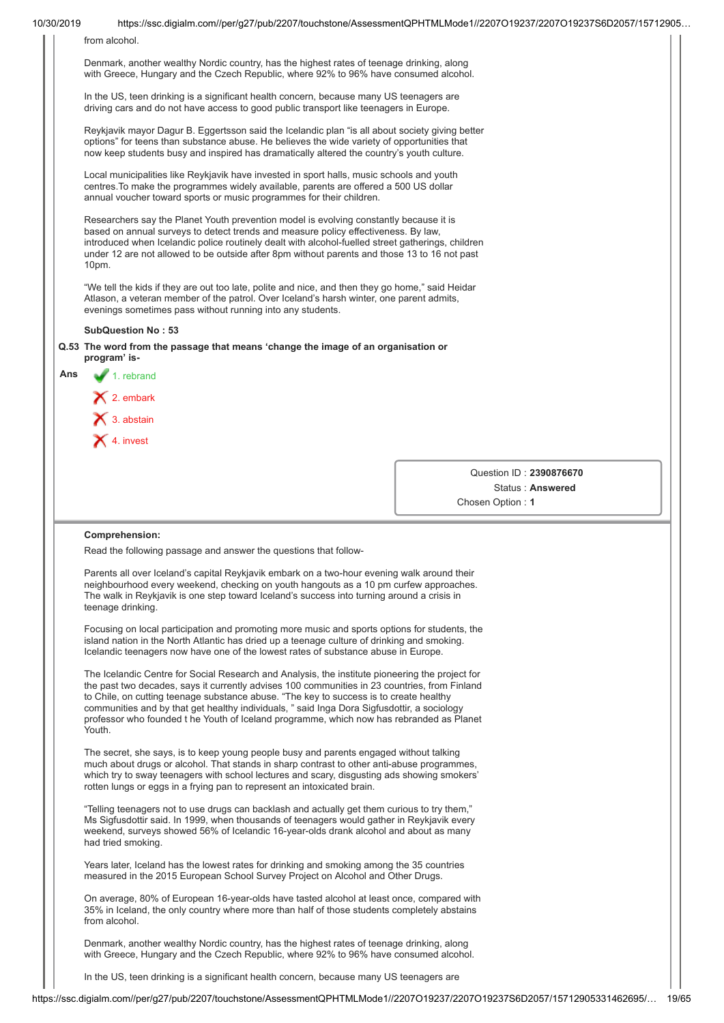| 10/30/2019 |                                                                                                                                                                                                                                                                                                                                                                                                                                                                                                 | https://ssc.digialm.com//per/g27/pub/2207/touchstone/AssessmentQPHTMLMode1//2207O19237/2207O19237S6D2057/15712905 |
|------------|-------------------------------------------------------------------------------------------------------------------------------------------------------------------------------------------------------------------------------------------------------------------------------------------------------------------------------------------------------------------------------------------------------------------------------------------------------------------------------------------------|-------------------------------------------------------------------------------------------------------------------|
|            | from alcohol.                                                                                                                                                                                                                                                                                                                                                                                                                                                                                   |                                                                                                                   |
|            | Denmark, another wealthy Nordic country, has the highest rates of teenage drinking, along<br>with Greece, Hungary and the Czech Republic, where 92% to 96% have consumed alcohol.                                                                                                                                                                                                                                                                                                               |                                                                                                                   |
|            | In the US, teen drinking is a significant health concern, because many US teenagers are<br>driving cars and do not have access to good public transport like teenagers in Europe.                                                                                                                                                                                                                                                                                                               |                                                                                                                   |
|            | Reykjavik mayor Dagur B. Eggertsson said the Icelandic plan "is all about society giving better<br>options" for teens than substance abuse. He believes the wide variety of opportunities that<br>now keep students busy and inspired has dramatically altered the country's youth culture.                                                                                                                                                                                                     |                                                                                                                   |
|            | Local municipalities like Reykjavik have invested in sport halls, music schools and youth<br>centres. To make the programmes widely available, parents are offered a 500 US dollar<br>annual voucher toward sports or music programmes for their children.                                                                                                                                                                                                                                      |                                                                                                                   |
|            | Researchers say the Planet Youth prevention model is evolving constantly because it is<br>based on annual surveys to detect trends and measure policy effectiveness. By law,<br>introduced when Icelandic police routinely dealt with alcohol-fuelled street gatherings, children<br>under 12 are not allowed to be outside after 8pm without parents and those 13 to 16 not past<br>10pm.                                                                                                      |                                                                                                                   |
|            | "We tell the kids if they are out too late, polite and nice, and then they go home," said Heidar<br>Atlason, a veteran member of the patrol. Over Iceland's harsh winter, one parent admits,<br>evenings sometimes pass without running into any students.                                                                                                                                                                                                                                      |                                                                                                                   |
|            | <b>SubQuestion No: 53</b>                                                                                                                                                                                                                                                                                                                                                                                                                                                                       |                                                                                                                   |
|            | Q.53 The word from the passage that means 'change the image of an organisation or<br>program' is-                                                                                                                                                                                                                                                                                                                                                                                               |                                                                                                                   |
| Ans        | $\blacktriangleright$ 1. rebrand                                                                                                                                                                                                                                                                                                                                                                                                                                                                |                                                                                                                   |
|            | $\bigtimes$ 2. embark                                                                                                                                                                                                                                                                                                                                                                                                                                                                           |                                                                                                                   |
|            | $\mathsf{X}$ 3. abstain                                                                                                                                                                                                                                                                                                                                                                                                                                                                         |                                                                                                                   |
|            | $\blacktriangleright$ 4. invest                                                                                                                                                                                                                                                                                                                                                                                                                                                                 |                                                                                                                   |
|            |                                                                                                                                                                                                                                                                                                                                                                                                                                                                                                 |                                                                                                                   |
|            |                                                                                                                                                                                                                                                                                                                                                                                                                                                                                                 | Question ID: 2390876670                                                                                           |
|            |                                                                                                                                                                                                                                                                                                                                                                                                                                                                                                 | Status: Answered                                                                                                  |
|            |                                                                                                                                                                                                                                                                                                                                                                                                                                                                                                 | Chosen Option: 1                                                                                                  |
|            |                                                                                                                                                                                                                                                                                                                                                                                                                                                                                                 |                                                                                                                   |
|            | Comprehension:<br>Read the following passage and answer the questions that follow-                                                                                                                                                                                                                                                                                                                                                                                                              |                                                                                                                   |
|            | Parents all over Iceland's capital Reykjavik embark on a two-hour evening walk around their<br>neighbourhood every weekend, checking on youth hangouts as a 10 pm curfew approaches.<br>The walk in Reykjavik is one step toward Iceland's success into turning around a crisis in<br>teenage drinking.                                                                                                                                                                                         |                                                                                                                   |
|            | Focusing on local participation and promoting more music and sports options for students, the<br>island nation in the North Atlantic has dried up a teenage culture of drinking and smoking.<br>Icelandic teenagers now have one of the lowest rates of substance abuse in Europe.                                                                                                                                                                                                              |                                                                                                                   |
|            | The Icelandic Centre for Social Research and Analysis, the institute pioneering the project for<br>the past two decades, says it currently advises 100 communities in 23 countries, from Finland<br>to Chile, on cutting teenage substance abuse. "The key to success is to create healthy<br>communities and by that get healthy individuals, " said Inga Dora Sigfusdottir, a sociology<br>professor who founded t he Youth of Iceland programme, which now has rebranded as Planet<br>Youth. |                                                                                                                   |
|            | The secret, she says, is to keep young people busy and parents engaged without talking<br>much about drugs or alcohol. That stands in sharp contrast to other anti-abuse programmes,<br>which try to sway teenagers with school lectures and scary, disgusting ads showing smokers'<br>rotten lungs or eggs in a frying pan to represent an intoxicated brain.                                                                                                                                  |                                                                                                                   |
|            | "Telling teenagers not to use drugs can backlash and actually get them curious to try them,"<br>Ms Sigfusdottir said. In 1999, when thousands of teenagers would gather in Reykjavik every<br>weekend, surveys showed 56% of Icelandic 16-year-olds drank alcohol and about as many                                                                                                                                                                                                             |                                                                                                                   |
|            | had tried smoking.                                                                                                                                                                                                                                                                                                                                                                                                                                                                              |                                                                                                                   |
|            | Years later, Iceland has the lowest rates for drinking and smoking among the 35 countries<br>measured in the 2015 European School Survey Project on Alcohol and Other Drugs.                                                                                                                                                                                                                                                                                                                    |                                                                                                                   |
|            | On average, 80% of European 16-year-olds have tasted alcohol at least once, compared with<br>35% in Iceland, the only country where more than half of those students completely abstains<br>from alcohol.                                                                                                                                                                                                                                                                                       |                                                                                                                   |
|            | Denmark, another wealthy Nordic country, has the highest rates of teenage drinking, along<br>with Greece, Hungary and the Czech Republic, where 92% to 96% have consumed alcohol.                                                                                                                                                                                                                                                                                                               |                                                                                                                   |
|            | In the US, teen drinking is a significant health concern, because many US teenagers are                                                                                                                                                                                                                                                                                                                                                                                                         |                                                                                                                   |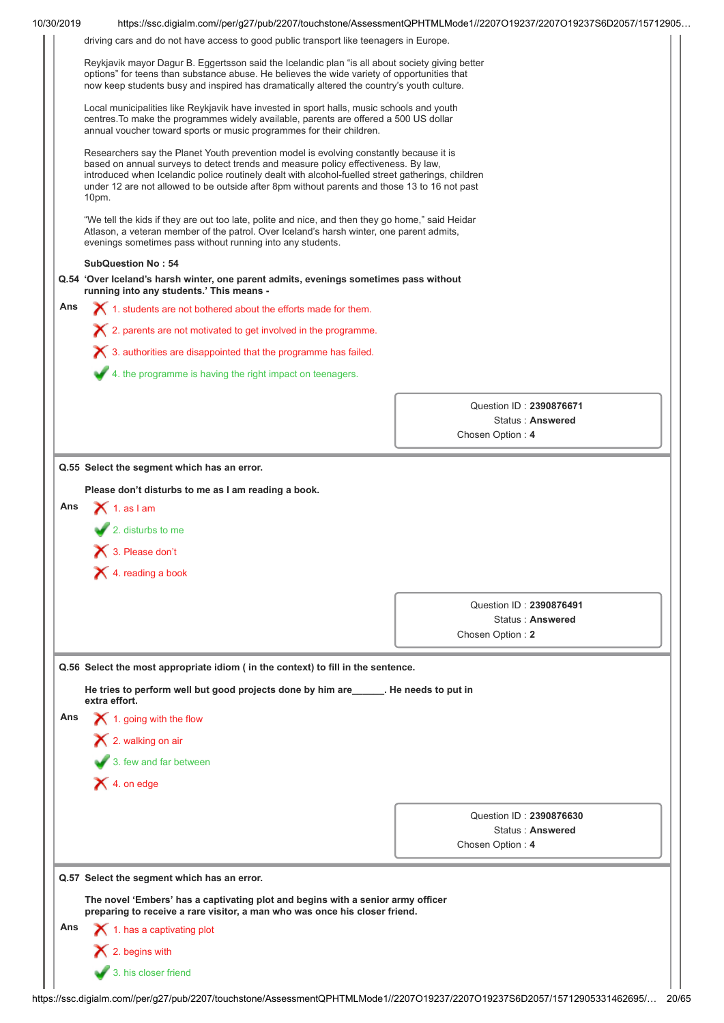| driving cars and do not have access to good public transport like teenagers in Europe.<br>Reykjavik mayor Dagur B. Eggertsson said the Icelandic plan "is all about society giving better<br>options" for teens than substance abuse. He believes the wide variety of opportunities that<br>now keep students busy and inspired has dramatically altered the country's youth culture.<br>Local municipalities like Reykjavik have invested in sport halls, music schools and youth<br>centres. To make the programmes widely available, parents are offered a 500 US dollar<br>annual voucher toward sports or music programmes for their children.<br>Researchers say the Planet Youth prevention model is evolving constantly because it is<br>based on annual surveys to detect trends and measure policy effectiveness. By law,<br>introduced when Icelandic police routinely dealt with alcohol-fuelled street gatherings, children<br>under 12 are not allowed to be outside after 8pm without parents and those 13 to 16 not past<br>10pm.<br>"We tell the kids if they are out too late, polite and nice, and then they go home," said Heidar<br>Atlason, a veteran member of the patrol. Over Iceland's harsh winter, one parent admits,<br>evenings sometimes pass without running into any students.<br><b>SubQuestion No: 54</b><br>Q.54 'Over Iceland's harsh winter, one parent admits, evenings sometimes pass without<br>running into any students.' This means -<br>X 1. students are not bothered about the efforts made for them.<br>$\boldsymbol{\times}$ 2. parents are not motivated to get involved in the programme.<br>$\boldsymbol{\times}$ 3. authorities are disappointed that the programme has failed.<br>4. the programme is having the right impact on teenagers.<br>Question ID: 2390876671<br><b>Status: Answered</b><br>Chosen Option: 4<br>Q.55 Select the segment which has an error.<br>Please don't disturbs to me as I am reading a book.<br>Ans<br>$\bigtimes$ 1. as I am<br>$\sqrt{2}$ . disturbs to me<br>$\bigtimes$ 3. Please don't<br>$\blacktriangleright$ 4. reading a book<br>Question ID: 2390876491<br>Status: Answered<br>Chosen Option: 2<br>Q.56 Select the most appropriate idiom (in the context) to fill in the sentence.<br>He tries to perform well but good projects done by him are ______. He needs to put in<br>extra effort.<br>$\blacktriangleright$ 1. going with the flow<br>$\blacktriangleright$ 2. walking on air<br>3. few and far between<br>$\blacktriangleright$ 4. on edge<br>Question ID: 2390876630<br>Status: Answered<br>Chosen Option: 4<br>Q.57 Select the segment which has an error.<br>The novel 'Embers' has a captivating plot and begins with a senior army officer<br>preparing to receive a rare visitor, a man who was once his closer friend.<br>$\blacktriangle$ 1. has a captivating plot<br>$\blacktriangleright$ 2. begins with | 10/30/2019 |                      | https://ssc.digialm.com//per/g27/pub/2207/touchstone/AssessmentQPHTMLMode1//2207O19237/2207O19237S6D2057/15712905 |
|--------------------------------------------------------------------------------------------------------------------------------------------------------------------------------------------------------------------------------------------------------------------------------------------------------------------------------------------------------------------------------------------------------------------------------------------------------------------------------------------------------------------------------------------------------------------------------------------------------------------------------------------------------------------------------------------------------------------------------------------------------------------------------------------------------------------------------------------------------------------------------------------------------------------------------------------------------------------------------------------------------------------------------------------------------------------------------------------------------------------------------------------------------------------------------------------------------------------------------------------------------------------------------------------------------------------------------------------------------------------------------------------------------------------------------------------------------------------------------------------------------------------------------------------------------------------------------------------------------------------------------------------------------------------------------------------------------------------------------------------------------------------------------------------------------------------------------------------------------------------------------------------------------------------------------------------------------------------------------------------------------------------------------------------------------------------------------------------------------------------------------------------------------------------------------------------------------------------------------------------------------------------------------------------------------------------------------------------------------------------------------------------------------------------------------------------------------------------------------------------------------------------------------------------------------------------------------------------------------------------------------------------------------------------------------------------------------------------------------------------------------------------------------------------------------------------------------------------------------------------------------------------------------------------------------|------------|----------------------|-------------------------------------------------------------------------------------------------------------------|
|                                                                                                                                                                                                                                                                                                                                                                                                                                                                                                                                                                                                                                                                                                                                                                                                                                                                                                                                                                                                                                                                                                                                                                                                                                                                                                                                                                                                                                                                                                                                                                                                                                                                                                                                                                                                                                                                                                                                                                                                                                                                                                                                                                                                                                                                                                                                                                                                                                                                                                                                                                                                                                                                                                                                                                                                                                                                                                                                |            |                      |                                                                                                                   |
|                                                                                                                                                                                                                                                                                                                                                                                                                                                                                                                                                                                                                                                                                                                                                                                                                                                                                                                                                                                                                                                                                                                                                                                                                                                                                                                                                                                                                                                                                                                                                                                                                                                                                                                                                                                                                                                                                                                                                                                                                                                                                                                                                                                                                                                                                                                                                                                                                                                                                                                                                                                                                                                                                                                                                                                                                                                                                                                                |            |                      |                                                                                                                   |
|                                                                                                                                                                                                                                                                                                                                                                                                                                                                                                                                                                                                                                                                                                                                                                                                                                                                                                                                                                                                                                                                                                                                                                                                                                                                                                                                                                                                                                                                                                                                                                                                                                                                                                                                                                                                                                                                                                                                                                                                                                                                                                                                                                                                                                                                                                                                                                                                                                                                                                                                                                                                                                                                                                                                                                                                                                                                                                                                |            |                      |                                                                                                                   |
|                                                                                                                                                                                                                                                                                                                                                                                                                                                                                                                                                                                                                                                                                                                                                                                                                                                                                                                                                                                                                                                                                                                                                                                                                                                                                                                                                                                                                                                                                                                                                                                                                                                                                                                                                                                                                                                                                                                                                                                                                                                                                                                                                                                                                                                                                                                                                                                                                                                                                                                                                                                                                                                                                                                                                                                                                                                                                                                                |            |                      |                                                                                                                   |
|                                                                                                                                                                                                                                                                                                                                                                                                                                                                                                                                                                                                                                                                                                                                                                                                                                                                                                                                                                                                                                                                                                                                                                                                                                                                                                                                                                                                                                                                                                                                                                                                                                                                                                                                                                                                                                                                                                                                                                                                                                                                                                                                                                                                                                                                                                                                                                                                                                                                                                                                                                                                                                                                                                                                                                                                                                                                                                                                |            |                      |                                                                                                                   |
|                                                                                                                                                                                                                                                                                                                                                                                                                                                                                                                                                                                                                                                                                                                                                                                                                                                                                                                                                                                                                                                                                                                                                                                                                                                                                                                                                                                                                                                                                                                                                                                                                                                                                                                                                                                                                                                                                                                                                                                                                                                                                                                                                                                                                                                                                                                                                                                                                                                                                                                                                                                                                                                                                                                                                                                                                                                                                                                                |            |                      |                                                                                                                   |
|                                                                                                                                                                                                                                                                                                                                                                                                                                                                                                                                                                                                                                                                                                                                                                                                                                                                                                                                                                                                                                                                                                                                                                                                                                                                                                                                                                                                                                                                                                                                                                                                                                                                                                                                                                                                                                                                                                                                                                                                                                                                                                                                                                                                                                                                                                                                                                                                                                                                                                                                                                                                                                                                                                                                                                                                                                                                                                                                |            |                      |                                                                                                                   |
|                                                                                                                                                                                                                                                                                                                                                                                                                                                                                                                                                                                                                                                                                                                                                                                                                                                                                                                                                                                                                                                                                                                                                                                                                                                                                                                                                                                                                                                                                                                                                                                                                                                                                                                                                                                                                                                                                                                                                                                                                                                                                                                                                                                                                                                                                                                                                                                                                                                                                                                                                                                                                                                                                                                                                                                                                                                                                                                                | Ans        |                      |                                                                                                                   |
|                                                                                                                                                                                                                                                                                                                                                                                                                                                                                                                                                                                                                                                                                                                                                                                                                                                                                                                                                                                                                                                                                                                                                                                                                                                                                                                                                                                                                                                                                                                                                                                                                                                                                                                                                                                                                                                                                                                                                                                                                                                                                                                                                                                                                                                                                                                                                                                                                                                                                                                                                                                                                                                                                                                                                                                                                                                                                                                                |            |                      |                                                                                                                   |
|                                                                                                                                                                                                                                                                                                                                                                                                                                                                                                                                                                                                                                                                                                                                                                                                                                                                                                                                                                                                                                                                                                                                                                                                                                                                                                                                                                                                                                                                                                                                                                                                                                                                                                                                                                                                                                                                                                                                                                                                                                                                                                                                                                                                                                                                                                                                                                                                                                                                                                                                                                                                                                                                                                                                                                                                                                                                                                                                |            |                      |                                                                                                                   |
|                                                                                                                                                                                                                                                                                                                                                                                                                                                                                                                                                                                                                                                                                                                                                                                                                                                                                                                                                                                                                                                                                                                                                                                                                                                                                                                                                                                                                                                                                                                                                                                                                                                                                                                                                                                                                                                                                                                                                                                                                                                                                                                                                                                                                                                                                                                                                                                                                                                                                                                                                                                                                                                                                                                                                                                                                                                                                                                                |            |                      |                                                                                                                   |
|                                                                                                                                                                                                                                                                                                                                                                                                                                                                                                                                                                                                                                                                                                                                                                                                                                                                                                                                                                                                                                                                                                                                                                                                                                                                                                                                                                                                                                                                                                                                                                                                                                                                                                                                                                                                                                                                                                                                                                                                                                                                                                                                                                                                                                                                                                                                                                                                                                                                                                                                                                                                                                                                                                                                                                                                                                                                                                                                |            |                      |                                                                                                                   |
|                                                                                                                                                                                                                                                                                                                                                                                                                                                                                                                                                                                                                                                                                                                                                                                                                                                                                                                                                                                                                                                                                                                                                                                                                                                                                                                                                                                                                                                                                                                                                                                                                                                                                                                                                                                                                                                                                                                                                                                                                                                                                                                                                                                                                                                                                                                                                                                                                                                                                                                                                                                                                                                                                                                                                                                                                                                                                                                                |            |                      |                                                                                                                   |
|                                                                                                                                                                                                                                                                                                                                                                                                                                                                                                                                                                                                                                                                                                                                                                                                                                                                                                                                                                                                                                                                                                                                                                                                                                                                                                                                                                                                                                                                                                                                                                                                                                                                                                                                                                                                                                                                                                                                                                                                                                                                                                                                                                                                                                                                                                                                                                                                                                                                                                                                                                                                                                                                                                                                                                                                                                                                                                                                |            |                      |                                                                                                                   |
|                                                                                                                                                                                                                                                                                                                                                                                                                                                                                                                                                                                                                                                                                                                                                                                                                                                                                                                                                                                                                                                                                                                                                                                                                                                                                                                                                                                                                                                                                                                                                                                                                                                                                                                                                                                                                                                                                                                                                                                                                                                                                                                                                                                                                                                                                                                                                                                                                                                                                                                                                                                                                                                                                                                                                                                                                                                                                                                                |            |                      |                                                                                                                   |
|                                                                                                                                                                                                                                                                                                                                                                                                                                                                                                                                                                                                                                                                                                                                                                                                                                                                                                                                                                                                                                                                                                                                                                                                                                                                                                                                                                                                                                                                                                                                                                                                                                                                                                                                                                                                                                                                                                                                                                                                                                                                                                                                                                                                                                                                                                                                                                                                                                                                                                                                                                                                                                                                                                                                                                                                                                                                                                                                |            |                      |                                                                                                                   |
|                                                                                                                                                                                                                                                                                                                                                                                                                                                                                                                                                                                                                                                                                                                                                                                                                                                                                                                                                                                                                                                                                                                                                                                                                                                                                                                                                                                                                                                                                                                                                                                                                                                                                                                                                                                                                                                                                                                                                                                                                                                                                                                                                                                                                                                                                                                                                                                                                                                                                                                                                                                                                                                                                                                                                                                                                                                                                                                                |            |                      |                                                                                                                   |
|                                                                                                                                                                                                                                                                                                                                                                                                                                                                                                                                                                                                                                                                                                                                                                                                                                                                                                                                                                                                                                                                                                                                                                                                                                                                                                                                                                                                                                                                                                                                                                                                                                                                                                                                                                                                                                                                                                                                                                                                                                                                                                                                                                                                                                                                                                                                                                                                                                                                                                                                                                                                                                                                                                                                                                                                                                                                                                                                |            |                      |                                                                                                                   |
|                                                                                                                                                                                                                                                                                                                                                                                                                                                                                                                                                                                                                                                                                                                                                                                                                                                                                                                                                                                                                                                                                                                                                                                                                                                                                                                                                                                                                                                                                                                                                                                                                                                                                                                                                                                                                                                                                                                                                                                                                                                                                                                                                                                                                                                                                                                                                                                                                                                                                                                                                                                                                                                                                                                                                                                                                                                                                                                                |            |                      |                                                                                                                   |
|                                                                                                                                                                                                                                                                                                                                                                                                                                                                                                                                                                                                                                                                                                                                                                                                                                                                                                                                                                                                                                                                                                                                                                                                                                                                                                                                                                                                                                                                                                                                                                                                                                                                                                                                                                                                                                                                                                                                                                                                                                                                                                                                                                                                                                                                                                                                                                                                                                                                                                                                                                                                                                                                                                                                                                                                                                                                                                                                |            |                      |                                                                                                                   |
|                                                                                                                                                                                                                                                                                                                                                                                                                                                                                                                                                                                                                                                                                                                                                                                                                                                                                                                                                                                                                                                                                                                                                                                                                                                                                                                                                                                                                                                                                                                                                                                                                                                                                                                                                                                                                                                                                                                                                                                                                                                                                                                                                                                                                                                                                                                                                                                                                                                                                                                                                                                                                                                                                                                                                                                                                                                                                                                                |            |                      |                                                                                                                   |
|                                                                                                                                                                                                                                                                                                                                                                                                                                                                                                                                                                                                                                                                                                                                                                                                                                                                                                                                                                                                                                                                                                                                                                                                                                                                                                                                                                                                                                                                                                                                                                                                                                                                                                                                                                                                                                                                                                                                                                                                                                                                                                                                                                                                                                                                                                                                                                                                                                                                                                                                                                                                                                                                                                                                                                                                                                                                                                                                |            |                      |                                                                                                                   |
|                                                                                                                                                                                                                                                                                                                                                                                                                                                                                                                                                                                                                                                                                                                                                                                                                                                                                                                                                                                                                                                                                                                                                                                                                                                                                                                                                                                                                                                                                                                                                                                                                                                                                                                                                                                                                                                                                                                                                                                                                                                                                                                                                                                                                                                                                                                                                                                                                                                                                                                                                                                                                                                                                                                                                                                                                                                                                                                                | Ans        |                      |                                                                                                                   |
|                                                                                                                                                                                                                                                                                                                                                                                                                                                                                                                                                                                                                                                                                                                                                                                                                                                                                                                                                                                                                                                                                                                                                                                                                                                                                                                                                                                                                                                                                                                                                                                                                                                                                                                                                                                                                                                                                                                                                                                                                                                                                                                                                                                                                                                                                                                                                                                                                                                                                                                                                                                                                                                                                                                                                                                                                                                                                                                                |            |                      |                                                                                                                   |
|                                                                                                                                                                                                                                                                                                                                                                                                                                                                                                                                                                                                                                                                                                                                                                                                                                                                                                                                                                                                                                                                                                                                                                                                                                                                                                                                                                                                                                                                                                                                                                                                                                                                                                                                                                                                                                                                                                                                                                                                                                                                                                                                                                                                                                                                                                                                                                                                                                                                                                                                                                                                                                                                                                                                                                                                                                                                                                                                |            |                      |                                                                                                                   |
|                                                                                                                                                                                                                                                                                                                                                                                                                                                                                                                                                                                                                                                                                                                                                                                                                                                                                                                                                                                                                                                                                                                                                                                                                                                                                                                                                                                                                                                                                                                                                                                                                                                                                                                                                                                                                                                                                                                                                                                                                                                                                                                                                                                                                                                                                                                                                                                                                                                                                                                                                                                                                                                                                                                                                                                                                                                                                                                                |            |                      |                                                                                                                   |
|                                                                                                                                                                                                                                                                                                                                                                                                                                                                                                                                                                                                                                                                                                                                                                                                                                                                                                                                                                                                                                                                                                                                                                                                                                                                                                                                                                                                                                                                                                                                                                                                                                                                                                                                                                                                                                                                                                                                                                                                                                                                                                                                                                                                                                                                                                                                                                                                                                                                                                                                                                                                                                                                                                                                                                                                                                                                                                                                |            |                      |                                                                                                                   |
|                                                                                                                                                                                                                                                                                                                                                                                                                                                                                                                                                                                                                                                                                                                                                                                                                                                                                                                                                                                                                                                                                                                                                                                                                                                                                                                                                                                                                                                                                                                                                                                                                                                                                                                                                                                                                                                                                                                                                                                                                                                                                                                                                                                                                                                                                                                                                                                                                                                                                                                                                                                                                                                                                                                                                                                                                                                                                                                                |            |                      |                                                                                                                   |
|                                                                                                                                                                                                                                                                                                                                                                                                                                                                                                                                                                                                                                                                                                                                                                                                                                                                                                                                                                                                                                                                                                                                                                                                                                                                                                                                                                                                                                                                                                                                                                                                                                                                                                                                                                                                                                                                                                                                                                                                                                                                                                                                                                                                                                                                                                                                                                                                                                                                                                                                                                                                                                                                                                                                                                                                                                                                                                                                |            |                      |                                                                                                                   |
|                                                                                                                                                                                                                                                                                                                                                                                                                                                                                                                                                                                                                                                                                                                                                                                                                                                                                                                                                                                                                                                                                                                                                                                                                                                                                                                                                                                                                                                                                                                                                                                                                                                                                                                                                                                                                                                                                                                                                                                                                                                                                                                                                                                                                                                                                                                                                                                                                                                                                                                                                                                                                                                                                                                                                                                                                                                                                                                                |            |                      |                                                                                                                   |
|                                                                                                                                                                                                                                                                                                                                                                                                                                                                                                                                                                                                                                                                                                                                                                                                                                                                                                                                                                                                                                                                                                                                                                                                                                                                                                                                                                                                                                                                                                                                                                                                                                                                                                                                                                                                                                                                                                                                                                                                                                                                                                                                                                                                                                                                                                                                                                                                                                                                                                                                                                                                                                                                                                                                                                                                                                                                                                                                |            |                      |                                                                                                                   |
|                                                                                                                                                                                                                                                                                                                                                                                                                                                                                                                                                                                                                                                                                                                                                                                                                                                                                                                                                                                                                                                                                                                                                                                                                                                                                                                                                                                                                                                                                                                                                                                                                                                                                                                                                                                                                                                                                                                                                                                                                                                                                                                                                                                                                                                                                                                                                                                                                                                                                                                                                                                                                                                                                                                                                                                                                                                                                                                                |            |                      |                                                                                                                   |
|                                                                                                                                                                                                                                                                                                                                                                                                                                                                                                                                                                                                                                                                                                                                                                                                                                                                                                                                                                                                                                                                                                                                                                                                                                                                                                                                                                                                                                                                                                                                                                                                                                                                                                                                                                                                                                                                                                                                                                                                                                                                                                                                                                                                                                                                                                                                                                                                                                                                                                                                                                                                                                                                                                                                                                                                                                                                                                                                | Ans        |                      |                                                                                                                   |
|                                                                                                                                                                                                                                                                                                                                                                                                                                                                                                                                                                                                                                                                                                                                                                                                                                                                                                                                                                                                                                                                                                                                                                                                                                                                                                                                                                                                                                                                                                                                                                                                                                                                                                                                                                                                                                                                                                                                                                                                                                                                                                                                                                                                                                                                                                                                                                                                                                                                                                                                                                                                                                                                                                                                                                                                                                                                                                                                |            |                      |                                                                                                                   |
|                                                                                                                                                                                                                                                                                                                                                                                                                                                                                                                                                                                                                                                                                                                                                                                                                                                                                                                                                                                                                                                                                                                                                                                                                                                                                                                                                                                                                                                                                                                                                                                                                                                                                                                                                                                                                                                                                                                                                                                                                                                                                                                                                                                                                                                                                                                                                                                                                                                                                                                                                                                                                                                                                                                                                                                                                                                                                                                                |            | 3. his closer friend |                                                                                                                   |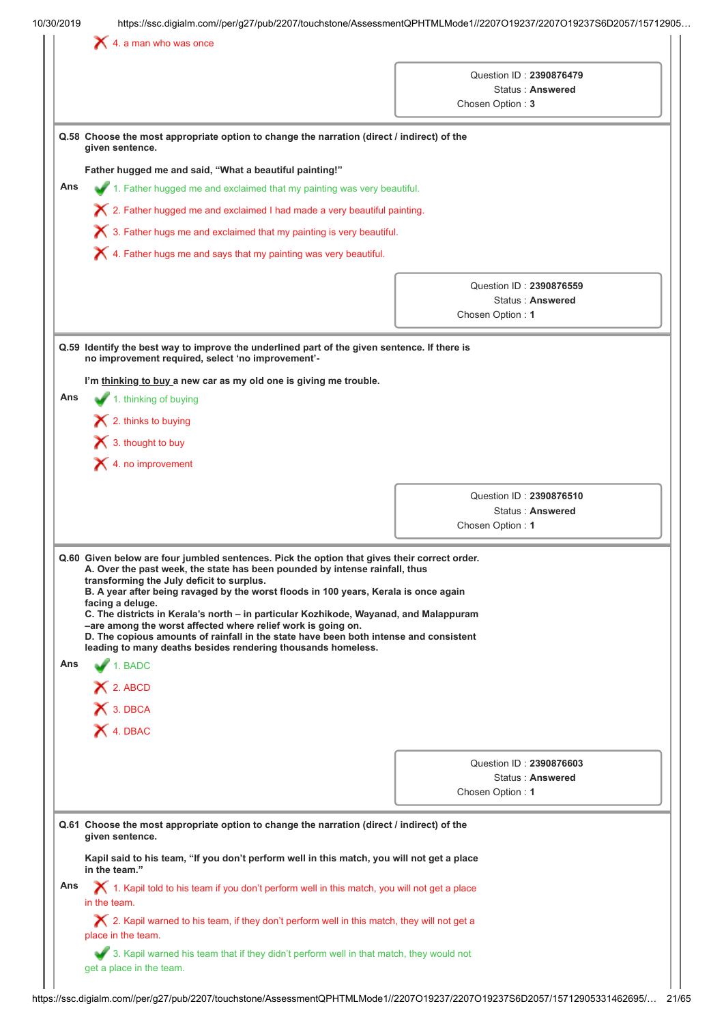|     | $\blacktriangleright$ 4. a man who was once                                                                                                                                                                                                                                                                                                                                                                                                                                                                                                                                                                                                            |                                                                 |  |
|-----|--------------------------------------------------------------------------------------------------------------------------------------------------------------------------------------------------------------------------------------------------------------------------------------------------------------------------------------------------------------------------------------------------------------------------------------------------------------------------------------------------------------------------------------------------------------------------------------------------------------------------------------------------------|-----------------------------------------------------------------|--|
|     |                                                                                                                                                                                                                                                                                                                                                                                                                                                                                                                                                                                                                                                        | Question ID: 2390876479<br>Status: Answered<br>Chosen Option: 3 |  |
|     |                                                                                                                                                                                                                                                                                                                                                                                                                                                                                                                                                                                                                                                        |                                                                 |  |
|     | Q.58 Choose the most appropriate option to change the narration (direct / indirect) of the<br>given sentence.                                                                                                                                                                                                                                                                                                                                                                                                                                                                                                                                          |                                                                 |  |
|     | Father hugged me and said, "What a beautiful painting!"                                                                                                                                                                                                                                                                                                                                                                                                                                                                                                                                                                                                |                                                                 |  |
| Ans | 1. Father hugged me and exclaimed that my painting was very beautiful.                                                                                                                                                                                                                                                                                                                                                                                                                                                                                                                                                                                 |                                                                 |  |
|     | $\bigtimes$ 2. Father hugged me and exclaimed I had made a very beautiful painting.                                                                                                                                                                                                                                                                                                                                                                                                                                                                                                                                                                    |                                                                 |  |
|     | $\bigtimes$ 3. Father hugs me and exclaimed that my painting is very beautiful.                                                                                                                                                                                                                                                                                                                                                                                                                                                                                                                                                                        |                                                                 |  |
|     | $\bigtimes$ 4. Father hugs me and says that my painting was very beautiful.                                                                                                                                                                                                                                                                                                                                                                                                                                                                                                                                                                            |                                                                 |  |
|     |                                                                                                                                                                                                                                                                                                                                                                                                                                                                                                                                                                                                                                                        |                                                                 |  |
|     |                                                                                                                                                                                                                                                                                                                                                                                                                                                                                                                                                                                                                                                        | Question ID: 2390876559<br>Status: Answered                     |  |
|     |                                                                                                                                                                                                                                                                                                                                                                                                                                                                                                                                                                                                                                                        | Chosen Option: 1                                                |  |
|     |                                                                                                                                                                                                                                                                                                                                                                                                                                                                                                                                                                                                                                                        |                                                                 |  |
|     | Q.59 Identify the best way to improve the underlined part of the given sentence. If there is<br>no improvement required, select 'no improvement'-                                                                                                                                                                                                                                                                                                                                                                                                                                                                                                      |                                                                 |  |
|     | I'm thinking to buy a new car as my old one is giving me trouble.                                                                                                                                                                                                                                                                                                                                                                                                                                                                                                                                                                                      |                                                                 |  |
| Ans | 1. thinking of buying                                                                                                                                                                                                                                                                                                                                                                                                                                                                                                                                                                                                                                  |                                                                 |  |
|     | $\blacktriangleright$ 2. thinks to buying                                                                                                                                                                                                                                                                                                                                                                                                                                                                                                                                                                                                              |                                                                 |  |
|     | $\bigtimes$ 3. thought to buy                                                                                                                                                                                                                                                                                                                                                                                                                                                                                                                                                                                                                          |                                                                 |  |
|     | $\blacktriangleright$ 4. no improvement                                                                                                                                                                                                                                                                                                                                                                                                                                                                                                                                                                                                                |                                                                 |  |
|     |                                                                                                                                                                                                                                                                                                                                                                                                                                                                                                                                                                                                                                                        |                                                                 |  |
|     |                                                                                                                                                                                                                                                                                                                                                                                                                                                                                                                                                                                                                                                        | Question ID: 2390876510                                         |  |
|     |                                                                                                                                                                                                                                                                                                                                                                                                                                                                                                                                                                                                                                                        | Status: Answered<br>Chosen Option: 1                            |  |
|     |                                                                                                                                                                                                                                                                                                                                                                                                                                                                                                                                                                                                                                                        |                                                                 |  |
|     | Q.60 Given below are four jumbled sentences. Pick the option that gives their correct order.<br>A. Over the past week, the state has been pounded by intense rainfall, thus<br>transforming the July deficit to surplus.<br>B. A year after being ravaged by the worst floods in 100 years, Kerala is once again<br>facing a deluge.<br>C. The districts in Kerala's north - in particular Kozhikode, Wayanad, and Malappuram<br>-are among the worst affected where relief work is going on.<br>D. The copious amounts of rainfall in the state have been both intense and consistent<br>leading to many deaths besides rendering thousands homeless. |                                                                 |  |
| Ans | 1. BADC                                                                                                                                                                                                                                                                                                                                                                                                                                                                                                                                                                                                                                                |                                                                 |  |
|     | $X$ 2. ABCD                                                                                                                                                                                                                                                                                                                                                                                                                                                                                                                                                                                                                                            |                                                                 |  |
|     | X 3. DBCA                                                                                                                                                                                                                                                                                                                                                                                                                                                                                                                                                                                                                                              |                                                                 |  |
|     | X 4. DBAC                                                                                                                                                                                                                                                                                                                                                                                                                                                                                                                                                                                                                                              |                                                                 |  |
|     |                                                                                                                                                                                                                                                                                                                                                                                                                                                                                                                                                                                                                                                        |                                                                 |  |
|     |                                                                                                                                                                                                                                                                                                                                                                                                                                                                                                                                                                                                                                                        | Question ID: 2390876603                                         |  |
|     |                                                                                                                                                                                                                                                                                                                                                                                                                                                                                                                                                                                                                                                        | Status: Answered                                                |  |
|     |                                                                                                                                                                                                                                                                                                                                                                                                                                                                                                                                                                                                                                                        | Chosen Option: 1                                                |  |
|     | Q.61 Choose the most appropriate option to change the narration (direct / indirect) of the<br>given sentence.                                                                                                                                                                                                                                                                                                                                                                                                                                                                                                                                          |                                                                 |  |
|     | in the team."                                                                                                                                                                                                                                                                                                                                                                                                                                                                                                                                                                                                                                          |                                                                 |  |
|     | Kapil said to his team, "If you don't perform well in this match, you will not get a place                                                                                                                                                                                                                                                                                                                                                                                                                                                                                                                                                             |                                                                 |  |
| Ans | $\boldsymbol{\times}$ 1. Kapil told to his team if you don't perform well in this match, you will not get a place<br>in the team.                                                                                                                                                                                                                                                                                                                                                                                                                                                                                                                      |                                                                 |  |
|     | $\bigtimes$ 2. Kapil warned to his team, if they don't perform well in this match, they will not get a<br>place in the team.                                                                                                                                                                                                                                                                                                                                                                                                                                                                                                                           |                                                                 |  |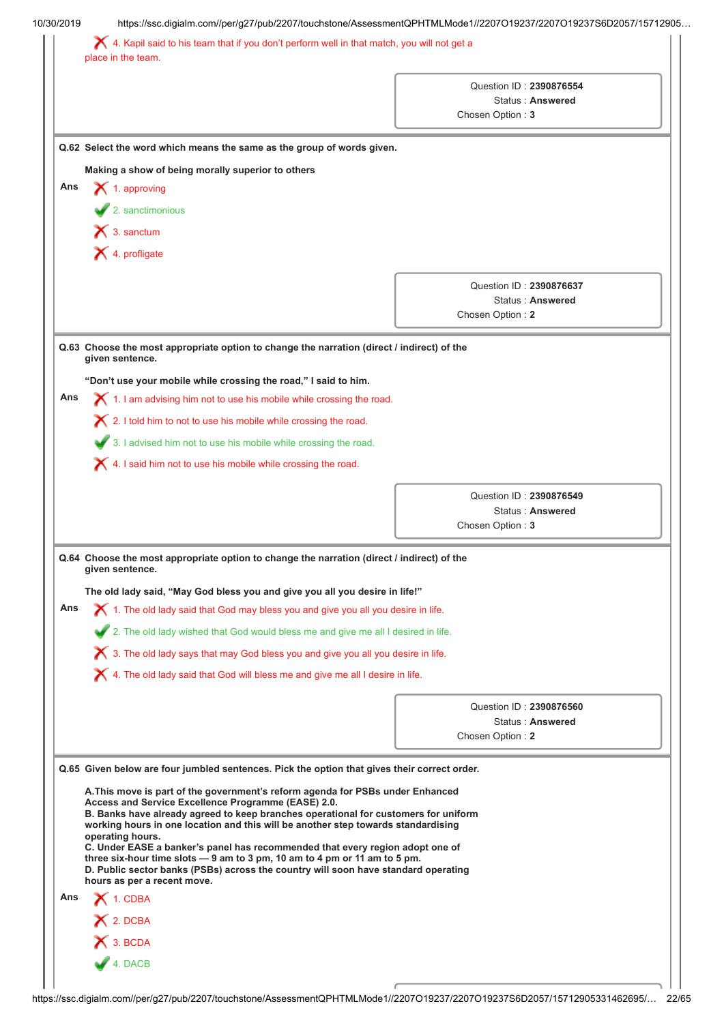| Question ID: 2390876554<br>Status: Answered<br>Chosen Option: 3<br>Q.62 Select the word which means the same as the group of words given.<br>Question ID: 2390876637<br>Status: Answered<br>Chosen Option: 2<br>Q.63 Choose the most appropriate option to change the narration (direct / indirect) of the<br>$\chi$ 1. I am advising him not to use his mobile while crossing the road.<br>Question ID: 2390876549<br>Status: Answered<br>Chosen Option: 3<br>Q.64 Choose the most appropriate option to change the narration (direct / indirect) of the<br>The old lady said, "May God bless you and give you all you desire in life!"<br>$\blacktriangleright$ 1. The old lady said that God may bless you and give you all you desire in life.<br>2. The old lady wished that God would bless me and give me all I desired in life.<br>$\boldsymbol{\times}$ 3. The old lady says that may God bless you and give you all you desire in life.<br>X 4. The old lady said that God will bless me and give me all I desire in life.<br>Question ID: 2390876560<br>Status: Answered<br>Chosen Option: 2 |                                                                                                                    |                                                                                                        |  |
|---------------------------------------------------------------------------------------------------------------------------------------------------------------------------------------------------------------------------------------------------------------------------------------------------------------------------------------------------------------------------------------------------------------------------------------------------------------------------------------------------------------------------------------------------------------------------------------------------------------------------------------------------------------------------------------------------------------------------------------------------------------------------------------------------------------------------------------------------------------------------------------------------------------------------------------------------------------------------------------------------------------------------------------------------------------------------------------------------------|--------------------------------------------------------------------------------------------------------------------|--------------------------------------------------------------------------------------------------------|--|
|                                                                                                                                                                                                                                                                                                                                                                                                                                                                                                                                                                                                                                                                                                                                                                                                                                                                                                                                                                                                                                                                                                         | X 4. Kapil said to his team that if you don't perform well in that match, you will not get a<br>place in the team. |                                                                                                        |  |
|                                                                                                                                                                                                                                                                                                                                                                                                                                                                                                                                                                                                                                                                                                                                                                                                                                                                                                                                                                                                                                                                                                         |                                                                                                                    |                                                                                                        |  |
|                                                                                                                                                                                                                                                                                                                                                                                                                                                                                                                                                                                                                                                                                                                                                                                                                                                                                                                                                                                                                                                                                                         |                                                                                                                    |                                                                                                        |  |
|                                                                                                                                                                                                                                                                                                                                                                                                                                                                                                                                                                                                                                                                                                                                                                                                                                                                                                                                                                                                                                                                                                         |                                                                                                                    |                                                                                                        |  |
|                                                                                                                                                                                                                                                                                                                                                                                                                                                                                                                                                                                                                                                                                                                                                                                                                                                                                                                                                                                                                                                                                                         |                                                                                                                    | Making a show of being morally superior to others                                                      |  |
|                                                                                                                                                                                                                                                                                                                                                                                                                                                                                                                                                                                                                                                                                                                                                                                                                                                                                                                                                                                                                                                                                                         | Ans                                                                                                                | $\blacktriangleright$ 1. approving                                                                     |  |
|                                                                                                                                                                                                                                                                                                                                                                                                                                                                                                                                                                                                                                                                                                                                                                                                                                                                                                                                                                                                                                                                                                         |                                                                                                                    | $\blacktriangleright$ 2. sanctimonious                                                                 |  |
|                                                                                                                                                                                                                                                                                                                                                                                                                                                                                                                                                                                                                                                                                                                                                                                                                                                                                                                                                                                                                                                                                                         |                                                                                                                    | $\bigtimes$ 3. sanctum                                                                                 |  |
|                                                                                                                                                                                                                                                                                                                                                                                                                                                                                                                                                                                                                                                                                                                                                                                                                                                                                                                                                                                                                                                                                                         |                                                                                                                    | X 4. profligate                                                                                        |  |
|                                                                                                                                                                                                                                                                                                                                                                                                                                                                                                                                                                                                                                                                                                                                                                                                                                                                                                                                                                                                                                                                                                         |                                                                                                                    |                                                                                                        |  |
|                                                                                                                                                                                                                                                                                                                                                                                                                                                                                                                                                                                                                                                                                                                                                                                                                                                                                                                                                                                                                                                                                                         |                                                                                                                    |                                                                                                        |  |
|                                                                                                                                                                                                                                                                                                                                                                                                                                                                                                                                                                                                                                                                                                                                                                                                                                                                                                                                                                                                                                                                                                         |                                                                                                                    |                                                                                                        |  |
|                                                                                                                                                                                                                                                                                                                                                                                                                                                                                                                                                                                                                                                                                                                                                                                                                                                                                                                                                                                                                                                                                                         |                                                                                                                    | given sentence.                                                                                        |  |
|                                                                                                                                                                                                                                                                                                                                                                                                                                                                                                                                                                                                                                                                                                                                                                                                                                                                                                                                                                                                                                                                                                         |                                                                                                                    | "Don't use your mobile while crossing the road," I said to him.                                        |  |
|                                                                                                                                                                                                                                                                                                                                                                                                                                                                                                                                                                                                                                                                                                                                                                                                                                                                                                                                                                                                                                                                                                         | Ans                                                                                                                |                                                                                                        |  |
|                                                                                                                                                                                                                                                                                                                                                                                                                                                                                                                                                                                                                                                                                                                                                                                                                                                                                                                                                                                                                                                                                                         |                                                                                                                    | X 2. I told him to not to use his mobile while crossing the road.                                      |  |
|                                                                                                                                                                                                                                                                                                                                                                                                                                                                                                                                                                                                                                                                                                                                                                                                                                                                                                                                                                                                                                                                                                         |                                                                                                                    | 3. I advised him not to use his mobile while crossing the road.                                        |  |
|                                                                                                                                                                                                                                                                                                                                                                                                                                                                                                                                                                                                                                                                                                                                                                                                                                                                                                                                                                                                                                                                                                         |                                                                                                                    | X 4. I said him not to use his mobile while crossing the road.                                         |  |
|                                                                                                                                                                                                                                                                                                                                                                                                                                                                                                                                                                                                                                                                                                                                                                                                                                                                                                                                                                                                                                                                                                         |                                                                                                                    |                                                                                                        |  |
|                                                                                                                                                                                                                                                                                                                                                                                                                                                                                                                                                                                                                                                                                                                                                                                                                                                                                                                                                                                                                                                                                                         |                                                                                                                    |                                                                                                        |  |
|                                                                                                                                                                                                                                                                                                                                                                                                                                                                                                                                                                                                                                                                                                                                                                                                                                                                                                                                                                                                                                                                                                         |                                                                                                                    |                                                                                                        |  |
|                                                                                                                                                                                                                                                                                                                                                                                                                                                                                                                                                                                                                                                                                                                                                                                                                                                                                                                                                                                                                                                                                                         |                                                                                                                    | given sentence.                                                                                        |  |
|                                                                                                                                                                                                                                                                                                                                                                                                                                                                                                                                                                                                                                                                                                                                                                                                                                                                                                                                                                                                                                                                                                         |                                                                                                                    |                                                                                                        |  |
|                                                                                                                                                                                                                                                                                                                                                                                                                                                                                                                                                                                                                                                                                                                                                                                                                                                                                                                                                                                                                                                                                                         |                                                                                                                    |                                                                                                        |  |
|                                                                                                                                                                                                                                                                                                                                                                                                                                                                                                                                                                                                                                                                                                                                                                                                                                                                                                                                                                                                                                                                                                         | Ans                                                                                                                |                                                                                                        |  |
|                                                                                                                                                                                                                                                                                                                                                                                                                                                                                                                                                                                                                                                                                                                                                                                                                                                                                                                                                                                                                                                                                                         |                                                                                                                    |                                                                                                        |  |
|                                                                                                                                                                                                                                                                                                                                                                                                                                                                                                                                                                                                                                                                                                                                                                                                                                                                                                                                                                                                                                                                                                         |                                                                                                                    |                                                                                                        |  |
|                                                                                                                                                                                                                                                                                                                                                                                                                                                                                                                                                                                                                                                                                                                                                                                                                                                                                                                                                                                                                                                                                                         |                                                                                                                    |                                                                                                        |  |
|                                                                                                                                                                                                                                                                                                                                                                                                                                                                                                                                                                                                                                                                                                                                                                                                                                                                                                                                                                                                                                                                                                         |                                                                                                                    |                                                                                                        |  |
|                                                                                                                                                                                                                                                                                                                                                                                                                                                                                                                                                                                                                                                                                                                                                                                                                                                                                                                                                                                                                                                                                                         |                                                                                                                    |                                                                                                        |  |
|                                                                                                                                                                                                                                                                                                                                                                                                                                                                                                                                                                                                                                                                                                                                                                                                                                                                                                                                                                                                                                                                                                         |                                                                                                                    |                                                                                                        |  |
|                                                                                                                                                                                                                                                                                                                                                                                                                                                                                                                                                                                                                                                                                                                                                                                                                                                                                                                                                                                                                                                                                                         |                                                                                                                    | Q.65 Given below are four jumbled sentences. Pick the option that gives their correct order.           |  |
| A. This move is part of the government's reform agenda for PSBs under Enhanced<br>B. Banks have already agreed to keep branches operational for customers for uniform<br>working hours in one location and this will be another step towards standardising<br>C. Under EASE a banker's panel has recommended that every region adopt one of<br>three six-hour time slots - 9 am to 3 pm, 10 am to 4 pm or 11 am to 5 pm.<br>D. Public sector banks (PSBs) across the country will soon have standard operating                                                                                                                                                                                                                                                                                                                                                                                                                                                                                                                                                                                          |                                                                                                                    | Access and Service Excellence Programme (EASE) 2.0.<br>operating hours.<br>hours as per a recent move. |  |
|                                                                                                                                                                                                                                                                                                                                                                                                                                                                                                                                                                                                                                                                                                                                                                                                                                                                                                                                                                                                                                                                                                         |                                                                                                                    | $\bigtimes$ 1. CDBA                                                                                    |  |
|                                                                                                                                                                                                                                                                                                                                                                                                                                                                                                                                                                                                                                                                                                                                                                                                                                                                                                                                                                                                                                                                                                         | Ans                                                                                                                | $X$ 2. DCBA                                                                                            |  |
|                                                                                                                                                                                                                                                                                                                                                                                                                                                                                                                                                                                                                                                                                                                                                                                                                                                                                                                                                                                                                                                                                                         |                                                                                                                    | $X$ 3. BCDA                                                                                            |  |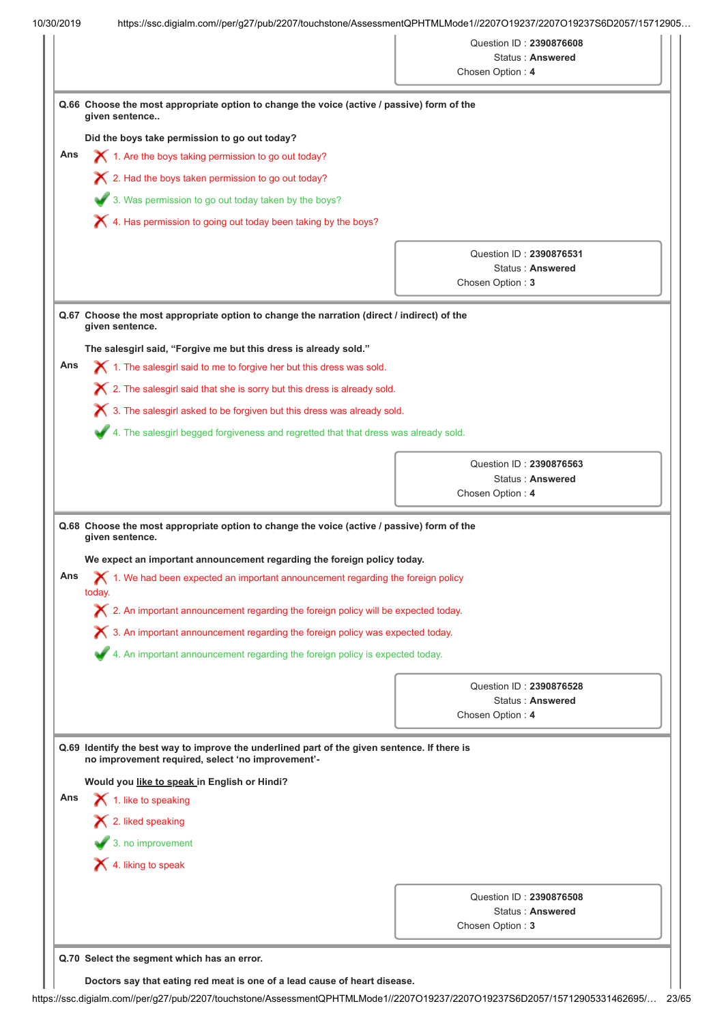|     |                                                                                                                                                                       | Chosen Option: 4 | Status: Answered                            |  |  |
|-----|-----------------------------------------------------------------------------------------------------------------------------------------------------------------------|------------------|---------------------------------------------|--|--|
|     |                                                                                                                                                                       |                  |                                             |  |  |
|     | Q.66 Choose the most appropriate option to change the voice (active / passive) form of the<br>given sentence                                                          |                  |                                             |  |  |
|     | Did the boys take permission to go out today?                                                                                                                         |                  |                                             |  |  |
| Ans | $\boldsymbol{\times}$ 1. Are the boys taking permission to go out today?                                                                                              |                  |                                             |  |  |
|     | X 2. Had the boys taken permission to go out today?                                                                                                                   |                  |                                             |  |  |
|     | 3. Was permission to go out today taken by the boys?                                                                                                                  |                  |                                             |  |  |
|     | X 4. Has permission to going out today been taking by the boys?                                                                                                       |                  |                                             |  |  |
|     |                                                                                                                                                                       |                  |                                             |  |  |
|     |                                                                                                                                                                       |                  | Question ID: 2390876531<br>Status: Answered |  |  |
|     |                                                                                                                                                                       | Chosen Option: 3 |                                             |  |  |
|     |                                                                                                                                                                       |                  |                                             |  |  |
|     | Q.67 Choose the most appropriate option to change the narration (direct / indirect) of the<br>given sentence.                                                         |                  |                                             |  |  |
|     | The salesgirl said, "Forgive me but this dress is already sold."                                                                                                      |                  |                                             |  |  |
| Ans | $\blacktriangleright$ 1. The salesgirl said to me to forgive her but this dress was sold.                                                                             |                  |                                             |  |  |
|     | $\boldsymbol{\times}$ 2. The salesgirl said that she is sorry but this dress is already sold.                                                                         |                  |                                             |  |  |
|     | X 3. The salesgirl asked to be forgiven but this dress was already sold.                                                                                              |                  |                                             |  |  |
|     |                                                                                                                                                                       |                  |                                             |  |  |
|     | 4. The salesgirl begged forgiveness and regretted that that dress was already sold.                                                                                   |                  |                                             |  |  |
|     |                                                                                                                                                                       |                  |                                             |  |  |
|     |                                                                                                                                                                       |                  | Question ID: 2390876563                     |  |  |
|     | Q.68 Choose the most appropriate option to change the voice (active / passive) form of the<br>given sentence.                                                         | Chosen Option: 4 | Status: Answered                            |  |  |
| Ans | We expect an important announcement regarding the foreign policy today.<br>$\bigtimes$ 1. We had been expected an important announcement regarding the foreign policy |                  |                                             |  |  |
|     | today.                                                                                                                                                                |                  |                                             |  |  |
|     | $\boldsymbol{\times}$ 2. An important announcement regarding the foreign policy will be expected today.                                                               |                  |                                             |  |  |
|     | $\boldsymbol{\times}$ 3. An important announcement regarding the foreign policy was expected today.                                                                   |                  |                                             |  |  |
|     | 4. An important announcement regarding the foreign policy is expected today.                                                                                          |                  |                                             |  |  |
|     |                                                                                                                                                                       |                  | Question ID: 2390876528                     |  |  |
|     |                                                                                                                                                                       |                  | Status: Answered                            |  |  |
|     |                                                                                                                                                                       | Chosen Option: 4 |                                             |  |  |
|     | Q.69 Identify the best way to improve the underlined part of the given sentence. If there is<br>no improvement required, select 'no improvement'-                     |                  |                                             |  |  |
|     | Would you like to speak in English or Hindi?                                                                                                                          |                  |                                             |  |  |
|     | 1. like to speaking                                                                                                                                                   |                  |                                             |  |  |
|     | $\mathsf{\times}$ 2. liked speaking                                                                                                                                   |                  |                                             |  |  |
|     |                                                                                                                                                                       |                  |                                             |  |  |
| Ans | $\bullet$ 3. no improvement                                                                                                                                           |                  |                                             |  |  |
|     | $\blacktriangleright$ 4. liking to speak                                                                                                                              |                  |                                             |  |  |
|     |                                                                                                                                                                       |                  | Question ID: 2390876508                     |  |  |
|     |                                                                                                                                                                       | Chosen Option: 3 | Status: Answered                            |  |  |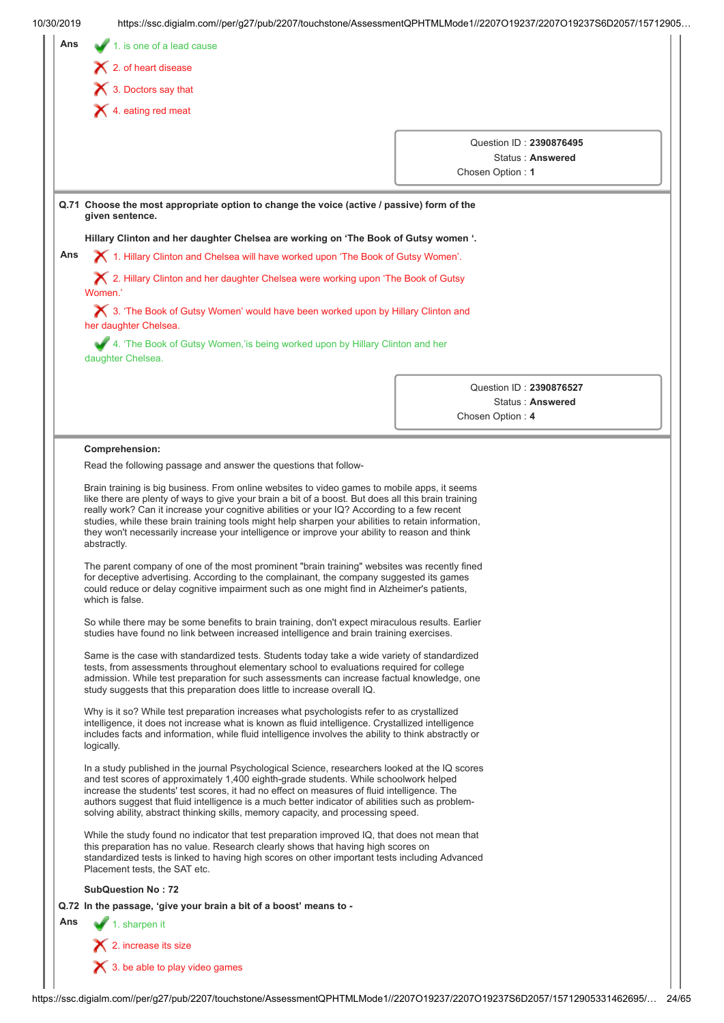| 10/30/2019 | https://ssc.digialm.com//per/g27/pub/2207/touchstone/AssessmentQPHTMLMode1//2207O19237/2207O19237S6D2057/15712905                                                                                                                                                                                                                                                                                                                                                               |                                                                 |  |
|------------|---------------------------------------------------------------------------------------------------------------------------------------------------------------------------------------------------------------------------------------------------------------------------------------------------------------------------------------------------------------------------------------------------------------------------------------------------------------------------------|-----------------------------------------------------------------|--|
| Ans        | 1. is one of a lead cause                                                                                                                                                                                                                                                                                                                                                                                                                                                       |                                                                 |  |
|            | $\blacktriangleright$ 2. of heart disease                                                                                                                                                                                                                                                                                                                                                                                                                                       |                                                                 |  |
|            | 3. Doctors say that                                                                                                                                                                                                                                                                                                                                                                                                                                                             |                                                                 |  |
|            | $\blacktriangleright$ 4. eating red meat                                                                                                                                                                                                                                                                                                                                                                                                                                        |                                                                 |  |
|            |                                                                                                                                                                                                                                                                                                                                                                                                                                                                                 |                                                                 |  |
|            |                                                                                                                                                                                                                                                                                                                                                                                                                                                                                 | Question ID: 2390876495<br>Status: Answered<br>Chosen Option: 1 |  |
|            | Q.71 Choose the most appropriate option to change the voice (active / passive) form of the<br>given sentence.                                                                                                                                                                                                                                                                                                                                                                   |                                                                 |  |
|            | Hillary Clinton and her daughter Chelsea are working on 'The Book of Gutsy women '.                                                                                                                                                                                                                                                                                                                                                                                             |                                                                 |  |
| Ans        | X 1. Hillary Clinton and Chelsea will have worked upon 'The Book of Gutsy Women'.                                                                                                                                                                                                                                                                                                                                                                                               |                                                                 |  |
|            | X 2. Hillary Clinton and her daughter Chelsea were working upon 'The Book of Gutsy<br>Women'                                                                                                                                                                                                                                                                                                                                                                                    |                                                                 |  |
|            | X 3. 'The Book of Gutsy Women' would have been worked upon by Hillary Clinton and<br>her daughter Chelsea.                                                                                                                                                                                                                                                                                                                                                                      |                                                                 |  |
|            | 4. 'The Book of Gutsy Women,'is being worked upon by Hillary Clinton and her<br>daughter Chelsea.                                                                                                                                                                                                                                                                                                                                                                               |                                                                 |  |
|            |                                                                                                                                                                                                                                                                                                                                                                                                                                                                                 | Question ID: 2390876527<br>Status: Answered<br>Chosen Option: 4 |  |
|            |                                                                                                                                                                                                                                                                                                                                                                                                                                                                                 |                                                                 |  |
|            | really work? Can it increase your cognitive abilities or your IQ? According to a few recent<br>studies, while these brain training tools might help sharpen your abilities to retain information,<br>they won't necessarily increase your intelligence or improve your ability to reason and think<br>abstractly.                                                                                                                                                               |                                                                 |  |
|            | The parent company of one of the most prominent "brain training" websites was recently fined<br>for deceptive advertising. According to the complainant, the company suggested its games<br>could reduce or delay cognitive impairment such as one might find in Alzheimer's patients,<br>which is false.                                                                                                                                                                       |                                                                 |  |
|            | So while there may be some benefits to brain training, don't expect miraculous results. Earlier<br>studies have found no link between increased intelligence and brain training exercises.                                                                                                                                                                                                                                                                                      |                                                                 |  |
|            | Same is the case with standardized tests. Students today take a wide variety of standardized<br>tests, from assessments throughout elementary school to evaluations required for college<br>admission. While test preparation for such assessments can increase factual knowledge, one<br>study suggests that this preparation does little to increase overall IQ.                                                                                                              |                                                                 |  |
|            | Why is it so? While test preparation increases what psychologists refer to as crystallized<br>intelligence, it does not increase what is known as fluid intelligence. Crystallized intelligence<br>includes facts and information, while fluid intelligence involves the ability to think abstractly or<br>logically.                                                                                                                                                           |                                                                 |  |
|            | In a study published in the journal Psychological Science, researchers looked at the IQ scores<br>and test scores of approximately 1,400 eighth-grade students. While schoolwork helped<br>increase the students' test scores, it had no effect on measures of fluid intelligence. The<br>authors suggest that fluid intelligence is a much better indicator of abilities such as problem-<br>solving ability, abstract thinking skills, memory capacity, and processing speed. |                                                                 |  |
|            | While the study found no indicator that test preparation improved IQ, that does not mean that<br>this preparation has no value. Research clearly shows that having high scores on<br>standardized tests is linked to having high scores on other important tests including Advanced<br>Placement tests, the SAT etc.                                                                                                                                                            |                                                                 |  |
|            | <b>SubQuestion No: 72</b>                                                                                                                                                                                                                                                                                                                                                                                                                                                       |                                                                 |  |
|            | Q.72 In the passage, 'give your brain a bit of a boost' means to -                                                                                                                                                                                                                                                                                                                                                                                                              |                                                                 |  |
| Ans        | 1. sharpen it                                                                                                                                                                                                                                                                                                                                                                                                                                                                   |                                                                 |  |
|            | $\blacktriangleright$ 2. increase its size                                                                                                                                                                                                                                                                                                                                                                                                                                      |                                                                 |  |
|            | $\blacktriangleright$ 3. be able to play video games                                                                                                                                                                                                                                                                                                                                                                                                                            |                                                                 |  |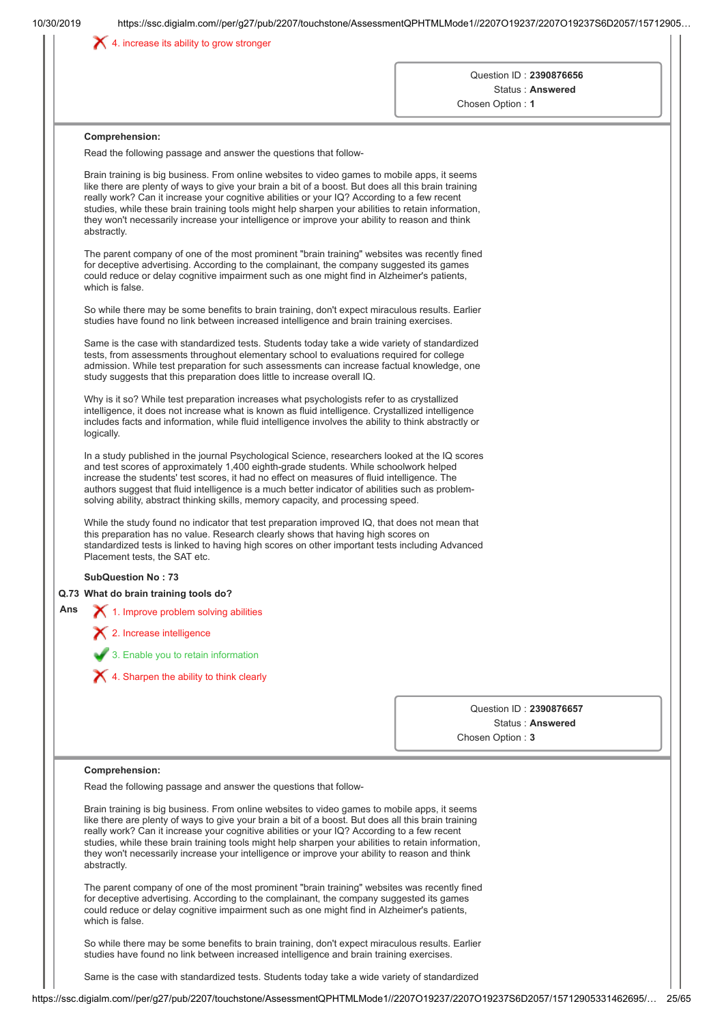|     |                                                                                                                                                                                                                                                                                                                                                                                                                                                                                                                          | Question ID: 2390876656<br>Status: Answered<br>Chosen Option: 1 |
|-----|--------------------------------------------------------------------------------------------------------------------------------------------------------------------------------------------------------------------------------------------------------------------------------------------------------------------------------------------------------------------------------------------------------------------------------------------------------------------------------------------------------------------------|-----------------------------------------------------------------|
|     | Comprehension:<br>Read the following passage and answer the questions that follow-                                                                                                                                                                                                                                                                                                                                                                                                                                       |                                                                 |
|     | Brain training is big business. From online websites to video games to mobile apps, it seems<br>like there are plenty of ways to give your brain a bit of a boost. But does all this brain training<br>really work? Can it increase your cognitive abilities or your IQ? According to a few recent<br>studies, while these brain training tools might help sharpen your abilities to retain information,<br>they won't necessarily increase your intelligence or improve your ability to reason and think<br>abstractly. |                                                                 |
|     | The parent company of one of the most prominent "brain training" websites was recently fined<br>for deceptive advertising. According to the complainant, the company suggested its games<br>could reduce or delay cognitive impairment such as one might find in Alzheimer's patients,<br>which is false.                                                                                                                                                                                                                |                                                                 |
|     | So while there may be some benefits to brain training, don't expect miraculous results. Earlier<br>studies have found no link between increased intelligence and brain training exercises.                                                                                                                                                                                                                                                                                                                               |                                                                 |
|     | Same is the case with standardized tests. Students today take a wide variety of standardized<br>tests, from assessments throughout elementary school to evaluations required for college<br>admission. While test preparation for such assessments can increase factual knowledge, one<br>study suggests that this preparation does little to increase overall IQ.                                                                                                                                                       |                                                                 |
|     | Why is it so? While test preparation increases what psychologists refer to as crystallized<br>intelligence, it does not increase what is known as fluid intelligence. Crystallized intelligence<br>includes facts and information, while fluid intelligence involves the ability to think abstractly or<br>logically.                                                                                                                                                                                                    |                                                                 |
|     | In a study published in the journal Psychological Science, researchers looked at the IQ scores<br>and test scores of approximately 1,400 eighth-grade students. While schoolwork helped<br>increase the students' test scores, it had no effect on measures of fluid intelligence. The<br>authors suggest that fluid intelligence is a much better indicator of abilities such as problem-<br>solving ability, abstract thinking skills, memory capacity, and processing speed.                                          |                                                                 |
|     | While the study found no indicator that test preparation improved IQ, that does not mean that<br>this preparation has no value. Research clearly shows that having high scores on<br>standardized tests is linked to having high scores on other important tests including Advanced<br>Placement tests, the SAT etc.                                                                                                                                                                                                     |                                                                 |
|     | <b>SubQuestion No: 73</b>                                                                                                                                                                                                                                                                                                                                                                                                                                                                                                |                                                                 |
| Ans | Q.73 What do brain training tools do?                                                                                                                                                                                                                                                                                                                                                                                                                                                                                    |                                                                 |
|     | 1. Improve problem solving abilities<br>$\boldsymbol{\times}$ 2. Increase intelligence                                                                                                                                                                                                                                                                                                                                                                                                                                   |                                                                 |
|     |                                                                                                                                                                                                                                                                                                                                                                                                                                                                                                                          |                                                                 |
|     | 3. Enable you to retain information                                                                                                                                                                                                                                                                                                                                                                                                                                                                                      |                                                                 |
|     | $\blacktriangleright$ 4. Sharpen the ability to think clearly                                                                                                                                                                                                                                                                                                                                                                                                                                                            |                                                                 |
|     |                                                                                                                                                                                                                                                                                                                                                                                                                                                                                                                          | Question ID: 2390876657                                         |
|     |                                                                                                                                                                                                                                                                                                                                                                                                                                                                                                                          | Status: Answered<br>Chosen Option: 3                            |
|     | Comprehension:                                                                                                                                                                                                                                                                                                                                                                                                                                                                                                           |                                                                 |
|     | Read the following passage and answer the questions that follow-                                                                                                                                                                                                                                                                                                                                                                                                                                                         |                                                                 |
|     | Brain training is big business. From online websites to video games to mobile apps, it seems<br>like there are plenty of ways to give your brain a bit of a boost. But does all this brain training<br>really work? Can it increase your cognitive abilities or your IQ? According to a few recent<br>studies, while these brain training tools might help sharpen your abilities to retain information,<br>they won't necessarily increase your intelligence or improve your ability to reason and think<br>abstractly. |                                                                 |
|     | The parent company of one of the most prominent "brain training" websites was recently fined<br>for deceptive advertising. According to the complainant, the company suggested its games<br>could reduce or delay cognitive impairment such as one might find in Alzheimer's patients,<br>which is false.                                                                                                                                                                                                                |                                                                 |
|     | So while there may be some benefits to brain training, don't expect miraculous results. Earlier<br>studies have found no link between increased intelligence and brain training exercises.                                                                                                                                                                                                                                                                                                                               |                                                                 |
|     | Same is the case with standardized tests. Students today take a wide variety of standardized                                                                                                                                                                                                                                                                                                                                                                                                                             |                                                                 |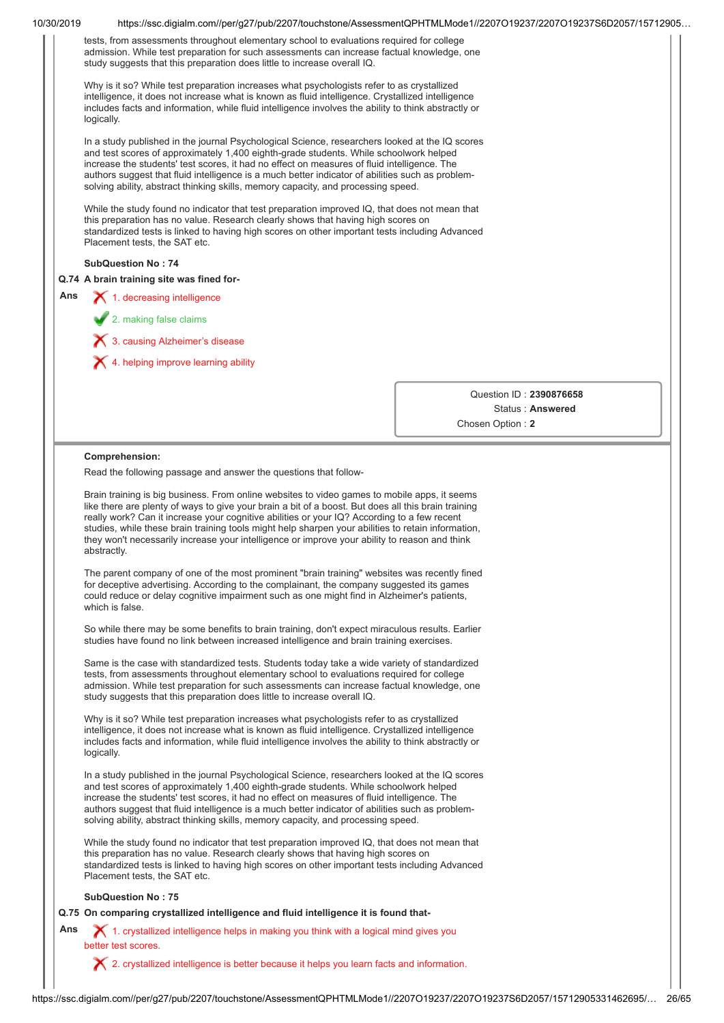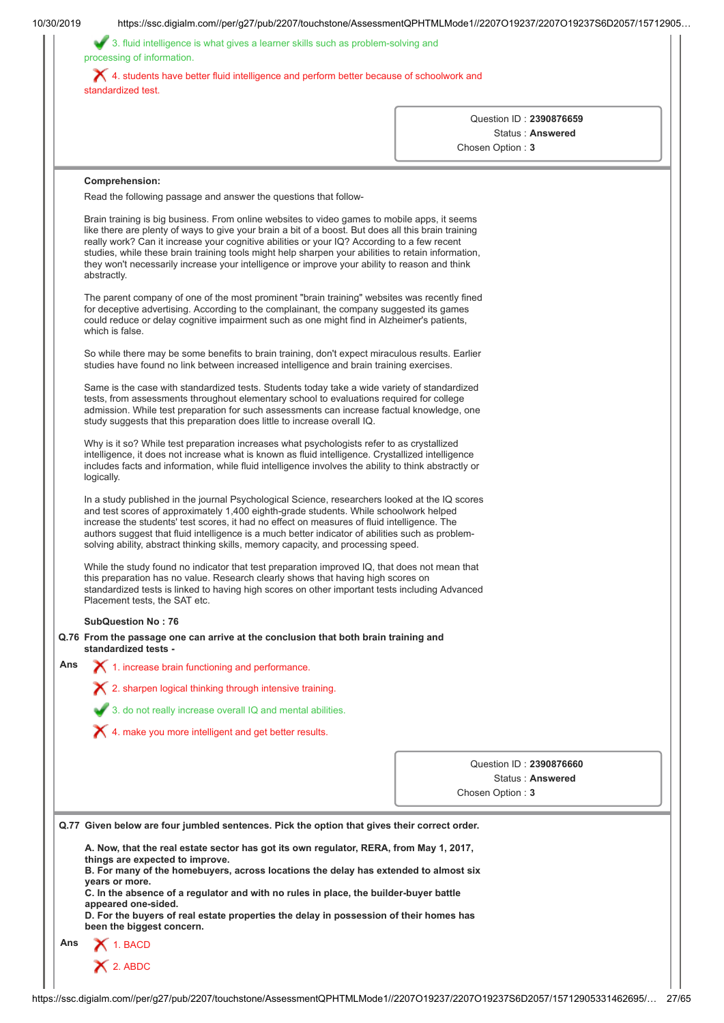|     | 3. fluid intelligence is what gives a learner skills such as problem-solving and<br>processing of information.                                                                                                                                                                                                                                                                                                                                                                                                           |                  |  |                                             |  |
|-----|--------------------------------------------------------------------------------------------------------------------------------------------------------------------------------------------------------------------------------------------------------------------------------------------------------------------------------------------------------------------------------------------------------------------------------------------------------------------------------------------------------------------------|------------------|--|---------------------------------------------|--|
|     | X 4. students have better fluid intelligence and perform better because of schoolwork and<br>standardized test.                                                                                                                                                                                                                                                                                                                                                                                                          |                  |  |                                             |  |
|     |                                                                                                                                                                                                                                                                                                                                                                                                                                                                                                                          |                  |  | Question ID: 2390876659                     |  |
|     |                                                                                                                                                                                                                                                                                                                                                                                                                                                                                                                          | Chosen Option: 3 |  | Status: Answered                            |  |
|     |                                                                                                                                                                                                                                                                                                                                                                                                                                                                                                                          |                  |  |                                             |  |
|     | Comprehension:                                                                                                                                                                                                                                                                                                                                                                                                                                                                                                           |                  |  |                                             |  |
|     | Read the following passage and answer the questions that follow-                                                                                                                                                                                                                                                                                                                                                                                                                                                         |                  |  |                                             |  |
|     | Brain training is big business. From online websites to video games to mobile apps, it seems<br>like there are plenty of ways to give your brain a bit of a boost. But does all this brain training<br>really work? Can it increase your cognitive abilities or your IQ? According to a few recent<br>studies, while these brain training tools might help sharpen your abilities to retain information,<br>they won't necessarily increase your intelligence or improve your ability to reason and think<br>abstractly. |                  |  |                                             |  |
|     | The parent company of one of the most prominent "brain training" websites was recently fined<br>for deceptive advertising. According to the complainant, the company suggested its games<br>could reduce or delay cognitive impairment such as one might find in Alzheimer's patients,<br>which is false.                                                                                                                                                                                                                |                  |  |                                             |  |
|     | So while there may be some benefits to brain training, don't expect miraculous results. Earlier<br>studies have found no link between increased intelligence and brain training exercises.                                                                                                                                                                                                                                                                                                                               |                  |  |                                             |  |
|     | Same is the case with standardized tests. Students today take a wide variety of standardized<br>tests, from assessments throughout elementary school to evaluations required for college<br>admission. While test preparation for such assessments can increase factual knowledge, one<br>study suggests that this preparation does little to increase overall IQ.                                                                                                                                                       |                  |  |                                             |  |
|     | Why is it so? While test preparation increases what psychologists refer to as crystallized<br>intelligence, it does not increase what is known as fluid intelligence. Crystallized intelligence<br>includes facts and information, while fluid intelligence involves the ability to think abstractly or<br>logically.                                                                                                                                                                                                    |                  |  |                                             |  |
|     | In a study published in the journal Psychological Science, researchers looked at the IQ scores<br>and test scores of approximately 1,400 eighth-grade students. While schoolwork helped<br>increase the students' test scores, it had no effect on measures of fluid intelligence. The<br>authors suggest that fluid intelligence is a much better indicator of abilities such as problem-<br>solving ability, abstract thinking skills, memory capacity, and processing speed.                                          |                  |  |                                             |  |
|     | While the study found no indicator that test preparation improved IQ, that does not mean that<br>this preparation has no value. Research clearly shows that having high scores on<br>standardized tests is linked to having high scores on other important tests including Advanced<br>Placement tests, the SAT etc.                                                                                                                                                                                                     |                  |  |                                             |  |
|     | <b>SubQuestion No: 76</b>                                                                                                                                                                                                                                                                                                                                                                                                                                                                                                |                  |  |                                             |  |
|     | Q.76 From the passage one can arrive at the conclusion that both brain training and<br>standardized tests -                                                                                                                                                                                                                                                                                                                                                                                                              |                  |  |                                             |  |
| Ans | 1. increase brain functioning and performance.                                                                                                                                                                                                                                                                                                                                                                                                                                                                           |                  |  |                                             |  |
|     | $\boldsymbol{\times}$ 2. sharpen logical thinking through intensive training.                                                                                                                                                                                                                                                                                                                                                                                                                                            |                  |  |                                             |  |
|     | 3. do not really increase overall IQ and mental abilities.                                                                                                                                                                                                                                                                                                                                                                                                                                                               |                  |  |                                             |  |
|     | X 4. make you more intelligent and get better results.                                                                                                                                                                                                                                                                                                                                                                                                                                                                   |                  |  |                                             |  |
|     |                                                                                                                                                                                                                                                                                                                                                                                                                                                                                                                          |                  |  |                                             |  |
|     |                                                                                                                                                                                                                                                                                                                                                                                                                                                                                                                          | Chosen Option: 3 |  | Question ID: 2390876660<br>Status: Answered |  |
|     |                                                                                                                                                                                                                                                                                                                                                                                                                                                                                                                          |                  |  |                                             |  |
|     | Q.77 Given below are four jumbled sentences. Pick the option that gives their correct order.                                                                                                                                                                                                                                                                                                                                                                                                                             |                  |  |                                             |  |
|     | A. Now, that the real estate sector has got its own regulator, RERA, from May 1, 2017,<br>things are expected to improve.<br>B. For many of the homebuyers, across locations the delay has extended to almost six                                                                                                                                                                                                                                                                                                        |                  |  |                                             |  |
|     | years or more.<br>C. In the absence of a regulator and with no rules in place, the builder-buyer battle                                                                                                                                                                                                                                                                                                                                                                                                                  |                  |  |                                             |  |
|     | appeared one-sided.<br>D. For the buyers of real estate properties the delay in possession of their homes has<br>been the biggest concern.                                                                                                                                                                                                                                                                                                                                                                               |                  |  |                                             |  |
| Ans | $\bigtimes$ 1. BACD                                                                                                                                                                                                                                                                                                                                                                                                                                                                                                      |                  |  |                                             |  |
|     |                                                                                                                                                                                                                                                                                                                                                                                                                                                                                                                          |                  |  |                                             |  |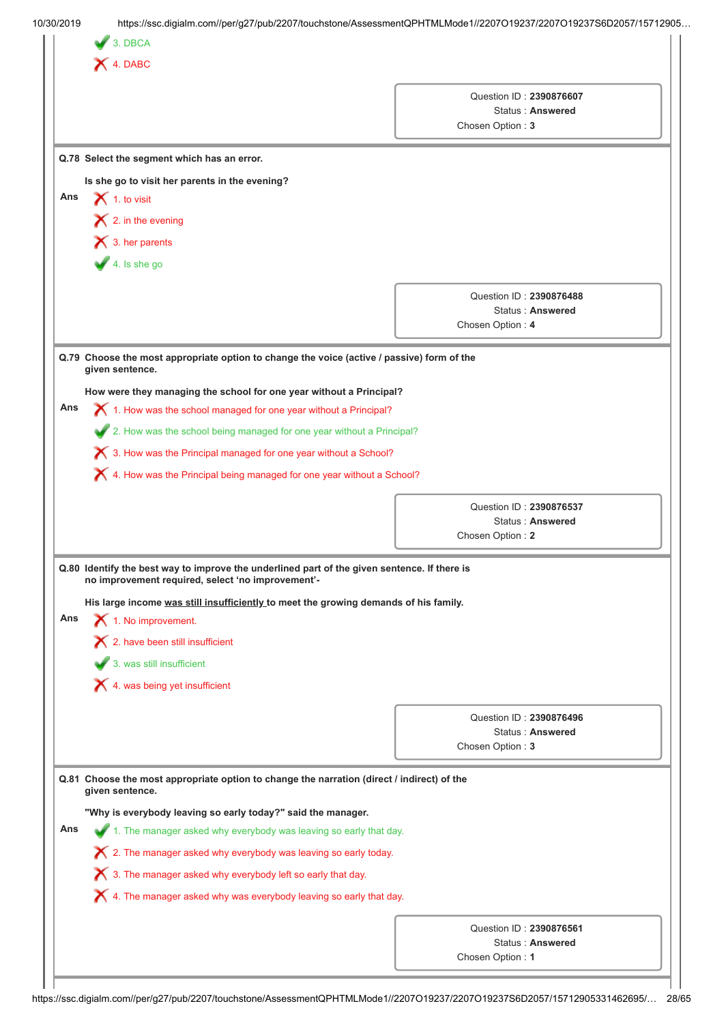|     | X 4. DABC                                                                                                                                         |                                                                 |  |
|-----|---------------------------------------------------------------------------------------------------------------------------------------------------|-----------------------------------------------------------------|--|
|     |                                                                                                                                                   | Question ID: 2390876607<br>Status: Answered<br>Chosen Option: 3 |  |
|     | Q.78 Select the segment which has an error.                                                                                                       |                                                                 |  |
|     | Is she go to visit her parents in the evening?                                                                                                    |                                                                 |  |
| Ans | $\bigtimes$ 1. to visit                                                                                                                           |                                                                 |  |
|     | $\blacktriangleright$ 2. in the evening                                                                                                           |                                                                 |  |
|     | $\bigtimes$ 3. her parents                                                                                                                        |                                                                 |  |
|     | $4.$ Is she go                                                                                                                                    |                                                                 |  |
|     |                                                                                                                                                   |                                                                 |  |
|     |                                                                                                                                                   | Question ID: 2390876488                                         |  |
|     |                                                                                                                                                   | Status: Answered                                                |  |
|     |                                                                                                                                                   | Chosen Option: 4                                                |  |
|     | Q.79 Choose the most appropriate option to change the voice (active / passive) form of the<br>given sentence.                                     |                                                                 |  |
|     | How were they managing the school for one year without a Principal?                                                                               |                                                                 |  |
| Ans | $\chi$ 1. How was the school managed for one year without a Principal?                                                                            |                                                                 |  |
|     | 2. How was the school being managed for one year without a Principal?                                                                             |                                                                 |  |
|     | X 3. How was the Principal managed for one year without a School?                                                                                 |                                                                 |  |
|     | $\bigtimes$ 4. How was the Principal being managed for one year without a School?                                                                 |                                                                 |  |
|     |                                                                                                                                                   |                                                                 |  |
|     |                                                                                                                                                   | Question ID: 2390876537                                         |  |
|     |                                                                                                                                                   | Status: Answered                                                |  |
|     |                                                                                                                                                   | Chosen Option: 2                                                |  |
|     | Q.80 Identify the best way to improve the underlined part of the given sentence. If there is<br>no improvement required, select 'no improvement'- |                                                                 |  |
|     | His large income was still insufficiently to meet the growing demands of his family.                                                              |                                                                 |  |
| Ans | 1. No improvement.                                                                                                                                |                                                                 |  |
|     | $\boldsymbol{\times}$ 2. have been still insufficient                                                                                             |                                                                 |  |
|     | 3. was still insufficient                                                                                                                         |                                                                 |  |
|     | $\bigtimes$ 4. was being yet insufficient                                                                                                         |                                                                 |  |
|     |                                                                                                                                                   |                                                                 |  |
|     |                                                                                                                                                   | Question ID: 2390876496<br>Status: Answered                     |  |
|     |                                                                                                                                                   | Chosen Option: 3                                                |  |
|     |                                                                                                                                                   |                                                                 |  |
|     | Q.81 Choose the most appropriate option to change the narration (direct / indirect) of the<br>given sentence.                                     |                                                                 |  |
|     | "Why is everybody leaving so early today?" said the manager.                                                                                      |                                                                 |  |
| Ans | 1. The manager asked why everybody was leaving so early that day.                                                                                 |                                                                 |  |
|     | $\boldsymbol{\times}$ 2. The manager asked why everybody was leaving so early today.                                                              |                                                                 |  |
|     | X 3. The manager asked why everybody left so early that day.                                                                                      |                                                                 |  |
|     | $\blacktriangleright$ 4. The manager asked why was everybody leaving so early that day.                                                           |                                                                 |  |
|     |                                                                                                                                                   |                                                                 |  |
|     |                                                                                                                                                   | Question ID: 2390876561                                         |  |
|     |                                                                                                                                                   |                                                                 |  |
|     |                                                                                                                                                   | Status: Answered<br>Chosen Option: 1                            |  |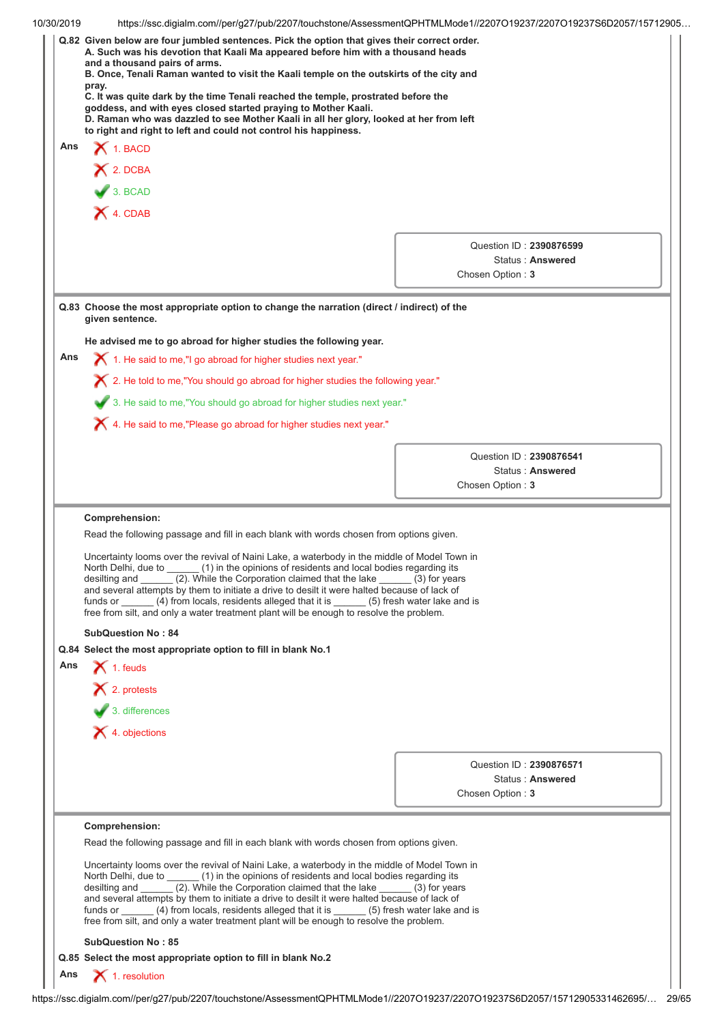|     | https://ssc.digialm.com//per/g27/pub/2207/touchstone/AssessmentQPHTMLMode1//2207O19237/2207O19237S6D2057/15712905                                                                     |                                             |  |  |  |
|-----|---------------------------------------------------------------------------------------------------------------------------------------------------------------------------------------|---------------------------------------------|--|--|--|
|     | Q.82 Given below are four jumbled sentences. Pick the option that gives their correct order.                                                                                          |                                             |  |  |  |
|     | A. Such was his devotion that Kaali Ma appeared before him with a thousand heads<br>and a thousand pairs of arms.                                                                     |                                             |  |  |  |
|     | B. Once, Tenali Raman wanted to visit the Kaali temple on the outskirts of the city and<br>pray.<br>C. It was quite dark by the time Tenali reached the temple, prostrated before the |                                             |  |  |  |
|     |                                                                                                                                                                                       |                                             |  |  |  |
|     | goddess, and with eyes closed started praying to Mother Kaali.                                                                                                                        |                                             |  |  |  |
|     | D. Raman who was dazzled to see Mother Kaali in all her glory, looked at her from left                                                                                                |                                             |  |  |  |
| Ans | to right and right to left and could not control his happiness.                                                                                                                       |                                             |  |  |  |
|     | $\blacktriangleright$ 1. BACD                                                                                                                                                         |                                             |  |  |  |
|     | $X$ 2. DCBA                                                                                                                                                                           |                                             |  |  |  |
|     | 3. BCAD                                                                                                                                                                               |                                             |  |  |  |
|     | X 4. CDAB                                                                                                                                                                             |                                             |  |  |  |
|     |                                                                                                                                                                                       |                                             |  |  |  |
|     |                                                                                                                                                                                       | Question ID: 2390876599                     |  |  |  |
|     |                                                                                                                                                                                       | Status: Answered                            |  |  |  |
|     |                                                                                                                                                                                       | Chosen Option: 3                            |  |  |  |
|     | Q.83 Choose the most appropriate option to change the narration (direct / indirect) of the<br>given sentence.                                                                         |                                             |  |  |  |
|     | He advised me to go abroad for higher studies the following year.                                                                                                                     |                                             |  |  |  |
| Ans | $\blacktriangleright$ 1. He said to me,"I go abroad for higher studies next year."                                                                                                    |                                             |  |  |  |
|     |                                                                                                                                                                                       |                                             |  |  |  |
|     | $\chi$ 2. He told to me,"You should go abroad for higher studies the following year."                                                                                                 |                                             |  |  |  |
|     | 3. He said to me, "You should go abroad for higher studies next year."                                                                                                                |                                             |  |  |  |
|     | X 4. He said to me,"Please go abroad for higher studies next year."                                                                                                                   |                                             |  |  |  |
|     |                                                                                                                                                                                       |                                             |  |  |  |
|     |                                                                                                                                                                                       | Question ID: 2390876541<br>Status: Answered |  |  |  |
|     |                                                                                                                                                                                       | Chosen Option: 3                            |  |  |  |
|     |                                                                                                                                                                                       |                                             |  |  |  |
|     | Comprehension:                                                                                                                                                                        |                                             |  |  |  |
|     | Read the following passage and fill in each blank with words chosen from options given.                                                                                               |                                             |  |  |  |
|     | Uncertainty looms over the revival of Naini Lake, a waterbody in the middle of Model Town in                                                                                          |                                             |  |  |  |
|     |                                                                                                                                                                                       |                                             |  |  |  |
|     | North Delhi, due to _______ (1) in the opinions of residents and local bodies regarding its                                                                                           |                                             |  |  |  |
|     | desilting and (2). While the Corporation claimed that the lake                                                                                                                        | $(3)$ for years                             |  |  |  |
|     | and several attempts by them to initiate a drive to desilt it were halted because of lack of<br>funds or (4) from locals, residents alleged that it is (5) fresh water lake and is    |                                             |  |  |  |
|     | free from silt, and only a water treatment plant will be enough to resolve the problem.                                                                                               |                                             |  |  |  |
|     | <b>SubQuestion No: 84</b>                                                                                                                                                             |                                             |  |  |  |
|     | Q.84 Select the most appropriate option to fill in blank No.1                                                                                                                         |                                             |  |  |  |
| Ans | $\blacktriangleright$ 1. feuds                                                                                                                                                        |                                             |  |  |  |
|     | × 2. protests                                                                                                                                                                         |                                             |  |  |  |
|     |                                                                                                                                                                                       |                                             |  |  |  |
|     | 3. differences                                                                                                                                                                        |                                             |  |  |  |
|     | $\blacktriangleright$ 4. objections                                                                                                                                                   |                                             |  |  |  |
|     |                                                                                                                                                                                       | Question ID: 2390876571                     |  |  |  |
|     |                                                                                                                                                                                       | Status: Answered                            |  |  |  |
|     |                                                                                                                                                                                       | Chosen Option: 3                            |  |  |  |
|     |                                                                                                                                                                                       |                                             |  |  |  |
|     | Comprehension:<br>Read the following passage and fill in each blank with words chosen from options given.                                                                             |                                             |  |  |  |
|     | Uncertainty looms over the revival of Naini Lake, a waterbody in the middle of Model Town in                                                                                          |                                             |  |  |  |
|     | North Delhi, due to (1) in the opinions of residents and local bodies regarding its                                                                                                   |                                             |  |  |  |
|     | desilting and ______ (2). While the Corporation claimed that the lake<br>and several attempts by them to initiate a drive to desilt it were halted because of lack of                 | (3) for years                               |  |  |  |
|     | funds or (4) from locals, residents alleged that it is (5) fresh water lake and is<br>free from silt, and only a water treatment plant will be enough to resolve the problem.         |                                             |  |  |  |
|     | <b>SubQuestion No: 85</b>                                                                                                                                                             |                                             |  |  |  |
|     | Q.85 Select the most appropriate option to fill in blank No.2                                                                                                                         |                                             |  |  |  |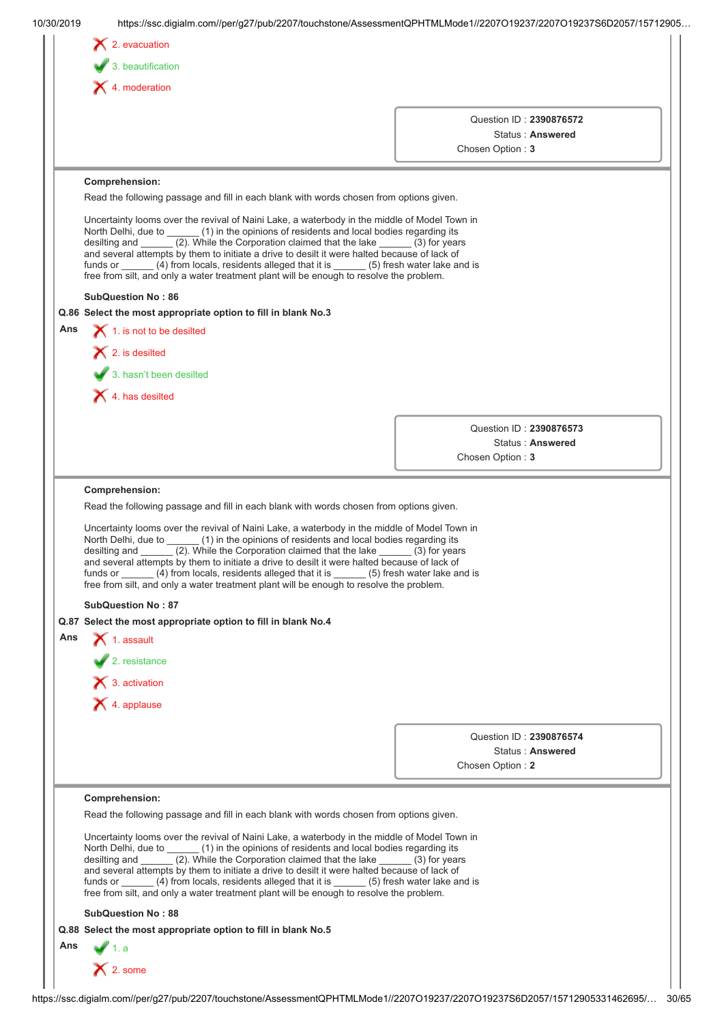| Ans<br>Read the following passage and fill in each blank with words chosen from options given.<br>Uncertainty looms over the revival of Naini Lake, a waterbody in the middle of Model Town in<br>North Delhi, due to _______ (1) in the opinions of residents and local bodies regarding its | $\blacktriangleright$ 3. beautification<br>$\blacktriangleright$ 4. moderation<br>Comprehension:<br>Read the following passage and fill in each blank with words chosen from options given.<br>Uncertainty looms over the revival of Naini Lake, a waterbody in the middle of Model Town in<br>North Delhi, due to ______ (1) in the opinions of residents and local bodies regarding its<br>desilting and $\frac{1}{2}$ . While the Corporation claimed that the lake $\frac{1}{2}$ (3) for years<br>and several attempts by them to initiate a drive to desilt it were halted because of lack of<br>funds or ______ (4) from locals, residents alleged that it is ______ (5) fresh water lake and is<br>free from silt, and only a water treatment plant will be enough to resolve the problem.<br><b>SubQuestion No: 86</b><br>Q.86 Select the most appropriate option to fill in blank No.3<br>1. is not to be desilted<br>$\blacktriangleright$ 2. is desilted<br>3. hasn't been desilted<br>$\blacktriangleright$ 4. has desilted<br>Comprehension: | Question ID: 2390876572<br>Status: Answered<br>Chosen Option: 3<br>Question ID: 2390876573<br>Status: Answered<br>Chosen Option: 3 |  |
|-----------------------------------------------------------------------------------------------------------------------------------------------------------------------------------------------------------------------------------------------------------------------------------------------|-----------------------------------------------------------------------------------------------------------------------------------------------------------------------------------------------------------------------------------------------------------------------------------------------------------------------------------------------------------------------------------------------------------------------------------------------------------------------------------------------------------------------------------------------------------------------------------------------------------------------------------------------------------------------------------------------------------------------------------------------------------------------------------------------------------------------------------------------------------------------------------------------------------------------------------------------------------------------------------------------------------------------------------------------------------|------------------------------------------------------------------------------------------------------------------------------------|--|
|                                                                                                                                                                                                                                                                                               |                                                                                                                                                                                                                                                                                                                                                                                                                                                                                                                                                                                                                                                                                                                                                                                                                                                                                                                                                                                                                                                           |                                                                                                                                    |  |
|                                                                                                                                                                                                                                                                                               |                                                                                                                                                                                                                                                                                                                                                                                                                                                                                                                                                                                                                                                                                                                                                                                                                                                                                                                                                                                                                                                           |                                                                                                                                    |  |
|                                                                                                                                                                                                                                                                                               |                                                                                                                                                                                                                                                                                                                                                                                                                                                                                                                                                                                                                                                                                                                                                                                                                                                                                                                                                                                                                                                           |                                                                                                                                    |  |
|                                                                                                                                                                                                                                                                                               |                                                                                                                                                                                                                                                                                                                                                                                                                                                                                                                                                                                                                                                                                                                                                                                                                                                                                                                                                                                                                                                           |                                                                                                                                    |  |
|                                                                                                                                                                                                                                                                                               |                                                                                                                                                                                                                                                                                                                                                                                                                                                                                                                                                                                                                                                                                                                                                                                                                                                                                                                                                                                                                                                           |                                                                                                                                    |  |
|                                                                                                                                                                                                                                                                                               |                                                                                                                                                                                                                                                                                                                                                                                                                                                                                                                                                                                                                                                                                                                                                                                                                                                                                                                                                                                                                                                           |                                                                                                                                    |  |
|                                                                                                                                                                                                                                                                                               |                                                                                                                                                                                                                                                                                                                                                                                                                                                                                                                                                                                                                                                                                                                                                                                                                                                                                                                                                                                                                                                           |                                                                                                                                    |  |
|                                                                                                                                                                                                                                                                                               |                                                                                                                                                                                                                                                                                                                                                                                                                                                                                                                                                                                                                                                                                                                                                                                                                                                                                                                                                                                                                                                           |                                                                                                                                    |  |
|                                                                                                                                                                                                                                                                                               |                                                                                                                                                                                                                                                                                                                                                                                                                                                                                                                                                                                                                                                                                                                                                                                                                                                                                                                                                                                                                                                           |                                                                                                                                    |  |
|                                                                                                                                                                                                                                                                                               |                                                                                                                                                                                                                                                                                                                                                                                                                                                                                                                                                                                                                                                                                                                                                                                                                                                                                                                                                                                                                                                           |                                                                                                                                    |  |
|                                                                                                                                                                                                                                                                                               |                                                                                                                                                                                                                                                                                                                                                                                                                                                                                                                                                                                                                                                                                                                                                                                                                                                                                                                                                                                                                                                           |                                                                                                                                    |  |
|                                                                                                                                                                                                                                                                                               |                                                                                                                                                                                                                                                                                                                                                                                                                                                                                                                                                                                                                                                                                                                                                                                                                                                                                                                                                                                                                                                           |                                                                                                                                    |  |
|                                                                                                                                                                                                                                                                                               |                                                                                                                                                                                                                                                                                                                                                                                                                                                                                                                                                                                                                                                                                                                                                                                                                                                                                                                                                                                                                                                           |                                                                                                                                    |  |
|                                                                                                                                                                                                                                                                                               |                                                                                                                                                                                                                                                                                                                                                                                                                                                                                                                                                                                                                                                                                                                                                                                                                                                                                                                                                                                                                                                           |                                                                                                                                    |  |
|                                                                                                                                                                                                                                                                                               |                                                                                                                                                                                                                                                                                                                                                                                                                                                                                                                                                                                                                                                                                                                                                                                                                                                                                                                                                                                                                                                           |                                                                                                                                    |  |
|                                                                                                                                                                                                                                                                                               |                                                                                                                                                                                                                                                                                                                                                                                                                                                                                                                                                                                                                                                                                                                                                                                                                                                                                                                                                                                                                                                           |                                                                                                                                    |  |
|                                                                                                                                                                                                                                                                                               |                                                                                                                                                                                                                                                                                                                                                                                                                                                                                                                                                                                                                                                                                                                                                                                                                                                                                                                                                                                                                                                           |                                                                                                                                    |  |
|                                                                                                                                                                                                                                                                                               |                                                                                                                                                                                                                                                                                                                                                                                                                                                                                                                                                                                                                                                                                                                                                                                                                                                                                                                                                                                                                                                           |                                                                                                                                    |  |
|                                                                                                                                                                                                                                                                                               | desilting and _______ (2). While the Corporation claimed that the lake ______ (3) for years<br>and several attempts by them to initiate a drive to desilt it were halted because of lack of<br>funds or (4) from locals, residents alleged that it is (5) fresh water lake and is<br>free from silt, and only a water treatment plant will be enough to resolve the problem.<br><b>SubQuestion No: 87</b>                                                                                                                                                                                                                                                                                                                                                                                                                                                                                                                                                                                                                                                 |                                                                                                                                    |  |
|                                                                                                                                                                                                                                                                                               | Q.87 Select the most appropriate option to fill in blank No.4                                                                                                                                                                                                                                                                                                                                                                                                                                                                                                                                                                                                                                                                                                                                                                                                                                                                                                                                                                                             |                                                                                                                                    |  |
| Ans                                                                                                                                                                                                                                                                                           | $\blacktriangleright$ 1. assault                                                                                                                                                                                                                                                                                                                                                                                                                                                                                                                                                                                                                                                                                                                                                                                                                                                                                                                                                                                                                          |                                                                                                                                    |  |
|                                                                                                                                                                                                                                                                                               | $\sqrt{2}$ . resistance                                                                                                                                                                                                                                                                                                                                                                                                                                                                                                                                                                                                                                                                                                                                                                                                                                                                                                                                                                                                                                   |                                                                                                                                    |  |
|                                                                                                                                                                                                                                                                                               | $\bigtimes$ 3. activation                                                                                                                                                                                                                                                                                                                                                                                                                                                                                                                                                                                                                                                                                                                                                                                                                                                                                                                                                                                                                                 |                                                                                                                                    |  |
|                                                                                                                                                                                                                                                                                               | $\bigtimes$ 4. applause                                                                                                                                                                                                                                                                                                                                                                                                                                                                                                                                                                                                                                                                                                                                                                                                                                                                                                                                                                                                                                   |                                                                                                                                    |  |
|                                                                                                                                                                                                                                                                                               |                                                                                                                                                                                                                                                                                                                                                                                                                                                                                                                                                                                                                                                                                                                                                                                                                                                                                                                                                                                                                                                           |                                                                                                                                    |  |
|                                                                                                                                                                                                                                                                                               |                                                                                                                                                                                                                                                                                                                                                                                                                                                                                                                                                                                                                                                                                                                                                                                                                                                                                                                                                                                                                                                           | Question ID: 2390876574                                                                                                            |  |
|                                                                                                                                                                                                                                                                                               |                                                                                                                                                                                                                                                                                                                                                                                                                                                                                                                                                                                                                                                                                                                                                                                                                                                                                                                                                                                                                                                           | Status: Answered<br>Chosen Option: 2                                                                                               |  |
|                                                                                                                                                                                                                                                                                               |                                                                                                                                                                                                                                                                                                                                                                                                                                                                                                                                                                                                                                                                                                                                                                                                                                                                                                                                                                                                                                                           |                                                                                                                                    |  |
|                                                                                                                                                                                                                                                                                               | Comprehension:                                                                                                                                                                                                                                                                                                                                                                                                                                                                                                                                                                                                                                                                                                                                                                                                                                                                                                                                                                                                                                            |                                                                                                                                    |  |
|                                                                                                                                                                                                                                                                                               | Read the following passage and fill in each blank with words chosen from options given.                                                                                                                                                                                                                                                                                                                                                                                                                                                                                                                                                                                                                                                                                                                                                                                                                                                                                                                                                                   |                                                                                                                                    |  |
|                                                                                                                                                                                                                                                                                               | Uncertainty looms over the revival of Naini Lake, a waterbody in the middle of Model Town in<br>North Delhi, due to (1) in the opinions of residents and local bodies regarding its<br>(2). While the Corporation claimed that the lake<br>desilting and<br>and several attempts by them to initiate a drive to desilt it were halted because of lack of<br>funds or (4) from locals, residents alleged that it is (5) fresh water lake and is<br>free from silt, and only a water treatment plant will be enough to resolve the problem.                                                                                                                                                                                                                                                                                                                                                                                                                                                                                                                 | $(3)$ for years                                                                                                                    |  |
|                                                                                                                                                                                                                                                                                               | <b>SubQuestion No: 88</b>                                                                                                                                                                                                                                                                                                                                                                                                                                                                                                                                                                                                                                                                                                                                                                                                                                                                                                                                                                                                                                 |                                                                                                                                    |  |
|                                                                                                                                                                                                                                                                                               | Q.88 Select the most appropriate option to fill in blank No.5                                                                                                                                                                                                                                                                                                                                                                                                                                                                                                                                                                                                                                                                                                                                                                                                                                                                                                                                                                                             |                                                                                                                                    |  |
| Ans                                                                                                                                                                                                                                                                                           | $\times$ 2. some                                                                                                                                                                                                                                                                                                                                                                                                                                                                                                                                                                                                                                                                                                                                                                                                                                                                                                                                                                                                                                          |                                                                                                                                    |  |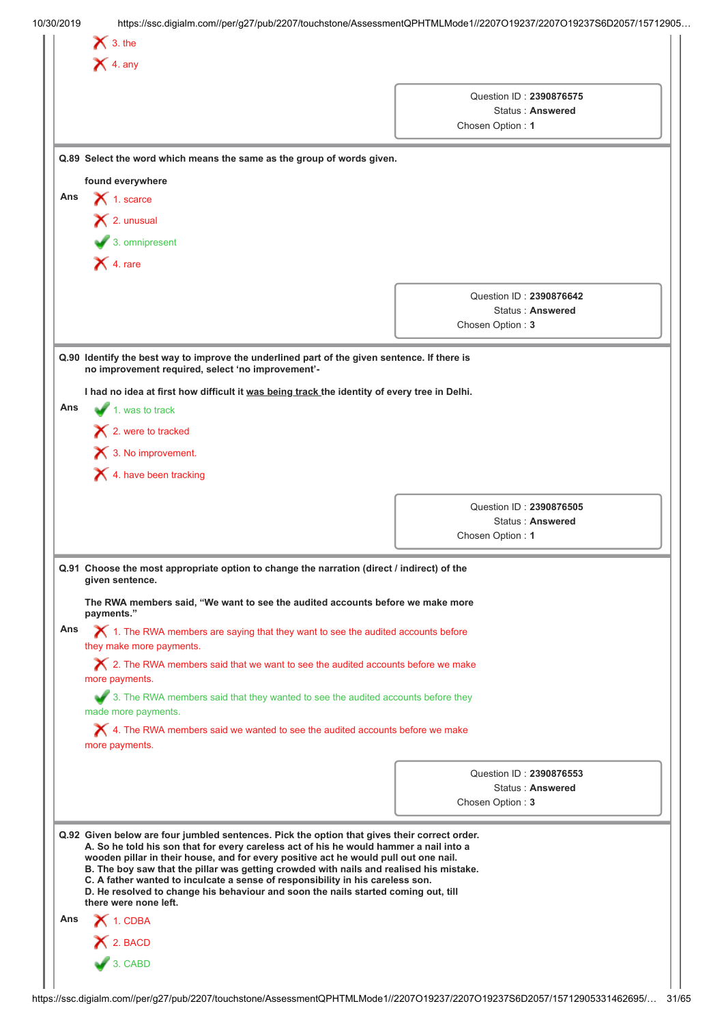|     | $\bigtimes$ 4. any                                                                                                                                                                                                                                                                                                                                                                                                                                                                                                                                                         |                                                                 |  |
|-----|----------------------------------------------------------------------------------------------------------------------------------------------------------------------------------------------------------------------------------------------------------------------------------------------------------------------------------------------------------------------------------------------------------------------------------------------------------------------------------------------------------------------------------------------------------------------------|-----------------------------------------------------------------|--|
|     |                                                                                                                                                                                                                                                                                                                                                                                                                                                                                                                                                                            | Question ID: 2390876575<br>Status: Answered<br>Chosen Option: 1 |  |
|     | Q.89 Select the word which means the same as the group of words given.                                                                                                                                                                                                                                                                                                                                                                                                                                                                                                     |                                                                 |  |
|     | found everywhere                                                                                                                                                                                                                                                                                                                                                                                                                                                                                                                                                           |                                                                 |  |
| Ans | $\bigtimes$ 1. scarce                                                                                                                                                                                                                                                                                                                                                                                                                                                                                                                                                      |                                                                 |  |
|     | $\mathsf{\times}$ 2. unusual                                                                                                                                                                                                                                                                                                                                                                                                                                                                                                                                               |                                                                 |  |
|     | $\blacktriangleright$ 3. omnipresent                                                                                                                                                                                                                                                                                                                                                                                                                                                                                                                                       |                                                                 |  |
|     | $\blacktriangleright$ 4. rare                                                                                                                                                                                                                                                                                                                                                                                                                                                                                                                                              |                                                                 |  |
|     |                                                                                                                                                                                                                                                                                                                                                                                                                                                                                                                                                                            |                                                                 |  |
|     |                                                                                                                                                                                                                                                                                                                                                                                                                                                                                                                                                                            | Question ID: 2390876642<br>Status: Answered                     |  |
|     |                                                                                                                                                                                                                                                                                                                                                                                                                                                                                                                                                                            | Chosen Option: 3                                                |  |
|     |                                                                                                                                                                                                                                                                                                                                                                                                                                                                                                                                                                            |                                                                 |  |
|     | Q.90 Identify the best way to improve the underlined part of the given sentence. If there is<br>no improvement required, select 'no improvement'-                                                                                                                                                                                                                                                                                                                                                                                                                          |                                                                 |  |
|     | I had no idea at first how difficult it was being track the identity of every tree in Delhi.                                                                                                                                                                                                                                                                                                                                                                                                                                                                               |                                                                 |  |
| Ans | 1. was to track                                                                                                                                                                                                                                                                                                                                                                                                                                                                                                                                                            |                                                                 |  |
|     | $\blacktriangleright$ 2. were to tracked                                                                                                                                                                                                                                                                                                                                                                                                                                                                                                                                   |                                                                 |  |
|     |                                                                                                                                                                                                                                                                                                                                                                                                                                                                                                                                                                            |                                                                 |  |
|     | 1 3. No improvement.                                                                                                                                                                                                                                                                                                                                                                                                                                                                                                                                                       |                                                                 |  |
|     | $\blacktriangleright$ 4. have been tracking                                                                                                                                                                                                                                                                                                                                                                                                                                                                                                                                |                                                                 |  |
|     |                                                                                                                                                                                                                                                                                                                                                                                                                                                                                                                                                                            | Question ID: 2390876505                                         |  |
|     |                                                                                                                                                                                                                                                                                                                                                                                                                                                                                                                                                                            | Status: Answered                                                |  |
|     |                                                                                                                                                                                                                                                                                                                                                                                                                                                                                                                                                                            | Chosen Option: 1                                                |  |
|     | Q.91 Choose the most appropriate option to change the narration (direct / indirect) of the<br>given sentence.                                                                                                                                                                                                                                                                                                                                                                                                                                                              |                                                                 |  |
|     | The RWA members said, "We want to see the audited accounts before we make more<br>payments."                                                                                                                                                                                                                                                                                                                                                                                                                                                                               |                                                                 |  |
| Ans | $\bm{\times}$ 1. The RWA members are saying that they want to see the audited accounts before<br>they make more payments.                                                                                                                                                                                                                                                                                                                                                                                                                                                  |                                                                 |  |
|     | $\bigtimes$ 2. The RWA members said that we want to see the audited accounts before we make<br>more payments.                                                                                                                                                                                                                                                                                                                                                                                                                                                              |                                                                 |  |
|     | 3. The RWA members said that they wanted to see the audited accounts before they<br>made more payments.                                                                                                                                                                                                                                                                                                                                                                                                                                                                    |                                                                 |  |
|     |                                                                                                                                                                                                                                                                                                                                                                                                                                                                                                                                                                            |                                                                 |  |
|     | $\bigtimes$ 4. The RWA members said we wanted to see the audited accounts before we make<br>more payments.                                                                                                                                                                                                                                                                                                                                                                                                                                                                 |                                                                 |  |
|     |                                                                                                                                                                                                                                                                                                                                                                                                                                                                                                                                                                            | Question ID: 2390876553                                         |  |
|     |                                                                                                                                                                                                                                                                                                                                                                                                                                                                                                                                                                            | Status: Answered                                                |  |
|     |                                                                                                                                                                                                                                                                                                                                                                                                                                                                                                                                                                            | Chosen Option: 3                                                |  |
|     | Q.92 Given below are four jumbled sentences. Pick the option that gives their correct order.<br>A. So he told his son that for every careless act of his he would hammer a nail into a<br>wooden pillar in their house, and for every positive act he would pull out one nail.<br>B. The boy saw that the pillar was getting crowded with nails and realised his mistake.<br>C. A father wanted to inculcate a sense of responsibility in his careless son.<br>D. He resolved to change his behaviour and soon the nails started coming out, till<br>there were none left. |                                                                 |  |
| Ans | 1. CDBA                                                                                                                                                                                                                                                                                                                                                                                                                                                                                                                                                                    |                                                                 |  |
|     | $X$ 2. BACD                                                                                                                                                                                                                                                                                                                                                                                                                                                                                                                                                                |                                                                 |  |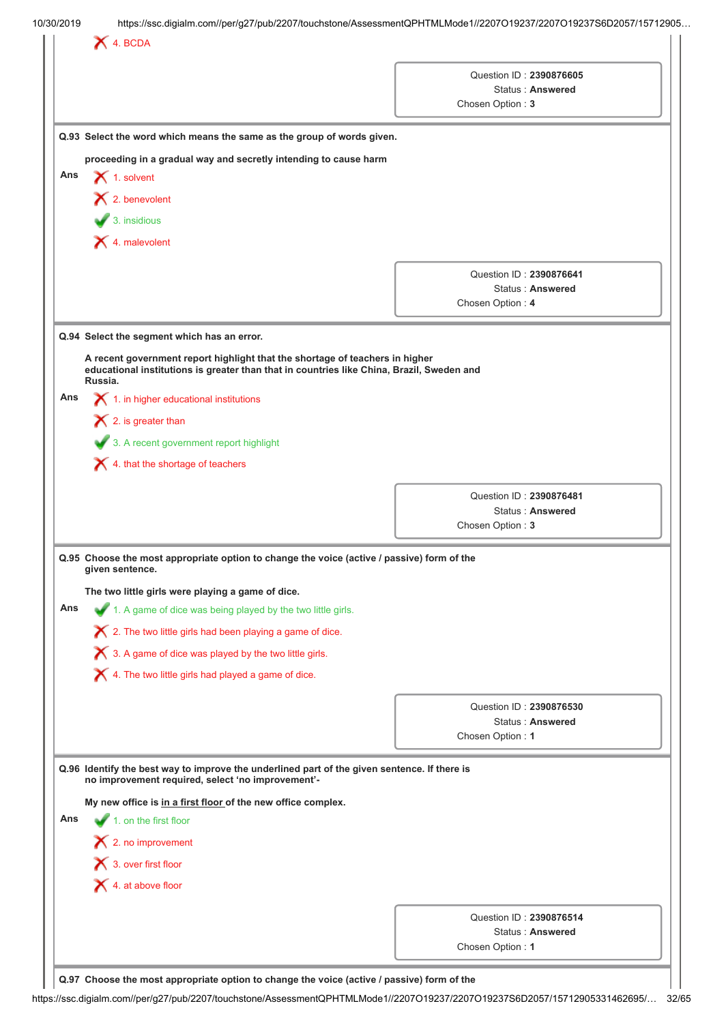|     |                                                                                                                                                                                      | Chosen Option: 3        | Question ID: 2390876605<br>Status: Answered |
|-----|--------------------------------------------------------------------------------------------------------------------------------------------------------------------------------------|-------------------------|---------------------------------------------|
|     | Q.93 Select the word which means the same as the group of words given.                                                                                                               |                         |                                             |
|     | proceeding in a gradual way and secretly intending to cause harm                                                                                                                     |                         |                                             |
| Ans | $\bigtimes$ 1. solvent                                                                                                                                                               |                         |                                             |
|     | $\bigtimes$ 2. benevolent                                                                                                                                                            |                         |                                             |
|     | $\bigvee$ 3. insidious                                                                                                                                                               |                         |                                             |
|     | $\blacktriangleright$ 4. malevolent                                                                                                                                                  |                         |                                             |
|     |                                                                                                                                                                                      |                         |                                             |
|     |                                                                                                                                                                                      | Question ID: 2390876641 | Status: Answered                            |
|     |                                                                                                                                                                                      | Chosen Option: 4        |                                             |
|     | Q.94 Select the segment which has an error.                                                                                                                                          |                         |                                             |
|     |                                                                                                                                                                                      |                         |                                             |
|     | A recent government report highlight that the shortage of teachers in higher<br>educational institutions is greater than that in countries like China, Brazil, Sweden and<br>Russia. |                         |                                             |
| Ans | $\blacktriangleright$ 1. in higher educational institutions                                                                                                                          |                         |                                             |
|     | $\blacktriangleright$ 2. is greater than                                                                                                                                             |                         |                                             |
|     | 3. A recent government report highlight                                                                                                                                              |                         |                                             |
|     | $\blacktriangleright$ 4. that the shortage of teachers                                                                                                                               |                         |                                             |
|     |                                                                                                                                                                                      |                         |                                             |
|     |                                                                                                                                                                                      | Question ID: 2390876481 | Status: Answered                            |
|     |                                                                                                                                                                                      | Chosen Option: 3        |                                             |
|     | Q.95 Choose the most appropriate option to change the voice (active / passive) form of the                                                                                           |                         |                                             |
|     | given sentence.                                                                                                                                                                      |                         |                                             |
| Ans | The two little girls were playing a game of dice.                                                                                                                                    |                         |                                             |
|     | 1. A game of dice was being played by the two little girls.                                                                                                                          |                         |                                             |
|     | $\boldsymbol{\times}$ 2. The two little girls had been playing a game of dice.                                                                                                       |                         |                                             |
|     | X 3. A game of dice was played by the two little girls.                                                                                                                              |                         |                                             |
|     | X 4. The two little girls had played a game of dice.                                                                                                                                 |                         |                                             |
|     |                                                                                                                                                                                      | Question ID: 2390876530 |                                             |
|     |                                                                                                                                                                                      |                         | Status: Answered                            |
|     |                                                                                                                                                                                      | Chosen Option: 1        |                                             |
|     | Q.96 Identify the best way to improve the underlined part of the given sentence. If there is<br>no improvement required, select 'no improvement'-                                    |                         |                                             |
|     | My new office is in a first floor of the new office complex.                                                                                                                         |                         |                                             |
|     | $\blacktriangleright$ 1. on the first floor                                                                                                                                          |                         |                                             |
|     |                                                                                                                                                                                      |                         |                                             |
|     | $\mathsf{\times}$ 2. no improvement                                                                                                                                                  |                         |                                             |
|     | 3. over first floor                                                                                                                                                                  |                         |                                             |
| Ans | $\bigtimes$ 4. at above floor                                                                                                                                                        |                         |                                             |
|     |                                                                                                                                                                                      |                         |                                             |
|     |                                                                                                                                                                                      |                         | Question ID: 2390876514<br>Status: Answered |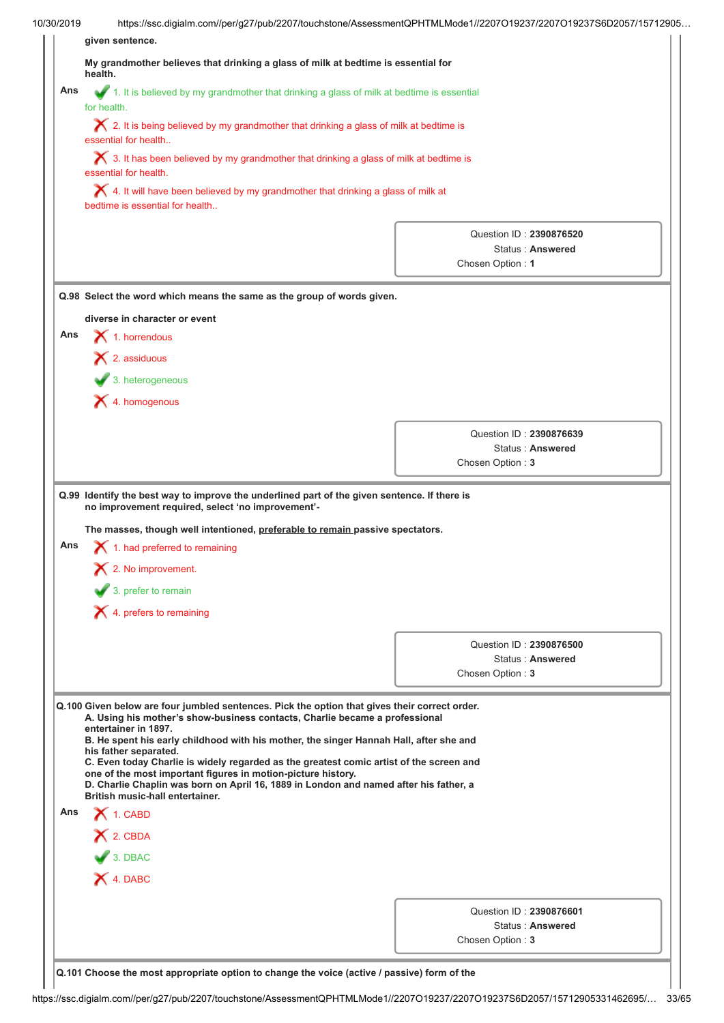| 10/30/2019 | https://ssc.digialm.com//per/g27/pub/2207/touchstone/AssessmentQPHTMLMode1//2207O19237/2207O19237S6D2057/15712905                                                                                                                                                                                                                                                                                                                                                                                                                                                                                                     |                                             |  |
|------------|-----------------------------------------------------------------------------------------------------------------------------------------------------------------------------------------------------------------------------------------------------------------------------------------------------------------------------------------------------------------------------------------------------------------------------------------------------------------------------------------------------------------------------------------------------------------------------------------------------------------------|---------------------------------------------|--|
|            | given sentence.                                                                                                                                                                                                                                                                                                                                                                                                                                                                                                                                                                                                       |                                             |  |
|            | My grandmother believes that drinking a glass of milk at bedtime is essential for<br>health.                                                                                                                                                                                                                                                                                                                                                                                                                                                                                                                          |                                             |  |
| Ans        | 1. It is believed by my grandmother that drinking a glass of milk at bedtime is essential<br>for health.                                                                                                                                                                                                                                                                                                                                                                                                                                                                                                              |                                             |  |
|            | $\boldsymbol{\times}$ 2. It is being believed by my grandmother that drinking a glass of milk at bedtime is<br>essential for health                                                                                                                                                                                                                                                                                                                                                                                                                                                                                   |                                             |  |
|            | $\blacktriangleright$ 3. It has been believed by my grandmother that drinking a glass of milk at bedtime is<br>essential for health.                                                                                                                                                                                                                                                                                                                                                                                                                                                                                  |                                             |  |
|            | $\blacktriangleright$ 4. It will have been believed by my grandmother that drinking a glass of milk at<br>bedtime is essential for health                                                                                                                                                                                                                                                                                                                                                                                                                                                                             |                                             |  |
|            |                                                                                                                                                                                                                                                                                                                                                                                                                                                                                                                                                                                                                       | Question ID: 2390876520                     |  |
|            |                                                                                                                                                                                                                                                                                                                                                                                                                                                                                                                                                                                                                       | Status: Answered                            |  |
|            |                                                                                                                                                                                                                                                                                                                                                                                                                                                                                                                                                                                                                       | Chosen Option: 1                            |  |
|            | Q.98 Select the word which means the same as the group of words given.                                                                                                                                                                                                                                                                                                                                                                                                                                                                                                                                                |                                             |  |
|            | diverse in character or event                                                                                                                                                                                                                                                                                                                                                                                                                                                                                                                                                                                         |                                             |  |
| Ans        | $\blacktriangleright$ 1. horrendous                                                                                                                                                                                                                                                                                                                                                                                                                                                                                                                                                                                   |                                             |  |
|            | $\blacktriangleright$ 2. assiduous                                                                                                                                                                                                                                                                                                                                                                                                                                                                                                                                                                                    |                                             |  |
|            | $\blacktriangleright$ 3. heterogeneous                                                                                                                                                                                                                                                                                                                                                                                                                                                                                                                                                                                |                                             |  |
|            | X 4. homogenous                                                                                                                                                                                                                                                                                                                                                                                                                                                                                                                                                                                                       |                                             |  |
|            |                                                                                                                                                                                                                                                                                                                                                                                                                                                                                                                                                                                                                       |                                             |  |
|            |                                                                                                                                                                                                                                                                                                                                                                                                                                                                                                                                                                                                                       | Question ID: 2390876639                     |  |
|            |                                                                                                                                                                                                                                                                                                                                                                                                                                                                                                                                                                                                                       | Status: Answered                            |  |
|            |                                                                                                                                                                                                                                                                                                                                                                                                                                                                                                                                                                                                                       |                                             |  |
|            | Q.99 Identify the best way to improve the underlined part of the given sentence. If there is<br>no improvement required, select 'no improvement'-                                                                                                                                                                                                                                                                                                                                                                                                                                                                     | Chosen Option: 3                            |  |
| Ans        | The masses, though well intentioned, preferable to remain passive spectators.<br>1. had preferred to remaining                                                                                                                                                                                                                                                                                                                                                                                                                                                                                                        |                                             |  |
|            | 2. No improvement.                                                                                                                                                                                                                                                                                                                                                                                                                                                                                                                                                                                                    |                                             |  |
|            | $\overline{\phantom{a}}$ 3. prefer to remain                                                                                                                                                                                                                                                                                                                                                                                                                                                                                                                                                                          |                                             |  |
|            | $\blacktriangleright$ 4. prefers to remaining                                                                                                                                                                                                                                                                                                                                                                                                                                                                                                                                                                         |                                             |  |
|            |                                                                                                                                                                                                                                                                                                                                                                                                                                                                                                                                                                                                                       |                                             |  |
|            |                                                                                                                                                                                                                                                                                                                                                                                                                                                                                                                                                                                                                       | Question ID: 2390876500<br>Status: Answered |  |
|            |                                                                                                                                                                                                                                                                                                                                                                                                                                                                                                                                                                                                                       | Chosen Option: 3                            |  |
|            | Q.100 Given below are four jumbled sentences. Pick the option that gives their correct order.<br>A. Using his mother's show-business contacts, Charlie became a professional<br>entertainer in 1897.<br>B. He spent his early childhood with his mother, the singer Hannah Hall, after she and<br>his father separated.<br>C. Even today Charlie is widely regarded as the greatest comic artist of the screen and<br>one of the most important figures in motion-picture history.<br>D. Charlie Chaplin was born on April 16, 1889 in London and named after his father, a<br><b>British music-hall entertainer.</b> |                                             |  |
| Ans        | $\bigtimes$ 1. CABD                                                                                                                                                                                                                                                                                                                                                                                                                                                                                                                                                                                                   |                                             |  |
|            | X 2. CBDA                                                                                                                                                                                                                                                                                                                                                                                                                                                                                                                                                                                                             |                                             |  |
|            | 3. DBAC                                                                                                                                                                                                                                                                                                                                                                                                                                                                                                                                                                                                               |                                             |  |
|            | X 4. DABC                                                                                                                                                                                                                                                                                                                                                                                                                                                                                                                                                                                                             |                                             |  |
|            |                                                                                                                                                                                                                                                                                                                                                                                                                                                                                                                                                                                                                       |                                             |  |
|            |                                                                                                                                                                                                                                                                                                                                                                                                                                                                                                                                                                                                                       | Question ID: 2390876601                     |  |
|            |                                                                                                                                                                                                                                                                                                                                                                                                                                                                                                                                                                                                                       | Status: Answered<br>Chosen Option: 3        |  |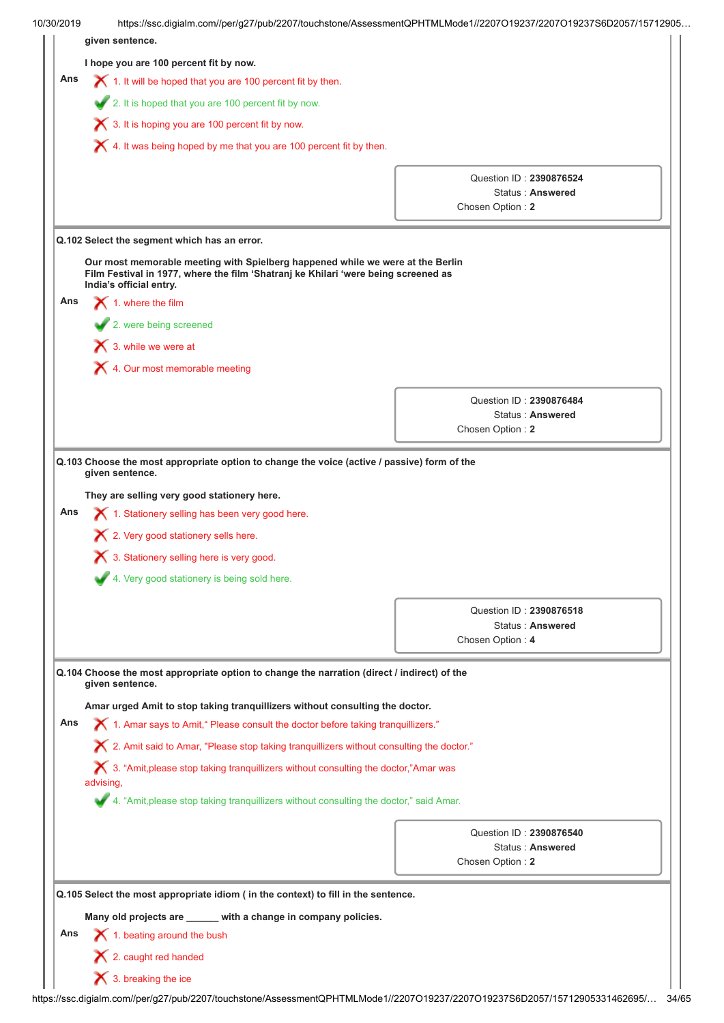| 10/30/2019 | https://ssc.digialm.com//per/g27/pub/2207/touchstone/AssessmentQPHTMLMode1//2207O19237/2207O19237S6D2057/15712905                                                                               |                                                    |  |
|------------|-------------------------------------------------------------------------------------------------------------------------------------------------------------------------------------------------|----------------------------------------------------|--|
|            | given sentence.                                                                                                                                                                                 |                                                    |  |
|            | I hope you are 100 percent fit by now.                                                                                                                                                          |                                                    |  |
| Ans        | 1. It will be hoped that you are 100 percent fit by then.                                                                                                                                       |                                                    |  |
|            | 2. It is hoped that you are 100 percent fit by now.                                                                                                                                             |                                                    |  |
|            | 3. It is hoping you are 100 percent fit by now.                                                                                                                                                 |                                                    |  |
|            | $\blacktriangleright$ 4. It was being hoped by me that you are 100 percent fit by then.                                                                                                         |                                                    |  |
|            |                                                                                                                                                                                                 | Question ID: 2390876524                            |  |
|            |                                                                                                                                                                                                 | Status: Answered                                   |  |
|            |                                                                                                                                                                                                 | Chosen Option: 2                                   |  |
|            | Q.102 Select the segment which has an error.                                                                                                                                                    |                                                    |  |
|            | Our most memorable meeting with Spielberg happened while we were at the Berlin<br>Film Festival in 1977, where the film 'Shatranj ke Khilari 'were being screened as<br>India's official entry. |                                                    |  |
| Ans        | $\blacktriangleright$ 1. where the film                                                                                                                                                         |                                                    |  |
|            | 2. were being screened                                                                                                                                                                          |                                                    |  |
|            | $\mathsf{\times}$ 3. while we were at                                                                                                                                                           |                                                    |  |
|            | X 4. Our most memorable meeting                                                                                                                                                                 |                                                    |  |
|            |                                                                                                                                                                                                 |                                                    |  |
|            |                                                                                                                                                                                                 | Question ID: 2390876484                            |  |
|            |                                                                                                                                                                                                 | Status: Answered                                   |  |
|            |                                                                                                                                                                                                 | Chosen Option: 2                                   |  |
|            | 3. Stationery selling here is very good.<br>4. Very good stationery is being sold here.                                                                                                         |                                                    |  |
|            |                                                                                                                                                                                                 |                                                    |  |
|            |                                                                                                                                                                                                 | Question ID: 2390876518<br><b>Status: Answered</b> |  |
|            |                                                                                                                                                                                                 | Chosen Option: 4                                   |  |
|            | Q.104 Choose the most appropriate option to change the narration (direct / indirect) of the<br>given sentence.                                                                                  |                                                    |  |
|            | Amar urged Amit to stop taking tranquillizers without consulting the doctor.                                                                                                                    |                                                    |  |
| Ans        | X 1. Amar says to Amit," Please consult the doctor before taking tranquillizers."                                                                                                               |                                                    |  |
|            | X 2. Amit said to Amar, "Please stop taking tranquillizers without consulting the doctor."                                                                                                      |                                                    |  |
|            | $\bigtimes$ 3. "Amit, please stop taking tranquillizers without consulting the doctor,"Amar was<br>advising,                                                                                    |                                                    |  |
|            | 4. "Amit, please stop taking tranquillizers without consulting the doctor," said Amar.                                                                                                          |                                                    |  |
|            |                                                                                                                                                                                                 | Question ID: 2390876540                            |  |
|            |                                                                                                                                                                                                 | Status: Answered                                   |  |
|            |                                                                                                                                                                                                 | Chosen Option: 2                                   |  |
|            | Q.105 Select the most appropriate idiom ( in the context) to fill in the sentence.                                                                                                              |                                                    |  |
|            | Many old projects are _____ with a change in company policies.                                                                                                                                  |                                                    |  |
| Ans        | 1. beating around the bush                                                                                                                                                                      |                                                    |  |
|            |                                                                                                                                                                                                 |                                                    |  |
|            | $\blacktriangleright$ 2. caught red handed                                                                                                                                                      |                                                    |  |
|            | $\blacktriangleright$ 3. breaking the ice                                                                                                                                                       |                                                    |  |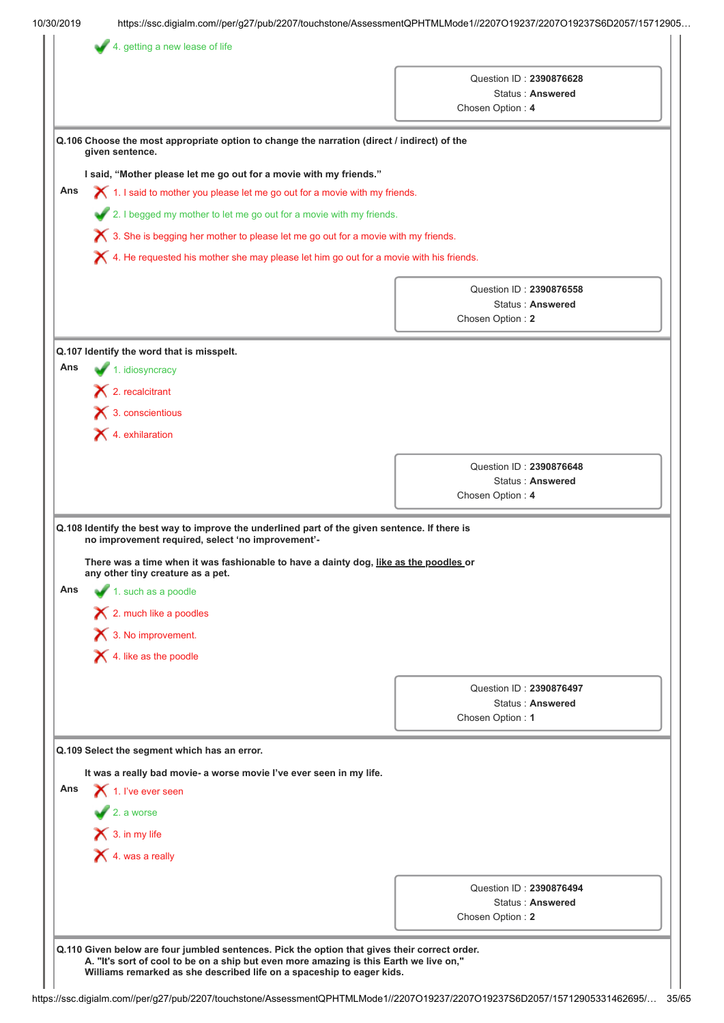|     |                                                                                                                                                                                                                                                                                              | Question ID: 2390876628<br>Status: Answered<br>Chosen Option: 4 |
|-----|----------------------------------------------------------------------------------------------------------------------------------------------------------------------------------------------------------------------------------------------------------------------------------------------|-----------------------------------------------------------------|
|     | Q.106 Choose the most appropriate option to change the narration (direct / indirect) of the<br>given sentence.                                                                                                                                                                               |                                                                 |
|     | I said, "Mother please let me go out for a movie with my friends."                                                                                                                                                                                                                           |                                                                 |
| Ans | $\chi$ 1. I said to mother you please let me go out for a movie with my friends.                                                                                                                                                                                                             |                                                                 |
|     | 2. I begged my mother to let me go out for a movie with my friends.                                                                                                                                                                                                                          |                                                                 |
|     | $\boldsymbol{\times}$ 3. She is begging her mother to please let me go out for a movie with my friends.                                                                                                                                                                                      |                                                                 |
|     | $\boldsymbol{\times}$ 4. He requested his mother she may please let him go out for a movie with his friends.                                                                                                                                                                                 |                                                                 |
|     |                                                                                                                                                                                                                                                                                              | Question ID: 2390876558                                         |
|     |                                                                                                                                                                                                                                                                                              | Status: Answered                                                |
|     |                                                                                                                                                                                                                                                                                              | Chosen Option: 2                                                |
|     | Q.107 Identify the word that is misspelt.                                                                                                                                                                                                                                                    |                                                                 |
| Ans | 1. idiosyncracy                                                                                                                                                                                                                                                                              |                                                                 |
|     | $\blacktriangleright$ 2. recalcitrant                                                                                                                                                                                                                                                        |                                                                 |
|     | $\bigtimes$ 3. conscientious                                                                                                                                                                                                                                                                 |                                                                 |
|     | X 4. exhilaration                                                                                                                                                                                                                                                                            |                                                                 |
|     |                                                                                                                                                                                                                                                                                              | Question ID: 2390876648                                         |
|     |                                                                                                                                                                                                                                                                                              | Status: Answered                                                |
|     |                                                                                                                                                                                                                                                                                              | Chosen Option: 4                                                |
| Ans | There was a time when it was fashionable to have a dainty dog, like as the poodles or<br>any other tiny creature as a pet.<br>$\blacktriangleright$ 1. such as a poodle<br>$\blacktriangleright$ 2. much like a poodles<br>3. No improvement.<br>$\blacktriangleright$ 4. like as the poodle |                                                                 |
|     |                                                                                                                                                                                                                                                                                              |                                                                 |
|     |                                                                                                                                                                                                                                                                                              | Question ID: 2390876497<br>Status: Answered                     |
|     |                                                                                                                                                                                                                                                                                              | Chosen Option: 1                                                |
|     | Q.109 Select the segment which has an error.                                                                                                                                                                                                                                                 |                                                                 |
|     | It was a really bad movie- a worse movie I've ever seen in my life.                                                                                                                                                                                                                          |                                                                 |
| Ans | 1. I've ever seen                                                                                                                                                                                                                                                                            |                                                                 |
|     | $\sqrt{2}$ . a worse                                                                                                                                                                                                                                                                         |                                                                 |
|     | $\bigtimes$ 3. in my life                                                                                                                                                                                                                                                                    |                                                                 |
|     | $\bigtimes$ 4. was a really                                                                                                                                                                                                                                                                  |                                                                 |
|     |                                                                                                                                                                                                                                                                                              |                                                                 |
|     |                                                                                                                                                                                                                                                                                              | Question ID: 2390876494                                         |
|     |                                                                                                                                                                                                                                                                                              | Status: Answered<br>Chosen Option: 2                            |
|     |                                                                                                                                                                                                                                                                                              |                                                                 |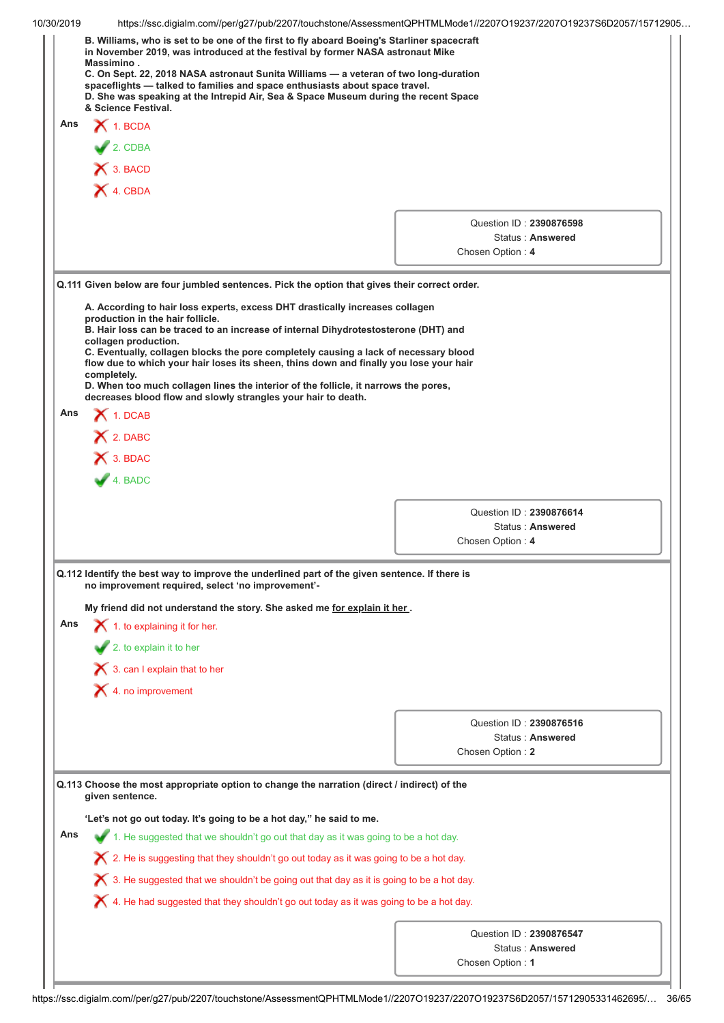| 10/30/2019 | https://ssc.digialm.com//per/g27/pub/2207/touchstone/AssessmentQPHTMLMode1//2207O19237/2207O19237S6D2057/15712905<br>B. Williams, who is set to be one of the first to fly aboard Boeing's Starliner spacecraft<br>in November 2019, was introduced at the festival by former NASA astronaut Mike<br>Massimino.<br>C. On Sept. 22, 2018 NASA astronaut Sunita Williams - a veteran of two long-duration<br>spaceflights - talked to families and space enthusiasts about space travel.<br>D. She was speaking at the Intrepid Air, Sea & Space Museum during the recent Space<br>& Science Festival.                     |                                                                 |
|------------|--------------------------------------------------------------------------------------------------------------------------------------------------------------------------------------------------------------------------------------------------------------------------------------------------------------------------------------------------------------------------------------------------------------------------------------------------------------------------------------------------------------------------------------------------------------------------------------------------------------------------|-----------------------------------------------------------------|
| Ans        | $\bigtimes$ 1. BCDA<br>$2$ . CDBA<br>X 3. BACD                                                                                                                                                                                                                                                                                                                                                                                                                                                                                                                                                                           |                                                                 |
|            | X 4. CBDA                                                                                                                                                                                                                                                                                                                                                                                                                                                                                                                                                                                                                | Question ID: 2390876598<br>Status: Answered<br>Chosen Option: 4 |
|            | Q.111 Given below are four jumbled sentences. Pick the option that gives their correct order.<br>A. According to hair loss experts, excess DHT drastically increases collagen<br>production in the hair follicle.<br>B. Hair loss can be traced to an increase of internal Dihydrotestosterone (DHT) and<br>collagen production.<br>C. Eventually, collagen blocks the pore completely causing a lack of necessary blood<br>flow due to which your hair loses its sheen, thins down and finally you lose your hair<br>completely.<br>D. When too much collagen lines the interior of the follicle, it narrows the pores, |                                                                 |
| Ans        | decreases blood flow and slowly strangles your hair to death.<br>$\bigtimes$ 1. DCAB<br>$\bigtimes$ 2. DABC<br>X 3. BDAC<br>$4.$ BADC                                                                                                                                                                                                                                                                                                                                                                                                                                                                                    |                                                                 |
|            |                                                                                                                                                                                                                                                                                                                                                                                                                                                                                                                                                                                                                          | Question ID: 2390876614<br>Status: Answered<br>Chosen Option: 4 |
|            | Q.112 Identify the best way to improve the underlined part of the given sentence. If there is<br>no improvement required, select 'no improvement'-                                                                                                                                                                                                                                                                                                                                                                                                                                                                       |                                                                 |
| Ans        | My friend did not understand the story. She asked me for explain it her.<br>$\boldsymbol{\times}$ 1. to explaining it for her.<br>2. to explain it to her<br>$\boldsymbol{\times}$ 3. can I explain that to her                                                                                                                                                                                                                                                                                                                                                                                                          |                                                                 |
|            | $\blacktriangleright$ 4. no improvement                                                                                                                                                                                                                                                                                                                                                                                                                                                                                                                                                                                  |                                                                 |
|            |                                                                                                                                                                                                                                                                                                                                                                                                                                                                                                                                                                                                                          | Question ID: 2390876516<br>Status: Answered<br>Chosen Option: 2 |
|            | Q.113 Choose the most appropriate option to change the narration (direct / indirect) of the<br>given sentence.                                                                                                                                                                                                                                                                                                                                                                                                                                                                                                           |                                                                 |
| Ans        | 'Let's not go out today. It's going to be a hot day," he said to me.<br>1. He suggested that we shouldn't go out that day as it was going to be a hot day.                                                                                                                                                                                                                                                                                                                                                                                                                                                               |                                                                 |
|            | $\blacktriangleright$ 2. He is suggesting that they shouldn't go out today as it was going to be a hot day.<br>$\blacktriangleright$ 3. He suggested that we shouldn't be going out that day as it is going to be a hot day.<br>$\blacktriangleright$ 4. He had suggested that they shouldn't go out today as it was going to be a hot day.                                                                                                                                                                                                                                                                              |                                                                 |
|            |                                                                                                                                                                                                                                                                                                                                                                                                                                                                                                                                                                                                                          | Question ID: 2390876547<br>Status: Answered<br>Chosen Option: 1 |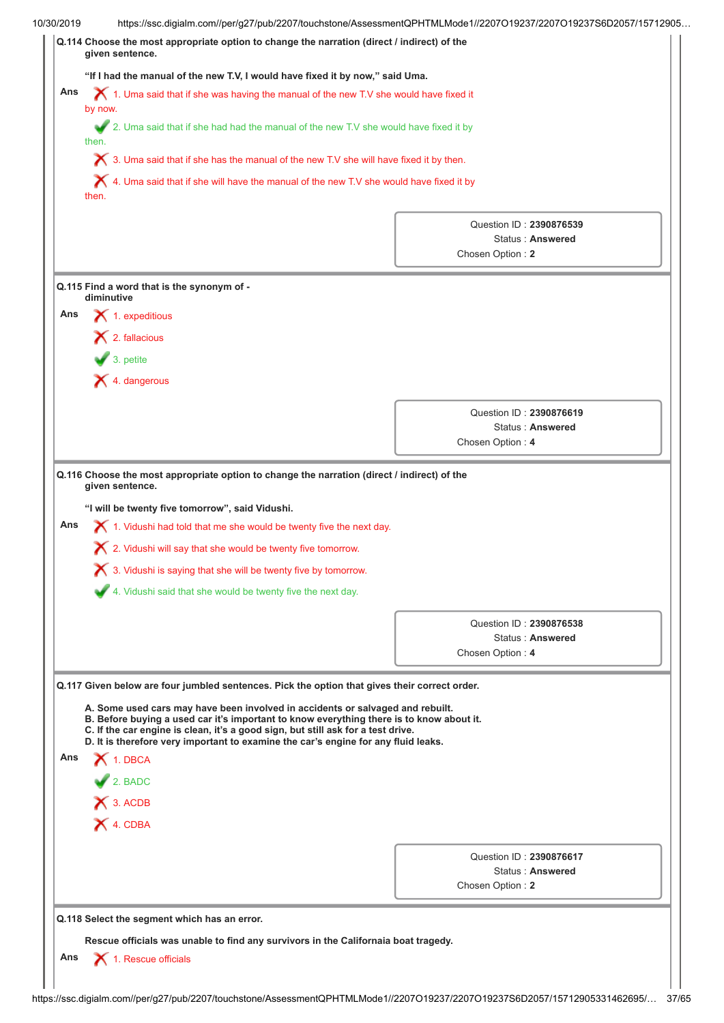|     | "If I had the manual of the new T.V, I would have fixed it by now," said Uma.                                                                                                                                                                                                                                                                                                                                                                                                |                                                    |  |  |  |
|-----|------------------------------------------------------------------------------------------------------------------------------------------------------------------------------------------------------------------------------------------------------------------------------------------------------------------------------------------------------------------------------------------------------------------------------------------------------------------------------|----------------------------------------------------|--|--|--|
| Ans | $\blacktriangleright$ 1. Uma said that if she was having the manual of the new T.V she would have fixed it<br>by now.                                                                                                                                                                                                                                                                                                                                                        |                                                    |  |  |  |
|     | 2. Uma said that if she had had the manual of the new T.V she would have fixed it by<br>then.                                                                                                                                                                                                                                                                                                                                                                                |                                                    |  |  |  |
|     | $\bigtimes$ 3. Uma said that if she has the manual of the new T.V she will have fixed it by then.                                                                                                                                                                                                                                                                                                                                                                            |                                                    |  |  |  |
|     | $\bigtimes$ 4. Uma said that if she will have the manual of the new T.V she would have fixed it by<br>then.                                                                                                                                                                                                                                                                                                                                                                  |                                                    |  |  |  |
|     |                                                                                                                                                                                                                                                                                                                                                                                                                                                                              | Question ID: 2390876539                            |  |  |  |
|     |                                                                                                                                                                                                                                                                                                                                                                                                                                                                              | Status: Answered                                   |  |  |  |
|     |                                                                                                                                                                                                                                                                                                                                                                                                                                                                              | Chosen Option: 2                                   |  |  |  |
|     | Q.115 Find a word that is the synonym of -<br>diminutive                                                                                                                                                                                                                                                                                                                                                                                                                     |                                                    |  |  |  |
| Ans | $\blacktriangleright$ 1. expeditious                                                                                                                                                                                                                                                                                                                                                                                                                                         |                                                    |  |  |  |
|     | $\blacktriangleright$ 2. fallacious                                                                                                                                                                                                                                                                                                                                                                                                                                          |                                                    |  |  |  |
|     | $\bullet$ 3. petite                                                                                                                                                                                                                                                                                                                                                                                                                                                          |                                                    |  |  |  |
|     | $\blacktriangleright$ 4. dangerous                                                                                                                                                                                                                                                                                                                                                                                                                                           |                                                    |  |  |  |
|     |                                                                                                                                                                                                                                                                                                                                                                                                                                                                              |                                                    |  |  |  |
|     |                                                                                                                                                                                                                                                                                                                                                                                                                                                                              | Question ID: 2390876619<br><b>Status: Answered</b> |  |  |  |
|     |                                                                                                                                                                                                                                                                                                                                                                                                                                                                              | Chosen Option: 4                                   |  |  |  |
|     | Q.116 Choose the most appropriate option to change the narration (direct / indirect) of the<br>given sentence.<br>"I will be twenty five tomorrow", said Vidushi.<br>1. Vidushi had told that me she would be twenty five the next day.<br>X 2. Vidushi will say that she would be twenty five tomorrow.                                                                                                                                                                     |                                                    |  |  |  |
| Ans | X 3. Vidushi is saying that she will be twenty five by tomorrow.                                                                                                                                                                                                                                                                                                                                                                                                             |                                                    |  |  |  |
|     | 4. Vidushi said that she would be twenty five the next day.                                                                                                                                                                                                                                                                                                                                                                                                                  |                                                    |  |  |  |
|     |                                                                                                                                                                                                                                                                                                                                                                                                                                                                              | Question ID: 2390876538                            |  |  |  |
|     |                                                                                                                                                                                                                                                                                                                                                                                                                                                                              | Status: Answered<br>Chosen Option: 4               |  |  |  |
|     |                                                                                                                                                                                                                                                                                                                                                                                                                                                                              |                                                    |  |  |  |
|     | Q.117 Given below are four jumbled sentences. Pick the option that gives their correct order.<br>A. Some used cars may have been involved in accidents or salvaged and rebuilt.<br>B. Before buying a used car it's important to know everything there is to know about it.<br>C. If the car engine is clean, it's a good sign, but still ask for a test drive.<br>D. It is therefore very important to examine the car's engine for any fluid leaks.<br>$\bigtimes$ 1. DBCA |                                                    |  |  |  |
|     | $2.$ BADC                                                                                                                                                                                                                                                                                                                                                                                                                                                                    |                                                    |  |  |  |
| Ans | X 3. ACDB                                                                                                                                                                                                                                                                                                                                                                                                                                                                    |                                                    |  |  |  |
|     | X 4. CDBA                                                                                                                                                                                                                                                                                                                                                                                                                                                                    |                                                    |  |  |  |
|     |                                                                                                                                                                                                                                                                                                                                                                                                                                                                              |                                                    |  |  |  |
|     |                                                                                                                                                                                                                                                                                                                                                                                                                                                                              | Question ID: 2390876617<br>Status: Answered        |  |  |  |
|     |                                                                                                                                                                                                                                                                                                                                                                                                                                                                              | Chosen Option: 2                                   |  |  |  |
|     | Q.118 Select the segment which has an error.                                                                                                                                                                                                                                                                                                                                                                                                                                 |                                                    |  |  |  |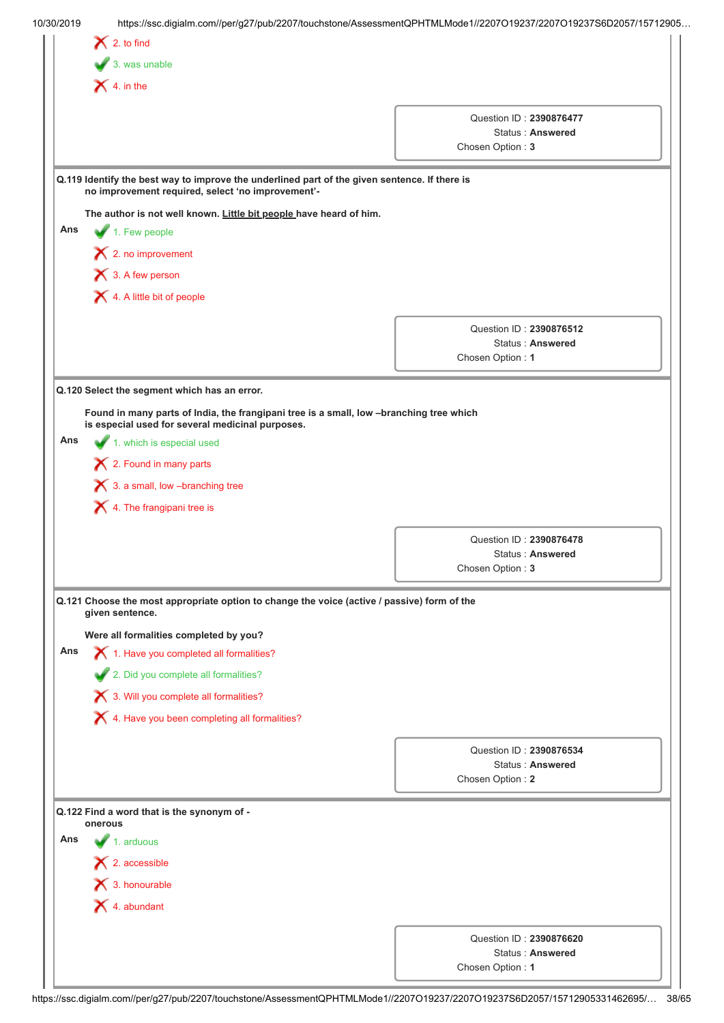| 10/30/2019 | https://ssc.digialm.com//per/g27/pub/2207/touchstone/AssessmentQPHTMLMode1//2207O19237/2207O19237S6D2057/15712905                                  |                                      |
|------------|----------------------------------------------------------------------------------------------------------------------------------------------------|--------------------------------------|
|            | $\bigtimes$ 2. to find                                                                                                                             |                                      |
|            | $\bigvee$ 3. was unable                                                                                                                            |                                      |
|            | $\bigtimes$ 4. in the                                                                                                                              |                                      |
|            |                                                                                                                                                    | Question ID: 2390876477              |
|            |                                                                                                                                                    | Status: Answered                     |
|            |                                                                                                                                                    | Chosen Option: 3                     |
|            | Q.119 Identify the best way to improve the underlined part of the given sentence. If there is<br>no improvement required, select 'no improvement'- |                                      |
|            | The author is not well known. Little bit people have heard of him.                                                                                 |                                      |
| Ans        | $\blacktriangleright$ 1. Few people                                                                                                                |                                      |
|            | $\blacktriangleright$ 2. no improvement                                                                                                            |                                      |
|            | $\bigtimes$ 3. A few person                                                                                                                        |                                      |
|            | 4. A little bit of people                                                                                                                          |                                      |
|            |                                                                                                                                                    |                                      |
|            |                                                                                                                                                    | Question ID: 2390876512              |
|            |                                                                                                                                                    | Status: Answered<br>Chosen Option: 1 |
|            |                                                                                                                                                    |                                      |
|            | Q.120 Select the segment which has an error.                                                                                                       |                                      |
|            | Found in many parts of India, the frangipani tree is a small, low -branching tree which                                                            |                                      |
|            | is especial used for several medicinal purposes.                                                                                                   |                                      |
| Ans        | 1. which is especial used                                                                                                                          |                                      |
|            | 2. Found in many parts                                                                                                                             |                                      |
|            | $\boldsymbol{\times}$ 3. a small, low -branching tree                                                                                              |                                      |
|            | $\blacktriangleright$ 4. The frangipani tree is                                                                                                    |                                      |
|            |                                                                                                                                                    | Question ID: 2390876478              |
|            |                                                                                                                                                    | <b>Status: Answered</b>              |
|            |                                                                                                                                                    | Chosen Option: 3                     |
|            | Q.121 Choose the most appropriate option to change the voice (active / passive) form of the<br>given sentence.                                     |                                      |
|            | Were all formalities completed by you?                                                                                                             |                                      |
| Ans        | 1. Have you completed all formalities?                                                                                                             |                                      |
|            | 2. Did you complete all formalities?                                                                                                               |                                      |
|            | 3. Will you complete all formalities?                                                                                                              |                                      |
|            | X 4. Have you been completing all formalities?                                                                                                     |                                      |
|            |                                                                                                                                                    |                                      |
|            |                                                                                                                                                    |                                      |
|            |                                                                                                                                                    | Question ID: 2390876534              |
|            |                                                                                                                                                    | Status: Answered                     |
|            |                                                                                                                                                    | Chosen Option: 2                     |
|            | Q.122 Find a word that is the synonym of -                                                                                                         |                                      |
| Ans        | onerous                                                                                                                                            |                                      |
|            | 1. arduous                                                                                                                                         |                                      |
|            | $\blacktriangleright$ 2. accessible                                                                                                                |                                      |
|            | $\mathsf{\times}$ 3. honourable                                                                                                                    |                                      |
|            | $\blacktriangleright$ 4. abundant                                                                                                                  |                                      |
|            |                                                                                                                                                    | Question ID: 2390876620              |
|            |                                                                                                                                                    | Status: Answered<br>Chosen Option: 1 |

https://ssc.digialm.com//per/g27/pub/2207/touchstone/AssessmentQPHTMLMode1//2207O19237/2207O19237S6D2057/15712905331462695/… 38/65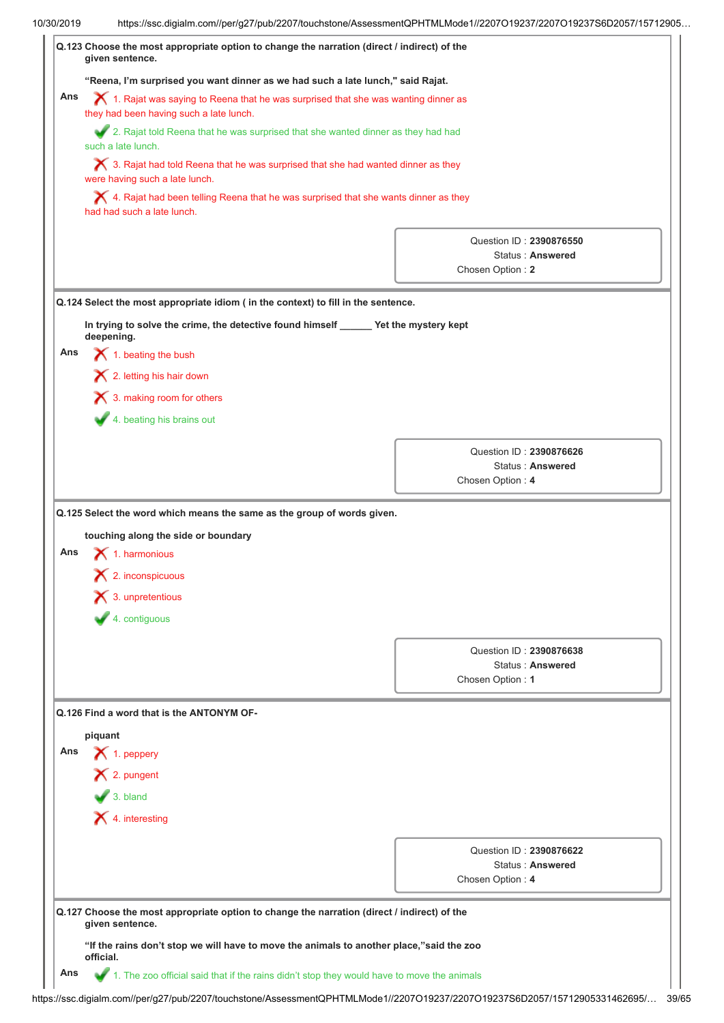|     | https://ssc.digialm.com//per/g27/pub/2207/touchstone/AssessmentQPHTMLMode1//2207O19237/2207O19237S6D2057/15712905                          |                                      |  |  |  |
|-----|--------------------------------------------------------------------------------------------------------------------------------------------|--------------------------------------|--|--|--|
|     | Q.123 Choose the most appropriate option to change the narration (direct / indirect) of the<br>given sentence.                             |                                      |  |  |  |
|     | "Reena, I'm surprised you want dinner as we had such a late lunch," said Rajat.                                                            |                                      |  |  |  |
| Ans | $\bm{\times}$ 1. Rajat was saying to Reena that he was surprised that she was wanting dinner as<br>they had been having such a late lunch. |                                      |  |  |  |
|     | 2. Rajat told Reena that he was surprised that she wanted dinner as they had had<br>such a late lunch.                                     |                                      |  |  |  |
|     | $\bigtimes$ 3. Rajat had told Reena that he was surprised that she had wanted dinner as they<br>were having such a late lunch.             |                                      |  |  |  |
|     | $\blacktriangleright$ 4. Rajat had been telling Reena that he was surprised that she wants dinner as they<br>had had such a late lunch.    |                                      |  |  |  |
|     |                                                                                                                                            | Question ID: 2390876550              |  |  |  |
|     |                                                                                                                                            | Status: Answered                     |  |  |  |
|     |                                                                                                                                            | Chosen Option: 2                     |  |  |  |
|     | Q.124 Select the most appropriate idiom ( in the context) to fill in the sentence.                                                         |                                      |  |  |  |
|     | In trying to solve the crime, the detective found himself ______ Yet the mystery kept                                                      |                                      |  |  |  |
|     | deepening.                                                                                                                                 |                                      |  |  |  |
| Ans | $\bigtimes$ 1. beating the bush                                                                                                            |                                      |  |  |  |
|     | X 2. letting his hair down                                                                                                                 |                                      |  |  |  |
|     | $\boldsymbol{\times}$ 3. making room for others                                                                                            |                                      |  |  |  |
|     | 4. beating his brains out                                                                                                                  |                                      |  |  |  |
|     |                                                                                                                                            |                                      |  |  |  |
|     |                                                                                                                                            | Question ID: 2390876626              |  |  |  |
|     |                                                                                                                                            | Status: Answered<br>Chosen Option: 4 |  |  |  |
| Ans | touching along the side or boundary<br>$\blacktriangle$ 1. harmonious<br>$\blacktriangleright$ 2. inconspicuous                            |                                      |  |  |  |
|     | $\blacktriangleright$ 3. unpretentious                                                                                                     |                                      |  |  |  |
|     | $4.$ contiguous                                                                                                                            |                                      |  |  |  |
|     |                                                                                                                                            | Question ID: 2390876638              |  |  |  |
|     |                                                                                                                                            | Status: Answered                     |  |  |  |
|     |                                                                                                                                            | Chosen Option: 1                     |  |  |  |
|     | Q.126 Find a word that is the ANTONYM OF-                                                                                                  |                                      |  |  |  |
|     |                                                                                                                                            |                                      |  |  |  |
| Ans | piquant<br>$\blacktriangleright$ 1. peppery                                                                                                |                                      |  |  |  |
|     | × 2. pungent                                                                                                                               |                                      |  |  |  |
|     |                                                                                                                                            |                                      |  |  |  |
|     | $\sqrt{3}$ . bland                                                                                                                         |                                      |  |  |  |
|     | X 4. interesting                                                                                                                           |                                      |  |  |  |
|     |                                                                                                                                            |                                      |  |  |  |
|     |                                                                                                                                            | Question ID: 2390876622              |  |  |  |
|     |                                                                                                                                            | Status: Answered                     |  |  |  |
|     |                                                                                                                                            | Chosen Option: 4                     |  |  |  |
|     | Q.127 Choose the most appropriate option to change the narration (direct / indirect) of the<br>given sentence.                             |                                      |  |  |  |
|     | "If the rains don't stop we will have to move the animals to another place,"said the zoo<br>official.                                      |                                      |  |  |  |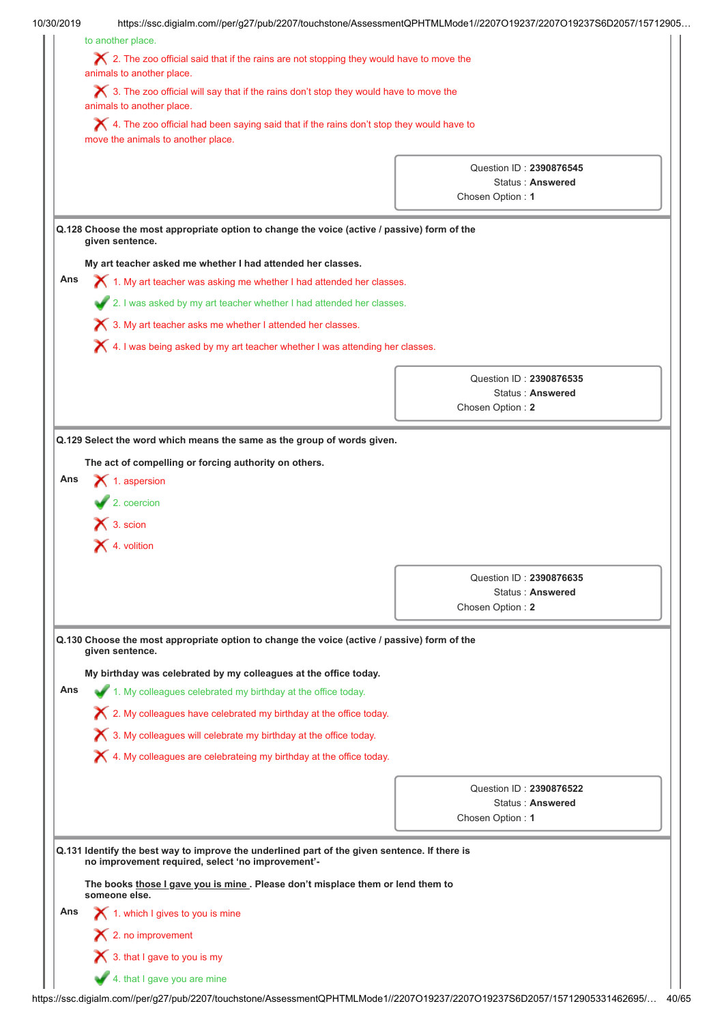|     |                                                                                                                                                    | https://ssc.digialm.com//per/g27/pub/2207/touchstone/AssessmentQPHTMLMode1//2207O19237/2207O19237S6D2057/15712905 |  |  |  |
|-----|----------------------------------------------------------------------------------------------------------------------------------------------------|-------------------------------------------------------------------------------------------------------------------|--|--|--|
|     | to another place.                                                                                                                                  |                                                                                                                   |  |  |  |
|     | $\boldsymbol{\times}$ 2. The zoo official said that if the rains are not stopping they would have to move the<br>animals to another place.         |                                                                                                                   |  |  |  |
|     | $\bigtimes$ 3. The zoo official will say that if the rains don't stop they would have to move the<br>animals to another place.                     |                                                                                                                   |  |  |  |
|     | X 4. The zoo official had been saying said that if the rains don't stop they would have to<br>move the animals to another place.                   |                                                                                                                   |  |  |  |
|     |                                                                                                                                                    |                                                                                                                   |  |  |  |
|     |                                                                                                                                                    | Question ID: 2390876545<br>Status: Answered                                                                       |  |  |  |
|     |                                                                                                                                                    | Chosen Option: 1                                                                                                  |  |  |  |
|     | Q.128 Choose the most appropriate option to change the voice (active / passive) form of the<br>given sentence.                                     |                                                                                                                   |  |  |  |
|     | My art teacher asked me whether I had attended her classes.                                                                                        |                                                                                                                   |  |  |  |
| Ans | $\chi$ 1. My art teacher was asking me whether I had attended her classes.                                                                         |                                                                                                                   |  |  |  |
|     |                                                                                                                                                    |                                                                                                                   |  |  |  |
|     | 2. I was asked by my art teacher whether I had attended her classes.                                                                               |                                                                                                                   |  |  |  |
|     | X 3. My art teacher asks me whether I attended her classes.                                                                                        |                                                                                                                   |  |  |  |
|     | $\blacktriangleright$ 4. I was being asked by my art teacher whether I was attending her classes.                                                  |                                                                                                                   |  |  |  |
|     |                                                                                                                                                    | Question ID: 2390876535                                                                                           |  |  |  |
|     |                                                                                                                                                    | <b>Status: Answered</b>                                                                                           |  |  |  |
|     |                                                                                                                                                    | Chosen Option: 2                                                                                                  |  |  |  |
|     |                                                                                                                                                    |                                                                                                                   |  |  |  |
|     | $\bigtimes$ 3. scion<br>$\blacktriangleright$ 4. volition                                                                                          |                                                                                                                   |  |  |  |
|     |                                                                                                                                                    |                                                                                                                   |  |  |  |
|     |                                                                                                                                                    | Question ID: 2390876635<br>Status: Answered                                                                       |  |  |  |
|     |                                                                                                                                                    | Chosen Option: 2                                                                                                  |  |  |  |
|     | Q.130 Choose the most appropriate option to change the voice (active / passive) form of the<br>given sentence.                                     |                                                                                                                   |  |  |  |
|     | My birthday was celebrated by my colleagues at the office today.                                                                                   |                                                                                                                   |  |  |  |
| Ans | 1. My colleagues celebrated my birthday at the office today.                                                                                       |                                                                                                                   |  |  |  |
|     | $\boldsymbol{\times}$ 2. My colleagues have celebrated my birthday at the office today.                                                            |                                                                                                                   |  |  |  |
|     |                                                                                                                                                    |                                                                                                                   |  |  |  |
|     | X 3. My colleagues will celebrate my birthday at the office today.                                                                                 |                                                                                                                   |  |  |  |
|     | $\bigtimes$ 4. My colleagues are celebrateing my birthday at the office today.                                                                     |                                                                                                                   |  |  |  |
|     |                                                                                                                                                    | Question ID: 2390876522                                                                                           |  |  |  |
|     |                                                                                                                                                    | Status: Answered                                                                                                  |  |  |  |
|     |                                                                                                                                                    | Chosen Option: 1                                                                                                  |  |  |  |
|     | Q.131 Identify the best way to improve the underlined part of the given sentence. If there is<br>no improvement required, select 'no improvement'- |                                                                                                                   |  |  |  |
|     | The books those I gave you is mine. Please don't misplace them or lend them to<br>someone else.                                                    |                                                                                                                   |  |  |  |
| Ans | 1. which I gives to you is mine                                                                                                                    |                                                                                                                   |  |  |  |
|     | $\blacktriangleright$ 2. no improvement                                                                                                            |                                                                                                                   |  |  |  |
|     | $\blacktriangleright$ 3. that I gave to you is my                                                                                                  |                                                                                                                   |  |  |  |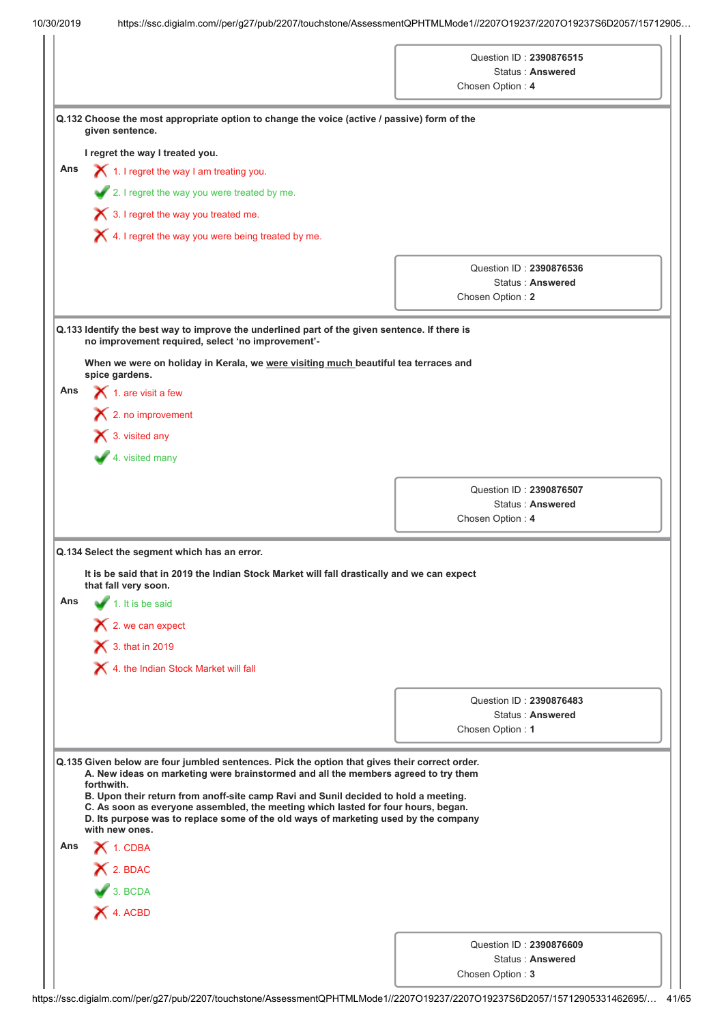|  |  |  | 10/30/2019 |
|--|--|--|------------|
|  |  |  |            |

| given sentence.<br>Ans      | Q.132 Choose the most appropriate option to change the voice (active / passive) form of the                                                                                                                                               | Chosen Option: 4 | Question ID: 2390876515<br>Status: Answered |
|-----------------------------|-------------------------------------------------------------------------------------------------------------------------------------------------------------------------------------------------------------------------------------------|------------------|---------------------------------------------|
|                             |                                                                                                                                                                                                                                           |                  |                                             |
|                             |                                                                                                                                                                                                                                           |                  |                                             |
|                             |                                                                                                                                                                                                                                           |                  |                                             |
|                             |                                                                                                                                                                                                                                           |                  |                                             |
|                             | I regret the way I treated you.                                                                                                                                                                                                           |                  |                                             |
|                             | $\bigtimes$ 1. I regret the way I am treating you.                                                                                                                                                                                        |                  |                                             |
|                             | 2. I regret the way you were treated by me.                                                                                                                                                                                               |                  |                                             |
|                             | $\bigtimes$ 3. I regret the way you treated me.                                                                                                                                                                                           |                  |                                             |
|                             | $\blacktriangleright$ 4. I regret the way you were being treated by me.                                                                                                                                                                   |                  |                                             |
|                             |                                                                                                                                                                                                                                           |                  | Question ID: 2390876536                     |
|                             |                                                                                                                                                                                                                                           |                  | Status: Answered                            |
|                             |                                                                                                                                                                                                                                           | Chosen Option: 2 |                                             |
|                             | Q.133 Identify the best way to improve the underlined part of the given sentence. If there is<br>no improvement required, select 'no improvement'-<br>When we were on holiday in Kerala, we were visiting much beautiful tea terraces and |                  |                                             |
| spice gardens.              |                                                                                                                                                                                                                                           |                  |                                             |
| Ans                         | $\bigtimes$ 1. are visit a few                                                                                                                                                                                                            |                  |                                             |
|                             | $\blacktriangleright$ 2. no improvement                                                                                                                                                                                                   |                  |                                             |
| X 3. visited any            |                                                                                                                                                                                                                                           |                  |                                             |
|                             | 4. visited many                                                                                                                                                                                                                           |                  |                                             |
|                             |                                                                                                                                                                                                                                           |                  | Question ID: 2390876507                     |
|                             |                                                                                                                                                                                                                                           |                  | Status: Answered                            |
|                             |                                                                                                                                                                                                                                           | Chosen Option: 4 |                                             |
| that fall very soon.<br>Ans | Q.134 Select the segment which has an error.<br>It is be said that in 2019 the Indian Stock Market will fall drastically and we can expect<br>$\neq$ 1. It is be said<br>$\mathsf{\times}$ 2. we can expect                               |                  |                                             |
|                             | $\bigtimes$ 3. that in 2019                                                                                                                                                                                                               |                  |                                             |
|                             | 4. the Indian Stock Market will fall                                                                                                                                                                                                      |                  |                                             |
|                             |                                                                                                                                                                                                                                           |                  | Question ID: 2390876483                     |
|                             |                                                                                                                                                                                                                                           |                  | Status: Answered                            |
|                             |                                                                                                                                                                                                                                           | Chosen Option: 1 |                                             |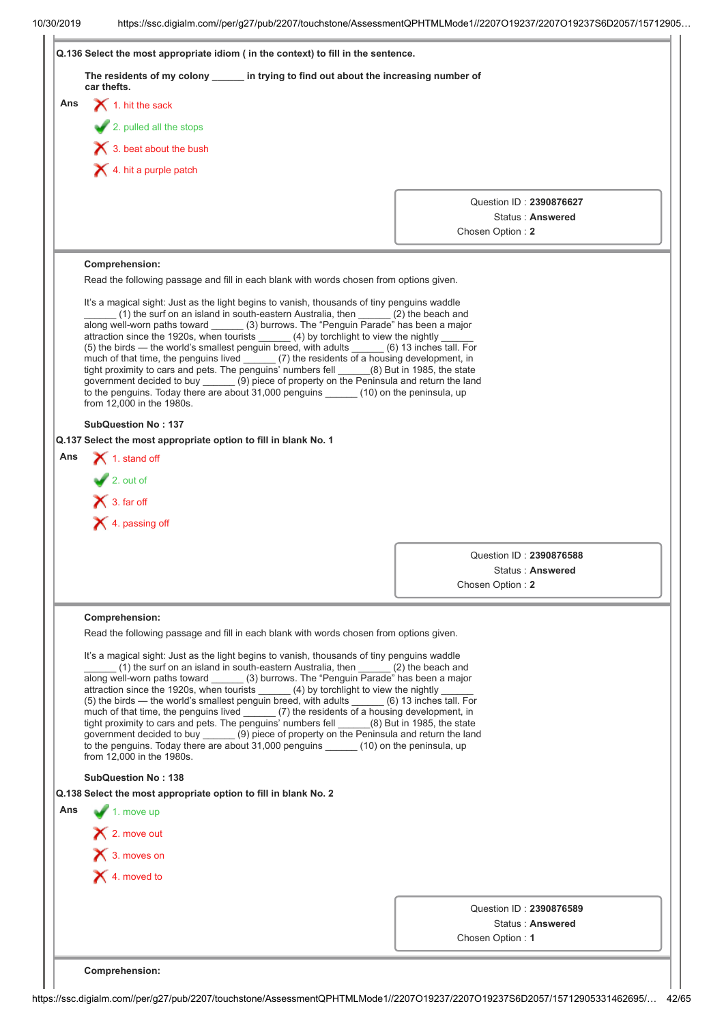|            | The residents of my colony _______ in trying to find out about the increasing number of<br>car thefts.                                                                                                                                                                                                                                                                                                                                                                                                                                                                                                                                                                                                                                                                                                                                                        |  |  |  |                  |                                             |  |
|------------|---------------------------------------------------------------------------------------------------------------------------------------------------------------------------------------------------------------------------------------------------------------------------------------------------------------------------------------------------------------------------------------------------------------------------------------------------------------------------------------------------------------------------------------------------------------------------------------------------------------------------------------------------------------------------------------------------------------------------------------------------------------------------------------------------------------------------------------------------------------|--|--|--|------------------|---------------------------------------------|--|
| Ans        | $\blacktriangleright$ 1. hit the sack                                                                                                                                                                                                                                                                                                                                                                                                                                                                                                                                                                                                                                                                                                                                                                                                                         |  |  |  |                  |                                             |  |
|            | 2. pulled all the stops                                                                                                                                                                                                                                                                                                                                                                                                                                                                                                                                                                                                                                                                                                                                                                                                                                       |  |  |  |                  |                                             |  |
|            | $\blacktriangleright$ 3. beat about the bush                                                                                                                                                                                                                                                                                                                                                                                                                                                                                                                                                                                                                                                                                                                                                                                                                  |  |  |  |                  |                                             |  |
|            | $\blacktriangleright$ 4. hit a purple patch                                                                                                                                                                                                                                                                                                                                                                                                                                                                                                                                                                                                                                                                                                                                                                                                                   |  |  |  |                  |                                             |  |
|            |                                                                                                                                                                                                                                                                                                                                                                                                                                                                                                                                                                                                                                                                                                                                                                                                                                                               |  |  |  |                  | Question ID: 2390876627                     |  |
|            |                                                                                                                                                                                                                                                                                                                                                                                                                                                                                                                                                                                                                                                                                                                                                                                                                                                               |  |  |  |                  | Status: Answered                            |  |
|            |                                                                                                                                                                                                                                                                                                                                                                                                                                                                                                                                                                                                                                                                                                                                                                                                                                                               |  |  |  | Chosen Option: 2 |                                             |  |
|            | Comprehension:                                                                                                                                                                                                                                                                                                                                                                                                                                                                                                                                                                                                                                                                                                                                                                                                                                                |  |  |  |                  |                                             |  |
|            | Read the following passage and fill in each blank with words chosen from options given.                                                                                                                                                                                                                                                                                                                                                                                                                                                                                                                                                                                                                                                                                                                                                                       |  |  |  |                  |                                             |  |
|            | It's a magical sight: Just as the light begins to vanish, thousands of tiny penguins waddle<br>(1) the surf on an island in south-eastern Australia, then ______ (2) the beach and<br>along well-worn paths toward (3) burrows. The "Penguin Parade" has been a major<br>attraction since the 1920s, when tourists (4) by torchlight to view the nightly<br>(5) the birds — the world's smallest penguin breed, with adults (6) 13 inches tall. For<br>much of that time, the penguins lived ______ (7) the residents of a housing development, in<br>tight proximity to cars and pets. The penguins' numbers fell (8) But in 1985, the state<br>government decided to buy ______ (9) piece of property on the Peninsula and return the land<br>to the penguins. Today there are about 31,000 penguins (10) on the peninsula, up<br>from 12,000 in the 1980s. |  |  |  |                  |                                             |  |
|            | <b>SubQuestion No: 137</b>                                                                                                                                                                                                                                                                                                                                                                                                                                                                                                                                                                                                                                                                                                                                                                                                                                    |  |  |  |                  |                                             |  |
|            | Q.137 Select the most appropriate option to fill in blank No. 1                                                                                                                                                                                                                                                                                                                                                                                                                                                                                                                                                                                                                                                                                                                                                                                               |  |  |  |                  |                                             |  |
|            |                                                                                                                                                                                                                                                                                                                                                                                                                                                                                                                                                                                                                                                                                                                                                                                                                                                               |  |  |  |                  |                                             |  |
|            | $\blacktriangleright$ 1. stand off                                                                                                                                                                                                                                                                                                                                                                                                                                                                                                                                                                                                                                                                                                                                                                                                                            |  |  |  |                  |                                             |  |
|            | $2.$ out of                                                                                                                                                                                                                                                                                                                                                                                                                                                                                                                                                                                                                                                                                                                                                                                                                                                   |  |  |  |                  |                                             |  |
|            |                                                                                                                                                                                                                                                                                                                                                                                                                                                                                                                                                                                                                                                                                                                                                                                                                                                               |  |  |  |                  |                                             |  |
|            | $\mathsf{\times}$ 3. far off                                                                                                                                                                                                                                                                                                                                                                                                                                                                                                                                                                                                                                                                                                                                                                                                                                  |  |  |  |                  |                                             |  |
|            | $\blacktriangleright$ 4. passing off                                                                                                                                                                                                                                                                                                                                                                                                                                                                                                                                                                                                                                                                                                                                                                                                                          |  |  |  |                  |                                             |  |
|            |                                                                                                                                                                                                                                                                                                                                                                                                                                                                                                                                                                                                                                                                                                                                                                                                                                                               |  |  |  |                  | Question ID: 2390876588                     |  |
|            |                                                                                                                                                                                                                                                                                                                                                                                                                                                                                                                                                                                                                                                                                                                                                                                                                                                               |  |  |  |                  | Status: Answered                            |  |
|            |                                                                                                                                                                                                                                                                                                                                                                                                                                                                                                                                                                                                                                                                                                                                                                                                                                                               |  |  |  | Chosen Option: 2 |                                             |  |
|            | Comprehension:                                                                                                                                                                                                                                                                                                                                                                                                                                                                                                                                                                                                                                                                                                                                                                                                                                                |  |  |  |                  |                                             |  |
|            | Read the following passage and fill in each blank with words chosen from options given.                                                                                                                                                                                                                                                                                                                                                                                                                                                                                                                                                                                                                                                                                                                                                                       |  |  |  |                  |                                             |  |
|            | It's a magical sight: Just as the light begins to vanish, thousands of tiny penguins waddle                                                                                                                                                                                                                                                                                                                                                                                                                                                                                                                                                                                                                                                                                                                                                                   |  |  |  |                  |                                             |  |
|            | (1) the surf on an island in south-eastern Australia, then ______ (2) the beach and<br>along well-worn paths toward (3) burrows. The "Penguin Parade" has been a major<br>attraction since the 1920s, when tourists (4) by torchlight to view the nightly<br>(5) the birds — the world's smallest penguin breed, with adults ______ (6) 13 inches tall. For<br>much of that time, the penguins lived (7) the residents of a housing development, in<br>tight proximity to cars and pets. The penguins' numbers fell (8) But in 1985, the state<br>government decided to buy ______ (9) piece of property on the Peninsula and return the land<br>to the penguins. Today there are about 31,000 penguins ______ (10) on the peninsula, up<br>from 12,000 in the 1980s.                                                                                         |  |  |  |                  |                                             |  |
|            | <b>SubQuestion No: 138</b>                                                                                                                                                                                                                                                                                                                                                                                                                                                                                                                                                                                                                                                                                                                                                                                                                                    |  |  |  |                  |                                             |  |
|            | Q.138 Select the most appropriate option to fill in blank No. 2                                                                                                                                                                                                                                                                                                                                                                                                                                                                                                                                                                                                                                                                                                                                                                                               |  |  |  |                  |                                             |  |
|            | $\blacktriangleright$ 1. move up                                                                                                                                                                                                                                                                                                                                                                                                                                                                                                                                                                                                                                                                                                                                                                                                                              |  |  |  |                  |                                             |  |
|            | X 2. move out                                                                                                                                                                                                                                                                                                                                                                                                                                                                                                                                                                                                                                                                                                                                                                                                                                                 |  |  |  |                  |                                             |  |
|            | $\bigtimes$ 3. moves on                                                                                                                                                                                                                                                                                                                                                                                                                                                                                                                                                                                                                                                                                                                                                                                                                                       |  |  |  |                  |                                             |  |
| Ans<br>Ans | $\mathsf{\times}$ 4. moved to                                                                                                                                                                                                                                                                                                                                                                                                                                                                                                                                                                                                                                                                                                                                                                                                                                 |  |  |  |                  |                                             |  |
|            |                                                                                                                                                                                                                                                                                                                                                                                                                                                                                                                                                                                                                                                                                                                                                                                                                                                               |  |  |  |                  |                                             |  |
|            |                                                                                                                                                                                                                                                                                                                                                                                                                                                                                                                                                                                                                                                                                                                                                                                                                                                               |  |  |  |                  | Question ID: 2390876589<br>Status: Answered |  |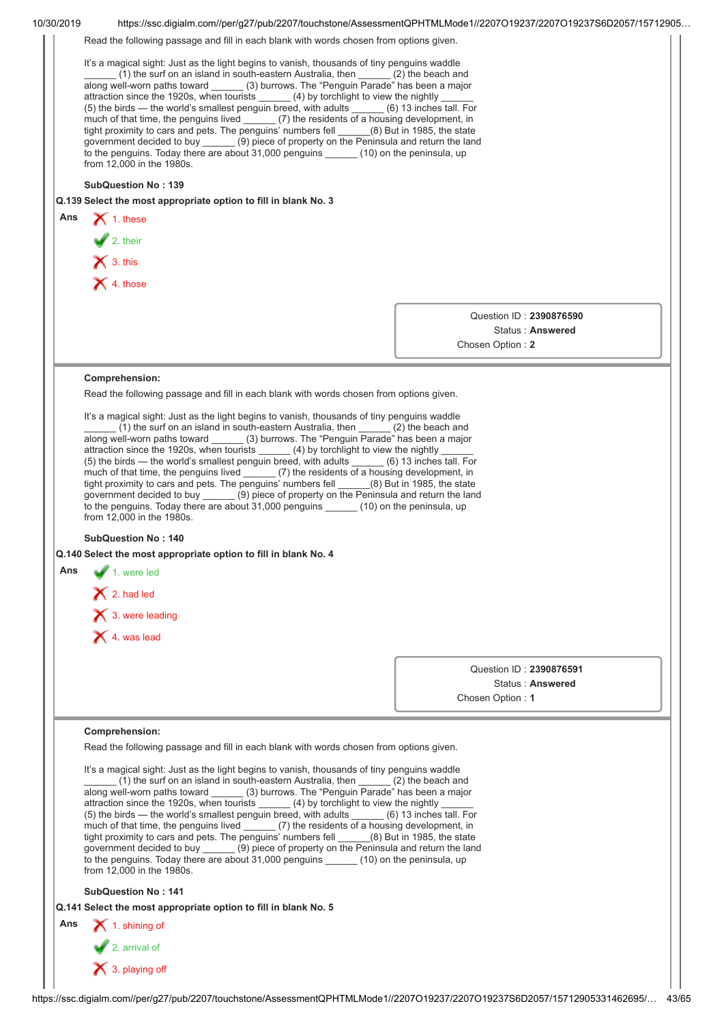|     | Read the following passage and fill in each blank with words chosen from options given.                                                                                                                                                                                                                                                                                                                                                                                                                                                                                                                                                                                                                                                                                                                                                                                  |                                                                                                                                                                                     |  |  |  |  |
|-----|--------------------------------------------------------------------------------------------------------------------------------------------------------------------------------------------------------------------------------------------------------------------------------------------------------------------------------------------------------------------------------------------------------------------------------------------------------------------------------------------------------------------------------------------------------------------------------------------------------------------------------------------------------------------------------------------------------------------------------------------------------------------------------------------------------------------------------------------------------------------------|-------------------------------------------------------------------------------------------------------------------------------------------------------------------------------------|--|--|--|--|
|     | It's a magical sight: Just as the light begins to vanish, thousands of tiny penguins waddle<br>(1) the surf on an island in south-eastern Australia, then (2) the beach and<br>along well-worn paths toward ______ (3) burrows. The "Penguin Parade" has been a major<br>attraction since the 1920s, when tourists (4) by torchlight to view the nightly<br>(5) the birds — the world's smallest penguin breed, with adults _____ (6) 13 inches tall. For<br>much of that time, the penguins lived ______(7) the residents of a housing development, in<br>tight proximity to cars and pets. The penguins' numbers fell ______(8) But in 1985, the state<br>government decided to buy (9) piece of property on the Peninsula and return the land<br>to the penguins. Today there are about 31,000 penguins ______ (10) on the peninsula, up<br>from 12,000 in the 1980s. |                                                                                                                                                                                     |  |  |  |  |
|     |                                                                                                                                                                                                                                                                                                                                                                                                                                                                                                                                                                                                                                                                                                                                                                                                                                                                          |                                                                                                                                                                                     |  |  |  |  |
|     | <b>SubQuestion No: 139</b>                                                                                                                                                                                                                                                                                                                                                                                                                                                                                                                                                                                                                                                                                                                                                                                                                                               |                                                                                                                                                                                     |  |  |  |  |
|     | Q.139 Select the most appropriate option to fill in blank No. 3                                                                                                                                                                                                                                                                                                                                                                                                                                                                                                                                                                                                                                                                                                                                                                                                          |                                                                                                                                                                                     |  |  |  |  |
|     | Ans $\bigtimes$ 1. these                                                                                                                                                                                                                                                                                                                                                                                                                                                                                                                                                                                                                                                                                                                                                                                                                                                 |                                                                                                                                                                                     |  |  |  |  |
|     |                                                                                                                                                                                                                                                                                                                                                                                                                                                                                                                                                                                                                                                                                                                                                                                                                                                                          |                                                                                                                                                                                     |  |  |  |  |
|     | 2. their<br>$\times$ 3. this                                                                                                                                                                                                                                                                                                                                                                                                                                                                                                                                                                                                                                                                                                                                                                                                                                             |                                                                                                                                                                                     |  |  |  |  |
|     | $\times$ 4. those                                                                                                                                                                                                                                                                                                                                                                                                                                                                                                                                                                                                                                                                                                                                                                                                                                                        |                                                                                                                                                                                     |  |  |  |  |
|     |                                                                                                                                                                                                                                                                                                                                                                                                                                                                                                                                                                                                                                                                                                                                                                                                                                                                          |                                                                                                                                                                                     |  |  |  |  |
|     |                                                                                                                                                                                                                                                                                                                                                                                                                                                                                                                                                                                                                                                                                                                                                                                                                                                                          | Question ID: 2390876590                                                                                                                                                             |  |  |  |  |
|     |                                                                                                                                                                                                                                                                                                                                                                                                                                                                                                                                                                                                                                                                                                                                                                                                                                                                          | Status: Answered                                                                                                                                                                    |  |  |  |  |
|     |                                                                                                                                                                                                                                                                                                                                                                                                                                                                                                                                                                                                                                                                                                                                                                                                                                                                          | Chosen Option: 2                                                                                                                                                                    |  |  |  |  |
|     |                                                                                                                                                                                                                                                                                                                                                                                                                                                                                                                                                                                                                                                                                                                                                                                                                                                                          |                                                                                                                                                                                     |  |  |  |  |
|     | Comprehension:                                                                                                                                                                                                                                                                                                                                                                                                                                                                                                                                                                                                                                                                                                                                                                                                                                                           |                                                                                                                                                                                     |  |  |  |  |
|     | Read the following passage and fill in each blank with words chosen from options given.                                                                                                                                                                                                                                                                                                                                                                                                                                                                                                                                                                                                                                                                                                                                                                                  |                                                                                                                                                                                     |  |  |  |  |
|     | It's a magical sight: Just as the light begins to vanish, thousands of tiny penguins waddle                                                                                                                                                                                                                                                                                                                                                                                                                                                                                                                                                                                                                                                                                                                                                                              |                                                                                                                                                                                     |  |  |  |  |
|     | (1) the surf on an island in south-eastern Australia, then ______ (2) the beach and<br>along well-worn paths toward ______ (3) burrows. The "Penguin Parade" has been a major                                                                                                                                                                                                                                                                                                                                                                                                                                                                                                                                                                                                                                                                                            |                                                                                                                                                                                     |  |  |  |  |
|     |                                                                                                                                                                                                                                                                                                                                                                                                                                                                                                                                                                                                                                                                                                                                                                                                                                                                          |                                                                                                                                                                                     |  |  |  |  |
|     |                                                                                                                                                                                                                                                                                                                                                                                                                                                                                                                                                                                                                                                                                                                                                                                                                                                                          | attraction since the 1920s, when tourists ______ (4) by torchlight to view the nightly _<br>(5) the birds — the world's smallest penguin breed, with adults (6) 13 inches tall. For |  |  |  |  |
|     | much of that time, the penguins lived ______ (7) the residents of a housing development, in                                                                                                                                                                                                                                                                                                                                                                                                                                                                                                                                                                                                                                                                                                                                                                              |                                                                                                                                                                                     |  |  |  |  |
|     |                                                                                                                                                                                                                                                                                                                                                                                                                                                                                                                                                                                                                                                                                                                                                                                                                                                                          |                                                                                                                                                                                     |  |  |  |  |
|     | tight proximity to cars and pets. The penguins' numbers fell ______(8) But in 1985, the state<br>government decided to buy _______ (9) piece of property on the Peninsula and return the land                                                                                                                                                                                                                                                                                                                                                                                                                                                                                                                                                                                                                                                                            |                                                                                                                                                                                     |  |  |  |  |
|     | to the penguins. Today there are about 31,000 penguins (10) on the peninsula, up                                                                                                                                                                                                                                                                                                                                                                                                                                                                                                                                                                                                                                                                                                                                                                                         |                                                                                                                                                                                     |  |  |  |  |
|     | from 12,000 in the 1980s.                                                                                                                                                                                                                                                                                                                                                                                                                                                                                                                                                                                                                                                                                                                                                                                                                                                |                                                                                                                                                                                     |  |  |  |  |
|     | <b>SubQuestion No: 140</b>                                                                                                                                                                                                                                                                                                                                                                                                                                                                                                                                                                                                                                                                                                                                                                                                                                               |                                                                                                                                                                                     |  |  |  |  |
|     | Q.140 Select the most appropriate option to fill in blank No. 4                                                                                                                                                                                                                                                                                                                                                                                                                                                                                                                                                                                                                                                                                                                                                                                                          |                                                                                                                                                                                     |  |  |  |  |
| Ans | $\blacksquare$ 1. were led                                                                                                                                                                                                                                                                                                                                                                                                                                                                                                                                                                                                                                                                                                                                                                                                                                               |                                                                                                                                                                                     |  |  |  |  |
|     | $\bigtimes$ 2. had led                                                                                                                                                                                                                                                                                                                                                                                                                                                                                                                                                                                                                                                                                                                                                                                                                                                   |                                                                                                                                                                                     |  |  |  |  |
|     |                                                                                                                                                                                                                                                                                                                                                                                                                                                                                                                                                                                                                                                                                                                                                                                                                                                                          |                                                                                                                                                                                     |  |  |  |  |
|     | $\bigtimes$ 3. were leading                                                                                                                                                                                                                                                                                                                                                                                                                                                                                                                                                                                                                                                                                                                                                                                                                                              |                                                                                                                                                                                     |  |  |  |  |
|     | $\bigtimes$ 4. was lead                                                                                                                                                                                                                                                                                                                                                                                                                                                                                                                                                                                                                                                                                                                                                                                                                                                  |                                                                                                                                                                                     |  |  |  |  |
|     |                                                                                                                                                                                                                                                                                                                                                                                                                                                                                                                                                                                                                                                                                                                                                                                                                                                                          |                                                                                                                                                                                     |  |  |  |  |
|     |                                                                                                                                                                                                                                                                                                                                                                                                                                                                                                                                                                                                                                                                                                                                                                                                                                                                          | Question ID: 2390876591<br>Status: Answered                                                                                                                                         |  |  |  |  |
|     |                                                                                                                                                                                                                                                                                                                                                                                                                                                                                                                                                                                                                                                                                                                                                                                                                                                                          | Chosen Option: 1                                                                                                                                                                    |  |  |  |  |
|     |                                                                                                                                                                                                                                                                                                                                                                                                                                                                                                                                                                                                                                                                                                                                                                                                                                                                          |                                                                                                                                                                                     |  |  |  |  |
|     | Comprehension:                                                                                                                                                                                                                                                                                                                                                                                                                                                                                                                                                                                                                                                                                                                                                                                                                                                           |                                                                                                                                                                                     |  |  |  |  |
|     | Read the following passage and fill in each blank with words chosen from options given.                                                                                                                                                                                                                                                                                                                                                                                                                                                                                                                                                                                                                                                                                                                                                                                  |                                                                                                                                                                                     |  |  |  |  |
|     |                                                                                                                                                                                                                                                                                                                                                                                                                                                                                                                                                                                                                                                                                                                                                                                                                                                                          |                                                                                                                                                                                     |  |  |  |  |
|     | It's a magical sight: Just as the light begins to vanish, thousands of tiny penguins waddle<br>(1) the surf on an island in south-eastern Australia, then ______ (2) the beach and                                                                                                                                                                                                                                                                                                                                                                                                                                                                                                                                                                                                                                                                                       |                                                                                                                                                                                     |  |  |  |  |
|     | along well-worn paths toward ______ (3) burrows. The "Penguin Parade" has been a major                                                                                                                                                                                                                                                                                                                                                                                                                                                                                                                                                                                                                                                                                                                                                                                   |                                                                                                                                                                                     |  |  |  |  |
|     | attraction since the 1920s, when tourists ______ (4) by torchlight to view the nightly<br>(5) the birds - the world's smallest penguin breed, with adults _____ (6) 13 inches tall. For                                                                                                                                                                                                                                                                                                                                                                                                                                                                                                                                                                                                                                                                                  |                                                                                                                                                                                     |  |  |  |  |
|     | much of that time, the penguins lived ______ (7) the residents of a housing development, in                                                                                                                                                                                                                                                                                                                                                                                                                                                                                                                                                                                                                                                                                                                                                                              |                                                                                                                                                                                     |  |  |  |  |
|     | tight proximity to cars and pets. The penguins' numbers fell _____(8) But in 1985, the state                                                                                                                                                                                                                                                                                                                                                                                                                                                                                                                                                                                                                                                                                                                                                                             |                                                                                                                                                                                     |  |  |  |  |
|     | government decided to buy _______ (9) piece of property on the Peninsula and return the land<br>to the penguins. Today there are about 31,000 penguins ______ (10) on the peninsula, up                                                                                                                                                                                                                                                                                                                                                                                                                                                                                                                                                                                                                                                                                  |                                                                                                                                                                                     |  |  |  |  |
|     | from 12,000 in the 1980s.                                                                                                                                                                                                                                                                                                                                                                                                                                                                                                                                                                                                                                                                                                                                                                                                                                                |                                                                                                                                                                                     |  |  |  |  |
|     | <b>SubQuestion No: 141</b>                                                                                                                                                                                                                                                                                                                                                                                                                                                                                                                                                                                                                                                                                                                                                                                                                                               |                                                                                                                                                                                     |  |  |  |  |
|     | Q.141 Select the most appropriate option to fill in blank No. 5                                                                                                                                                                                                                                                                                                                                                                                                                                                                                                                                                                                                                                                                                                                                                                                                          |                                                                                                                                                                                     |  |  |  |  |
| Ans | 1. shining of                                                                                                                                                                                                                                                                                                                                                                                                                                                                                                                                                                                                                                                                                                                                                                                                                                                            |                                                                                                                                                                                     |  |  |  |  |
|     |                                                                                                                                                                                                                                                                                                                                                                                                                                                                                                                                                                                                                                                                                                                                                                                                                                                                          |                                                                                                                                                                                     |  |  |  |  |
|     | $\sqrt{2}$ . arrival of<br>X 3. playing off                                                                                                                                                                                                                                                                                                                                                                                                                                                                                                                                                                                                                                                                                                                                                                                                                              |                                                                                                                                                                                     |  |  |  |  |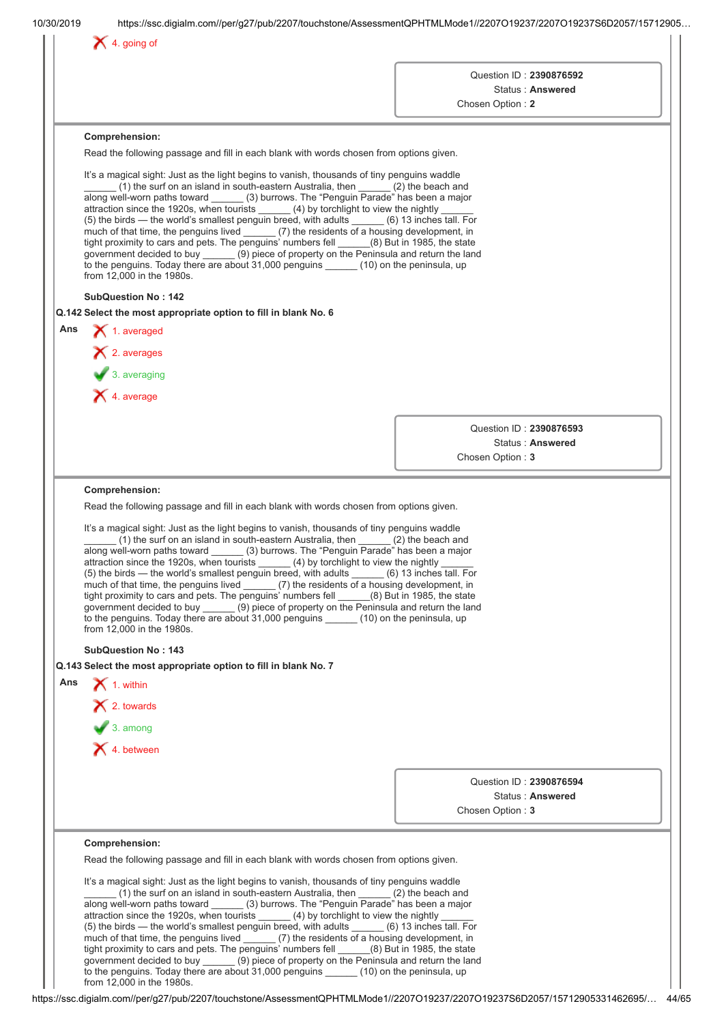|     |                                                                                                                                                                                                  | Question ID: 2390876592<br>Status: Answered |
|-----|--------------------------------------------------------------------------------------------------------------------------------------------------------------------------------------------------|---------------------------------------------|
|     |                                                                                                                                                                                                  | Chosen Option: 2                            |
|     | Comprehension:                                                                                                                                                                                   |                                             |
|     | Read the following passage and fill in each blank with words chosen from options given.                                                                                                          |                                             |
|     | It's a magical sight: Just as the light begins to vanish, thousands of tiny penguins waddle                                                                                                      |                                             |
|     | (1) the surf on an island in south-eastern Australia, then ______ (2) the beach and                                                                                                              |                                             |
|     | along well-worn paths toward ______ (3) burrows. The "Penguin Parade" has been a major<br>attraction since the 1920s, when tourists _______ (4) by torchlight to view the nightly                |                                             |
|     | (5) the birds - the world's smallest penguin breed, with adults _____ (6) 13 inches tall. For<br>much of that time, the penguins lived _______ (7) the residents of a housing development, in    |                                             |
|     | tight proximity to cars and pets. The penguins' numbers fell _____(8) But in 1985, the state                                                                                                     |                                             |
|     | government decided to buy _______ (9) piece of property on the Peninsula and return the land<br>to the penguins. Today there are about 31,000 penguins (10) on the peninsula, up                 |                                             |
|     | from 12,000 in the 1980s.                                                                                                                                                                        |                                             |
|     | <b>SubQuestion No: 142</b>                                                                                                                                                                       |                                             |
|     | Q.142 Select the most appropriate option to fill in blank No. 6                                                                                                                                  |                                             |
| Ans | $\blacktriangleright$ 1. averaged                                                                                                                                                                |                                             |
|     | $\blacktriangleright$ 2. averages                                                                                                                                                                |                                             |
|     | $\blacktriangleright$ 3. averaging                                                                                                                                                               |                                             |
|     | $\blacktriangleright$ 4. average                                                                                                                                                                 |                                             |
|     |                                                                                                                                                                                                  |                                             |
|     |                                                                                                                                                                                                  | Question ID: 2390876593<br>Status: Answered |
|     |                                                                                                                                                                                                  | Chosen Option: 3                            |
|     |                                                                                                                                                                                                  |                                             |
|     | Comprehension:                                                                                                                                                                                   |                                             |
|     | Read the following passage and fill in each blank with words chosen from options given.                                                                                                          |                                             |
|     | It's a magical sight: Just as the light begins to vanish, thousands of tiny penguins waddle<br>$(1)$ the surf on an island in south-eastern Australia, then $(2)$ the beach and                  |                                             |
|     | along well-worn paths toward ______ (3) burrows. The "Penguin Parade" has been a major                                                                                                           |                                             |
|     | attraction since the 1920s, when tourists $\qquad \qquad$ (4) by torchlight to view the nightly<br>(5) the birds — the world's smallest penguin breed, with adults _____ (6) 13 inches tall. For |                                             |
|     | much of that time, the penguins lived ______ (7) the residents of a housing development, in<br>tight proximity to cars and pets. The penguins' numbers fell (8) But in 1985, the state           |                                             |
|     | government decided to buy _______ (9) piece of property on the Peninsula and return the land                                                                                                     |                                             |
|     | to the penguins. Today there are about 31,000 penguins _______ (10) on the peninsula, up<br>from 12,000 in the 1980s.                                                                            |                                             |
|     | <b>SubQuestion No: 143</b>                                                                                                                                                                       |                                             |
|     | Q.143 Select the most appropriate option to fill in blank No. 7                                                                                                                                  |                                             |
| Ans | $\blacktriangleright$ 1. within                                                                                                                                                                  |                                             |
|     | $\mathsf{\times}$ 2. towards                                                                                                                                                                     |                                             |
|     | $\bigvee$ 3. among                                                                                                                                                                               |                                             |
|     | X 4. between                                                                                                                                                                                     |                                             |
|     |                                                                                                                                                                                                  |                                             |
|     |                                                                                                                                                                                                  | Question ID: 2390876594                     |
|     |                                                                                                                                                                                                  | Status: Answered                            |
|     |                                                                                                                                                                                                  | Chosen Option: 3                            |
|     | Comprehension:                                                                                                                                                                                   |                                             |
|     | Read the following passage and fill in each blank with words chosen from options given.                                                                                                          |                                             |
|     | It's a magical sight: Just as the light begins to vanish, thousands of tiny penguins waddle                                                                                                      |                                             |
|     |                                                                                                                                                                                                  |                                             |
|     | (1) the surf on an island in south-eastern Australia, then $(2)$ the beach and                                                                                                                   |                                             |
|     | along well-worn paths toward (3) burrows. The "Penguin Parade" has been a major<br>attraction since the 1920s, when tourists _______ (4) by torchlight to view the nightly                       |                                             |
|     | (5) the birds - the world's smallest penguin breed, with adults _____ (6) 13 inches tall. For<br>much of that time, the penguins lived (7) the residents of a housing development, in            |                                             |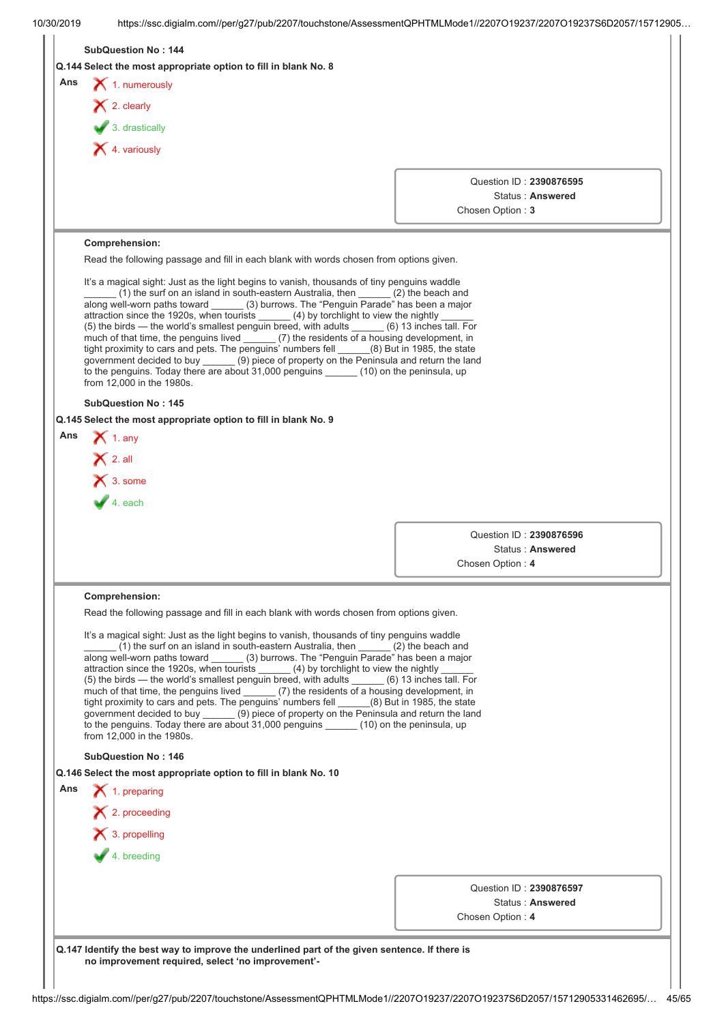| Ans | <b>SubQuestion No: 144</b><br>Q.144 Select the most appropriate option to fill in blank No. 8                                                                                             |                         |                  |  |  |
|-----|-------------------------------------------------------------------------------------------------------------------------------------------------------------------------------------------|-------------------------|------------------|--|--|
|     |                                                                                                                                                                                           |                         |                  |  |  |
|     |                                                                                                                                                                                           |                         |                  |  |  |
|     | $\blacktriangleright$ 1. numerously                                                                                                                                                       |                         |                  |  |  |
|     | $\blacktriangleright$ 2. clearly                                                                                                                                                          |                         |                  |  |  |
|     | $\bigtriangledown$ 3. drastically                                                                                                                                                         |                         |                  |  |  |
|     | $\blacktriangleright$ 4. variously                                                                                                                                                        |                         |                  |  |  |
|     |                                                                                                                                                                                           |                         |                  |  |  |
|     |                                                                                                                                                                                           | Question ID: 2390876595 |                  |  |  |
|     |                                                                                                                                                                                           | Chosen Option: 3        | Status: Answered |  |  |
|     |                                                                                                                                                                                           |                         |                  |  |  |
|     | Comprehension:                                                                                                                                                                            |                         |                  |  |  |
|     | Read the following passage and fill in each blank with words chosen from options given.                                                                                                   |                         |                  |  |  |
|     | It's a magical sight: Just as the light begins to vanish, thousands of tiny penguins waddle                                                                                               |                         |                  |  |  |
|     | (1) the surf on an island in south-eastern Australia, then (2) the beach and<br>along well-worn paths toward ______ (3) burrows. The "Penguin Parade" has been a major                    |                         |                  |  |  |
|     | attraction since the 1920s, when tourists ______ (4) by torchlight to view the nightly _<br>(5) the birds - the world's smallest penguin breed, with adults _____ (6) 13 inches tall. For |                         |                  |  |  |
|     | much of that time, the penguins lived _______ (7) the residents of a housing development, in                                                                                              |                         |                  |  |  |
|     | tight proximity to cars and pets. The penguins' numbers fell _____(8) But in 1985, the state government decided to buy _____ (9) piece of property on the Peninsula and return the land   |                         |                  |  |  |
|     | to the penguins. Today there are about 31,000 penguins ______ (10) on the peninsula, up<br>from 12,000 in the 1980s.                                                                      |                         |                  |  |  |
|     |                                                                                                                                                                                           |                         |                  |  |  |
|     | <b>SubQuestion No: 145</b><br>Q.145 Select the most appropriate option to fill in blank No. 9                                                                                             |                         |                  |  |  |
| Ans | $\bigtimes$ 1. any                                                                                                                                                                        |                         |                  |  |  |
|     |                                                                                                                                                                                           |                         |                  |  |  |
|     | $\bigtimes$ 2. all                                                                                                                                                                        |                         |                  |  |  |
|     | $\overline{\smash{\big)}\xspace}$ 3. some                                                                                                                                                 |                         |                  |  |  |
|     |                                                                                                                                                                                           |                         |                  |  |  |
|     |                                                                                                                                                                                           |                         |                  |  |  |
|     |                                                                                                                                                                                           | Question ID: 2390876596 | Status: Answered |  |  |
|     |                                                                                                                                                                                           | Chosen Option: 4        |                  |  |  |
|     |                                                                                                                                                                                           |                         |                  |  |  |
|     | Comprehension:                                                                                                                                                                            |                         |                  |  |  |
|     | Read the following passage and fill in each blank with words chosen from options given.                                                                                                   |                         |                  |  |  |
|     | It's a magical sight: Just as the light begins to vanish, thousands of tiny penguins waddle                                                                                               |                         |                  |  |  |
|     | $(1)$ the surf on an island in south-eastern Australia, then $(2)$ the beach and<br>along well-worn paths toward ______ (3) burrows. The "Penguin Parade" has been a major                |                         |                  |  |  |
|     | attraction since the 1920s, when tourists ______ (4) by torchlight to view the nightly<br>(5) the birds — the world's smallest penguin breed, with adults (6) 13 inches tall. For         |                         |                  |  |  |
|     | much of that time, the penguins lived ______ (7) the residents of a housing development, in                                                                                               |                         |                  |  |  |
|     | tight proximity to cars and pets. The penguins' numbers fell (8) But in 1985, the state<br>government decided to buy ______ (9) piece of property on the Peninsula and return the land    |                         |                  |  |  |
|     | to the penguins. Today there are about 31,000 penguins ______ (10) on the peninsula, up                                                                                                   |                         |                  |  |  |
|     | from 12,000 in the 1980s.                                                                                                                                                                 |                         |                  |  |  |
|     | <b>SubQuestion No: 146</b>                                                                                                                                                                |                         |                  |  |  |
| Ans | Q.146 Select the most appropriate option to fill in blank No. 10<br>$\blacktriangleright$ 1. preparing                                                                                    |                         |                  |  |  |
|     |                                                                                                                                                                                           |                         |                  |  |  |
|     | $\blacktriangleright$ 2. proceeding                                                                                                                                                       |                         |                  |  |  |
|     | $\blacktriangleright$ 3. propelling                                                                                                                                                       |                         |                  |  |  |
|     | $\blacktriangleright$ 4. breeding                                                                                                                                                         |                         |                  |  |  |
|     |                                                                                                                                                                                           |                         |                  |  |  |
|     |                                                                                                                                                                                           | Question ID: 2390876597 |                  |  |  |
|     |                                                                                                                                                                                           | Chosen Option: 4        | Status: Answered |  |  |
|     |                                                                                                                                                                                           |                         |                  |  |  |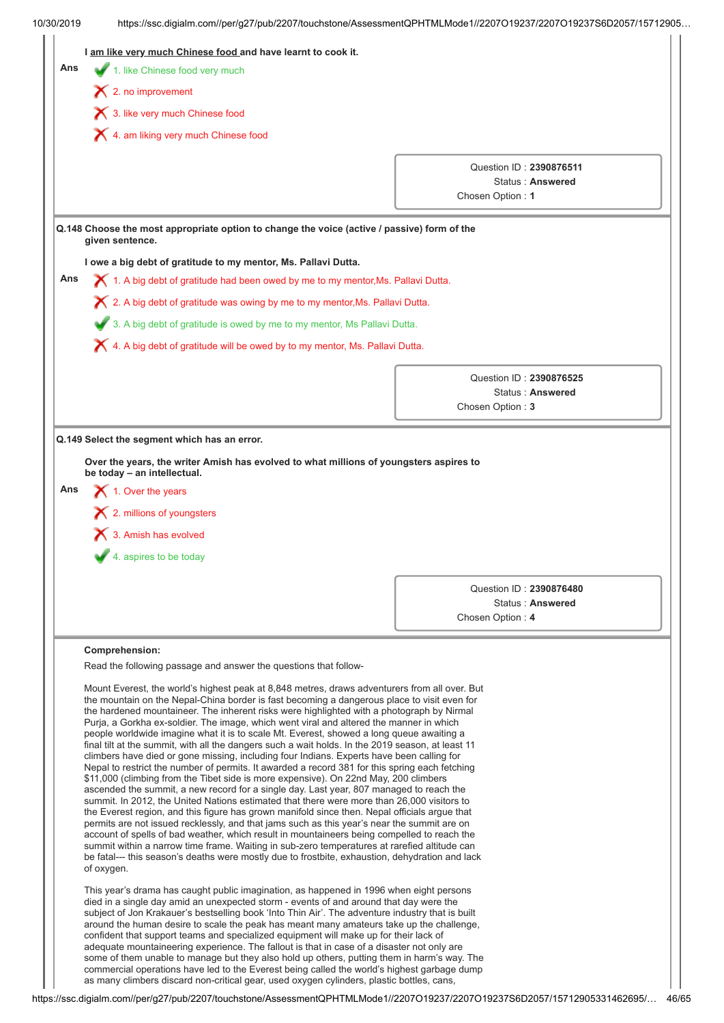| 10/30/2019 | https://ssc.digialm.com//per/g27/pub/2207/touchstone/AssessmentQPHTMLMode1//2207O19237/2207O19237S6D2057/15712905                                                                                                                                                               |                                             |  |  |
|------------|---------------------------------------------------------------------------------------------------------------------------------------------------------------------------------------------------------------------------------------------------------------------------------|---------------------------------------------|--|--|
|            | I am like very much Chinese food and have learnt to cook it.                                                                                                                                                                                                                    |                                             |  |  |
| Ans        | 1. like Chinese food very much                                                                                                                                                                                                                                                  |                                             |  |  |
|            | $\blacktriangleright$ 2. no improvement                                                                                                                                                                                                                                         |                                             |  |  |
|            | 1 3. like very much Chinese food                                                                                                                                                                                                                                                |                                             |  |  |
|            | X 4. am liking very much Chinese food                                                                                                                                                                                                                                           |                                             |  |  |
|            |                                                                                                                                                                                                                                                                                 |                                             |  |  |
|            |                                                                                                                                                                                                                                                                                 | Question ID: 2390876511<br>Status: Answered |  |  |
|            |                                                                                                                                                                                                                                                                                 | Chosen Option: 1                            |  |  |
|            | Q.148 Choose the most appropriate option to change the voice (active / passive) form of the<br>given sentence.                                                                                                                                                                  |                                             |  |  |
|            | I owe a big debt of gratitude to my mentor, Ms. Pallavi Dutta.                                                                                                                                                                                                                  |                                             |  |  |
| Ans        | X 1. A big debt of gratitude had been owed by me to my mentor, Ms. Pallavi Dutta.                                                                                                                                                                                               |                                             |  |  |
|            | X 2. A big debt of gratitude was owing by me to my mentor, Ms. Pallavi Dutta.                                                                                                                                                                                                   |                                             |  |  |
|            |                                                                                                                                                                                                                                                                                 |                                             |  |  |
|            | 3. A big debt of gratitude is owed by me to my mentor, Ms Pallavi Dutta.                                                                                                                                                                                                        |                                             |  |  |
|            | X 4. A big debt of gratitude will be owed by to my mentor, Ms. Pallavi Dutta.                                                                                                                                                                                                   |                                             |  |  |
|            |                                                                                                                                                                                                                                                                                 | Question ID: 2390876525                     |  |  |
|            |                                                                                                                                                                                                                                                                                 | Status: Answered                            |  |  |
|            |                                                                                                                                                                                                                                                                                 | Chosen Option: 3                            |  |  |
|            | $\boldsymbol{\times}$ 3. Amish has evolved<br>4. aspires to be today                                                                                                                                                                                                            |                                             |  |  |
|            |                                                                                                                                                                                                                                                                                 |                                             |  |  |
|            |                                                                                                                                                                                                                                                                                 | Question ID: 2390876480<br>Status: Answered |  |  |
|            |                                                                                                                                                                                                                                                                                 | Chosen Option: 4                            |  |  |
|            |                                                                                                                                                                                                                                                                                 |                                             |  |  |
|            | Comprehension:                                                                                                                                                                                                                                                                  |                                             |  |  |
|            | Read the following passage and answer the questions that follow-                                                                                                                                                                                                                |                                             |  |  |
|            | Mount Everest, the world's highest peak at 8,848 metres, draws adventurers from all over. But<br>the mountain on the Nepal-China border is fast becoming a dangerous place to visit even for                                                                                    |                                             |  |  |
|            | the hardened mountaineer. The inherent risks were highlighted with a photograph by Nirmal                                                                                                                                                                                       |                                             |  |  |
|            | Purja, a Gorkha ex-soldier. The image, which went viral and altered the manner in which                                                                                                                                                                                         |                                             |  |  |
|            | people worldwide imagine what it is to scale Mt. Everest, showed a long queue awaiting a<br>final tilt at the summit, with all the dangers such a wait holds. In the 2019 season, at least 11                                                                                   |                                             |  |  |
|            | climbers have died or gone missing, including four Indians. Experts have been calling for<br>Nepal to restrict the number of permits. It awarded a record 381 for this spring each fetching                                                                                     |                                             |  |  |
|            | \$11,000 (climbing from the Tibet side is more expensive). On 22nd May, 200 climbers                                                                                                                                                                                            |                                             |  |  |
|            | ascended the summit, a new record for a single day. Last year, 807 managed to reach the<br>summit. In 2012, the United Nations estimated that there were more than 26,000 visitors to                                                                                           |                                             |  |  |
|            | the Everest region, and this figure has grown manifold since then. Nepal officials argue that                                                                                                                                                                                   |                                             |  |  |
|            | permits are not issued recklessly, and that jams such as this year's near the summit are on<br>account of spells of bad weather, which result in mountaineers being compelled to reach the                                                                                      |                                             |  |  |
|            | summit within a narrow time frame. Waiting in sub-zero temperatures at rarefied altitude can<br>be fatal--- this season's deaths were mostly due to frostbite, exhaustion, dehydration and lack                                                                                 |                                             |  |  |
|            | of oxygen.                                                                                                                                                                                                                                                                      |                                             |  |  |
|            | This year's drama has caught public imagination, as happened in 1996 when eight persons                                                                                                                                                                                         |                                             |  |  |
|            | died in a single day amid an unexpected storm - events of and around that day were the                                                                                                                                                                                          |                                             |  |  |
|            |                                                                                                                                                                                                                                                                                 |                                             |  |  |
|            | subject of Jon Krakauer's bestselling book 'Into Thin Air'. The adventure industry that is built                                                                                                                                                                                |                                             |  |  |
|            | around the human desire to scale the peak has meant many amateurs take up the challenge,<br>confident that support teams and specialized equipment will make up for their lack of<br>adequate mountaineering experience. The fallout is that in case of a disaster not only are |                                             |  |  |

commercial operations have led to the Everest being called the world's highest garbage dump as many climbers discard non-critical gear, used oxygen cylinders, plastic bottles, cans,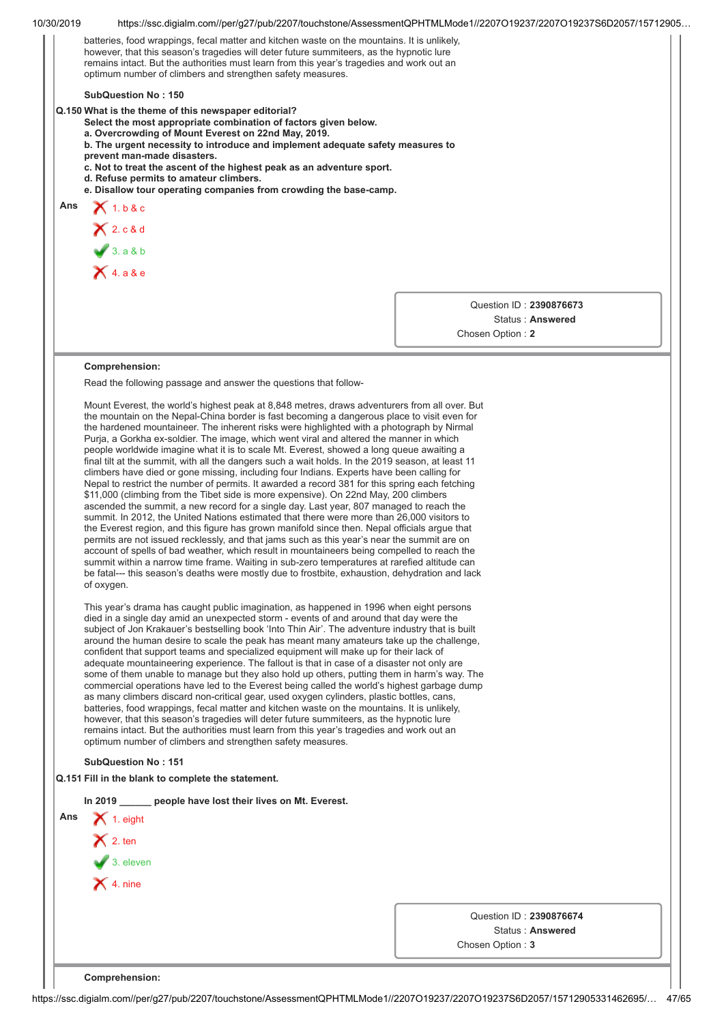| 10/30/2019 | https://ssc.digialm.com//per/q27/pub/2207/touchstone/AssessmentQPHTMLMode1//2207O19237/2207O19237S6D2057/15712905                                                                                                                                                                                                                                                                                                                                                                                                                                                                                                                                                                                                                                                                                                                                                                                                                                                                                                                                                                                                                                                                                                                                                                                                                                                                                                                                                                                                                                                                                                                                                                                                                                                                                                                                                                                                                                                                                                                                                                                                                                                                                                                                                                                                                                                                                                                                                                                                                                                                                                                                                                                                                                                                                                  |                                             |                  |  |  |
|------------|--------------------------------------------------------------------------------------------------------------------------------------------------------------------------------------------------------------------------------------------------------------------------------------------------------------------------------------------------------------------------------------------------------------------------------------------------------------------------------------------------------------------------------------------------------------------------------------------------------------------------------------------------------------------------------------------------------------------------------------------------------------------------------------------------------------------------------------------------------------------------------------------------------------------------------------------------------------------------------------------------------------------------------------------------------------------------------------------------------------------------------------------------------------------------------------------------------------------------------------------------------------------------------------------------------------------------------------------------------------------------------------------------------------------------------------------------------------------------------------------------------------------------------------------------------------------------------------------------------------------------------------------------------------------------------------------------------------------------------------------------------------------------------------------------------------------------------------------------------------------------------------------------------------------------------------------------------------------------------------------------------------------------------------------------------------------------------------------------------------------------------------------------------------------------------------------------------------------------------------------------------------------------------------------------------------------------------------------------------------------------------------------------------------------------------------------------------------------------------------------------------------------------------------------------------------------------------------------------------------------------------------------------------------------------------------------------------------------------------------------------------------------------------------------------------------------|---------------------------------------------|------------------|--|--|
|            | batteries, food wrappings, fecal matter and kitchen waste on the mountains. It is unlikely,<br>however, that this season's tragedies will deter future summiteers, as the hypnotic lure<br>remains intact. But the authorities must learn from this year's tragedies and work out an<br>optimum number of climbers and strengthen safety measures.                                                                                                                                                                                                                                                                                                                                                                                                                                                                                                                                                                                                                                                                                                                                                                                                                                                                                                                                                                                                                                                                                                                                                                                                                                                                                                                                                                                                                                                                                                                                                                                                                                                                                                                                                                                                                                                                                                                                                                                                                                                                                                                                                                                                                                                                                                                                                                                                                                                                 |                                             |                  |  |  |
|            |                                                                                                                                                                                                                                                                                                                                                                                                                                                                                                                                                                                                                                                                                                                                                                                                                                                                                                                                                                                                                                                                                                                                                                                                                                                                                                                                                                                                                                                                                                                                                                                                                                                                                                                                                                                                                                                                                                                                                                                                                                                                                                                                                                                                                                                                                                                                                                                                                                                                                                                                                                                                                                                                                                                                                                                                                    |                                             |                  |  |  |
|            | <b>SubQuestion No: 150</b><br>Q.150 What is the theme of this newspaper editorial?<br>Select the most appropriate combination of factors given below.<br>a. Overcrowding of Mount Everest on 22nd May, 2019.<br>b. The urgent necessity to introduce and implement adequate safety measures to<br>prevent man-made disasters.<br>c. Not to treat the ascent of the highest peak as an adventure sport.<br>d. Refuse permits to amateur climbers.                                                                                                                                                                                                                                                                                                                                                                                                                                                                                                                                                                                                                                                                                                                                                                                                                                                                                                                                                                                                                                                                                                                                                                                                                                                                                                                                                                                                                                                                                                                                                                                                                                                                                                                                                                                                                                                                                                                                                                                                                                                                                                                                                                                                                                                                                                                                                                   |                                             |                  |  |  |
| Ans        | e. Disallow tour operating companies from crowding the base-camp.<br>$X$ 1. b & c                                                                                                                                                                                                                                                                                                                                                                                                                                                                                                                                                                                                                                                                                                                                                                                                                                                                                                                                                                                                                                                                                                                                                                                                                                                                                                                                                                                                                                                                                                                                                                                                                                                                                                                                                                                                                                                                                                                                                                                                                                                                                                                                                                                                                                                                                                                                                                                                                                                                                                                                                                                                                                                                                                                                  |                                             |                  |  |  |
|            |                                                                                                                                                                                                                                                                                                                                                                                                                                                                                                                                                                                                                                                                                                                                                                                                                                                                                                                                                                                                                                                                                                                                                                                                                                                                                                                                                                                                                                                                                                                                                                                                                                                                                                                                                                                                                                                                                                                                                                                                                                                                                                                                                                                                                                                                                                                                                                                                                                                                                                                                                                                                                                                                                                                                                                                                                    |                                             |                  |  |  |
|            | $X$ 2. c & d<br>3.98b                                                                                                                                                                                                                                                                                                                                                                                                                                                                                                                                                                                                                                                                                                                                                                                                                                                                                                                                                                                                                                                                                                                                                                                                                                                                                                                                                                                                                                                                                                                                                                                                                                                                                                                                                                                                                                                                                                                                                                                                                                                                                                                                                                                                                                                                                                                                                                                                                                                                                                                                                                                                                                                                                                                                                                                              |                                             |                  |  |  |
|            | $\overline{\mathsf{X}}$ 4. a & e                                                                                                                                                                                                                                                                                                                                                                                                                                                                                                                                                                                                                                                                                                                                                                                                                                                                                                                                                                                                                                                                                                                                                                                                                                                                                                                                                                                                                                                                                                                                                                                                                                                                                                                                                                                                                                                                                                                                                                                                                                                                                                                                                                                                                                                                                                                                                                                                                                                                                                                                                                                                                                                                                                                                                                                   |                                             |                  |  |  |
|            |                                                                                                                                                                                                                                                                                                                                                                                                                                                                                                                                                                                                                                                                                                                                                                                                                                                                                                                                                                                                                                                                                                                                                                                                                                                                                                                                                                                                                                                                                                                                                                                                                                                                                                                                                                                                                                                                                                                                                                                                                                                                                                                                                                                                                                                                                                                                                                                                                                                                                                                                                                                                                                                                                                                                                                                                                    |                                             |                  |  |  |
|            |                                                                                                                                                                                                                                                                                                                                                                                                                                                                                                                                                                                                                                                                                                                                                                                                                                                                                                                                                                                                                                                                                                                                                                                                                                                                                                                                                                                                                                                                                                                                                                                                                                                                                                                                                                                                                                                                                                                                                                                                                                                                                                                                                                                                                                                                                                                                                                                                                                                                                                                                                                                                                                                                                                                                                                                                                    | Question ID: 2390876673<br>Chosen Option: 2 | Status: Answered |  |  |
|            | Comprehension:<br>Read the following passage and answer the questions that follow-                                                                                                                                                                                                                                                                                                                                                                                                                                                                                                                                                                                                                                                                                                                                                                                                                                                                                                                                                                                                                                                                                                                                                                                                                                                                                                                                                                                                                                                                                                                                                                                                                                                                                                                                                                                                                                                                                                                                                                                                                                                                                                                                                                                                                                                                                                                                                                                                                                                                                                                                                                                                                                                                                                                                 |                                             |                  |  |  |
|            | Mount Everest, the world's highest peak at 8,848 metres, draws adventurers from all over. But<br>the mountain on the Nepal-China border is fast becoming a dangerous place to visit even for<br>the hardened mountaineer. The inherent risks were highlighted with a photograph by Nirmal<br>Purja, a Gorkha ex-soldier. The image, which went viral and altered the manner in which<br>people worldwide imagine what it is to scale Mt. Everest, showed a long queue awaiting a<br>final tilt at the summit, with all the dangers such a wait holds. In the 2019 season, at least 11<br>climbers have died or gone missing, including four Indians. Experts have been calling for<br>Nepal to restrict the number of permits. It awarded a record 381 for this spring each fetching<br>\$11,000 (climbing from the Tibet side is more expensive). On 22nd May, 200 climbers<br>ascended the summit, a new record for a single day. Last year, 807 managed to reach the<br>summit. In 2012, the United Nations estimated that there were more than 26,000 visitors to<br>the Everest region, and this figure has grown manifold since then. Nepal officials argue that<br>permits are not issued recklessly, and that jams such as this year's near the summit are on<br>account of spells of bad weather, which result in mountaineers being compelled to reach the<br>summit within a narrow time frame. Waiting in sub-zero temperatures at rarefied altitude can<br>be fatal--- this season's deaths were mostly due to frostbite, exhaustion, dehydration and lack<br>of oxygen.<br>This year's drama has caught public imagination, as happened in 1996 when eight persons<br>died in a single day amid an unexpected storm - events of and around that day were the<br>subject of Jon Krakauer's bestselling book 'Into Thin Air'. The adventure industry that is built<br>around the human desire to scale the peak has meant many amateurs take up the challenge,<br>confident that support teams and specialized equipment will make up for their lack of<br>adequate mountaineering experience. The fallout is that in case of a disaster not only are<br>some of them unable to manage but they also hold up others, putting them in harm's way. The<br>commercial operations have led to the Everest being called the world's highest garbage dump<br>as many climbers discard non-critical gear, used oxygen cylinders, plastic bottles, cans,<br>batteries, food wrappings, fecal matter and kitchen waste on the mountains. It is unlikely,<br>however, that this season's tragedies will deter future summiteers, as the hypnotic lure<br>remains intact. But the authorities must learn from this year's tragedies and work out an<br>optimum number of climbers and strengthen safety measures. |                                             |                  |  |  |
|            |                                                                                                                                                                                                                                                                                                                                                                                                                                                                                                                                                                                                                                                                                                                                                                                                                                                                                                                                                                                                                                                                                                                                                                                                                                                                                                                                                                                                                                                                                                                                                                                                                                                                                                                                                                                                                                                                                                                                                                                                                                                                                                                                                                                                                                                                                                                                                                                                                                                                                                                                                                                                                                                                                                                                                                                                                    |                                             |                  |  |  |
|            | <b>SubQuestion No: 151</b>                                                                                                                                                                                                                                                                                                                                                                                                                                                                                                                                                                                                                                                                                                                                                                                                                                                                                                                                                                                                                                                                                                                                                                                                                                                                                                                                                                                                                                                                                                                                                                                                                                                                                                                                                                                                                                                                                                                                                                                                                                                                                                                                                                                                                                                                                                                                                                                                                                                                                                                                                                                                                                                                                                                                                                                         |                                             |                  |  |  |
|            | Q.151 Fill in the blank to complete the statement.                                                                                                                                                                                                                                                                                                                                                                                                                                                                                                                                                                                                                                                                                                                                                                                                                                                                                                                                                                                                                                                                                                                                                                                                                                                                                                                                                                                                                                                                                                                                                                                                                                                                                                                                                                                                                                                                                                                                                                                                                                                                                                                                                                                                                                                                                                                                                                                                                                                                                                                                                                                                                                                                                                                                                                 |                                             |                  |  |  |
|            | In 2019 ______ people have lost their lives on Mt. Everest.                                                                                                                                                                                                                                                                                                                                                                                                                                                                                                                                                                                                                                                                                                                                                                                                                                                                                                                                                                                                                                                                                                                                                                                                                                                                                                                                                                                                                                                                                                                                                                                                                                                                                                                                                                                                                                                                                                                                                                                                                                                                                                                                                                                                                                                                                                                                                                                                                                                                                                                                                                                                                                                                                                                                                        |                                             |                  |  |  |
| Ans        | $\blacktriangleright$ 1. eight                                                                                                                                                                                                                                                                                                                                                                                                                                                                                                                                                                                                                                                                                                                                                                                                                                                                                                                                                                                                                                                                                                                                                                                                                                                                                                                                                                                                                                                                                                                                                                                                                                                                                                                                                                                                                                                                                                                                                                                                                                                                                                                                                                                                                                                                                                                                                                                                                                                                                                                                                                                                                                                                                                                                                                                     |                                             |                  |  |  |
|            | $\mathsf{X}$ 2. ten                                                                                                                                                                                                                                                                                                                                                                                                                                                                                                                                                                                                                                                                                                                                                                                                                                                                                                                                                                                                                                                                                                                                                                                                                                                                                                                                                                                                                                                                                                                                                                                                                                                                                                                                                                                                                                                                                                                                                                                                                                                                                                                                                                                                                                                                                                                                                                                                                                                                                                                                                                                                                                                                                                                                                                                                |                                             |                  |  |  |
|            | $\bigvee$ 3. eleven                                                                                                                                                                                                                                                                                                                                                                                                                                                                                                                                                                                                                                                                                                                                                                                                                                                                                                                                                                                                                                                                                                                                                                                                                                                                                                                                                                                                                                                                                                                                                                                                                                                                                                                                                                                                                                                                                                                                                                                                                                                                                                                                                                                                                                                                                                                                                                                                                                                                                                                                                                                                                                                                                                                                                                                                |                                             |                  |  |  |
|            | $\times$ 4. nine                                                                                                                                                                                                                                                                                                                                                                                                                                                                                                                                                                                                                                                                                                                                                                                                                                                                                                                                                                                                                                                                                                                                                                                                                                                                                                                                                                                                                                                                                                                                                                                                                                                                                                                                                                                                                                                                                                                                                                                                                                                                                                                                                                                                                                                                                                                                                                                                                                                                                                                                                                                                                                                                                                                                                                                                   |                                             |                  |  |  |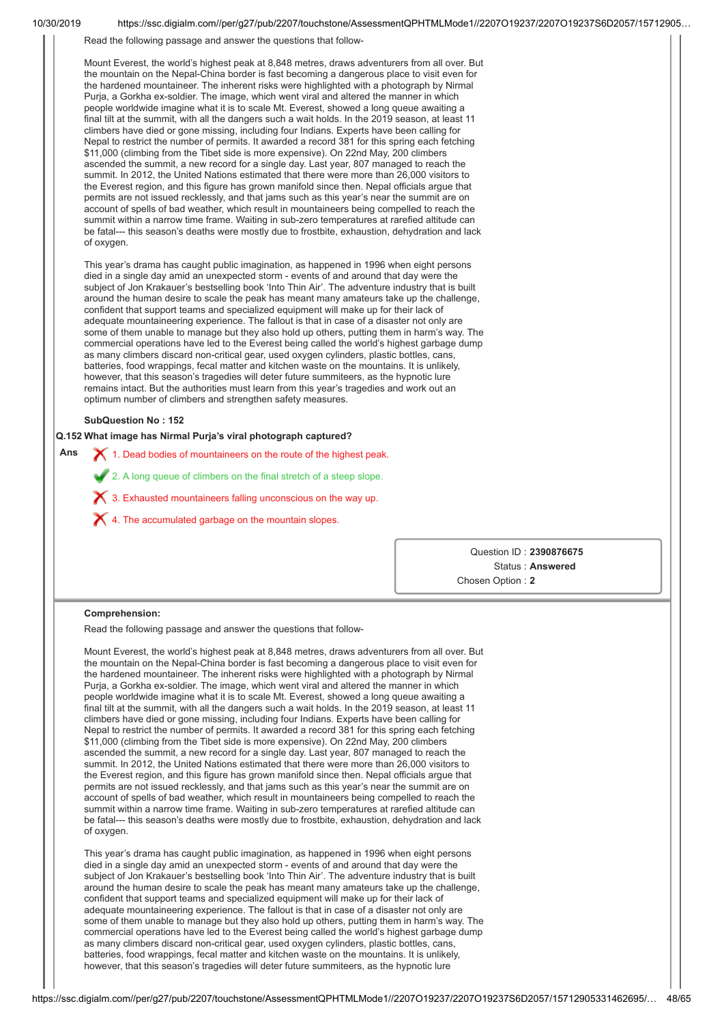| Mount Everest, the world's highest peak at 8,848 metres, draws adventurers from all over. But<br>the mountain on the Nepal-China border is fast becoming a dangerous place to visit even for                                                                                                                                                                                                                                                                                                                                                                                                                                                                                                                                                                                                                                                                                                                                                                                                                                                                                                                                                                                                                                                                                                                                                                                                                                                                                                                                                                                          |                         |
|---------------------------------------------------------------------------------------------------------------------------------------------------------------------------------------------------------------------------------------------------------------------------------------------------------------------------------------------------------------------------------------------------------------------------------------------------------------------------------------------------------------------------------------------------------------------------------------------------------------------------------------------------------------------------------------------------------------------------------------------------------------------------------------------------------------------------------------------------------------------------------------------------------------------------------------------------------------------------------------------------------------------------------------------------------------------------------------------------------------------------------------------------------------------------------------------------------------------------------------------------------------------------------------------------------------------------------------------------------------------------------------------------------------------------------------------------------------------------------------------------------------------------------------------------------------------------------------|-------------------------|
| the hardened mountaineer. The inherent risks were highlighted with a photograph by Nirmal<br>Purja, a Gorkha ex-soldier. The image, which went viral and altered the manner in which<br>people worldwide imagine what it is to scale Mt. Everest, showed a long queue awaiting a<br>final tilt at the summit, with all the dangers such a wait holds. In the 2019 season, at least 11<br>climbers have died or gone missing, including four Indians. Experts have been calling for<br>Nepal to restrict the number of permits. It awarded a record 381 for this spring each fetching<br>\$11,000 (climbing from the Tibet side is more expensive). On 22nd May, 200 climbers<br>ascended the summit, a new record for a single day. Last year, 807 managed to reach the<br>summit. In 2012, the United Nations estimated that there were more than 26,000 visitors to<br>the Everest region, and this figure has grown manifold since then. Nepal officials argue that<br>permits are not issued recklessly, and that jams such as this year's near the summit are on<br>account of spells of bad weather, which result in mountaineers being compelled to reach the<br>summit within a narrow time frame. Waiting in sub-zero temperatures at rarefied altitude can<br>be fatal--- this season's deaths were mostly due to frostbite, exhaustion, dehydration and lack<br>of oxygen.                                                                                                                                                                                                 |                         |
| This year's drama has caught public imagination, as happened in 1996 when eight persons<br>died in a single day amid an unexpected storm - events of and around that day were the<br>subject of Jon Krakauer's bestselling book 'Into Thin Air'. The adventure industry that is built<br>around the human desire to scale the peak has meant many amateurs take up the challenge,<br>confident that support teams and specialized equipment will make up for their lack of<br>adequate mountaineering experience. The fallout is that in case of a disaster not only are<br>some of them unable to manage but they also hold up others, putting them in harm's way. The<br>commercial operations have led to the Everest being called the world's highest garbage dump<br>as many climbers discard non-critical gear, used oxygen cylinders, plastic bottles, cans,<br>batteries, food wrappings, fecal matter and kitchen waste on the mountains. It is unlikely,<br>however, that this season's tragedies will deter future summiteers, as the hypnotic lure<br>remains intact. But the authorities must learn from this year's tragedies and work out an<br>optimum number of climbers and strengthen safety measures.                                                                                                                                                                                                                                                                                                                                                             |                         |
| <b>SubQuestion No: 152</b>                                                                                                                                                                                                                                                                                                                                                                                                                                                                                                                                                                                                                                                                                                                                                                                                                                                                                                                                                                                                                                                                                                                                                                                                                                                                                                                                                                                                                                                                                                                                                            |                         |
| Q.152 What image has Nirmal Purja's viral photograph captured?                                                                                                                                                                                                                                                                                                                                                                                                                                                                                                                                                                                                                                                                                                                                                                                                                                                                                                                                                                                                                                                                                                                                                                                                                                                                                                                                                                                                                                                                                                                        |                         |
| Ans<br>X 1. Dead bodies of mountaineers on the route of the highest peak.                                                                                                                                                                                                                                                                                                                                                                                                                                                                                                                                                                                                                                                                                                                                                                                                                                                                                                                                                                                                                                                                                                                                                                                                                                                                                                                                                                                                                                                                                                             |                         |
| 2. A long queue of climbers on the final stretch of a steep slope.                                                                                                                                                                                                                                                                                                                                                                                                                                                                                                                                                                                                                                                                                                                                                                                                                                                                                                                                                                                                                                                                                                                                                                                                                                                                                                                                                                                                                                                                                                                    |                         |
| X 3. Exhausted mountaineers falling unconscious on the way up.                                                                                                                                                                                                                                                                                                                                                                                                                                                                                                                                                                                                                                                                                                                                                                                                                                                                                                                                                                                                                                                                                                                                                                                                                                                                                                                                                                                                                                                                                                                        |                         |
| $\boldsymbol{\times}$ 4. The accumulated garbage on the mountain slopes.                                                                                                                                                                                                                                                                                                                                                                                                                                                                                                                                                                                                                                                                                                                                                                                                                                                                                                                                                                                                                                                                                                                                                                                                                                                                                                                                                                                                                                                                                                              |                         |
|                                                                                                                                                                                                                                                                                                                                                                                                                                                                                                                                                                                                                                                                                                                                                                                                                                                                                                                                                                                                                                                                                                                                                                                                                                                                                                                                                                                                                                                                                                                                                                                       |                         |
|                                                                                                                                                                                                                                                                                                                                                                                                                                                                                                                                                                                                                                                                                                                                                                                                                                                                                                                                                                                                                                                                                                                                                                                                                                                                                                                                                                                                                                                                                                                                                                                       |                         |
|                                                                                                                                                                                                                                                                                                                                                                                                                                                                                                                                                                                                                                                                                                                                                                                                                                                                                                                                                                                                                                                                                                                                                                                                                                                                                                                                                                                                                                                                                                                                                                                       | Question ID: 2390876675 |
|                                                                                                                                                                                                                                                                                                                                                                                                                                                                                                                                                                                                                                                                                                                                                                                                                                                                                                                                                                                                                                                                                                                                                                                                                                                                                                                                                                                                                                                                                                                                                                                       | Status: Answered        |
|                                                                                                                                                                                                                                                                                                                                                                                                                                                                                                                                                                                                                                                                                                                                                                                                                                                                                                                                                                                                                                                                                                                                                                                                                                                                                                                                                                                                                                                                                                                                                                                       | Chosen Option: 2        |
| Comprehension:                                                                                                                                                                                                                                                                                                                                                                                                                                                                                                                                                                                                                                                                                                                                                                                                                                                                                                                                                                                                                                                                                                                                                                                                                                                                                                                                                                                                                                                                                                                                                                        |                         |
| Read the following passage and answer the questions that follow-                                                                                                                                                                                                                                                                                                                                                                                                                                                                                                                                                                                                                                                                                                                                                                                                                                                                                                                                                                                                                                                                                                                                                                                                                                                                                                                                                                                                                                                                                                                      |                         |
| Mount Everest, the world's highest peak at 8,848 metres, draws adventurers from all over. But<br>the mountain on the Nepal-China border is fast becoming a dangerous place to visit even for<br>the hardened mountaineer. The inherent risks were highlighted with a photograph by Nirmal<br>Purja, a Gorkha ex-soldier. The image, which went viral and altered the manner in which<br>people worldwide imagine what it is to scale Mt. Everest, showed a long queue awaiting a<br>final tilt at the summit, with all the dangers such a wait holds. In the 2019 season, at least 11<br>climbers have died or gone missing, including four Indians. Experts have been calling for<br>Nepal to restrict the number of permits. It awarded a record 381 for this spring each fetching<br>\$11,000 (climbing from the Tibet side is more expensive). On 22nd May, 200 climbers<br>ascended the summit, a new record for a single day. Last year, 807 managed to reach the<br>summit. In 2012, the United Nations estimated that there were more than 26,000 visitors to<br>the Everest region, and this figure has grown manifold since then. Nepal officials argue that<br>permits are not issued recklessly, and that jams such as this year's near the summit are on<br>account of spells of bad weather, which result in mountaineers being compelled to reach the<br>summit within a narrow time frame. Waiting in sub-zero temperatures at rarefied altitude can<br>be fatal--- this season's deaths were mostly due to frostbite, exhaustion, dehydration and lack<br>of oxygen. |                         |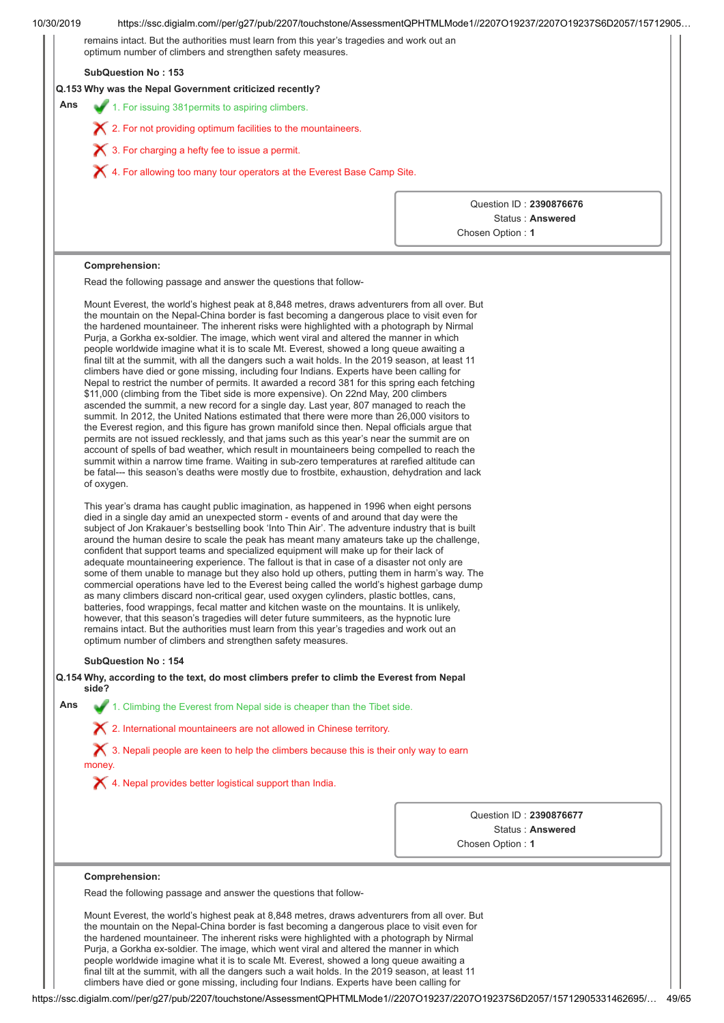|  |  |  | 10/30/2019 |
|--|--|--|------------|
|  |  |  |            |

| optimum number of climbers and strengthen safety measures.<br><b>SubQuestion No: 153</b>                                                                                                                                                                                                                                                                                                                                                                                                                                                                                                                                                                                                                                                                                                                                                                                                                                                                                                                                                                                                                                                                                                                                                                                                                                                                                                                                                                                                                                                                                                                                                                                                                                                                                                                                                                                                                                                                                                                                                                                                                                                                                                                                                                                                                                                                                                                                                                                                                                                                                                                                                                                                                                                                                                                                                         |                         |
|--------------------------------------------------------------------------------------------------------------------------------------------------------------------------------------------------------------------------------------------------------------------------------------------------------------------------------------------------------------------------------------------------------------------------------------------------------------------------------------------------------------------------------------------------------------------------------------------------------------------------------------------------------------------------------------------------------------------------------------------------------------------------------------------------------------------------------------------------------------------------------------------------------------------------------------------------------------------------------------------------------------------------------------------------------------------------------------------------------------------------------------------------------------------------------------------------------------------------------------------------------------------------------------------------------------------------------------------------------------------------------------------------------------------------------------------------------------------------------------------------------------------------------------------------------------------------------------------------------------------------------------------------------------------------------------------------------------------------------------------------------------------------------------------------------------------------------------------------------------------------------------------------------------------------------------------------------------------------------------------------------------------------------------------------------------------------------------------------------------------------------------------------------------------------------------------------------------------------------------------------------------------------------------------------------------------------------------------------------------------------------------------------------------------------------------------------------------------------------------------------------------------------------------------------------------------------------------------------------------------------------------------------------------------------------------------------------------------------------------------------------------------------------------------------------------------------------------------------|-------------------------|
| Q.153 Why was the Nepal Government criticized recently?                                                                                                                                                                                                                                                                                                                                                                                                                                                                                                                                                                                                                                                                                                                                                                                                                                                                                                                                                                                                                                                                                                                                                                                                                                                                                                                                                                                                                                                                                                                                                                                                                                                                                                                                                                                                                                                                                                                                                                                                                                                                                                                                                                                                                                                                                                                                                                                                                                                                                                                                                                                                                                                                                                                                                                                          |                         |
| Ans<br>1. For issuing 381 permits to aspiring climbers.                                                                                                                                                                                                                                                                                                                                                                                                                                                                                                                                                                                                                                                                                                                                                                                                                                                                                                                                                                                                                                                                                                                                                                                                                                                                                                                                                                                                                                                                                                                                                                                                                                                                                                                                                                                                                                                                                                                                                                                                                                                                                                                                                                                                                                                                                                                                                                                                                                                                                                                                                                                                                                                                                                                                                                                          |                         |
| X 2. For not providing optimum facilities to the mountaineers.                                                                                                                                                                                                                                                                                                                                                                                                                                                                                                                                                                                                                                                                                                                                                                                                                                                                                                                                                                                                                                                                                                                                                                                                                                                                                                                                                                                                                                                                                                                                                                                                                                                                                                                                                                                                                                                                                                                                                                                                                                                                                                                                                                                                                                                                                                                                                                                                                                                                                                                                                                                                                                                                                                                                                                                   |                         |
|                                                                                                                                                                                                                                                                                                                                                                                                                                                                                                                                                                                                                                                                                                                                                                                                                                                                                                                                                                                                                                                                                                                                                                                                                                                                                                                                                                                                                                                                                                                                                                                                                                                                                                                                                                                                                                                                                                                                                                                                                                                                                                                                                                                                                                                                                                                                                                                                                                                                                                                                                                                                                                                                                                                                                                                                                                                  |                         |
| X 3. For charging a hefty fee to issue a permit.                                                                                                                                                                                                                                                                                                                                                                                                                                                                                                                                                                                                                                                                                                                                                                                                                                                                                                                                                                                                                                                                                                                                                                                                                                                                                                                                                                                                                                                                                                                                                                                                                                                                                                                                                                                                                                                                                                                                                                                                                                                                                                                                                                                                                                                                                                                                                                                                                                                                                                                                                                                                                                                                                                                                                                                                 |                         |
| $\blacktriangleright$ 4. For allowing too many tour operators at the Everest Base Camp Site.                                                                                                                                                                                                                                                                                                                                                                                                                                                                                                                                                                                                                                                                                                                                                                                                                                                                                                                                                                                                                                                                                                                                                                                                                                                                                                                                                                                                                                                                                                                                                                                                                                                                                                                                                                                                                                                                                                                                                                                                                                                                                                                                                                                                                                                                                                                                                                                                                                                                                                                                                                                                                                                                                                                                                     |                         |
|                                                                                                                                                                                                                                                                                                                                                                                                                                                                                                                                                                                                                                                                                                                                                                                                                                                                                                                                                                                                                                                                                                                                                                                                                                                                                                                                                                                                                                                                                                                                                                                                                                                                                                                                                                                                                                                                                                                                                                                                                                                                                                                                                                                                                                                                                                                                                                                                                                                                                                                                                                                                                                                                                                                                                                                                                                                  | Question ID: 2390876676 |
|                                                                                                                                                                                                                                                                                                                                                                                                                                                                                                                                                                                                                                                                                                                                                                                                                                                                                                                                                                                                                                                                                                                                                                                                                                                                                                                                                                                                                                                                                                                                                                                                                                                                                                                                                                                                                                                                                                                                                                                                                                                                                                                                                                                                                                                                                                                                                                                                                                                                                                                                                                                                                                                                                                                                                                                                                                                  | Status: Answered        |
|                                                                                                                                                                                                                                                                                                                                                                                                                                                                                                                                                                                                                                                                                                                                                                                                                                                                                                                                                                                                                                                                                                                                                                                                                                                                                                                                                                                                                                                                                                                                                                                                                                                                                                                                                                                                                                                                                                                                                                                                                                                                                                                                                                                                                                                                                                                                                                                                                                                                                                                                                                                                                                                                                                                                                                                                                                                  | Chosen Option: 1        |
| Comprehension:                                                                                                                                                                                                                                                                                                                                                                                                                                                                                                                                                                                                                                                                                                                                                                                                                                                                                                                                                                                                                                                                                                                                                                                                                                                                                                                                                                                                                                                                                                                                                                                                                                                                                                                                                                                                                                                                                                                                                                                                                                                                                                                                                                                                                                                                                                                                                                                                                                                                                                                                                                                                                                                                                                                                                                                                                                   |                         |
| Read the following passage and answer the questions that follow-                                                                                                                                                                                                                                                                                                                                                                                                                                                                                                                                                                                                                                                                                                                                                                                                                                                                                                                                                                                                                                                                                                                                                                                                                                                                                                                                                                                                                                                                                                                                                                                                                                                                                                                                                                                                                                                                                                                                                                                                                                                                                                                                                                                                                                                                                                                                                                                                                                                                                                                                                                                                                                                                                                                                                                                 |                         |
| Mount Everest, the world's highest peak at 8,848 metres, draws adventurers from all over. But<br>the mountain on the Nepal-China border is fast becoming a dangerous place to visit even for<br>the hardened mountaineer. The inherent risks were highlighted with a photograph by Nirmal<br>Purja, a Gorkha ex-soldier. The image, which went viral and altered the manner in which<br>people worldwide imagine what it is to scale Mt. Everest, showed a long queue awaiting a<br>final tilt at the summit, with all the dangers such a wait holds. In the 2019 season, at least 11<br>climbers have died or gone missing, including four Indians. Experts have been calling for<br>Nepal to restrict the number of permits. It awarded a record 381 for this spring each fetching<br>\$11,000 (climbing from the Tibet side is more expensive). On 22nd May, 200 climbers<br>ascended the summit, a new record for a single day. Last year, 807 managed to reach the<br>summit. In 2012, the United Nations estimated that there were more than 26,000 visitors to<br>the Everest region, and this figure has grown manifold since then. Nepal officials argue that<br>permits are not issued recklessly, and that jams such as this year's near the summit are on<br>account of spells of bad weather, which result in mountaineers being compelled to reach the<br>summit within a narrow time frame. Waiting in sub-zero temperatures at rarefied altitude can<br>be fatal--- this season's deaths were mostly due to frostbite, exhaustion, dehydration and lack<br>of oxygen.<br>This year's drama has caught public imagination, as happened in 1996 when eight persons<br>died in a single day amid an unexpected storm - events of and around that day were the<br>subject of Jon Krakauer's bestselling book 'Into Thin Air'. The adventure industry that is built<br>around the human desire to scale the peak has meant many amateurs take up the challenge,<br>confident that support teams and specialized equipment will make up for their lack of<br>adequate mountaineering experience. The fallout is that in case of a disaster not only are<br>some of them unable to manage but they also hold up others, putting them in harm's way. The<br>commercial operations have led to the Everest being called the world's highest garbage dump<br>as many climbers discard non-critical gear, used oxygen cylinders, plastic bottles, cans,<br>batteries, food wrappings, fecal matter and kitchen waste on the mountains. It is unlikely,<br>however, that this season's tragedies will deter future summiteers, as the hypnotic lure<br>remains intact. But the authorities must learn from this year's tragedies and work out an<br>optimum number of climbers and strengthen safety measures.<br><b>SubQuestion No: 154</b> |                         |
| Q.154 Why, according to the text, do most climbers prefer to climb the Everest from Nepal<br>side?                                                                                                                                                                                                                                                                                                                                                                                                                                                                                                                                                                                                                                                                                                                                                                                                                                                                                                                                                                                                                                                                                                                                                                                                                                                                                                                                                                                                                                                                                                                                                                                                                                                                                                                                                                                                                                                                                                                                                                                                                                                                                                                                                                                                                                                                                                                                                                                                                                                                                                                                                                                                                                                                                                                                               |                         |
| Ans<br>1. Climbing the Everest from Nepal side is cheaper than the Tibet side.                                                                                                                                                                                                                                                                                                                                                                                                                                                                                                                                                                                                                                                                                                                                                                                                                                                                                                                                                                                                                                                                                                                                                                                                                                                                                                                                                                                                                                                                                                                                                                                                                                                                                                                                                                                                                                                                                                                                                                                                                                                                                                                                                                                                                                                                                                                                                                                                                                                                                                                                                                                                                                                                                                                                                                   |                         |
| 2. International mountaineers are not allowed in Chinese territory.                                                                                                                                                                                                                                                                                                                                                                                                                                                                                                                                                                                                                                                                                                                                                                                                                                                                                                                                                                                                                                                                                                                                                                                                                                                                                                                                                                                                                                                                                                                                                                                                                                                                                                                                                                                                                                                                                                                                                                                                                                                                                                                                                                                                                                                                                                                                                                                                                                                                                                                                                                                                                                                                                                                                                                              |                         |
| 3. Nepali people are keen to help the climbers because this is their only way to earn<br>money.                                                                                                                                                                                                                                                                                                                                                                                                                                                                                                                                                                                                                                                                                                                                                                                                                                                                                                                                                                                                                                                                                                                                                                                                                                                                                                                                                                                                                                                                                                                                                                                                                                                                                                                                                                                                                                                                                                                                                                                                                                                                                                                                                                                                                                                                                                                                                                                                                                                                                                                                                                                                                                                                                                                                                  |                         |
| X 4. Nepal provides better logistical support than India.                                                                                                                                                                                                                                                                                                                                                                                                                                                                                                                                                                                                                                                                                                                                                                                                                                                                                                                                                                                                                                                                                                                                                                                                                                                                                                                                                                                                                                                                                                                                                                                                                                                                                                                                                                                                                                                                                                                                                                                                                                                                                                                                                                                                                                                                                                                                                                                                                                                                                                                                                                                                                                                                                                                                                                                        |                         |
|                                                                                                                                                                                                                                                                                                                                                                                                                                                                                                                                                                                                                                                                                                                                                                                                                                                                                                                                                                                                                                                                                                                                                                                                                                                                                                                                                                                                                                                                                                                                                                                                                                                                                                                                                                                                                                                                                                                                                                                                                                                                                                                                                                                                                                                                                                                                                                                                                                                                                                                                                                                                                                                                                                                                                                                                                                                  | Question ID: 2390876677 |
|                                                                                                                                                                                                                                                                                                                                                                                                                                                                                                                                                                                                                                                                                                                                                                                                                                                                                                                                                                                                                                                                                                                                                                                                                                                                                                                                                                                                                                                                                                                                                                                                                                                                                                                                                                                                                                                                                                                                                                                                                                                                                                                                                                                                                                                                                                                                                                                                                                                                                                                                                                                                                                                                                                                                                                                                                                                  | Status: Answered        |
|                                                                                                                                                                                                                                                                                                                                                                                                                                                                                                                                                                                                                                                                                                                                                                                                                                                                                                                                                                                                                                                                                                                                                                                                                                                                                                                                                                                                                                                                                                                                                                                                                                                                                                                                                                                                                                                                                                                                                                                                                                                                                                                                                                                                                                                                                                                                                                                                                                                                                                                                                                                                                                                                                                                                                                                                                                                  | Chosen Option: 1        |
|                                                                                                                                                                                                                                                                                                                                                                                                                                                                                                                                                                                                                                                                                                                                                                                                                                                                                                                                                                                                                                                                                                                                                                                                                                                                                                                                                                                                                                                                                                                                                                                                                                                                                                                                                                                                                                                                                                                                                                                                                                                                                                                                                                                                                                                                                                                                                                                                                                                                                                                                                                                                                                                                                                                                                                                                                                                  |                         |
| Comprehension:<br>Read the following passage and answer the questions that follow-                                                                                                                                                                                                                                                                                                                                                                                                                                                                                                                                                                                                                                                                                                                                                                                                                                                                                                                                                                                                                                                                                                                                                                                                                                                                                                                                                                                                                                                                                                                                                                                                                                                                                                                                                                                                                                                                                                                                                                                                                                                                                                                                                                                                                                                                                                                                                                                                                                                                                                                                                                                                                                                                                                                                                               |                         |
| Mount Everest, the world's highest peak at 8,848 metres, draws adventurers from all over. But<br>the mountain on the Nepal-China border is fast becoming a dangerous place to visit even for<br>the hardened mountaineer. The inherent risks were highlighted with a photograph by Nirmal<br>Purja, a Gorkha ex-soldier. The image, which went viral and altered the manner in which<br>people worldwide imagine what it is to scale Mt. Everest, showed a long queue awaiting a                                                                                                                                                                                                                                                                                                                                                                                                                                                                                                                                                                                                                                                                                                                                                                                                                                                                                                                                                                                                                                                                                                                                                                                                                                                                                                                                                                                                                                                                                                                                                                                                                                                                                                                                                                                                                                                                                                                                                                                                                                                                                                                                                                                                                                                                                                                                                                 |                         |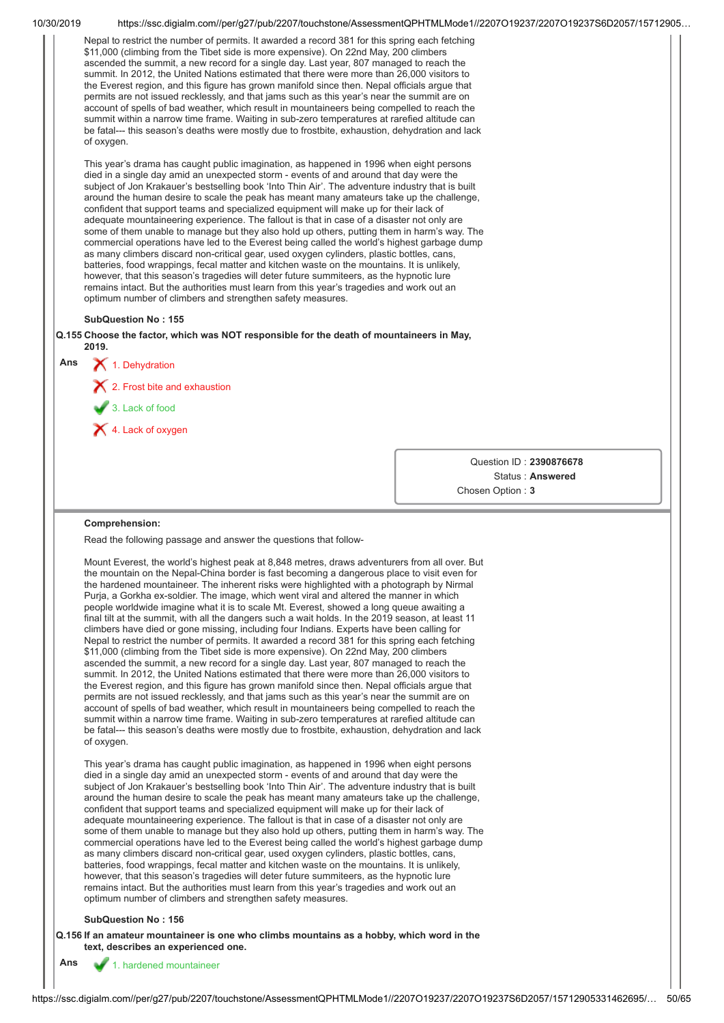|     |                                                                                                                                                                                                                                                                                                                                                                                                                                                                                                                                                                                                                                                                                                                                                                                                                                                                                                                                                                                                                                                                                                                                                                                                                                                                                                                                                                                                                                                                                                                                                                                                                                                                                                                                                      | https://ssc.digialm.com//per/g27/pub/2207/touchstone/AssessmentQPHTMLMode1//2207O19237/2207O19237S6D2057/15712905 |
|-----|------------------------------------------------------------------------------------------------------------------------------------------------------------------------------------------------------------------------------------------------------------------------------------------------------------------------------------------------------------------------------------------------------------------------------------------------------------------------------------------------------------------------------------------------------------------------------------------------------------------------------------------------------------------------------------------------------------------------------------------------------------------------------------------------------------------------------------------------------------------------------------------------------------------------------------------------------------------------------------------------------------------------------------------------------------------------------------------------------------------------------------------------------------------------------------------------------------------------------------------------------------------------------------------------------------------------------------------------------------------------------------------------------------------------------------------------------------------------------------------------------------------------------------------------------------------------------------------------------------------------------------------------------------------------------------------------------------------------------------------------------|-------------------------------------------------------------------------------------------------------------------|
|     | Nepal to restrict the number of permits. It awarded a record 381 for this spring each fetching<br>\$11,000 (climbing from the Tibet side is more expensive). On 22nd May, 200 climbers<br>ascended the summit, a new record for a single day. Last year, 807 managed to reach the<br>summit. In 2012, the United Nations estimated that there were more than 26,000 visitors to<br>the Everest region, and this figure has grown manifold since then. Nepal officials argue that<br>permits are not issued recklessly, and that jams such as this year's near the summit are on<br>account of spells of bad weather, which result in mountaineers being compelled to reach the<br>summit within a narrow time frame. Waiting in sub-zero temperatures at rarefied altitude can<br>be fatal--- this season's deaths were mostly due to frostbite, exhaustion, dehydration and lack<br>of oxygen.                                                                                                                                                                                                                                                                                                                                                                                                                                                                                                                                                                                                                                                                                                                                                                                                                                                      |                                                                                                                   |
|     | This year's drama has caught public imagination, as happened in 1996 when eight persons<br>died in a single day amid an unexpected storm - events of and around that day were the<br>subject of Jon Krakauer's bestselling book 'Into Thin Air'. The adventure industry that is built<br>around the human desire to scale the peak has meant many amateurs take up the challenge,<br>confident that support teams and specialized equipment will make up for their lack of<br>adequate mountaineering experience. The fallout is that in case of a disaster not only are<br>some of them unable to manage but they also hold up others, putting them in harm's way. The<br>commercial operations have led to the Everest being called the world's highest garbage dump<br>as many climbers discard non-critical gear, used oxygen cylinders, plastic bottles, cans,<br>batteries, food wrappings, fecal matter and kitchen waste on the mountains. It is unlikely,<br>however, that this season's tragedies will deter future summiteers, as the hypnotic lure<br>remains intact. But the authorities must learn from this year's tragedies and work out an<br>optimum number of climbers and strengthen safety measures.                                                                                                                                                                                                                                                                                                                                                                                                                                                                                                                            |                                                                                                                   |
|     | <b>SubQuestion No: 155</b>                                                                                                                                                                                                                                                                                                                                                                                                                                                                                                                                                                                                                                                                                                                                                                                                                                                                                                                                                                                                                                                                                                                                                                                                                                                                                                                                                                                                                                                                                                                                                                                                                                                                                                                           |                                                                                                                   |
|     | Q.155 Choose the factor, which was NOT responsible for the death of mountaineers in May,<br>2019.                                                                                                                                                                                                                                                                                                                                                                                                                                                                                                                                                                                                                                                                                                                                                                                                                                                                                                                                                                                                                                                                                                                                                                                                                                                                                                                                                                                                                                                                                                                                                                                                                                                    |                                                                                                                   |
| Ans | $\bigtimes$ 1. Dehydration                                                                                                                                                                                                                                                                                                                                                                                                                                                                                                                                                                                                                                                                                                                                                                                                                                                                                                                                                                                                                                                                                                                                                                                                                                                                                                                                                                                                                                                                                                                                                                                                                                                                                                                           |                                                                                                                   |
|     | $\boldsymbol{\times}$ 2. Frost bite and exhaustion                                                                                                                                                                                                                                                                                                                                                                                                                                                                                                                                                                                                                                                                                                                                                                                                                                                                                                                                                                                                                                                                                                                                                                                                                                                                                                                                                                                                                                                                                                                                                                                                                                                                                                   |                                                                                                                   |
|     | 3. Lack of food                                                                                                                                                                                                                                                                                                                                                                                                                                                                                                                                                                                                                                                                                                                                                                                                                                                                                                                                                                                                                                                                                                                                                                                                                                                                                                                                                                                                                                                                                                                                                                                                                                                                                                                                      |                                                                                                                   |
|     | X 4. Lack of oxygen                                                                                                                                                                                                                                                                                                                                                                                                                                                                                                                                                                                                                                                                                                                                                                                                                                                                                                                                                                                                                                                                                                                                                                                                                                                                                                                                                                                                                                                                                                                                                                                                                                                                                                                                  |                                                                                                                   |
|     |                                                                                                                                                                                                                                                                                                                                                                                                                                                                                                                                                                                                                                                                                                                                                                                                                                                                                                                                                                                                                                                                                                                                                                                                                                                                                                                                                                                                                                                                                                                                                                                                                                                                                                                                                      |                                                                                                                   |
|     |                                                                                                                                                                                                                                                                                                                                                                                                                                                                                                                                                                                                                                                                                                                                                                                                                                                                                                                                                                                                                                                                                                                                                                                                                                                                                                                                                                                                                                                                                                                                                                                                                                                                                                                                                      | Question ID: 2390876678                                                                                           |
|     |                                                                                                                                                                                                                                                                                                                                                                                                                                                                                                                                                                                                                                                                                                                                                                                                                                                                                                                                                                                                                                                                                                                                                                                                                                                                                                                                                                                                                                                                                                                                                                                                                                                                                                                                                      |                                                                                                                   |
|     |                                                                                                                                                                                                                                                                                                                                                                                                                                                                                                                                                                                                                                                                                                                                                                                                                                                                                                                                                                                                                                                                                                                                                                                                                                                                                                                                                                                                                                                                                                                                                                                                                                                                                                                                                      | Status: Answered<br>Chosen Option: 3                                                                              |
|     | Comprehension:                                                                                                                                                                                                                                                                                                                                                                                                                                                                                                                                                                                                                                                                                                                                                                                                                                                                                                                                                                                                                                                                                                                                                                                                                                                                                                                                                                                                                                                                                                                                                                                                                                                                                                                                       |                                                                                                                   |
|     | Read the following passage and answer the questions that follow-<br>Mount Everest, the world's highest peak at 8,848 metres, draws adventurers from all over. But<br>the mountain on the Nepal-China border is fast becoming a dangerous place to visit even for<br>the hardened mountaineer. The inherent risks were highlighted with a photograph by Nirmal<br>Purja, a Gorkha ex-soldier. The image, which went viral and altered the manner in which<br>people worldwide imagine what it is to scale Mt. Everest, showed a long queue awaiting a<br>final tilt at the summit, with all the dangers such a wait holds. In the 2019 season, at least 11<br>climbers have died or gone missing, including four Indians. Experts have been calling for<br>Nepal to restrict the number of permits. It awarded a record 381 for this spring each fetching<br>\$11,000 (climbing from the Tibet side is more expensive). On 22nd May, 200 climbers<br>ascended the summit, a new record for a single day. Last year, 807 managed to reach the<br>summit. In 2012, the United Nations estimated that there were more than 26,000 visitors to<br>the Everest region, and this figure has grown manifold since then. Nepal officials argue that<br>permits are not issued recklessly, and that jams such as this year's near the summit are on<br>account of spells of bad weather, which result in mountaineers being compelled to reach the<br>summit within a narrow time frame. Waiting in sub-zero temperatures at rarefied altitude can<br>be fatal--- this season's deaths were mostly due to frostbite, exhaustion, dehydration and lack<br>of oxygen.<br>This year's drama has caught public imagination, as happened in 1996 when eight persons |                                                                                                                   |
|     | died in a single day amid an unexpected storm - events of and around that day were the<br>subject of Jon Krakauer's bestselling book 'Into Thin Air'. The adventure industry that is built<br>around the human desire to scale the peak has meant many amateurs take up the challenge,<br>confident that support teams and specialized equipment will make up for their lack of<br>adequate mountaineering experience. The fallout is that in case of a disaster not only are<br>some of them unable to manage but they also hold up others, putting them in harm's way. The<br>commercial operations have led to the Everest being called the world's highest garbage dump<br>as many climbers discard non-critical gear, used oxygen cylinders, plastic bottles, cans,<br>batteries, food wrappings, fecal matter and kitchen waste on the mountains. It is unlikely,<br>however, that this season's tragedies will deter future summiteers, as the hypnotic lure<br>remains intact. But the authorities must learn from this year's tragedies and work out an<br>optimum number of climbers and strengthen safety measures.<br><b>SubQuestion No: 156</b><br>Q.156 If an amateur mountaineer is one who climbs mountains as a hobby, which word in the                                                                                                                                                                                                                                                                                                                                                                                                                                                                                            |                                                                                                                   |
| Ans | text, describes an experienced one.<br>1. hardened mountaineer                                                                                                                                                                                                                                                                                                                                                                                                                                                                                                                                                                                                                                                                                                                                                                                                                                                                                                                                                                                                                                                                                                                                                                                                                                                                                                                                                                                                                                                                                                                                                                                                                                                                                       |                                                                                                                   |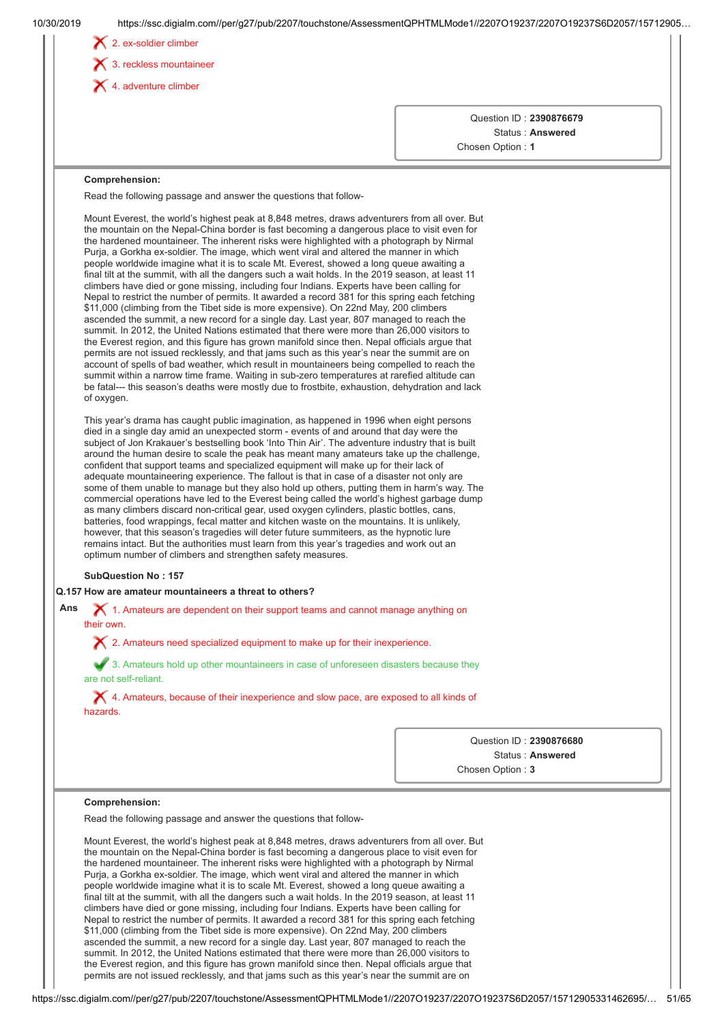|     | $\blacktriangleright$ 3. reckless mountaineer                                                                                                                                                                                                                                                                                                                                                                                                                                                                                                                                                                                                                                                                                                                                                                                                                                                                                                                                                                                                                                                                                                                                                                                                                                                                                                                                                                                                                                                                                                                                         |                                                                                         |
|-----|---------------------------------------------------------------------------------------------------------------------------------------------------------------------------------------------------------------------------------------------------------------------------------------------------------------------------------------------------------------------------------------------------------------------------------------------------------------------------------------------------------------------------------------------------------------------------------------------------------------------------------------------------------------------------------------------------------------------------------------------------------------------------------------------------------------------------------------------------------------------------------------------------------------------------------------------------------------------------------------------------------------------------------------------------------------------------------------------------------------------------------------------------------------------------------------------------------------------------------------------------------------------------------------------------------------------------------------------------------------------------------------------------------------------------------------------------------------------------------------------------------------------------------------------------------------------------------------|-----------------------------------------------------------------------------------------|
|     | $\blacktriangleright$ 4. adventure climber                                                                                                                                                                                                                                                                                                                                                                                                                                                                                                                                                                                                                                                                                                                                                                                                                                                                                                                                                                                                                                                                                                                                                                                                                                                                                                                                                                                                                                                                                                                                            |                                                                                         |
|     |                                                                                                                                                                                                                                                                                                                                                                                                                                                                                                                                                                                                                                                                                                                                                                                                                                                                                                                                                                                                                                                                                                                                                                                                                                                                                                                                                                                                                                                                                                                                                                                       | Question ID: 2390876679<br>Status: Answered<br>Chosen Option: 1                         |
|     | Comprehension:                                                                                                                                                                                                                                                                                                                                                                                                                                                                                                                                                                                                                                                                                                                                                                                                                                                                                                                                                                                                                                                                                                                                                                                                                                                                                                                                                                                                                                                                                                                                                                        |                                                                                         |
|     | Read the following passage and answer the questions that follow-                                                                                                                                                                                                                                                                                                                                                                                                                                                                                                                                                                                                                                                                                                                                                                                                                                                                                                                                                                                                                                                                                                                                                                                                                                                                                                                                                                                                                                                                                                                      |                                                                                         |
|     | Mount Everest, the world's highest peak at 8,848 metres, draws adventurers from all over. But<br>the mountain on the Nepal-China border is fast becoming a dangerous place to visit even for<br>the hardened mountaineer. The inherent risks were highlighted with a photograph by Nirmal<br>Purja, a Gorkha ex-soldier. The image, which went viral and altered the manner in which<br>people worldwide imagine what it is to scale Mt. Everest, showed a long queue awaiting a<br>final tilt at the summit, with all the dangers such a wait holds. In the 2019 season, at least 11<br>climbers have died or gone missing, including four Indians. Experts have been calling for<br>Nepal to restrict the number of permits. It awarded a record 381 for this spring each fetching<br>\$11,000 (climbing from the Tibet side is more expensive). On 22nd May, 200 climbers<br>ascended the summit, a new record for a single day. Last year, 807 managed to reach the<br>summit. In 2012, the United Nations estimated that there were more than 26,000 visitors to<br>the Everest region, and this figure has grown manifold since then. Nepal officials argue that<br>permits are not issued recklessly, and that jams such as this year's near the summit are on<br>account of spells of bad weather, which result in mountaineers being compelled to reach the<br>summit within a narrow time frame. Waiting in sub-zero temperatures at rarefied altitude can<br>be fatal--- this season's deaths were mostly due to frostbite, exhaustion, dehydration and lack<br>of oxygen. |                                                                                         |
|     | This year's drama has caught public imagination, as happened in 1996 when eight persons<br>died in a single day amid an unexpected storm - events of and around that day were the<br>subject of Jon Krakauer's bestselling book 'Into Thin Air'. The adventure industry that is built<br>around the human desire to scale the peak has meant many amateurs take up the challenge,<br>confident that support teams and specialized equipment will make up for their lack of<br>adequate mountaineering experience. The fallout is that in case of a disaster not only are<br>some of them unable to manage but they also hold up others, putting them in harm's way. The<br>commercial operations have led to the Everest being called the world's highest garbage dump<br>as many climbers discard non-critical gear, used oxygen cylinders, plastic bottles, cans,<br>batteries, food wrappings, fecal matter and kitchen waste on the mountains. It is unlikely,<br>however, that this season's tragedies will deter future summiteers, as the hypnotic lure<br>remains intact. But the authorities must learn from this year's tragedies and work out an<br>optimum number of climbers and strengthen safety measures.<br><b>SubQuestion No: 157</b>                                                                                                                                                                                                                                                                                                                               |                                                                                         |
|     | Q.157 How are amateur mountaineers a threat to others?                                                                                                                                                                                                                                                                                                                                                                                                                                                                                                                                                                                                                                                                                                                                                                                                                                                                                                                                                                                                                                                                                                                                                                                                                                                                                                                                                                                                                                                                                                                                |                                                                                         |
| Ans | X 1. Amateurs are dependent on their support teams and cannot manage anything on<br>their own.                                                                                                                                                                                                                                                                                                                                                                                                                                                                                                                                                                                                                                                                                                                                                                                                                                                                                                                                                                                                                                                                                                                                                                                                                                                                                                                                                                                                                                                                                        |                                                                                         |
|     | $\chi$ 2. Amateurs need specialized equipment to make up for their inexperience.                                                                                                                                                                                                                                                                                                                                                                                                                                                                                                                                                                                                                                                                                                                                                                                                                                                                                                                                                                                                                                                                                                                                                                                                                                                                                                                                                                                                                                                                                                      |                                                                                         |
|     | 3. Amateurs hold up other mountaineers in case of unforeseen disasters because they                                                                                                                                                                                                                                                                                                                                                                                                                                                                                                                                                                                                                                                                                                                                                                                                                                                                                                                                                                                                                                                                                                                                                                                                                                                                                                                                                                                                                                                                                                   |                                                                                         |
|     | are not self-reliant.<br>X 4. Amateurs, because of their inexperience and slow pace, are exposed to all kinds of<br>hazards.                                                                                                                                                                                                                                                                                                                                                                                                                                                                                                                                                                                                                                                                                                                                                                                                                                                                                                                                                                                                                                                                                                                                                                                                                                                                                                                                                                                                                                                          |                                                                                         |
|     |                                                                                                                                                                                                                                                                                                                                                                                                                                                                                                                                                                                                                                                                                                                                                                                                                                                                                                                                                                                                                                                                                                                                                                                                                                                                                                                                                                                                                                                                                                                                                                                       | Question ID: 2390876680<br>Status: Answered<br>Chosen Option: 3                         |
|     | Comprehension:                                                                                                                                                                                                                                                                                                                                                                                                                                                                                                                                                                                                                                                                                                                                                                                                                                                                                                                                                                                                                                                                                                                                                                                                                                                                                                                                                                                                                                                                                                                                                                        |                                                                                         |
|     | Read the following passage and answer the questions that follow-                                                                                                                                                                                                                                                                                                                                                                                                                                                                                                                                                                                                                                                                                                                                                                                                                                                                                                                                                                                                                                                                                                                                                                                                                                                                                                                                                                                                                                                                                                                      |                                                                                         |
|     | Mount Everest, the world's highest peak at 8,848 metres, draws adventurers from all over. But<br>the mountain on the Nepal-China border is fast becoming a dangerous place to visit even for<br>the hardened mountaineer. The inherent risks were highlighted with a photograph by Nirmal                                                                                                                                                                                                                                                                                                                                                                                                                                                                                                                                                                                                                                                                                                                                                                                                                                                                                                                                                                                                                                                                                                                                                                                                                                                                                             | Purja, a Gorkha ex-soldier. The image, which went viral and altered the manner in which |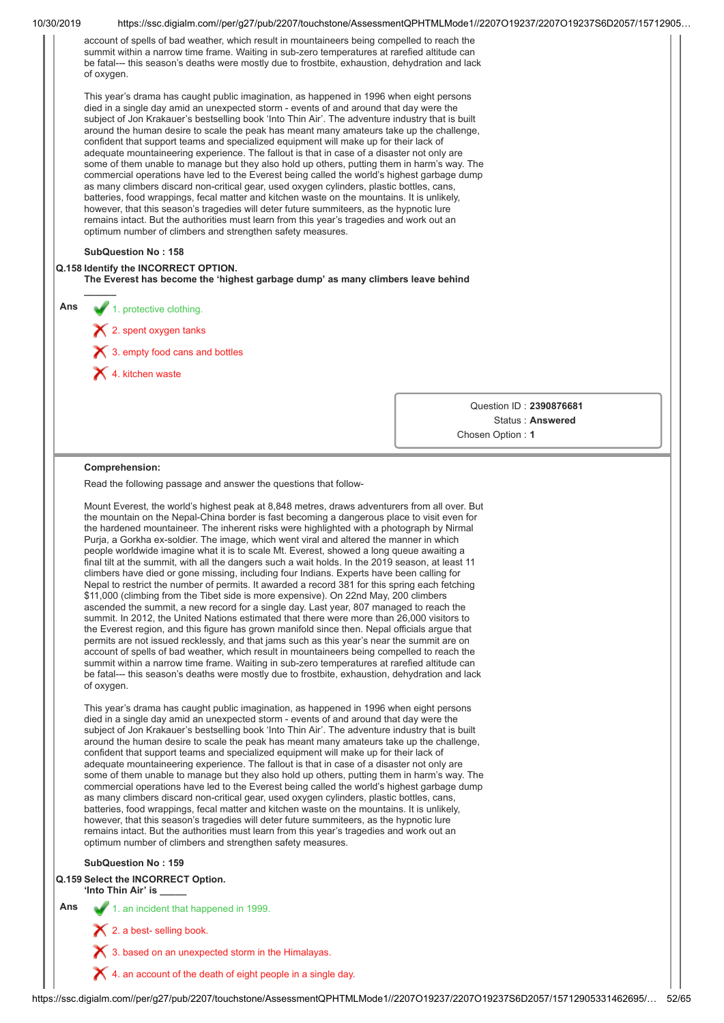| 10/30/2019 | https://ssc.digialm.com//per/g27/pub/2207/touchstone/AssessmentQPHTMLMode1//2207O19237/2207O19237S6D2057/15712905                                                                                                                                                                                                                                                                                                                                                                                                                                                                                                                                                                                                                                                                                                                                                                                                                                                                                                                                                                                                                                                                                                                                                                                                                                                                                                                                                                                                                                                                                                                                                                                                                                                                                                                                                         |                         |       |
|------------|---------------------------------------------------------------------------------------------------------------------------------------------------------------------------------------------------------------------------------------------------------------------------------------------------------------------------------------------------------------------------------------------------------------------------------------------------------------------------------------------------------------------------------------------------------------------------------------------------------------------------------------------------------------------------------------------------------------------------------------------------------------------------------------------------------------------------------------------------------------------------------------------------------------------------------------------------------------------------------------------------------------------------------------------------------------------------------------------------------------------------------------------------------------------------------------------------------------------------------------------------------------------------------------------------------------------------------------------------------------------------------------------------------------------------------------------------------------------------------------------------------------------------------------------------------------------------------------------------------------------------------------------------------------------------------------------------------------------------------------------------------------------------------------------------------------------------------------------------------------------------|-------------------------|-------|
|            | account of spells of bad weather, which result in mountaineers being compelled to reach the<br>summit within a narrow time frame. Waiting in sub-zero temperatures at rarefied altitude can<br>be fatal--- this season's deaths were mostly due to frostbite, exhaustion, dehydration and lack<br>of oxygen.                                                                                                                                                                                                                                                                                                                                                                                                                                                                                                                                                                                                                                                                                                                                                                                                                                                                                                                                                                                                                                                                                                                                                                                                                                                                                                                                                                                                                                                                                                                                                              |                         |       |
|            | This year's drama has caught public imagination, as happened in 1996 when eight persons<br>died in a single day amid an unexpected storm - events of and around that day were the<br>subject of Jon Krakauer's bestselling book 'Into Thin Air'. The adventure industry that is built<br>around the human desire to scale the peak has meant many amateurs take up the challenge,<br>confident that support teams and specialized equipment will make up for their lack of<br>adequate mountaineering experience. The fallout is that in case of a disaster not only are<br>some of them unable to manage but they also hold up others, putting them in harm's way. The<br>commercial operations have led to the Everest being called the world's highest garbage dump<br>as many climbers discard non-critical gear, used oxygen cylinders, plastic bottles, cans,<br>batteries, food wrappings, fecal matter and kitchen waste on the mountains. It is unlikely,<br>however, that this season's tragedies will deter future summiteers, as the hypnotic lure<br>remains intact. But the authorities must learn from this year's tragedies and work out an<br>optimum number of climbers and strengthen safety measures.                                                                                                                                                                                                                                                                                                                                                                                                                                                                                                                                                                                                                                                 |                         |       |
|            | <b>SubQuestion No: 158</b><br>Q.158 Identify the INCORRECT OPTION.<br>The Everest has become the 'highest garbage dump' as many climbers leave behind                                                                                                                                                                                                                                                                                                                                                                                                                                                                                                                                                                                                                                                                                                                                                                                                                                                                                                                                                                                                                                                                                                                                                                                                                                                                                                                                                                                                                                                                                                                                                                                                                                                                                                                     |                         |       |
| Ans        | 1. protective clothing.                                                                                                                                                                                                                                                                                                                                                                                                                                                                                                                                                                                                                                                                                                                                                                                                                                                                                                                                                                                                                                                                                                                                                                                                                                                                                                                                                                                                                                                                                                                                                                                                                                                                                                                                                                                                                                                   |                         |       |
|            | $\mathsf{\times}$ 2. spent oxygen tanks                                                                                                                                                                                                                                                                                                                                                                                                                                                                                                                                                                                                                                                                                                                                                                                                                                                                                                                                                                                                                                                                                                                                                                                                                                                                                                                                                                                                                                                                                                                                                                                                                                                                                                                                                                                                                                   |                         |       |
|            |                                                                                                                                                                                                                                                                                                                                                                                                                                                                                                                                                                                                                                                                                                                                                                                                                                                                                                                                                                                                                                                                                                                                                                                                                                                                                                                                                                                                                                                                                                                                                                                                                                                                                                                                                                                                                                                                           |                         |       |
|            | $\boldsymbol{\times}$ 3. empty food cans and bottles                                                                                                                                                                                                                                                                                                                                                                                                                                                                                                                                                                                                                                                                                                                                                                                                                                                                                                                                                                                                                                                                                                                                                                                                                                                                                                                                                                                                                                                                                                                                                                                                                                                                                                                                                                                                                      |                         |       |
|            | 4. kitchen waste                                                                                                                                                                                                                                                                                                                                                                                                                                                                                                                                                                                                                                                                                                                                                                                                                                                                                                                                                                                                                                                                                                                                                                                                                                                                                                                                                                                                                                                                                                                                                                                                                                                                                                                                                                                                                                                          |                         |       |
|            |                                                                                                                                                                                                                                                                                                                                                                                                                                                                                                                                                                                                                                                                                                                                                                                                                                                                                                                                                                                                                                                                                                                                                                                                                                                                                                                                                                                                                                                                                                                                                                                                                                                                                                                                                                                                                                                                           | Question ID: 2390876681 |       |
|            |                                                                                                                                                                                                                                                                                                                                                                                                                                                                                                                                                                                                                                                                                                                                                                                                                                                                                                                                                                                                                                                                                                                                                                                                                                                                                                                                                                                                                                                                                                                                                                                                                                                                                                                                                                                                                                                                           | Status: Answered        |       |
|            |                                                                                                                                                                                                                                                                                                                                                                                                                                                                                                                                                                                                                                                                                                                                                                                                                                                                                                                                                                                                                                                                                                                                                                                                                                                                                                                                                                                                                                                                                                                                                                                                                                                                                                                                                                                                                                                                           | Chosen Option: 1        |       |
|            | Comprehension:                                                                                                                                                                                                                                                                                                                                                                                                                                                                                                                                                                                                                                                                                                                                                                                                                                                                                                                                                                                                                                                                                                                                                                                                                                                                                                                                                                                                                                                                                                                                                                                                                                                                                                                                                                                                                                                            |                         |       |
|            | Read the following passage and answer the questions that follow-                                                                                                                                                                                                                                                                                                                                                                                                                                                                                                                                                                                                                                                                                                                                                                                                                                                                                                                                                                                                                                                                                                                                                                                                                                                                                                                                                                                                                                                                                                                                                                                                                                                                                                                                                                                                          |                         |       |
|            | the mountain on the Nepal-China border is fast becoming a dangerous place to visit even for<br>the hardened mountaineer. The inherent risks were highlighted with a photograph by Nirmal<br>Purja, a Gorkha ex-soldier. The image, which went viral and altered the manner in which<br>people worldwide imagine what it is to scale Mt. Everest, showed a long queue awaiting a<br>final tilt at the summit, with all the dangers such a wait holds. In the 2019 season, at least 11<br>climbers have died or gone missing, including four Indians. Experts have been calling for<br>Nepal to restrict the number of permits. It awarded a record 381 for this spring each fetching<br>\$11,000 (climbing from the Tibet side is more expensive). On 22nd May, 200 climbers<br>ascended the summit, a new record for a single day. Last year, 807 managed to reach the<br>summit. In 2012, the United Nations estimated that there were more than 26,000 visitors to<br>the Everest region, and this figure has grown manifold since then. Nepal officials argue that<br>permits are not issued recklessly, and that jams such as this year's near the summit are on<br>account of spells of bad weather, which result in mountaineers being compelled to reach the<br>summit within a narrow time frame. Waiting in sub-zero temperatures at rarefied altitude can<br>be fatal--- this season's deaths were mostly due to frostbite, exhaustion, dehydration and lack<br>of oxygen.<br>This year's drama has caught public imagination, as happened in 1996 when eight persons<br>died in a single day amid an unexpected storm - events of and around that day were the<br>subject of Jon Krakauer's bestselling book 'Into Thin Air'. The adventure industry that is built<br>around the human desire to scale the peak has meant many amateurs take up the challenge, |                         |       |
|            | confident that support teams and specialized equipment will make up for their lack of<br>adequate mountaineering experience. The fallout is that in case of a disaster not only are<br>some of them unable to manage but they also hold up others, putting them in harm's way. The<br>commercial operations have led to the Everest being called the world's highest garbage dump<br>as many climbers discard non-critical gear, used oxygen cylinders, plastic bottles, cans,<br>batteries, food wrappings, fecal matter and kitchen waste on the mountains. It is unlikely,<br>however, that this season's tragedies will deter future summiteers, as the hypnotic lure<br>remains intact. But the authorities must learn from this year's tragedies and work out an<br>optimum number of climbers and strengthen safety measures.<br><b>SubQuestion No: 159</b>                                                                                                                                                                                                                                                                                                                                                                                                                                                                                                                                                                                                                                                                                                                                                                                                                                                                                                                                                                                                        |                         |       |
|            | Q.159 Select the INCORRECT Option.                                                                                                                                                                                                                                                                                                                                                                                                                                                                                                                                                                                                                                                                                                                                                                                                                                                                                                                                                                                                                                                                                                                                                                                                                                                                                                                                                                                                                                                                                                                                                                                                                                                                                                                                                                                                                                        |                         |       |
| Ans        | 'Into Thin Air' is _____<br>1. an incident that happened in 1999.                                                                                                                                                                                                                                                                                                                                                                                                                                                                                                                                                                                                                                                                                                                                                                                                                                                                                                                                                                                                                                                                                                                                                                                                                                                                                                                                                                                                                                                                                                                                                                                                                                                                                                                                                                                                         |                         |       |
|            | $\blacktriangleright$ 2. a best-selling book.                                                                                                                                                                                                                                                                                                                                                                                                                                                                                                                                                                                                                                                                                                                                                                                                                                                                                                                                                                                                                                                                                                                                                                                                                                                                                                                                                                                                                                                                                                                                                                                                                                                                                                                                                                                                                             |                         |       |
|            | 3. based on an unexpected storm in the Himalayas.                                                                                                                                                                                                                                                                                                                                                                                                                                                                                                                                                                                                                                                                                                                                                                                                                                                                                                                                                                                                                                                                                                                                                                                                                                                                                                                                                                                                                                                                                                                                                                                                                                                                                                                                                                                                                         |                         |       |
|            |                                                                                                                                                                                                                                                                                                                                                                                                                                                                                                                                                                                                                                                                                                                                                                                                                                                                                                                                                                                                                                                                                                                                                                                                                                                                                                                                                                                                                                                                                                                                                                                                                                                                                                                                                                                                                                                                           |                         |       |
|            | $\blacktriangleright$ 4. an account of the death of eight people in a single day.                                                                                                                                                                                                                                                                                                                                                                                                                                                                                                                                                                                                                                                                                                                                                                                                                                                                                                                                                                                                                                                                                                                                                                                                                                                                                                                                                                                                                                                                                                                                                                                                                                                                                                                                                                                         |                         |       |
|            | https://ssc.digialm.com//per/g27/pub/2207/touchstone/AssessmentQPHTMLMode1//2207O19237/2207O19237S6D2057/15712905331462695/                                                                                                                                                                                                                                                                                                                                                                                                                                                                                                                                                                                                                                                                                                                                                                                                                                                                                                                                                                                                                                                                                                                                                                                                                                                                                                                                                                                                                                                                                                                                                                                                                                                                                                                                               |                         | 52/65 |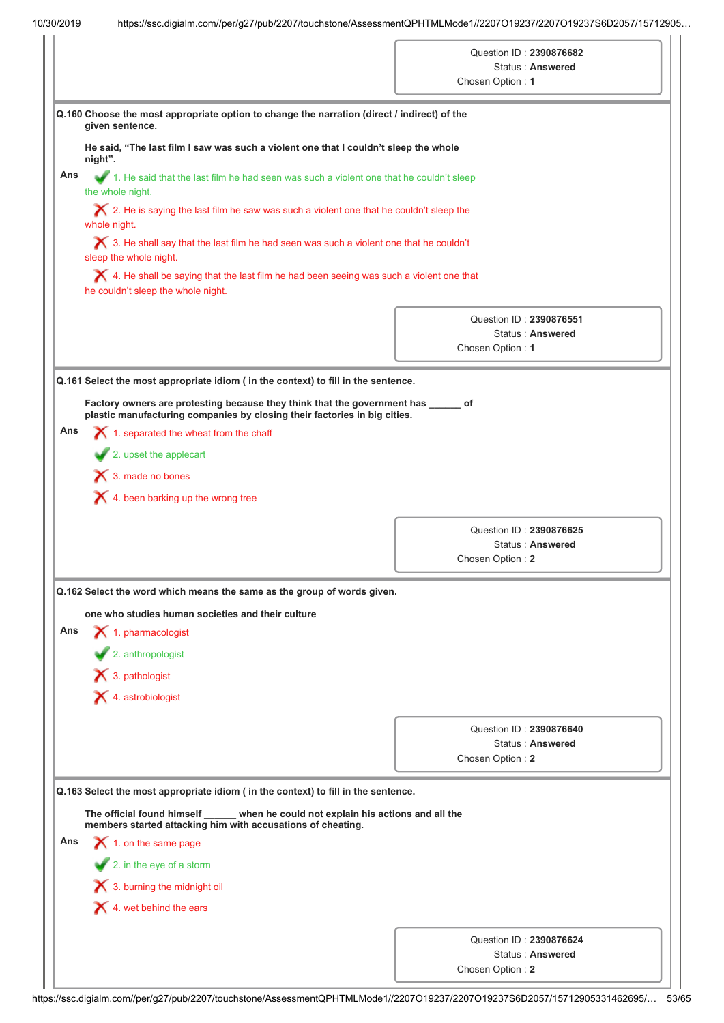| Q.160 Choose the most appropriate option to change the narration (direct / indirect) of the<br>given sentence.<br>He said, "The last film I saw was such a violent one that I couldn't sleep the whole<br>1. He said that the last film he had seen was such a violent one that he couldn't sleep<br>the whole night.<br>$\bigtimes$ 2. He is saying the last film he saw was such a violent one that he couldn't sleep the<br>whole night.<br>$\bigtimes$ 3. He shall say that the last film he had seen was such a violent one that he couldn't<br>sleep the whole night.<br>$\blacktriangleright$ 4. He shall be saying that the last film he had been seeing was such a violent one that<br>he couldn't sleep the whole night.<br>Q.161 Select the most appropriate idiom ( in the context) to fill in the sentence.<br>Factory owners are protesting because they think that the government has ______ of | Question ID: 2390876682<br><b>Status: Answered</b><br>Chosen Option: 1<br>Question ID: 2390876551<br><b>Status: Answered</b><br>Chosen Option: 1                                                                                                                                                                                                                                                                                                                                                                                                                                                                                                                                     |
|----------------------------------------------------------------------------------------------------------------------------------------------------------------------------------------------------------------------------------------------------------------------------------------------------------------------------------------------------------------------------------------------------------------------------------------------------------------------------------------------------------------------------------------------------------------------------------------------------------------------------------------------------------------------------------------------------------------------------------------------------------------------------------------------------------------------------------------------------------------------------------------------------------------|--------------------------------------------------------------------------------------------------------------------------------------------------------------------------------------------------------------------------------------------------------------------------------------------------------------------------------------------------------------------------------------------------------------------------------------------------------------------------------------------------------------------------------------------------------------------------------------------------------------------------------------------------------------------------------------|
|                                                                                                                                                                                                                                                                                                                                                                                                                                                                                                                                                                                                                                                                                                                                                                                                                                                                                                                |                                                                                                                                                                                                                                                                                                                                                                                                                                                                                                                                                                                                                                                                                      |
|                                                                                                                                                                                                                                                                                                                                                                                                                                                                                                                                                                                                                                                                                                                                                                                                                                                                                                                |                                                                                                                                                                                                                                                                                                                                                                                                                                                                                                                                                                                                                                                                                      |
|                                                                                                                                                                                                                                                                                                                                                                                                                                                                                                                                                                                                                                                                                                                                                                                                                                                                                                                |                                                                                                                                                                                                                                                                                                                                                                                                                                                                                                                                                                                                                                                                                      |
|                                                                                                                                                                                                                                                                                                                                                                                                                                                                                                                                                                                                                                                                                                                                                                                                                                                                                                                |                                                                                                                                                                                                                                                                                                                                                                                                                                                                                                                                                                                                                                                                                      |
|                                                                                                                                                                                                                                                                                                                                                                                                                                                                                                                                                                                                                                                                                                                                                                                                                                                                                                                |                                                                                                                                                                                                                                                                                                                                                                                                                                                                                                                                                                                                                                                                                      |
|                                                                                                                                                                                                                                                                                                                                                                                                                                                                                                                                                                                                                                                                                                                                                                                                                                                                                                                |                                                                                                                                                                                                                                                                                                                                                                                                                                                                                                                                                                                                                                                                                      |
|                                                                                                                                                                                                                                                                                                                                                                                                                                                                                                                                                                                                                                                                                                                                                                                                                                                                                                                |                                                                                                                                                                                                                                                                                                                                                                                                                                                                                                                                                                                                                                                                                      |
|                                                                                                                                                                                                                                                                                                                                                                                                                                                                                                                                                                                                                                                                                                                                                                                                                                                                                                                |                                                                                                                                                                                                                                                                                                                                                                                                                                                                                                                                                                                                                                                                                      |
|                                                                                                                                                                                                                                                                                                                                                                                                                                                                                                                                                                                                                                                                                                                                                                                                                                                                                                                |                                                                                                                                                                                                                                                                                                                                                                                                                                                                                                                                                                                                                                                                                      |
|                                                                                                                                                                                                                                                                                                                                                                                                                                                                                                                                                                                                                                                                                                                                                                                                                                                                                                                |                                                                                                                                                                                                                                                                                                                                                                                                                                                                                                                                                                                                                                                                                      |
| plastic manufacturing companies by closing their factories in big cities.                                                                                                                                                                                                                                                                                                                                                                                                                                                                                                                                                                                                                                                                                                                                                                                                                                      |                                                                                                                                                                                                                                                                                                                                                                                                                                                                                                                                                                                                                                                                                      |
|                                                                                                                                                                                                                                                                                                                                                                                                                                                                                                                                                                                                                                                                                                                                                                                                                                                                                                                |                                                                                                                                                                                                                                                                                                                                                                                                                                                                                                                                                                                                                                                                                      |
|                                                                                                                                                                                                                                                                                                                                                                                                                                                                                                                                                                                                                                                                                                                                                                                                                                                                                                                |                                                                                                                                                                                                                                                                                                                                                                                                                                                                                                                                                                                                                                                                                      |
|                                                                                                                                                                                                                                                                                                                                                                                                                                                                                                                                                                                                                                                                                                                                                                                                                                                                                                                |                                                                                                                                                                                                                                                                                                                                                                                                                                                                                                                                                                                                                                                                                      |
|                                                                                                                                                                                                                                                                                                                                                                                                                                                                                                                                                                                                                                                                                                                                                                                                                                                                                                                |                                                                                                                                                                                                                                                                                                                                                                                                                                                                                                                                                                                                                                                                                      |
|                                                                                                                                                                                                                                                                                                                                                                                                                                                                                                                                                                                                                                                                                                                                                                                                                                                                                                                | Question ID: 2390876625                                                                                                                                                                                                                                                                                                                                                                                                                                                                                                                                                                                                                                                              |
|                                                                                                                                                                                                                                                                                                                                                                                                                                                                                                                                                                                                                                                                                                                                                                                                                                                                                                                | <b>Status: Answered</b>                                                                                                                                                                                                                                                                                                                                                                                                                                                                                                                                                                                                                                                              |
|                                                                                                                                                                                                                                                                                                                                                                                                                                                                                                                                                                                                                                                                                                                                                                                                                                                                                                                | Chosen Option: 2                                                                                                                                                                                                                                                                                                                                                                                                                                                                                                                                                                                                                                                                     |
|                                                                                                                                                                                                                                                                                                                                                                                                                                                                                                                                                                                                                                                                                                                                                                                                                                                                                                                |                                                                                                                                                                                                                                                                                                                                                                                                                                                                                                                                                                                                                                                                                      |
|                                                                                                                                                                                                                                                                                                                                                                                                                                                                                                                                                                                                                                                                                                                                                                                                                                                                                                                |                                                                                                                                                                                                                                                                                                                                                                                                                                                                                                                                                                                                                                                                                      |
|                                                                                                                                                                                                                                                                                                                                                                                                                                                                                                                                                                                                                                                                                                                                                                                                                                                                                                                |                                                                                                                                                                                                                                                                                                                                                                                                                                                                                                                                                                                                                                                                                      |
|                                                                                                                                                                                                                                                                                                                                                                                                                                                                                                                                                                                                                                                                                                                                                                                                                                                                                                                |                                                                                                                                                                                                                                                                                                                                                                                                                                                                                                                                                                                                                                                                                      |
|                                                                                                                                                                                                                                                                                                                                                                                                                                                                                                                                                                                                                                                                                                                                                                                                                                                                                                                |                                                                                                                                                                                                                                                                                                                                                                                                                                                                                                                                                                                                                                                                                      |
|                                                                                                                                                                                                                                                                                                                                                                                                                                                                                                                                                                                                                                                                                                                                                                                                                                                                                                                |                                                                                                                                                                                                                                                                                                                                                                                                                                                                                                                                                                                                                                                                                      |
|                                                                                                                                                                                                                                                                                                                                                                                                                                                                                                                                                                                                                                                                                                                                                                                                                                                                                                                | Question ID: 2390876640<br><b>Status: Answered</b>                                                                                                                                                                                                                                                                                                                                                                                                                                                                                                                                                                                                                                   |
|                                                                                                                                                                                                                                                                                                                                                                                                                                                                                                                                                                                                                                                                                                                                                                                                                                                                                                                | Chosen Option: 2                                                                                                                                                                                                                                                                                                                                                                                                                                                                                                                                                                                                                                                                     |
| $\blacktriangleright$ 1. on the same page                                                                                                                                                                                                                                                                                                                                                                                                                                                                                                                                                                                                                                                                                                                                                                                                                                                                      | $\bigtimes$ 1. separated the wheat from the chaff<br>$\blacktriangleright$ 2. upset the applecart<br>X 3. made no bones<br>$\bigtimes$ 4. been barking up the wrong tree<br>Q.162 Select the word which means the same as the group of words given.<br>one who studies human societies and their culture<br>$\blacktriangle$ 1. pharmacologist<br>2. anthropologist<br>$\bigtimes$ 3. pathologist<br>$\blacktriangleright$ 4. astrobiologist<br>Q.163 Select the most appropriate idiom ( in the context) to fill in the sentence.<br>The official found himself<br>when he could not explain his actions and all the<br>members started attacking him with accusations of cheating. |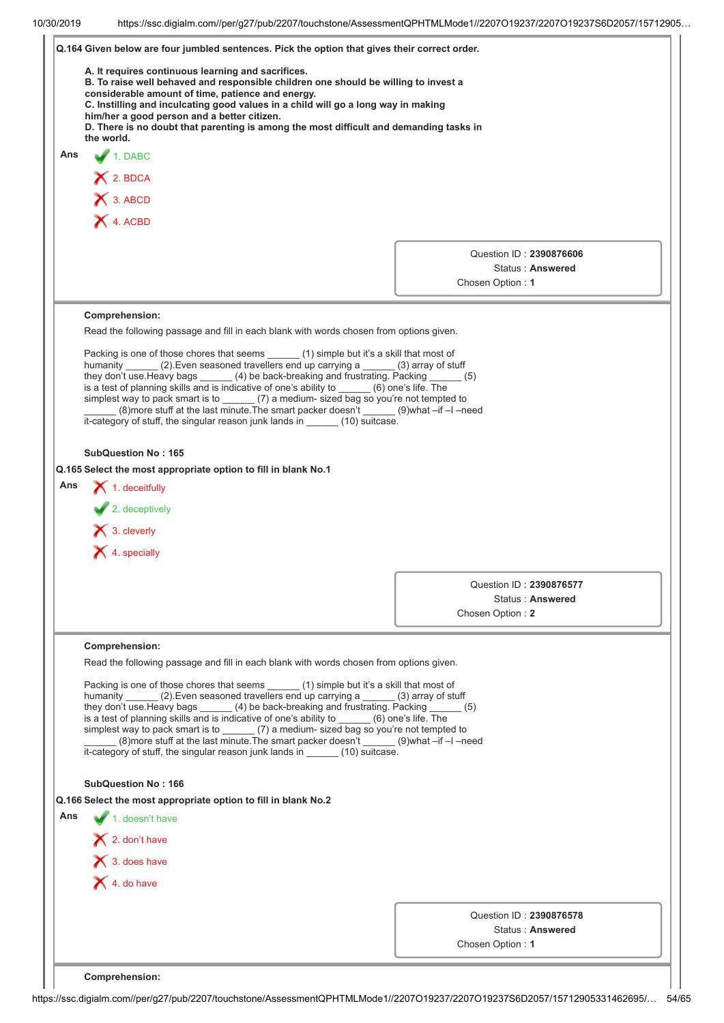|     | Q.164 Given below are four jumbled sentences. Pick the option that gives their correct order.                                                                                                      |                                      |
|-----|----------------------------------------------------------------------------------------------------------------------------------------------------------------------------------------------------|--------------------------------------|
|     | A. It requires continuous learning and sacrifices.                                                                                                                                                 |                                      |
|     | B. To raise well behaved and responsible children one should be willing to invest a<br>considerable amount of time, patience and energy.                                                           |                                      |
|     | C. Instilling and inculcating good values in a child will go a long way in making                                                                                                                  |                                      |
|     | him/her a good person and a better citizen.<br>D. There is no doubt that parenting is among the most difficult and demanding tasks in                                                              |                                      |
|     | the world.                                                                                                                                                                                         |                                      |
| Ans | 1. DABC                                                                                                                                                                                            |                                      |
|     | $X$ 2. BDCA                                                                                                                                                                                        |                                      |
|     | X 3. ABCD                                                                                                                                                                                          |                                      |
|     | X 4. ACBD                                                                                                                                                                                          |                                      |
|     |                                                                                                                                                                                                    |                                      |
|     |                                                                                                                                                                                                    | Question ID: 2390876606              |
|     |                                                                                                                                                                                                    | Status: Answered                     |
|     |                                                                                                                                                                                                    | Chosen Option: 1                     |
|     |                                                                                                                                                                                                    |                                      |
|     | Comprehension:<br>Read the following passage and fill in each blank with words chosen from options given.                                                                                          |                                      |
|     |                                                                                                                                                                                                    |                                      |
|     | Packing is one of those chores that seems (1) simple but it's a skill that most of<br>humanity (2). Even seasoned travellers end up carrying a (3) array of stuff                                  |                                      |
|     | they don't use. Heavy bags ______ (4) be back-breaking and frustrating. Packing _                                                                                                                  | (5)                                  |
|     | is a test of planning skills and is indicative of one's ability to ______ (6) one's life. The<br>simplest way to pack smart is to $\qquad \qquad$ (7) a medium- sized bag so you're not tempted to |                                      |
|     | (8) more stuff at the last minute. The smart packer doesn't ______ (9) what -if -I -need                                                                                                           |                                      |
|     | it-category of stuff, the singular reason junk lands in ______ (10) suitcase.                                                                                                                      |                                      |
|     | <b>SubQuestion No: 165</b>                                                                                                                                                                         |                                      |
|     |                                                                                                                                                                                                    |                                      |
|     |                                                                                                                                                                                                    |                                      |
| Ans | Q.165 Select the most appropriate option to fill in blank No.1                                                                                                                                     |                                      |
|     | $\blacktriangleright$ 1. deceitfully                                                                                                                                                               |                                      |
|     | $\blacktriangleright$ 2. deceptively                                                                                                                                                               |                                      |
|     | $\blacktriangleright$ 3. cleverly                                                                                                                                                                  |                                      |
|     | $\blacktriangleright$ 4. specially                                                                                                                                                                 |                                      |
|     |                                                                                                                                                                                                    |                                      |
|     |                                                                                                                                                                                                    | Question ID: 2390876577              |
|     |                                                                                                                                                                                                    | Status: Answered                     |
|     |                                                                                                                                                                                                    | Chosen Option: 2                     |
|     | Comprehension:                                                                                                                                                                                     |                                      |
|     | Read the following passage and fill in each blank with words chosen from options given.                                                                                                            |                                      |
|     |                                                                                                                                                                                                    |                                      |
|     | Packing is one of those chores that seems (1) simple but it's a skill that most of<br>humanity (2) Even seasoned travellers end up carrying a _____ (3) array of stuff                             |                                      |
|     | they don't use. Heavy bags (4) be back-breaking and frustrating. Packing                                                                                                                           | (5)                                  |
|     | is a test of planning skills and is indicative of one's ability to (6) one's life. The<br>simplest way to pack smart is to (7) a medium- sized bag so you're not tempted to                        |                                      |
|     |                                                                                                                                                                                                    |                                      |
|     | it-category of stuff, the singular reason junk lands in (10) suitcase.                                                                                                                             |                                      |
|     | <b>SubQuestion No: 166</b>                                                                                                                                                                         |                                      |
|     | Q.166 Select the most appropriate option to fill in blank No.2                                                                                                                                     |                                      |
|     | 1. doesn't have                                                                                                                                                                                    |                                      |
| Ans |                                                                                                                                                                                                    |                                      |
|     | $\blacktriangleright$ 2. don't have                                                                                                                                                                |                                      |
|     | $\bigtimes$ 3. does have                                                                                                                                                                           |                                      |
|     | $\blacktriangleright$ 4. do have                                                                                                                                                                   |                                      |
|     |                                                                                                                                                                                                    |                                      |
|     |                                                                                                                                                                                                    | Question ID: 2390876578              |
|     |                                                                                                                                                                                                    | Status: Answered<br>Chosen Option: 1 |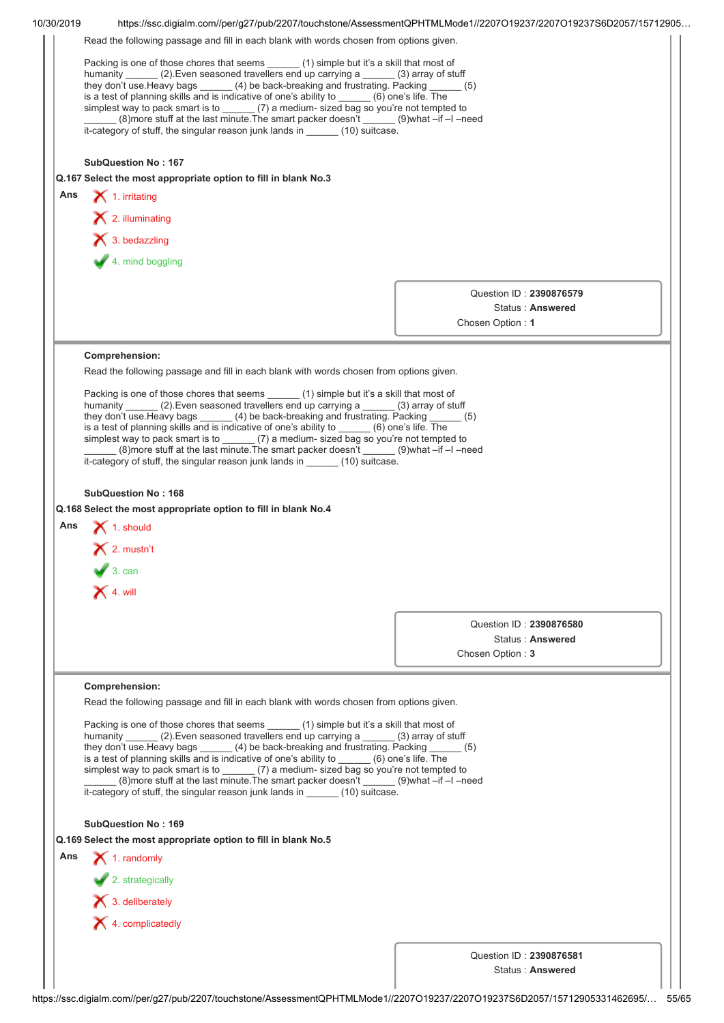| 10/30/2019 | https://ssc.digialm.com//per/q27/pub/2207/touchstone/AssessmentQPHTMLMode1//2207O19237/2207O19237S6D2057/15712905                                                                                                                                                                                                                                                                                                                                                                                                                                                                                                                               |                                                                                                                                                                                                                                                                                                                                                                                                                                                                                                                                                               |  |  |  |  |
|------------|-------------------------------------------------------------------------------------------------------------------------------------------------------------------------------------------------------------------------------------------------------------------------------------------------------------------------------------------------------------------------------------------------------------------------------------------------------------------------------------------------------------------------------------------------------------------------------------------------------------------------------------------------|---------------------------------------------------------------------------------------------------------------------------------------------------------------------------------------------------------------------------------------------------------------------------------------------------------------------------------------------------------------------------------------------------------------------------------------------------------------------------------------------------------------------------------------------------------------|--|--|--|--|
|            | Read the following passage and fill in each blank with words chosen from options given.                                                                                                                                                                                                                                                                                                                                                                                                                                                                                                                                                         |                                                                                                                                                                                                                                                                                                                                                                                                                                                                                                                                                               |  |  |  |  |
|            | Packing is one of those chores that seems ______ (1) simple but it's a skill that most of<br>humanity (2). Even seasoned travellers end up carrying a (3) array of stuff<br>they don't use. Heavy bags _______ (4) be back-breaking and frustrating. Packing (5)<br>is a test of planning skills and is indicative of one's ability to ______ (6) one's life. The<br>simplest way to pack smart is to $\frac{1}{2}$ (7) a medium-sized bag so you're not tempted to<br>(8)more stuff at the last minute. The smart packer doesn't ______ (9)what -if -I -need<br>it-category of stuff, the singular reason junk lands in _______ (10) suitcase. |                                                                                                                                                                                                                                                                                                                                                                                                                                                                                                                                                               |  |  |  |  |
|            | <b>SubQuestion No: 167</b>                                                                                                                                                                                                                                                                                                                                                                                                                                                                                                                                                                                                                      |                                                                                                                                                                                                                                                                                                                                                                                                                                                                                                                                                               |  |  |  |  |
|            | Q.167 Select the most appropriate option to fill in blank No.3                                                                                                                                                                                                                                                                                                                                                                                                                                                                                                                                                                                  |                                                                                                                                                                                                                                                                                                                                                                                                                                                                                                                                                               |  |  |  |  |
| Ans        | $\blacktriangleright$ 1. irritating                                                                                                                                                                                                                                                                                                                                                                                                                                                                                                                                                                                                             |                                                                                                                                                                                                                                                                                                                                                                                                                                                                                                                                                               |  |  |  |  |
|            | X 2. illuminating                                                                                                                                                                                                                                                                                                                                                                                                                                                                                                                                                                                                                               |                                                                                                                                                                                                                                                                                                                                                                                                                                                                                                                                                               |  |  |  |  |
|            | $\blacktriangleright$ 3. bedazzling                                                                                                                                                                                                                                                                                                                                                                                                                                                                                                                                                                                                             |                                                                                                                                                                                                                                                                                                                                                                                                                                                                                                                                                               |  |  |  |  |
|            |                                                                                                                                                                                                                                                                                                                                                                                                                                                                                                                                                                                                                                                 |                                                                                                                                                                                                                                                                                                                                                                                                                                                                                                                                                               |  |  |  |  |
|            | 4. mind boggling                                                                                                                                                                                                                                                                                                                                                                                                                                                                                                                                                                                                                                |                                                                                                                                                                                                                                                                                                                                                                                                                                                                                                                                                               |  |  |  |  |
|            |                                                                                                                                                                                                                                                                                                                                                                                                                                                                                                                                                                                                                                                 | Question ID: 2390876579                                                                                                                                                                                                                                                                                                                                                                                                                                                                                                                                       |  |  |  |  |
|            |                                                                                                                                                                                                                                                                                                                                                                                                                                                                                                                                                                                                                                                 | Status: Answered                                                                                                                                                                                                                                                                                                                                                                                                                                                                                                                                              |  |  |  |  |
|            |                                                                                                                                                                                                                                                                                                                                                                                                                                                                                                                                                                                                                                                 | Chosen Option: 1                                                                                                                                                                                                                                                                                                                                                                                                                                                                                                                                              |  |  |  |  |
|            |                                                                                                                                                                                                                                                                                                                                                                                                                                                                                                                                                                                                                                                 |                                                                                                                                                                                                                                                                                                                                                                                                                                                                                                                                                               |  |  |  |  |
|            | Comprehension:                                                                                                                                                                                                                                                                                                                                                                                                                                                                                                                                                                                                                                  |                                                                                                                                                                                                                                                                                                                                                                                                                                                                                                                                                               |  |  |  |  |
|            | Read the following passage and fill in each blank with words chosen from options given.                                                                                                                                                                                                                                                                                                                                                                                                                                                                                                                                                         |                                                                                                                                                                                                                                                                                                                                                                                                                                                                                                                                                               |  |  |  |  |
|            | it-category of stuff, the singular reason junk lands in _______ (10) suitcase.                                                                                                                                                                                                                                                                                                                                                                                                                                                                                                                                                                  | Packing is one of those chores that seems ______ (1) simple but it's a skill that most of<br>humanity (2). Even seasoned travellers end up carrying a (3) array of stuff<br>they don't use. Heavy bags (4) be back-breaking and frustrating. Packing<br>(5)<br>is a test of planning skills and is indicative of one's ability to ______ (6) one's life. The<br>simplest way to pack smart is to $\qquad \qquad$ (7) a medium- sized bag so you're not tempted to<br>(8) more stuff at the last minute. The smart packer doesn't ______ (9) what -if -I -need |  |  |  |  |
|            |                                                                                                                                                                                                                                                                                                                                                                                                                                                                                                                                                                                                                                                 |                                                                                                                                                                                                                                                                                                                                                                                                                                                                                                                                                               |  |  |  |  |
|            |                                                                                                                                                                                                                                                                                                                                                                                                                                                                                                                                                                                                                                                 |                                                                                                                                                                                                                                                                                                                                                                                                                                                                                                                                                               |  |  |  |  |
|            | <b>SubQuestion No: 168</b>                                                                                                                                                                                                                                                                                                                                                                                                                                                                                                                                                                                                                      |                                                                                                                                                                                                                                                                                                                                                                                                                                                                                                                                                               |  |  |  |  |
|            | Q.168 Select the most appropriate option to fill in blank No.4                                                                                                                                                                                                                                                                                                                                                                                                                                                                                                                                                                                  |                                                                                                                                                                                                                                                                                                                                                                                                                                                                                                                                                               |  |  |  |  |
| Ans        | $\blacktriangleright$ 1. should                                                                                                                                                                                                                                                                                                                                                                                                                                                                                                                                                                                                                 |                                                                                                                                                                                                                                                                                                                                                                                                                                                                                                                                                               |  |  |  |  |
|            | $\mathsf{X}$ 2. mustn't                                                                                                                                                                                                                                                                                                                                                                                                                                                                                                                                                                                                                         |                                                                                                                                                                                                                                                                                                                                                                                                                                                                                                                                                               |  |  |  |  |
|            | $\sqrt{3}$ . can                                                                                                                                                                                                                                                                                                                                                                                                                                                                                                                                                                                                                                |                                                                                                                                                                                                                                                                                                                                                                                                                                                                                                                                                               |  |  |  |  |
|            | $\mathsf{X}$ 4. will                                                                                                                                                                                                                                                                                                                                                                                                                                                                                                                                                                                                                            |                                                                                                                                                                                                                                                                                                                                                                                                                                                                                                                                                               |  |  |  |  |
|            |                                                                                                                                                                                                                                                                                                                                                                                                                                                                                                                                                                                                                                                 |                                                                                                                                                                                                                                                                                                                                                                                                                                                                                                                                                               |  |  |  |  |
|            |                                                                                                                                                                                                                                                                                                                                                                                                                                                                                                                                                                                                                                                 | Question ID: 2390876580                                                                                                                                                                                                                                                                                                                                                                                                                                                                                                                                       |  |  |  |  |
|            |                                                                                                                                                                                                                                                                                                                                                                                                                                                                                                                                                                                                                                                 | Status: Answered<br>Chosen Option: 3                                                                                                                                                                                                                                                                                                                                                                                                                                                                                                                          |  |  |  |  |
|            |                                                                                                                                                                                                                                                                                                                                                                                                                                                                                                                                                                                                                                                 |                                                                                                                                                                                                                                                                                                                                                                                                                                                                                                                                                               |  |  |  |  |
|            | Comprehension:                                                                                                                                                                                                                                                                                                                                                                                                                                                                                                                                                                                                                                  |                                                                                                                                                                                                                                                                                                                                                                                                                                                                                                                                                               |  |  |  |  |
|            | Read the following passage and fill in each blank with words chosen from options given.                                                                                                                                                                                                                                                                                                                                                                                                                                                                                                                                                         |                                                                                                                                                                                                                                                                                                                                                                                                                                                                                                                                                               |  |  |  |  |
|            | Packing is one of those chores that seems<br>(1) simple but it's a skill that most of<br>humanity ______ (2). Even seasoned travellers end up carrying a ______ (3) array of stuff<br>they don't use. Heavy bags ______ (4) be back-breaking and frustrating. Packing<br>is a test of planning skills and is indicative of one's ability to (6) one's life. The<br>simplest way to pack smart is to (7) a medium- sized bag so you're not tempted to                                                                                                                                                                                            | (5)                                                                                                                                                                                                                                                                                                                                                                                                                                                                                                                                                           |  |  |  |  |
|            | (8) onore stuff at the last minute. The smart packer doesn't _______ (9) what -if -l -need<br>it-category of stuff, the singular reason junk lands in _______ (10) suitcase.                                                                                                                                                                                                                                                                                                                                                                                                                                                                    |                                                                                                                                                                                                                                                                                                                                                                                                                                                                                                                                                               |  |  |  |  |
|            | <b>SubQuestion No: 169</b>                                                                                                                                                                                                                                                                                                                                                                                                                                                                                                                                                                                                                      |                                                                                                                                                                                                                                                                                                                                                                                                                                                                                                                                                               |  |  |  |  |
|            | Q.169 Select the most appropriate option to fill in blank No.5                                                                                                                                                                                                                                                                                                                                                                                                                                                                                                                                                                                  |                                                                                                                                                                                                                                                                                                                                                                                                                                                                                                                                                               |  |  |  |  |
| Ans        | $\blacktriangleright$ 1. randomly                                                                                                                                                                                                                                                                                                                                                                                                                                                                                                                                                                                                               |                                                                                                                                                                                                                                                                                                                                                                                                                                                                                                                                                               |  |  |  |  |
|            | 2. strategically                                                                                                                                                                                                                                                                                                                                                                                                                                                                                                                                                                                                                                |                                                                                                                                                                                                                                                                                                                                                                                                                                                                                                                                                               |  |  |  |  |
|            | $\blacktriangleright$ 3. deliberately                                                                                                                                                                                                                                                                                                                                                                                                                                                                                                                                                                                                           |                                                                                                                                                                                                                                                                                                                                                                                                                                                                                                                                                               |  |  |  |  |
|            | $\blacktriangleright$ 4. complicatedly                                                                                                                                                                                                                                                                                                                                                                                                                                                                                                                                                                                                          |                                                                                                                                                                                                                                                                                                                                                                                                                                                                                                                                                               |  |  |  |  |
|            |                                                                                                                                                                                                                                                                                                                                                                                                                                                                                                                                                                                                                                                 |                                                                                                                                                                                                                                                                                                                                                                                                                                                                                                                                                               |  |  |  |  |
|            |                                                                                                                                                                                                                                                                                                                                                                                                                                                                                                                                                                                                                                                 | Question ID: 2390876581<br>Status: Answered                                                                                                                                                                                                                                                                                                                                                                                                                                                                                                                   |  |  |  |  |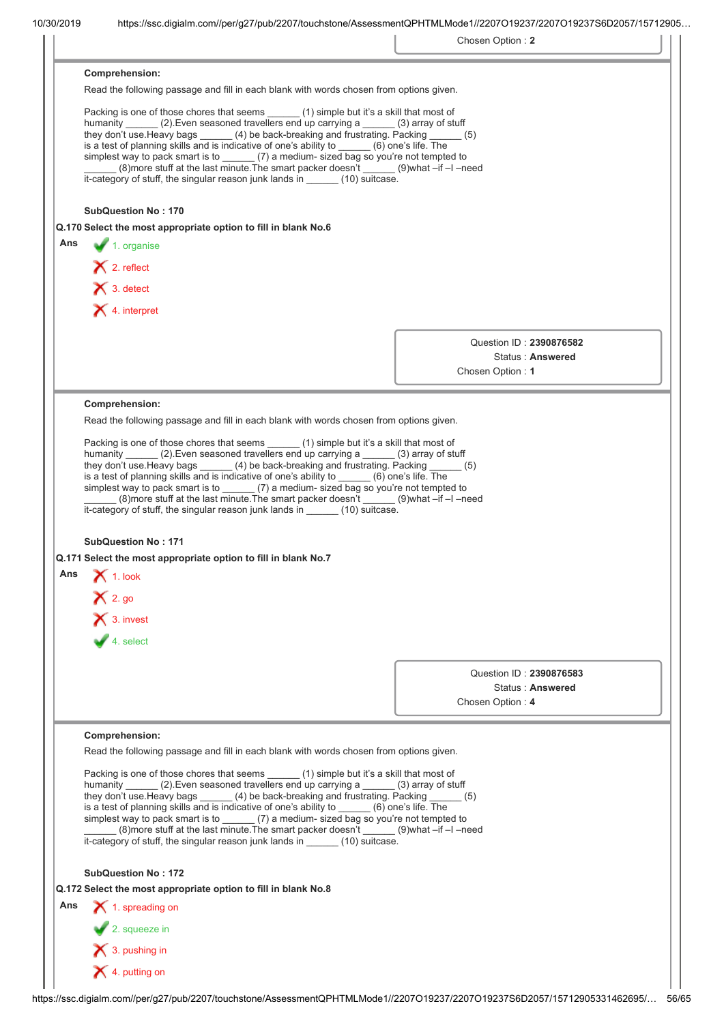|     |                                                                                                                                                                                                                                                                                                                                                                                                                                                                                                                                                                                                                                                                                   | Chosen Option: 2        |
|-----|-----------------------------------------------------------------------------------------------------------------------------------------------------------------------------------------------------------------------------------------------------------------------------------------------------------------------------------------------------------------------------------------------------------------------------------------------------------------------------------------------------------------------------------------------------------------------------------------------------------------------------------------------------------------------------------|-------------------------|
|     | Comprehension:                                                                                                                                                                                                                                                                                                                                                                                                                                                                                                                                                                                                                                                                    |                         |
|     | Read the following passage and fill in each blank with words chosen from options given.                                                                                                                                                                                                                                                                                                                                                                                                                                                                                                                                                                                           |                         |
|     | Packing is one of those chores that seems ______(1) simple but it's a skill that most of<br>humanity ______ (2). Even seasoned travellers end up carrying a _____ (3) array of stuff<br>they don't use. Heavy bags $\qquad \qquad (4)$ be back-breaking and frustrating. Packing $\qquad \qquad (5)$<br>is a test of planning skills and is indicative of one's ability to ______ (6) one's life. The<br>simplest way to pack smart is to (7) a medium- sized bag so you're not tempted to<br>(8) more stuff at the last minute. The smart packer doesn't ______ (9) what -if -I -need<br>it-category of stuff, the singular reason junk lands in ______ (10) suitcase.           |                         |
|     | <b>SubQuestion No: 170</b>                                                                                                                                                                                                                                                                                                                                                                                                                                                                                                                                                                                                                                                        |                         |
|     | Q.170 Select the most appropriate option to fill in blank No.6                                                                                                                                                                                                                                                                                                                                                                                                                                                                                                                                                                                                                    |                         |
| Ans | $\blacktriangleright$ 1. organise                                                                                                                                                                                                                                                                                                                                                                                                                                                                                                                                                                                                                                                 |                         |
|     | $\bigtimes$ 2. reflect                                                                                                                                                                                                                                                                                                                                                                                                                                                                                                                                                                                                                                                            |                         |
|     | $\bigtimes$ 3. detect                                                                                                                                                                                                                                                                                                                                                                                                                                                                                                                                                                                                                                                             |                         |
|     | X 4. interpret                                                                                                                                                                                                                                                                                                                                                                                                                                                                                                                                                                                                                                                                    |                         |
|     |                                                                                                                                                                                                                                                                                                                                                                                                                                                                                                                                                                                                                                                                                   |                         |
|     |                                                                                                                                                                                                                                                                                                                                                                                                                                                                                                                                                                                                                                                                                   | Question ID: 2390876582 |
|     |                                                                                                                                                                                                                                                                                                                                                                                                                                                                                                                                                                                                                                                                                   | Status: Answered        |
|     |                                                                                                                                                                                                                                                                                                                                                                                                                                                                                                                                                                                                                                                                                   | Chosen Option: 1        |
|     | Comprehension:                                                                                                                                                                                                                                                                                                                                                                                                                                                                                                                                                                                                                                                                    |                         |
|     | Read the following passage and fill in each blank with words chosen from options given.                                                                                                                                                                                                                                                                                                                                                                                                                                                                                                                                                                                           |                         |
|     | humanity _______ (2). Even seasoned travellers end up carrying a ______ (3) array of stuff<br>they don't use. Heavy bags $\qquad \qquad (4)$ be back-breaking and frustrating. Packing $\qquad \qquad (5)$<br>is a test of planning skills and is indicative of one's ability to (6) one's life. The                                                                                                                                                                                                                                                                                                                                                                              |                         |
|     | simplest way to pack smart is to $\qquad \qquad$ (7) a medium- sized bag so you're not tempted to<br>(8) (8) once stuff at the last minute. The smart packer doesn't (9) what $-$ if $-1$ –need<br>it-category of stuff, the singular reason junk lands in _______ (10) suitcase.                                                                                                                                                                                                                                                                                                                                                                                                 |                         |
|     | <b>SubQuestion No: 171</b>                                                                                                                                                                                                                                                                                                                                                                                                                                                                                                                                                                                                                                                        |                         |
|     | Q.171 Select the most appropriate option to fill in blank No.7                                                                                                                                                                                                                                                                                                                                                                                                                                                                                                                                                                                                                    |                         |
|     | $\blacktriangleright$ 1. look                                                                                                                                                                                                                                                                                                                                                                                                                                                                                                                                                                                                                                                     |                         |
|     | $\mathsf{X}$ 2. go                                                                                                                                                                                                                                                                                                                                                                                                                                                                                                                                                                                                                                                                |                         |
|     |                                                                                                                                                                                                                                                                                                                                                                                                                                                                                                                                                                                                                                                                                   |                         |
|     | $\blacktriangleright$ 3. invest                                                                                                                                                                                                                                                                                                                                                                                                                                                                                                                                                                                                                                                   |                         |
|     | $4.$ select                                                                                                                                                                                                                                                                                                                                                                                                                                                                                                                                                                                                                                                                       |                         |
|     |                                                                                                                                                                                                                                                                                                                                                                                                                                                                                                                                                                                                                                                                                   | Question ID: 2390876583 |
|     |                                                                                                                                                                                                                                                                                                                                                                                                                                                                                                                                                                                                                                                                                   | Status: Answered        |
|     |                                                                                                                                                                                                                                                                                                                                                                                                                                                                                                                                                                                                                                                                                   | Chosen Option: 4        |
|     | Comprehension:                                                                                                                                                                                                                                                                                                                                                                                                                                                                                                                                                                                                                                                                    |                         |
| Ans | Read the following passage and fill in each blank with words chosen from options given.                                                                                                                                                                                                                                                                                                                                                                                                                                                                                                                                                                                           |                         |
|     | Packing is one of those chores that seems (1) simple but it's a skill that most of<br>$(2)$ . Even seasoned travellers end up carrying a $(3)$ array of stuff<br>humanity<br>they don't use. Heavy bags $\qquad \qquad$ (4) be back-breaking and frustrating. Packing $\qquad \qquad$ (5)<br>is a test of planning skills and is indicative of one's ability to ______ (6) one's life. The<br>simplest way to pack smart is to $\qquad \qquad$ (7) a medium-sized bag so you're not tempted to<br>(8) (8) onore stuff at the last minute. The smart packer doesn't _______ (9) what -if -I -need<br>it-category of stuff, the singular reason junk lands in ______ (10) suitcase. |                         |
|     |                                                                                                                                                                                                                                                                                                                                                                                                                                                                                                                                                                                                                                                                                   |                         |
|     | <b>SubQuestion No: 172</b><br>Q.172 Select the most appropriate option to fill in blank No.8                                                                                                                                                                                                                                                                                                                                                                                                                                                                                                                                                                                      |                         |
|     | 1. spreading on                                                                                                                                                                                                                                                                                                                                                                                                                                                                                                                                                                                                                                                                   |                         |
|     |                                                                                                                                                                                                                                                                                                                                                                                                                                                                                                                                                                                                                                                                                   |                         |
| Ans | 2. squeeze in                                                                                                                                                                                                                                                                                                                                                                                                                                                                                                                                                                                                                                                                     |                         |
|     | $\bigtimes$ 3. pushing in<br>X 4. putting on                                                                                                                                                                                                                                                                                                                                                                                                                                                                                                                                                                                                                                      |                         |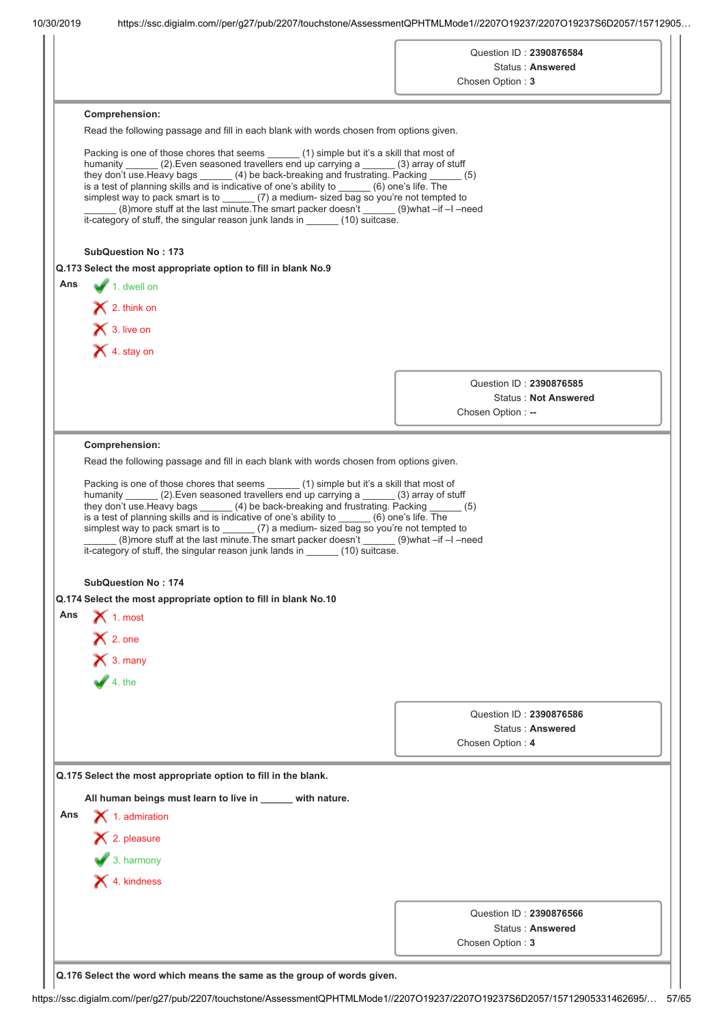|                         |                                                                                                                                                                                                                                                                                                                                                                                                                                                                                                                                                                                                                                        | Chosen Option: 3                                                                          | Question ID: 2390876584<br>Status: Answered |
|-------------------------|----------------------------------------------------------------------------------------------------------------------------------------------------------------------------------------------------------------------------------------------------------------------------------------------------------------------------------------------------------------------------------------------------------------------------------------------------------------------------------------------------------------------------------------------------------------------------------------------------------------------------------------|-------------------------------------------------------------------------------------------|---------------------------------------------|
|                         | Comprehension:                                                                                                                                                                                                                                                                                                                                                                                                                                                                                                                                                                                                                         |                                                                                           |                                             |
|                         | Read the following passage and fill in each blank with words chosen from options given.                                                                                                                                                                                                                                                                                                                                                                                                                                                                                                                                                |                                                                                           |                                             |
|                         | Packing is one of those chores that seems (1) simple but it's a skill that most of<br>humanity (2). Even seasoned travellers end up carrying a (3) array of stuff<br>they don't use. Heavy bags ______ (4) be back-breaking and frustrating. Packing _____ (5)<br>is a test of planning skills and is indicative of one's ability to (6) one's life. The<br>simplest way to pack smart is to ______ (7) a medium- sized bag so you're not tempted to<br>(8) (8) (8) (8) what -if -l -need (8) more stuff at the last minute. The smart packer doesn't<br>it-category of stuff, the singular reason junk lands in ______ (10) suitcase. |                                                                                           |                                             |
|                         | <b>SubQuestion No: 173</b>                                                                                                                                                                                                                                                                                                                                                                                                                                                                                                                                                                                                             |                                                                                           |                                             |
|                         | Q.173 Select the most appropriate option to fill in blank No.9                                                                                                                                                                                                                                                                                                                                                                                                                                                                                                                                                                         |                                                                                           |                                             |
| Ans                     | $\blacktriangleright$ 1. dwell on                                                                                                                                                                                                                                                                                                                                                                                                                                                                                                                                                                                                      |                                                                                           |                                             |
|                         | $\bigtimes$ 2. think on                                                                                                                                                                                                                                                                                                                                                                                                                                                                                                                                                                                                                |                                                                                           |                                             |
|                         | $\bigtimes$ 3. live on                                                                                                                                                                                                                                                                                                                                                                                                                                                                                                                                                                                                                 |                                                                                           |                                             |
|                         | X 4. stay on                                                                                                                                                                                                                                                                                                                                                                                                                                                                                                                                                                                                                           |                                                                                           |                                             |
|                         |                                                                                                                                                                                                                                                                                                                                                                                                                                                                                                                                                                                                                                        |                                                                                           |                                             |
|                         |                                                                                                                                                                                                                                                                                                                                                                                                                                                                                                                                                                                                                                        |                                                                                           | Question ID: 2390876585                     |
|                         |                                                                                                                                                                                                                                                                                                                                                                                                                                                                                                                                                                                                                                        | Chosen Option: --                                                                         | <b>Status: Not Answered</b>                 |
|                         |                                                                                                                                                                                                                                                                                                                                                                                                                                                                                                                                                                                                                                        |                                                                                           |                                             |
|                         | humanity (2). Even seasoned travellers end up carrying a (3) array of stuff<br>they don't use. Heavy bags (4) be back-breaking and frustrating. Packing (5)<br>is a test of planning skills and is indicative of one's ability to _____ (6) one's life. The<br>simplest way to pack smart is to (7) a medium- sized bag so you're not tempted to<br>(8) (8) onore stuff at the last minute. The smart packer doesn't _______ (9) what -if -I -need                                                                                                                                                                                     | Packing is one of those chores that seems ______ (1) simple but it's a skill that most of |                                             |
|                         | it-category of stuff, the singular reason junk lands in (10) suitcase.<br><b>SubQuestion No: 174</b><br>Q.174 Select the most appropriate option to fill in blank No.10<br>$\bigtimes$ 1. most<br>$\bigtimes$ 2. one                                                                                                                                                                                                                                                                                                                                                                                                                   |                                                                                           |                                             |
|                         | $\bigtimes$ 3. many                                                                                                                                                                                                                                                                                                                                                                                                                                                                                                                                                                                                                    |                                                                                           |                                             |
|                         | $\blacktriangleright$ 4. the                                                                                                                                                                                                                                                                                                                                                                                                                                                                                                                                                                                                           | Question ID: 2390876586<br>Chosen Option: 4                                               | <b>Status: Answered</b>                     |
|                         | Q.175 Select the most appropriate option to fill in the blank.                                                                                                                                                                                                                                                                                                                                                                                                                                                                                                                                                                         |                                                                                           |                                             |
|                         |                                                                                                                                                                                                                                                                                                                                                                                                                                                                                                                                                                                                                                        |                                                                                           |                                             |
|                         | All human beings must learn to live in _____ with nature.                                                                                                                                                                                                                                                                                                                                                                                                                                                                                                                                                                              |                                                                                           |                                             |
|                         | $\blacktriangleright$ 1. admiration                                                                                                                                                                                                                                                                                                                                                                                                                                                                                                                                                                                                    |                                                                                           |                                             |
|                         | $\blacktriangleright$ 2. pleasure                                                                                                                                                                                                                                                                                                                                                                                                                                                                                                                                                                                                      |                                                                                           |                                             |
|                         | $\bullet$ 3. harmony                                                                                                                                                                                                                                                                                                                                                                                                                                                                                                                                                                                                                   |                                                                                           |                                             |
|                         | $\blacktriangleright$ 4. kindness                                                                                                                                                                                                                                                                                                                                                                                                                                                                                                                                                                                                      |                                                                                           |                                             |
| Ans <sub>1</sub><br>Ans |                                                                                                                                                                                                                                                                                                                                                                                                                                                                                                                                                                                                                                        | Question ID: 2390876566<br>Chosen Option: 3                                               | Status: Answered                            |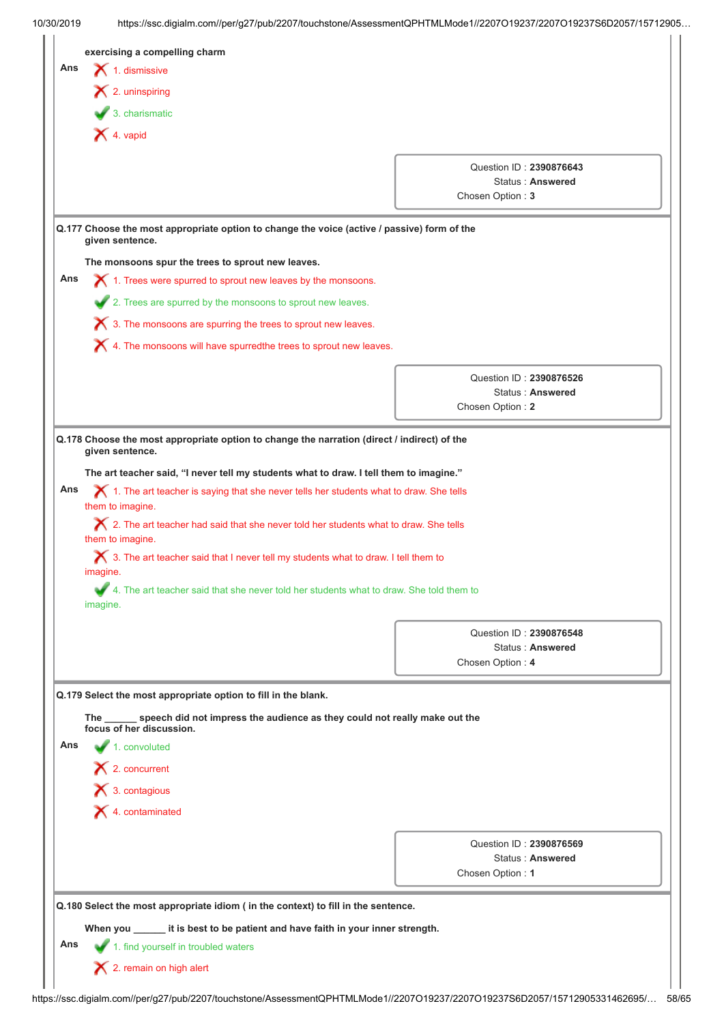|     | $\blacktriangleright$ 2. uninspiring                                                                                                                                                                              |                                                                 |  |
|-----|-------------------------------------------------------------------------------------------------------------------------------------------------------------------------------------------------------------------|-----------------------------------------------------------------|--|
|     | $\overline{\phantom{a}}$ 3. charismatic                                                                                                                                                                           |                                                                 |  |
|     | $\blacktriangleright$ 4. vapid                                                                                                                                                                                    |                                                                 |  |
|     |                                                                                                                                                                                                                   | Question ID: 2390876643                                         |  |
|     |                                                                                                                                                                                                                   | <b>Status: Answered</b>                                         |  |
|     |                                                                                                                                                                                                                   | Chosen Option: 3                                                |  |
|     | Q.177 Choose the most appropriate option to change the voice (active / passive) form of the<br>given sentence.                                                                                                    |                                                                 |  |
|     | The monsoons spur the trees to sprout new leaves.                                                                                                                                                                 |                                                                 |  |
| Ans | $\chi$ 1. Trees were spurred to sprout new leaves by the monsoons.                                                                                                                                                |                                                                 |  |
|     | 2. Trees are spurred by the monsoons to sprout new leaves.                                                                                                                                                        |                                                                 |  |
|     | $\boldsymbol{\times}$ 3. The monsoons are spurring the trees to sprout new leaves.                                                                                                                                |                                                                 |  |
|     | $\blacktriangleright$ 4. The monsoons will have spurredthe trees to sprout new leaves.                                                                                                                            |                                                                 |  |
|     |                                                                                                                                                                                                                   | Question ID: 2390876526                                         |  |
|     |                                                                                                                                                                                                                   | <b>Status: Answered</b>                                         |  |
|     |                                                                                                                                                                                                                   | Chosen Option: 2                                                |  |
|     | them to imagine.<br>$\boldsymbol{\times}$ 2. The art teacher had said that she never told her students what to draw. She tells<br>them to imagine.                                                                |                                                                 |  |
|     | $\bigtimes$ 3. The art teacher said that I never tell my students what to draw. I tell them to<br>imagine.<br>4. The art teacher said that she never told her students what to draw. She told them to<br>imagine. | Question ID: 2390876548<br>Status: Answered<br>Chosen Option: 4 |  |
|     | Q.179 Select the most appropriate option to fill in the blank.                                                                                                                                                    |                                                                 |  |
|     | The speech did not impress the audience as they could not really make out the                                                                                                                                     |                                                                 |  |
|     | focus of her discussion.                                                                                                                                                                                          |                                                                 |  |
|     | $1.$ convoluted                                                                                                                                                                                                   |                                                                 |  |
|     | $\blacktriangleright$ 2. concurrent                                                                                                                                                                               |                                                                 |  |
|     | $\blacktriangleright$ 3. contagious                                                                                                                                                                               |                                                                 |  |
|     | $\blacktriangleright$ 4. contaminated                                                                                                                                                                             |                                                                 |  |
|     |                                                                                                                                                                                                                   | Question ID: 2390876569                                         |  |
|     |                                                                                                                                                                                                                   | Status: Answered                                                |  |
| Ans |                                                                                                                                                                                                                   | Chosen Option: 1                                                |  |
|     | Q.180 Select the most appropriate idiom ( in the context) to fill in the sentence.                                                                                                                                |                                                                 |  |
|     | When you ______ it is best to be patient and have faith in your inner strength.                                                                                                                                   |                                                                 |  |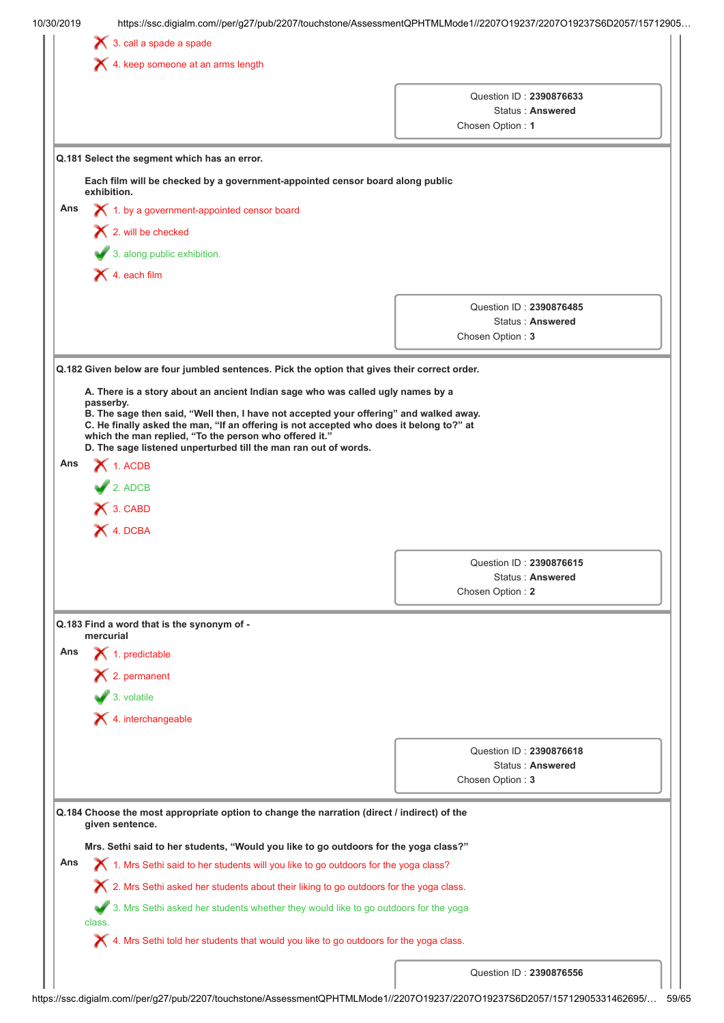|     | https://ssc.digialm.com//per/g27/pub/2207/touchstone/AssessmentQPHTMLMode1//2207O19237/2207O19237S6D2057/15712905<br>10/30/2019                                                   |                                             |
|-----|-----------------------------------------------------------------------------------------------------------------------------------------------------------------------------------|---------------------------------------------|
|     | $\bigtimes$ 3. call a spade a spade                                                                                                                                               |                                             |
|     | $\blacktriangleright$ 4. keep someone at an arms length                                                                                                                           |                                             |
|     |                                                                                                                                                                                   |                                             |
|     |                                                                                                                                                                                   | Question ID: 2390876633<br>Status: Answered |
|     |                                                                                                                                                                                   | Chosen Option: 1                            |
|     |                                                                                                                                                                                   |                                             |
|     | Q.181 Select the segment which has an error.                                                                                                                                      |                                             |
|     | Each film will be checked by a government-appointed censor board along public<br>exhibition.                                                                                      |                                             |
| Ans | 1. by a government-appointed censor board                                                                                                                                         |                                             |
|     | $\blacktriangleright$ 2. will be checked                                                                                                                                          |                                             |
|     | 3. along public exhibition.                                                                                                                                                       |                                             |
|     |                                                                                                                                                                                   |                                             |
|     | $\blacktriangleright$ 4. each film                                                                                                                                                |                                             |
|     |                                                                                                                                                                                   | Question ID: 2390876485                     |
|     |                                                                                                                                                                                   | Status: Answered                            |
|     |                                                                                                                                                                                   | Chosen Option: 3                            |
|     | Q.182 Given below are four jumbled sentences. Pick the option that gives their correct order.                                                                                     |                                             |
|     |                                                                                                                                                                                   |                                             |
|     | A. There is a story about an ancient Indian sage who was called ugly names by a<br>passerby.                                                                                      |                                             |
|     | B. The sage then said, "Well then, I have not accepted your offering" and walked away.<br>C. He finally asked the man, "If an offering is not accepted who does it belong to?" at |                                             |
|     | which the man replied, "To the person who offered it."<br>D. The sage listened unperturbed till the man ran out of words.                                                         |                                             |
| Ans | $\blacktriangleright$ 1. ACDB                                                                                                                                                     |                                             |
|     | $2.$ ADCB                                                                                                                                                                         |                                             |
|     | X 3. CABD                                                                                                                                                                         |                                             |
|     | X 4. DCBA                                                                                                                                                                         |                                             |
|     |                                                                                                                                                                                   |                                             |
|     |                                                                                                                                                                                   | Question ID: 2390876615                     |
|     |                                                                                                                                                                                   | Status: Answered                            |
|     |                                                                                                                                                                                   | Chosen Option: 2                            |
|     | Q.183 Find a word that is the synonym of -                                                                                                                                        |                                             |
|     | mercurial                                                                                                                                                                         |                                             |
| Ans | $\blacktriangleright$ 1. predictable                                                                                                                                              |                                             |
|     | $\mathsf{\times}$ 2. permanent                                                                                                                                                    |                                             |
|     | $\bullet$ 3. volatile                                                                                                                                                             |                                             |
|     | $\blacktriangleright$ 4. interchangeable                                                                                                                                          |                                             |
|     |                                                                                                                                                                                   |                                             |
|     |                                                                                                                                                                                   |                                             |
|     |                                                                                                                                                                                   | Question ID: 2390876618                     |
|     |                                                                                                                                                                                   | Status: Answered<br>Chosen Option: 3        |
|     |                                                                                                                                                                                   |                                             |
|     | Q.184 Choose the most appropriate option to change the narration (direct / indirect) of the                                                                                       |                                             |
|     | given sentence.                                                                                                                                                                   |                                             |
|     | Mrs. Sethi said to her students, "Would you like to go outdoors for the yoga class?"                                                                                              |                                             |
| Ans | X 1. Mrs Sethi said to her students will you like to go outdoors for the yoga class?                                                                                              |                                             |
|     | $\boldsymbol{\times}$ 2. Mrs Sethi asked her students about their liking to go outdoors for the yoga class.                                                                       |                                             |
|     | 3. Mrs Sethi asked her students whether they would like to go outdoors for the yoga<br>class.                                                                                     |                                             |
|     | X 4. Mrs Sethi told her students that would you like to go outdoors for the yoga class.                                                                                           |                                             |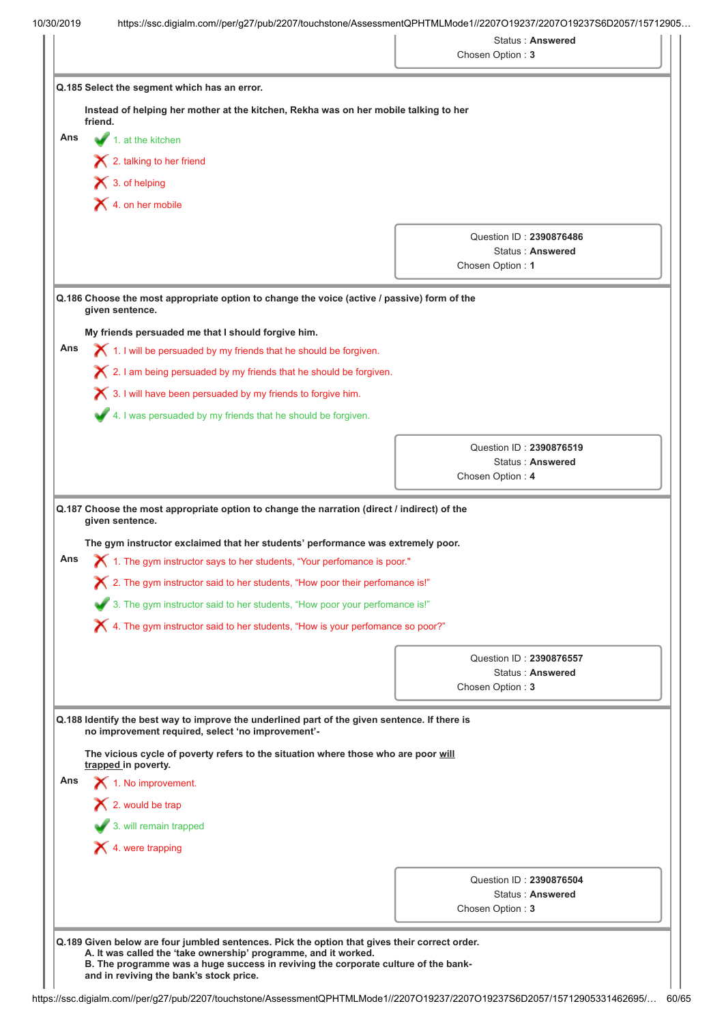|                                     |                                                                                                                                                                                                                                          | Status: Answered<br>Chosen Option: 3 |                         |
|-------------------------------------|------------------------------------------------------------------------------------------------------------------------------------------------------------------------------------------------------------------------------------------|--------------------------------------|-------------------------|
|                                     |                                                                                                                                                                                                                                          |                                      |                         |
|                                     | Q.185 Select the segment which has an error.                                                                                                                                                                                             |                                      |                         |
| friend.                             | Instead of helping her mother at the kitchen, Rekha was on her mobile talking to her                                                                                                                                                     |                                      |                         |
| Ans                                 | $\blacksquare$ 1. at the kitchen                                                                                                                                                                                                         |                                      |                         |
|                                     | $\blacktriangleright$ 2. talking to her friend                                                                                                                                                                                           |                                      |                         |
| $\blacktriangleright$ 3. of helping |                                                                                                                                                                                                                                          |                                      |                         |
|                                     | $\times$ 4. on her mobile                                                                                                                                                                                                                |                                      |                         |
|                                     |                                                                                                                                                                                                                                          |                                      |                         |
|                                     |                                                                                                                                                                                                                                          |                                      | Question ID: 2390876486 |
|                                     |                                                                                                                                                                                                                                          | Chosen Option: 1                     | Status: Answered        |
|                                     |                                                                                                                                                                                                                                          |                                      |                         |
| given sentence.                     | Q.186 Choose the most appropriate option to change the voice (active / passive) form of the                                                                                                                                              |                                      |                         |
|                                     | My friends persuaded me that I should forgive him.                                                                                                                                                                                       |                                      |                         |
| Ans                                 | $\blacktriangleright$ 1. I will be persuaded by my friends that he should be forgiven.                                                                                                                                                   |                                      |                         |
|                                     | $\boldsymbol{\times}$ 2. I am being persuaded by my friends that he should be forgiven.                                                                                                                                                  |                                      |                         |
|                                     | $\boldsymbol{\times}$ 3. I will have been persuaded by my friends to forgive him.                                                                                                                                                        |                                      |                         |
|                                     | 4. I was persuaded by my friends that he should be forgiven.                                                                                                                                                                             |                                      |                         |
|                                     |                                                                                                                                                                                                                                          |                                      |                         |
|                                     |                                                                                                                                                                                                                                          |                                      |                         |
|                                     |                                                                                                                                                                                                                                          | Question ID: 2390876519              |                         |
| given sentence.                     | Q.187 Choose the most appropriate option to change the narration (direct / indirect) of the                                                                                                                                              | Chosen Option: 4                     | Status: Answered        |
|                                     | The gym instructor exclaimed that her students' performance was extremely poor.<br>$\chi$ 1. The gym instructor says to her students, "Your perfomance is poor."                                                                         |                                      |                         |
|                                     | $\bigtimes$ 2. The gym instructor said to her students, "How poor their perfomance is!"                                                                                                                                                  |                                      |                         |
|                                     | 3. The gym instructor said to her students, "How poor your perfomance is!"                                                                                                                                                               |                                      |                         |
|                                     | X 4. The gym instructor said to her students, "How is your perfomance so poor?"                                                                                                                                                          |                                      |                         |
|                                     |                                                                                                                                                                                                                                          |                                      | Question ID: 2390876557 |
|                                     |                                                                                                                                                                                                                                          |                                      | Status: Answered        |
|                                     |                                                                                                                                                                                                                                          | Chosen Option: 3                     |                         |
|                                     | Q.188 Identify the best way to improve the underlined part of the given sentence. If there is<br>no improvement required, select 'no improvement'-<br>The vicious cycle of poverty refers to the situation where those who are poor will |                                      |                         |
| trapped in poverty.                 | 1. No improvement.                                                                                                                                                                                                                       |                                      |                         |
|                                     |                                                                                                                                                                                                                                          |                                      |                         |
|                                     | $\mathsf{\times}$ 2. would be trap                                                                                                                                                                                                       |                                      |                         |
|                                     | 3. will remain trapped                                                                                                                                                                                                                   |                                      |                         |
|                                     | $\blacktriangleright$ 4. were trapping                                                                                                                                                                                                   |                                      |                         |
| Ans<br>Ans                          |                                                                                                                                                                                                                                          |                                      | Question ID: 2390876504 |
|                                     |                                                                                                                                                                                                                                          | Chosen Option: 3                     | Status: Answered        |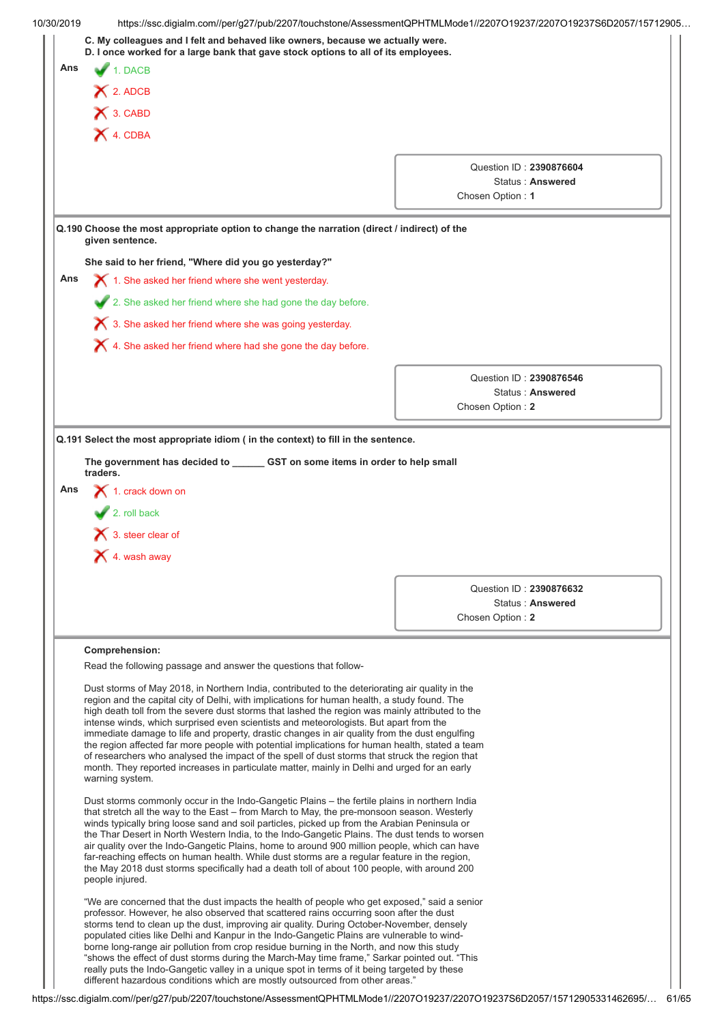|     | D. I once worked for a large bank that gave stock options to all of its employees.                                                                                                                                                                                                                                                                                                                                                                                                                                                                                                                                                                                                                                                                                                                                   |                  |                                             |
|-----|----------------------------------------------------------------------------------------------------------------------------------------------------------------------------------------------------------------------------------------------------------------------------------------------------------------------------------------------------------------------------------------------------------------------------------------------------------------------------------------------------------------------------------------------------------------------------------------------------------------------------------------------------------------------------------------------------------------------------------------------------------------------------------------------------------------------|------------------|---------------------------------------------|
| Ans | 1. DACB                                                                                                                                                                                                                                                                                                                                                                                                                                                                                                                                                                                                                                                                                                                                                                                                              |                  |                                             |
|     | $\bigtimes$ 2. ADCB                                                                                                                                                                                                                                                                                                                                                                                                                                                                                                                                                                                                                                                                                                                                                                                                  |                  |                                             |
|     | X 3. CABD                                                                                                                                                                                                                                                                                                                                                                                                                                                                                                                                                                                                                                                                                                                                                                                                            |                  |                                             |
|     | X 4. CDBA                                                                                                                                                                                                                                                                                                                                                                                                                                                                                                                                                                                                                                                                                                                                                                                                            |                  |                                             |
|     |                                                                                                                                                                                                                                                                                                                                                                                                                                                                                                                                                                                                                                                                                                                                                                                                                      |                  |                                             |
|     |                                                                                                                                                                                                                                                                                                                                                                                                                                                                                                                                                                                                                                                                                                                                                                                                                      |                  | Question ID: 2390876604                     |
|     |                                                                                                                                                                                                                                                                                                                                                                                                                                                                                                                                                                                                                                                                                                                                                                                                                      | Chosen Option: 1 | Status: Answered                            |
|     |                                                                                                                                                                                                                                                                                                                                                                                                                                                                                                                                                                                                                                                                                                                                                                                                                      |                  |                                             |
|     | Q.190 Choose the most appropriate option to change the narration (direct / indirect) of the<br>given sentence.                                                                                                                                                                                                                                                                                                                                                                                                                                                                                                                                                                                                                                                                                                       |                  |                                             |
|     | She said to her friend, "Where did you go yesterday?"                                                                                                                                                                                                                                                                                                                                                                                                                                                                                                                                                                                                                                                                                                                                                                |                  |                                             |
| Ans | $\boldsymbol{\times}$ 1. She asked her friend where she went yesterday.                                                                                                                                                                                                                                                                                                                                                                                                                                                                                                                                                                                                                                                                                                                                              |                  |                                             |
|     | 2. She asked her friend where she had gone the day before.                                                                                                                                                                                                                                                                                                                                                                                                                                                                                                                                                                                                                                                                                                                                                           |                  |                                             |
|     | $\blacktriangleright$ 3. She asked her friend where she was going yesterday.                                                                                                                                                                                                                                                                                                                                                                                                                                                                                                                                                                                                                                                                                                                                         |                  |                                             |
|     | $\blacktriangleright$ 4. She asked her friend where had she gone the day before.                                                                                                                                                                                                                                                                                                                                                                                                                                                                                                                                                                                                                                                                                                                                     |                  |                                             |
|     |                                                                                                                                                                                                                                                                                                                                                                                                                                                                                                                                                                                                                                                                                                                                                                                                                      |                  |                                             |
|     |                                                                                                                                                                                                                                                                                                                                                                                                                                                                                                                                                                                                                                                                                                                                                                                                                      |                  | Question ID: 2390876546                     |
|     |                                                                                                                                                                                                                                                                                                                                                                                                                                                                                                                                                                                                                                                                                                                                                                                                                      | Chosen Option: 2 | Status: Answered                            |
|     |                                                                                                                                                                                                                                                                                                                                                                                                                                                                                                                                                                                                                                                                                                                                                                                                                      |                  |                                             |
| Ans | The government has decided to ______ GST on some items in order to help small<br>traders.<br>$\bigtimes$ 1. crack down on<br>$\blacktriangleright$ 2. roll back<br>$\bigtimes$ 3. steer clear of                                                                                                                                                                                                                                                                                                                                                                                                                                                                                                                                                                                                                     |                  |                                             |
|     | $\blacktriangleright$ 4. wash away                                                                                                                                                                                                                                                                                                                                                                                                                                                                                                                                                                                                                                                                                                                                                                                   |                  |                                             |
|     |                                                                                                                                                                                                                                                                                                                                                                                                                                                                                                                                                                                                                                                                                                                                                                                                                      |                  |                                             |
|     |                                                                                                                                                                                                                                                                                                                                                                                                                                                                                                                                                                                                                                                                                                                                                                                                                      |                  | Question ID: 2390876632<br>Status: Answered |
|     |                                                                                                                                                                                                                                                                                                                                                                                                                                                                                                                                                                                                                                                                                                                                                                                                                      | Chosen Option: 2 |                                             |
|     |                                                                                                                                                                                                                                                                                                                                                                                                                                                                                                                                                                                                                                                                                                                                                                                                                      |                  |                                             |
|     | Comprehension:<br>Read the following passage and answer the questions that follow-                                                                                                                                                                                                                                                                                                                                                                                                                                                                                                                                                                                                                                                                                                                                   |                  |                                             |
|     | Dust storms of May 2018, in Northern India, contributed to the deteriorating air quality in the<br>region and the capital city of Delhi, with implications for human health, a study found. The<br>high death toll from the severe dust storms that lashed the region was mainly attributed to the<br>intense winds, which surprised even scientists and meteorologists. But apart from the<br>immediate damage to life and property, drastic changes in air quality from the dust engulfing<br>the region affected far more people with potential implications for human health, stated a team<br>of researchers who analysed the impact of the spell of dust storms that struck the region that<br>month. They reported increases in particulate matter, mainly in Delhi and urged for an early<br>warning system. |                  |                                             |
|     | Dust storms commonly occur in the Indo-Gangetic Plains - the fertile plains in northern India<br>that stretch all the way to the East – from March to May, the pre-monsoon season. Westerly<br>winds typically bring loose sand and soil particles, picked up from the Arabian Peninsula or<br>the Thar Desert in North Western India, to the Indo-Gangetic Plains. The dust tends to worsen<br>air quality over the Indo-Gangetic Plains, home to around 900 million people, which can have<br>far-reaching effects on human health. While dust storms are a regular feature in the region,<br>the May 2018 dust storms specifically had a death toll of about 100 people, with around 200<br>people injured.                                                                                                       |                  |                                             |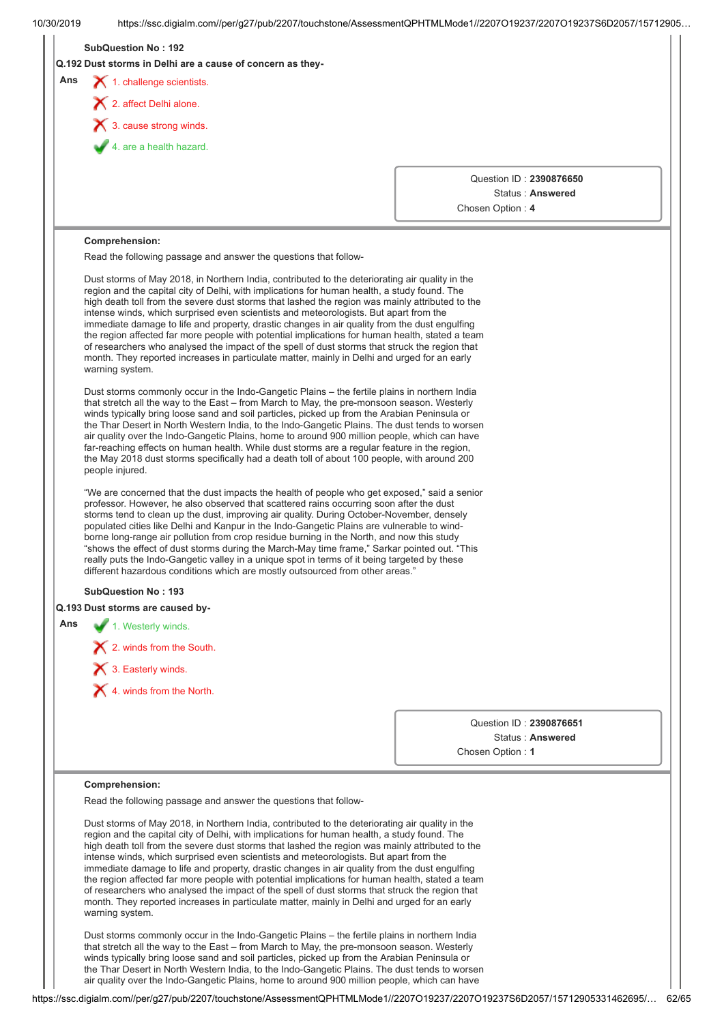|     | <b>SubQuestion No: 192</b><br>Q.192 Dust storms in Delhi are a cause of concern as they-                                                                                                                                                                                                                                                                                                                                                                                                                                                                                                                                                                                                                                                                                                                             |                                      |  |
|-----|----------------------------------------------------------------------------------------------------------------------------------------------------------------------------------------------------------------------------------------------------------------------------------------------------------------------------------------------------------------------------------------------------------------------------------------------------------------------------------------------------------------------------------------------------------------------------------------------------------------------------------------------------------------------------------------------------------------------------------------------------------------------------------------------------------------------|--------------------------------------|--|
| Ans | 1. challenge scientists.                                                                                                                                                                                                                                                                                                                                                                                                                                                                                                                                                                                                                                                                                                                                                                                             |                                      |  |
|     | 2. affect Delhi alone.                                                                                                                                                                                                                                                                                                                                                                                                                                                                                                                                                                                                                                                                                                                                                                                               |                                      |  |
|     | $\blacktriangleright$ 3. cause strong winds.                                                                                                                                                                                                                                                                                                                                                                                                                                                                                                                                                                                                                                                                                                                                                                         |                                      |  |
|     | 4. are a health hazard.                                                                                                                                                                                                                                                                                                                                                                                                                                                                                                                                                                                                                                                                                                                                                                                              |                                      |  |
|     |                                                                                                                                                                                                                                                                                                                                                                                                                                                                                                                                                                                                                                                                                                                                                                                                                      |                                      |  |
|     |                                                                                                                                                                                                                                                                                                                                                                                                                                                                                                                                                                                                                                                                                                                                                                                                                      | Question ID: 2390876650              |  |
|     |                                                                                                                                                                                                                                                                                                                                                                                                                                                                                                                                                                                                                                                                                                                                                                                                                      | Status: Answered<br>Chosen Option: 4 |  |
|     |                                                                                                                                                                                                                                                                                                                                                                                                                                                                                                                                                                                                                                                                                                                                                                                                                      |                                      |  |
|     | <b>Comprehension:</b>                                                                                                                                                                                                                                                                                                                                                                                                                                                                                                                                                                                                                                                                                                                                                                                                |                                      |  |
|     | Read the following passage and answer the questions that follow-                                                                                                                                                                                                                                                                                                                                                                                                                                                                                                                                                                                                                                                                                                                                                     |                                      |  |
|     | Dust storms of May 2018, in Northern India, contributed to the deteriorating air quality in the<br>region and the capital city of Delhi, with implications for human health, a study found. The<br>high death toll from the severe dust storms that lashed the region was mainly attributed to the<br>intense winds, which surprised even scientists and meteorologists. But apart from the<br>immediate damage to life and property, drastic changes in air quality from the dust engulfing<br>the region affected far more people with potential implications for human health, stated a team<br>of researchers who analysed the impact of the spell of dust storms that struck the region that<br>month. They reported increases in particulate matter, mainly in Delhi and urged for an early<br>warning system. |                                      |  |
|     | Dust storms commonly occur in the Indo-Gangetic Plains – the fertile plains in northern India<br>that stretch all the way to the East – from March to May, the pre-monsoon season. Westerly<br>winds typically bring loose sand and soil particles, picked up from the Arabian Peninsula or<br>the Thar Desert in North Western India, to the Indo-Gangetic Plains. The dust tends to worsen<br>air quality over the Indo-Gangetic Plains, home to around 900 million people, which can have<br>far-reaching effects on human health. While dust storms are a regular feature in the region,<br>the May 2018 dust storms specifically had a death toll of about 100 people, with around 200<br>people injured.                                                                                                       |                                      |  |
|     | "We are concerned that the dust impacts the health of people who get exposed," said a senior<br>professor. However, he also observed that scattered rains occurring soon after the dust<br>storms tend to clean up the dust, improving air quality. During October-November, densely<br>populated cities like Delhi and Kanpur in the Indo-Gangetic Plains are vulnerable to wind-<br>borne long-range air pollution from crop residue burning in the North, and now this study<br>"shows the effect of dust storms during the March-May time frame," Sarkar pointed out. "This<br>really puts the Indo-Gangetic valley in a unique spot in terms of it being targeted by these<br>different hazardous conditions which are mostly outsourced from other areas."                                                     |                                      |  |
|     | <b>SubQuestion No: 193</b>                                                                                                                                                                                                                                                                                                                                                                                                                                                                                                                                                                                                                                                                                                                                                                                           |                                      |  |
|     | Q.193 Dust storms are caused by-                                                                                                                                                                                                                                                                                                                                                                                                                                                                                                                                                                                                                                                                                                                                                                                     |                                      |  |
| Ans | 1. Westerly winds.                                                                                                                                                                                                                                                                                                                                                                                                                                                                                                                                                                                                                                                                                                                                                                                                   |                                      |  |
|     | X 2. winds from the South.                                                                                                                                                                                                                                                                                                                                                                                                                                                                                                                                                                                                                                                                                                                                                                                           |                                      |  |
|     | $\blacktriangleright$ 3. Easterly winds.                                                                                                                                                                                                                                                                                                                                                                                                                                                                                                                                                                                                                                                                                                                                                                             |                                      |  |
|     | X 4. winds from the North.                                                                                                                                                                                                                                                                                                                                                                                                                                                                                                                                                                                                                                                                                                                                                                                           |                                      |  |
|     |                                                                                                                                                                                                                                                                                                                                                                                                                                                                                                                                                                                                                                                                                                                                                                                                                      |                                      |  |
|     |                                                                                                                                                                                                                                                                                                                                                                                                                                                                                                                                                                                                                                                                                                                                                                                                                      | Status: Answered                     |  |
|     |                                                                                                                                                                                                                                                                                                                                                                                                                                                                                                                                                                                                                                                                                                                                                                                                                      | Chosen Option: 1                     |  |
|     |                                                                                                                                                                                                                                                                                                                                                                                                                                                                                                                                                                                                                                                                                                                                                                                                                      | Question ID: 2390876651              |  |
|     | Comprehension:                                                                                                                                                                                                                                                                                                                                                                                                                                                                                                                                                                                                                                                                                                                                                                                                       |                                      |  |
|     | Read the following passage and answer the questions that follow-                                                                                                                                                                                                                                                                                                                                                                                                                                                                                                                                                                                                                                                                                                                                                     |                                      |  |
|     | Dust storms of May 2018, in Northern India, contributed to the deteriorating air quality in the<br>region and the capital city of Delhi, with implications for human health, a study found. The<br>high death toll from the severe dust storms that lashed the region was mainly attributed to the<br>intense winds, which surprised even scientists and meteorologists. But apart from the<br>immediate damage to life and property, drastic changes in air quality from the dust engulfing<br>the region affected far more people with potential implications for human health, stated a team<br>of researchers who analysed the impact of the spell of dust storms that struck the region that<br>month. They reported increases in particulate matter, mainly in Delhi and urged for an early<br>warning system. |                                      |  |
|     | Dust storms commonly occur in the Indo-Gangetic Plains - the fertile plains in northern India<br>that stretch all the way to the East - from March to May, the pre-monsoon season. Westerly<br>winds typically bring loose sand and soil particles, picked up from the Arabian Peninsula or<br>the Thar Desert in North Western India, to the Indo-Gangetic Plains. The dust tends to worsen                                                                                                                                                                                                                                                                                                                                                                                                                         |                                      |  |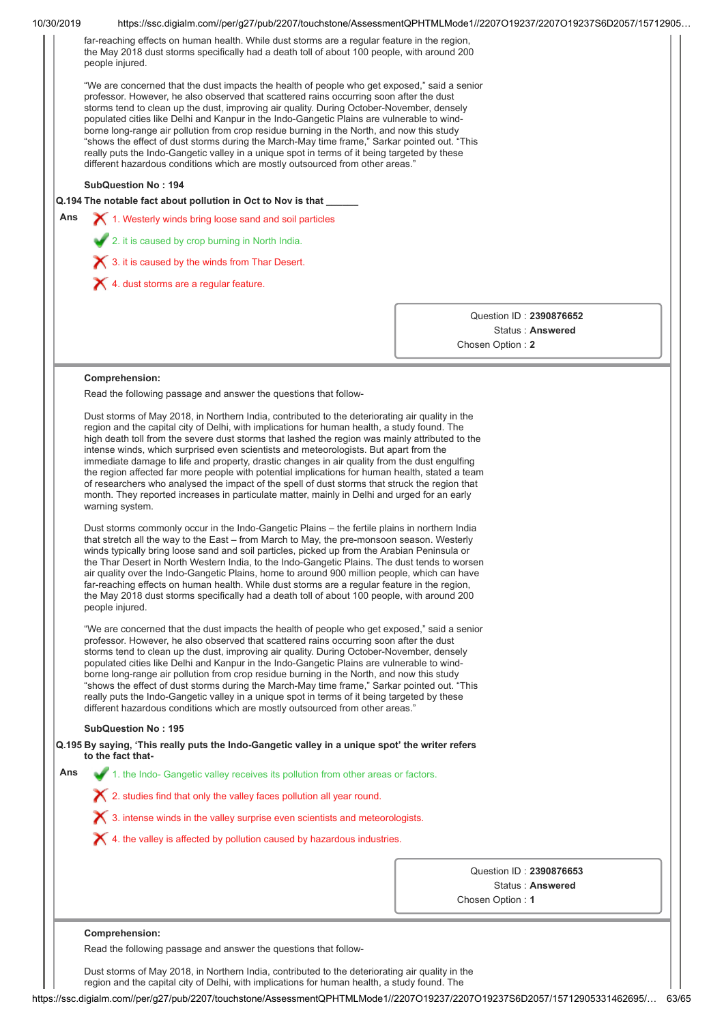| far-reaching effects on human health. While dust storms are a regular feature in the region,<br>the May 2018 dust storms specifically had a death toll of about 100 people, with around 200<br>"We are concerned that the dust impacts the health of people who get exposed," said a senior<br>professor. However, he also observed that scattered rains occurring soon after the dust<br>storms tend to clean up the dust, improving air quality. During October-November, densely<br>populated cities like Delhi and Kanpur in the Indo-Gangetic Plains are vulnerable to wind-<br>borne long-range air pollution from crop residue burning in the North, and now this study<br>"shows the effect of dust storms during the March-May time frame," Sarkar pointed out. "This<br>really puts the Indo-Gangetic valley in a unique spot in terms of it being targeted by these<br>different hazardous conditions which are mostly outsourced from other areas."<br>Q.194 The notable fact about pollution in Oct to Nov is that _____<br>1. Westerly winds bring loose sand and soil particles<br>Question ID: 2390876652<br>Status: Answered<br>Chosen Option: 2<br>Read the following passage and answer the questions that follow-<br>Dust storms of May 2018, in Northern India, contributed to the deteriorating air quality in the<br>region and the capital city of Delhi, with implications for human health, a study found. The<br>high death toll from the severe dust storms that lashed the region was mainly attributed to the<br>intense winds, which surprised even scientists and meteorologists. But apart from the<br>immediate damage to life and property, drastic changes in air quality from the dust engulfing<br>the region affected far more people with potential implications for human health, stated a team<br>of researchers who analysed the impact of the spell of dust storms that struck the region that<br>month. They reported increases in particulate matter, mainly in Delhi and urged for an early<br>Dust storms commonly occur in the Indo-Gangetic Plains - the fertile plains in northern India |
|---------------------------------------------------------------------------------------------------------------------------------------------------------------------------------------------------------------------------------------------------------------------------------------------------------------------------------------------------------------------------------------------------------------------------------------------------------------------------------------------------------------------------------------------------------------------------------------------------------------------------------------------------------------------------------------------------------------------------------------------------------------------------------------------------------------------------------------------------------------------------------------------------------------------------------------------------------------------------------------------------------------------------------------------------------------------------------------------------------------------------------------------------------------------------------------------------------------------------------------------------------------------------------------------------------------------------------------------------------------------------------------------------------------------------------------------------------------------------------------------------------------------------------------------------------------------------------------------------------------------------------------------------------------------------------------------------------------------------------------------------------------------------------------------------------------------------------------------------------------------------------------------------------------------------------------------------------------------------------------------------------------------------------------------------------------------------------------------------------------------------------------------|
|                                                                                                                                                                                                                                                                                                                                                                                                                                                                                                                                                                                                                                                                                                                                                                                                                                                                                                                                                                                                                                                                                                                                                                                                                                                                                                                                                                                                                                                                                                                                                                                                                                                                                                                                                                                                                                                                                                                                                                                                                                                                                                                                             |
|                                                                                                                                                                                                                                                                                                                                                                                                                                                                                                                                                                                                                                                                                                                                                                                                                                                                                                                                                                                                                                                                                                                                                                                                                                                                                                                                                                                                                                                                                                                                                                                                                                                                                                                                                                                                                                                                                                                                                                                                                                                                                                                                             |
|                                                                                                                                                                                                                                                                                                                                                                                                                                                                                                                                                                                                                                                                                                                                                                                                                                                                                                                                                                                                                                                                                                                                                                                                                                                                                                                                                                                                                                                                                                                                                                                                                                                                                                                                                                                                                                                                                                                                                                                                                                                                                                                                             |
|                                                                                                                                                                                                                                                                                                                                                                                                                                                                                                                                                                                                                                                                                                                                                                                                                                                                                                                                                                                                                                                                                                                                                                                                                                                                                                                                                                                                                                                                                                                                                                                                                                                                                                                                                                                                                                                                                                                                                                                                                                                                                                                                             |
|                                                                                                                                                                                                                                                                                                                                                                                                                                                                                                                                                                                                                                                                                                                                                                                                                                                                                                                                                                                                                                                                                                                                                                                                                                                                                                                                                                                                                                                                                                                                                                                                                                                                                                                                                                                                                                                                                                                                                                                                                                                                                                                                             |
|                                                                                                                                                                                                                                                                                                                                                                                                                                                                                                                                                                                                                                                                                                                                                                                                                                                                                                                                                                                                                                                                                                                                                                                                                                                                                                                                                                                                                                                                                                                                                                                                                                                                                                                                                                                                                                                                                                                                                                                                                                                                                                                                             |
|                                                                                                                                                                                                                                                                                                                                                                                                                                                                                                                                                                                                                                                                                                                                                                                                                                                                                                                                                                                                                                                                                                                                                                                                                                                                                                                                                                                                                                                                                                                                                                                                                                                                                                                                                                                                                                                                                                                                                                                                                                                                                                                                             |
|                                                                                                                                                                                                                                                                                                                                                                                                                                                                                                                                                                                                                                                                                                                                                                                                                                                                                                                                                                                                                                                                                                                                                                                                                                                                                                                                                                                                                                                                                                                                                                                                                                                                                                                                                                                                                                                                                                                                                                                                                                                                                                                                             |
|                                                                                                                                                                                                                                                                                                                                                                                                                                                                                                                                                                                                                                                                                                                                                                                                                                                                                                                                                                                                                                                                                                                                                                                                                                                                                                                                                                                                                                                                                                                                                                                                                                                                                                                                                                                                                                                                                                                                                                                                                                                                                                                                             |
|                                                                                                                                                                                                                                                                                                                                                                                                                                                                                                                                                                                                                                                                                                                                                                                                                                                                                                                                                                                                                                                                                                                                                                                                                                                                                                                                                                                                                                                                                                                                                                                                                                                                                                                                                                                                                                                                                                                                                                                                                                                                                                                                             |
|                                                                                                                                                                                                                                                                                                                                                                                                                                                                                                                                                                                                                                                                                                                                                                                                                                                                                                                                                                                                                                                                                                                                                                                                                                                                                                                                                                                                                                                                                                                                                                                                                                                                                                                                                                                                                                                                                                                                                                                                                                                                                                                                             |
| that stretch all the way to the East - from March to May, the pre-monsoon season. Westerly<br>winds typically bring loose sand and soil particles, picked up from the Arabian Peninsula or<br>the Thar Desert in North Western India, to the Indo-Gangetic Plains. The dust tends to worsen<br>air quality over the Indo-Gangetic Plains, home to around 900 million people, which can have<br>far-reaching effects on human health. While dust storms are a regular feature in the region,                                                                                                                                                                                                                                                                                                                                                                                                                                                                                                                                                                                                                                                                                                                                                                                                                                                                                                                                                                                                                                                                                                                                                                                                                                                                                                                                                                                                                                                                                                                                                                                                                                                 |
| the May 2018 dust storms specifically had a death toll of about 100 people, with around 200<br>"We are concerned that the dust impacts the health of people who get exposed," said a senior<br>professor. However, he also observed that scattered rains occurring soon after the dust<br>storms tend to clean up the dust, improving air quality. During October-November, densely<br>populated cities like Delhi and Kanpur in the Indo-Gangetic Plains are vulnerable to wind-<br>borne long-range air pollution from crop residue burning in the North, and now this study<br>"shows the effect of dust storms during the March-May time frame," Sarkar pointed out. "This<br>really puts the Indo-Gangetic valley in a unique spot in terms of it being targeted by these<br>different hazardous conditions which are mostly outsourced from other areas."                                                                                                                                                                                                                                                                                                                                                                                                                                                                                                                                                                                                                                                                                                                                                                                                                                                                                                                                                                                                                                                                                                                                                                                                                                                                             |
|                                                                                                                                                                                                                                                                                                                                                                                                                                                                                                                                                                                                                                                                                                                                                                                                                                                                                                                                                                                                                                                                                                                                                                                                                                                                                                                                                                                                                                                                                                                                                                                                                                                                                                                                                                                                                                                                                                                                                                                                                                                                                                                                             |
| Q.195 By saying, 'This really puts the Indo-Gangetic valley in a unique spot' the writer refers                                                                                                                                                                                                                                                                                                                                                                                                                                                                                                                                                                                                                                                                                                                                                                                                                                                                                                                                                                                                                                                                                                                                                                                                                                                                                                                                                                                                                                                                                                                                                                                                                                                                                                                                                                                                                                                                                                                                                                                                                                             |
| 1. the Indo- Gangetic valley receives its pollution from other areas or factors.                                                                                                                                                                                                                                                                                                                                                                                                                                                                                                                                                                                                                                                                                                                                                                                                                                                                                                                                                                                                                                                                                                                                                                                                                                                                                                                                                                                                                                                                                                                                                                                                                                                                                                                                                                                                                                                                                                                                                                                                                                                            |
| X 2. studies find that only the valley faces pollution all year round.                                                                                                                                                                                                                                                                                                                                                                                                                                                                                                                                                                                                                                                                                                                                                                                                                                                                                                                                                                                                                                                                                                                                                                                                                                                                                                                                                                                                                                                                                                                                                                                                                                                                                                                                                                                                                                                                                                                                                                                                                                                                      |
| $\boldsymbol{\times}$ 3. intense winds in the valley surprise even scientists and meteorologists.                                                                                                                                                                                                                                                                                                                                                                                                                                                                                                                                                                                                                                                                                                                                                                                                                                                                                                                                                                                                                                                                                                                                                                                                                                                                                                                                                                                                                                                                                                                                                                                                                                                                                                                                                                                                                                                                                                                                                                                                                                           |
| X 4. the valley is affected by pollution caused by hazardous industries.                                                                                                                                                                                                                                                                                                                                                                                                                                                                                                                                                                                                                                                                                                                                                                                                                                                                                                                                                                                                                                                                                                                                                                                                                                                                                                                                                                                                                                                                                                                                                                                                                                                                                                                                                                                                                                                                                                                                                                                                                                                                    |
|                                                                                                                                                                                                                                                                                                                                                                                                                                                                                                                                                                                                                                                                                                                                                                                                                                                                                                                                                                                                                                                                                                                                                                                                                                                                                                                                                                                                                                                                                                                                                                                                                                                                                                                                                                                                                                                                                                                                                                                                                                                                                                                                             |
| Question ID: 2390876653                                                                                                                                                                                                                                                                                                                                                                                                                                                                                                                                                                                                                                                                                                                                                                                                                                                                                                                                                                                                                                                                                                                                                                                                                                                                                                                                                                                                                                                                                                                                                                                                                                                                                                                                                                                                                                                                                                                                                                                                                                                                                                                     |
| Status: Answered                                                                                                                                                                                                                                                                                                                                                                                                                                                                                                                                                                                                                                                                                                                                                                                                                                                                                                                                                                                                                                                                                                                                                                                                                                                                                                                                                                                                                                                                                                                                                                                                                                                                                                                                                                                                                                                                                                                                                                                                                                                                                                                            |
| Chosen Option: 1                                                                                                                                                                                                                                                                                                                                                                                                                                                                                                                                                                                                                                                                                                                                                                                                                                                                                                                                                                                                                                                                                                                                                                                                                                                                                                                                                                                                                                                                                                                                                                                                                                                                                                                                                                                                                                                                                                                                                                                                                                                                                                                            |
|                                                                                                                                                                                                                                                                                                                                                                                                                                                                                                                                                                                                                                                                                                                                                                                                                                                                                                                                                                                                                                                                                                                                                                                                                                                                                                                                                                                                                                                                                                                                                                                                                                                                                                                                                                                                                                                                                                                                                                                                                                                                                                                                             |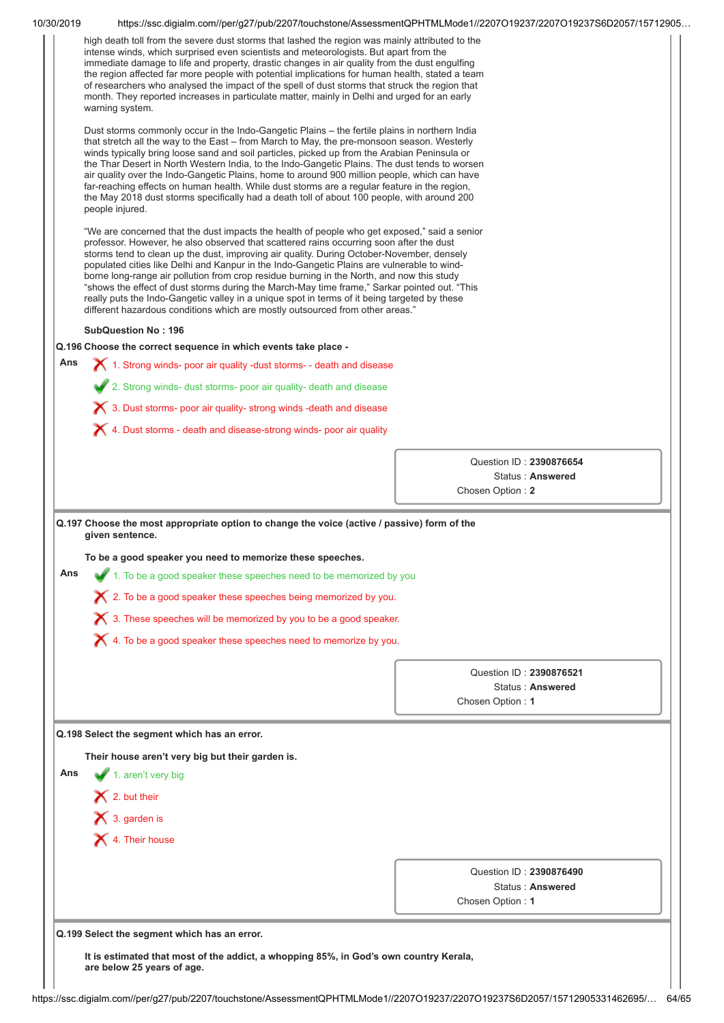| high death toll from the severe dust storms that lashed the region was mainly attributed to the<br>intense winds, which surprised even scientists and meteorologists. But apart from the<br>immediate damage to life and property, drastic changes in air quality from the dust engulfing<br>the region affected far more people with potential implications for human health, stated a team<br>of researchers who analysed the impact of the spell of dust storms that struck the region that<br>month. They reported increases in particulate matter, mainly in Delhi and urged for an early<br>warning system.<br>Dust storms commonly occur in the Indo-Gangetic Plains – the fertile plains in northern India<br>that stretch all the way to the East - from March to May, the pre-monsoon season. Westerly<br>winds typically bring loose sand and soil particles, picked up from the Arabian Peninsula or<br>the Thar Desert in North Western India, to the Indo-Gangetic Plains. The dust tends to worsen<br>air quality over the Indo-Gangetic Plains, home to around 900 million people, which can have<br>far-reaching effects on human health. While dust storms are a regular feature in the region,<br>the May 2018 dust storms specifically had a death toll of about 100 people, with around 200<br>people injured.<br>"We are concerned that the dust impacts the health of people who get exposed," said a senior<br>professor. However, he also observed that scattered rains occurring soon after the dust<br>storms tend to clean up the dust, improving air quality. During October-November, densely<br>populated cities like Delhi and Kanpur in the Indo-Gangetic Plains are vulnerable to wind-<br>borne long-range air pollution from crop residue burning in the North, and now this study<br>"shows the effect of dust storms during the March-May time frame," Sarkar pointed out. "This<br>really puts the Indo-Gangetic valley in a unique spot in terms of it being targeted by these<br>different hazardous conditions which are mostly outsourced from other areas."<br><b>SubQuestion No: 196</b><br>Q.196 Choose the correct sequence in which events take place -<br>Ans<br>1. Strong winds- poor air quality -dust storms- - death and disease<br>2. Strong winds- dust storms- poor air quality- death and disease<br>X 3. Dust storms- poor air quality- strong winds -death and disease<br>4. Dust storms - death and disease-strong winds- poor air quality<br>Question ID: 2390876654<br>Status: Answered<br>Chosen Option: 2<br>Q.197 Choose the most appropriate option to change the voice (active / passive) form of the<br>given sentence.<br>To be a good speaker you need to memorize these speeches<br>Ans<br>1. To be a good speaker these speeches need to be memorized by you<br>$\bigtimes$ 2. To be a good speaker these speeches being memorized by you.<br>$\chi$ 3. These speeches will be memorized by you to be a good speaker.<br>$\bigtimes$ 4. To be a good speaker these speeches need to memorize by you.<br>Question ID: 2390876521<br>Status: Answered<br>Chosen Option: 1<br>Q.198 Select the segment which has an error.<br>Their house aren't very big but their garden is.<br>Ans<br>1. aren't very big<br>$\blacktriangleright$ 2. but their<br>$\blacktriangleright$ 3. garden is<br>X 4. Their house<br>Question ID: 2390876490 |  |
|-------------------------------------------------------------------------------------------------------------------------------------------------------------------------------------------------------------------------------------------------------------------------------------------------------------------------------------------------------------------------------------------------------------------------------------------------------------------------------------------------------------------------------------------------------------------------------------------------------------------------------------------------------------------------------------------------------------------------------------------------------------------------------------------------------------------------------------------------------------------------------------------------------------------------------------------------------------------------------------------------------------------------------------------------------------------------------------------------------------------------------------------------------------------------------------------------------------------------------------------------------------------------------------------------------------------------------------------------------------------------------------------------------------------------------------------------------------------------------------------------------------------------------------------------------------------------------------------------------------------------------------------------------------------------------------------------------------------------------------------------------------------------------------------------------------------------------------------------------------------------------------------------------------------------------------------------------------------------------------------------------------------------------------------------------------------------------------------------------------------------------------------------------------------------------------------------------------------------------------------------------------------------------------------------------------------------------------------------------------------------------------------------------------------------------------------------------------------------------------------------------------------------------------------------------------------------------------------------------------------------------------------------------------------------------------------------------------------------------------------------------------------------------------------------------------------------------------------------------------------------------------------------------------------------------------------------------------------------------------------------------------------------------------------------------------------------------------------------------------------------------------------------------------------------------------------------------------------------------------------------------------------------------------------------------------------------------------------------------------------------------------------------------------|--|
|                                                                                                                                                                                                                                                                                                                                                                                                                                                                                                                                                                                                                                                                                                                                                                                                                                                                                                                                                                                                                                                                                                                                                                                                                                                                                                                                                                                                                                                                                                                                                                                                                                                                                                                                                                                                                                                                                                                                                                                                                                                                                                                                                                                                                                                                                                                                                                                                                                                                                                                                                                                                                                                                                                                                                                                                                                                                                                                                                                                                                                                                                                                                                                                                                                                                                                                                                                                                             |  |
|                                                                                                                                                                                                                                                                                                                                                                                                                                                                                                                                                                                                                                                                                                                                                                                                                                                                                                                                                                                                                                                                                                                                                                                                                                                                                                                                                                                                                                                                                                                                                                                                                                                                                                                                                                                                                                                                                                                                                                                                                                                                                                                                                                                                                                                                                                                                                                                                                                                                                                                                                                                                                                                                                                                                                                                                                                                                                                                                                                                                                                                                                                                                                                                                                                                                                                                                                                                                             |  |
|                                                                                                                                                                                                                                                                                                                                                                                                                                                                                                                                                                                                                                                                                                                                                                                                                                                                                                                                                                                                                                                                                                                                                                                                                                                                                                                                                                                                                                                                                                                                                                                                                                                                                                                                                                                                                                                                                                                                                                                                                                                                                                                                                                                                                                                                                                                                                                                                                                                                                                                                                                                                                                                                                                                                                                                                                                                                                                                                                                                                                                                                                                                                                                                                                                                                                                                                                                                                             |  |
|                                                                                                                                                                                                                                                                                                                                                                                                                                                                                                                                                                                                                                                                                                                                                                                                                                                                                                                                                                                                                                                                                                                                                                                                                                                                                                                                                                                                                                                                                                                                                                                                                                                                                                                                                                                                                                                                                                                                                                                                                                                                                                                                                                                                                                                                                                                                                                                                                                                                                                                                                                                                                                                                                                                                                                                                                                                                                                                                                                                                                                                                                                                                                                                                                                                                                                                                                                                                             |  |
|                                                                                                                                                                                                                                                                                                                                                                                                                                                                                                                                                                                                                                                                                                                                                                                                                                                                                                                                                                                                                                                                                                                                                                                                                                                                                                                                                                                                                                                                                                                                                                                                                                                                                                                                                                                                                                                                                                                                                                                                                                                                                                                                                                                                                                                                                                                                                                                                                                                                                                                                                                                                                                                                                                                                                                                                                                                                                                                                                                                                                                                                                                                                                                                                                                                                                                                                                                                                             |  |
|                                                                                                                                                                                                                                                                                                                                                                                                                                                                                                                                                                                                                                                                                                                                                                                                                                                                                                                                                                                                                                                                                                                                                                                                                                                                                                                                                                                                                                                                                                                                                                                                                                                                                                                                                                                                                                                                                                                                                                                                                                                                                                                                                                                                                                                                                                                                                                                                                                                                                                                                                                                                                                                                                                                                                                                                                                                                                                                                                                                                                                                                                                                                                                                                                                                                                                                                                                                                             |  |
|                                                                                                                                                                                                                                                                                                                                                                                                                                                                                                                                                                                                                                                                                                                                                                                                                                                                                                                                                                                                                                                                                                                                                                                                                                                                                                                                                                                                                                                                                                                                                                                                                                                                                                                                                                                                                                                                                                                                                                                                                                                                                                                                                                                                                                                                                                                                                                                                                                                                                                                                                                                                                                                                                                                                                                                                                                                                                                                                                                                                                                                                                                                                                                                                                                                                                                                                                                                                             |  |
|                                                                                                                                                                                                                                                                                                                                                                                                                                                                                                                                                                                                                                                                                                                                                                                                                                                                                                                                                                                                                                                                                                                                                                                                                                                                                                                                                                                                                                                                                                                                                                                                                                                                                                                                                                                                                                                                                                                                                                                                                                                                                                                                                                                                                                                                                                                                                                                                                                                                                                                                                                                                                                                                                                                                                                                                                                                                                                                                                                                                                                                                                                                                                                                                                                                                                                                                                                                                             |  |
|                                                                                                                                                                                                                                                                                                                                                                                                                                                                                                                                                                                                                                                                                                                                                                                                                                                                                                                                                                                                                                                                                                                                                                                                                                                                                                                                                                                                                                                                                                                                                                                                                                                                                                                                                                                                                                                                                                                                                                                                                                                                                                                                                                                                                                                                                                                                                                                                                                                                                                                                                                                                                                                                                                                                                                                                                                                                                                                                                                                                                                                                                                                                                                                                                                                                                                                                                                                                             |  |
|                                                                                                                                                                                                                                                                                                                                                                                                                                                                                                                                                                                                                                                                                                                                                                                                                                                                                                                                                                                                                                                                                                                                                                                                                                                                                                                                                                                                                                                                                                                                                                                                                                                                                                                                                                                                                                                                                                                                                                                                                                                                                                                                                                                                                                                                                                                                                                                                                                                                                                                                                                                                                                                                                                                                                                                                                                                                                                                                                                                                                                                                                                                                                                                                                                                                                                                                                                                                             |  |
|                                                                                                                                                                                                                                                                                                                                                                                                                                                                                                                                                                                                                                                                                                                                                                                                                                                                                                                                                                                                                                                                                                                                                                                                                                                                                                                                                                                                                                                                                                                                                                                                                                                                                                                                                                                                                                                                                                                                                                                                                                                                                                                                                                                                                                                                                                                                                                                                                                                                                                                                                                                                                                                                                                                                                                                                                                                                                                                                                                                                                                                                                                                                                                                                                                                                                                                                                                                                             |  |
|                                                                                                                                                                                                                                                                                                                                                                                                                                                                                                                                                                                                                                                                                                                                                                                                                                                                                                                                                                                                                                                                                                                                                                                                                                                                                                                                                                                                                                                                                                                                                                                                                                                                                                                                                                                                                                                                                                                                                                                                                                                                                                                                                                                                                                                                                                                                                                                                                                                                                                                                                                                                                                                                                                                                                                                                                                                                                                                                                                                                                                                                                                                                                                                                                                                                                                                                                                                                             |  |
|                                                                                                                                                                                                                                                                                                                                                                                                                                                                                                                                                                                                                                                                                                                                                                                                                                                                                                                                                                                                                                                                                                                                                                                                                                                                                                                                                                                                                                                                                                                                                                                                                                                                                                                                                                                                                                                                                                                                                                                                                                                                                                                                                                                                                                                                                                                                                                                                                                                                                                                                                                                                                                                                                                                                                                                                                                                                                                                                                                                                                                                                                                                                                                                                                                                                                                                                                                                                             |  |
|                                                                                                                                                                                                                                                                                                                                                                                                                                                                                                                                                                                                                                                                                                                                                                                                                                                                                                                                                                                                                                                                                                                                                                                                                                                                                                                                                                                                                                                                                                                                                                                                                                                                                                                                                                                                                                                                                                                                                                                                                                                                                                                                                                                                                                                                                                                                                                                                                                                                                                                                                                                                                                                                                                                                                                                                                                                                                                                                                                                                                                                                                                                                                                                                                                                                                                                                                                                                             |  |
|                                                                                                                                                                                                                                                                                                                                                                                                                                                                                                                                                                                                                                                                                                                                                                                                                                                                                                                                                                                                                                                                                                                                                                                                                                                                                                                                                                                                                                                                                                                                                                                                                                                                                                                                                                                                                                                                                                                                                                                                                                                                                                                                                                                                                                                                                                                                                                                                                                                                                                                                                                                                                                                                                                                                                                                                                                                                                                                                                                                                                                                                                                                                                                                                                                                                                                                                                                                                             |  |
|                                                                                                                                                                                                                                                                                                                                                                                                                                                                                                                                                                                                                                                                                                                                                                                                                                                                                                                                                                                                                                                                                                                                                                                                                                                                                                                                                                                                                                                                                                                                                                                                                                                                                                                                                                                                                                                                                                                                                                                                                                                                                                                                                                                                                                                                                                                                                                                                                                                                                                                                                                                                                                                                                                                                                                                                                                                                                                                                                                                                                                                                                                                                                                                                                                                                                                                                                                                                             |  |
|                                                                                                                                                                                                                                                                                                                                                                                                                                                                                                                                                                                                                                                                                                                                                                                                                                                                                                                                                                                                                                                                                                                                                                                                                                                                                                                                                                                                                                                                                                                                                                                                                                                                                                                                                                                                                                                                                                                                                                                                                                                                                                                                                                                                                                                                                                                                                                                                                                                                                                                                                                                                                                                                                                                                                                                                                                                                                                                                                                                                                                                                                                                                                                                                                                                                                                                                                                                                             |  |
|                                                                                                                                                                                                                                                                                                                                                                                                                                                                                                                                                                                                                                                                                                                                                                                                                                                                                                                                                                                                                                                                                                                                                                                                                                                                                                                                                                                                                                                                                                                                                                                                                                                                                                                                                                                                                                                                                                                                                                                                                                                                                                                                                                                                                                                                                                                                                                                                                                                                                                                                                                                                                                                                                                                                                                                                                                                                                                                                                                                                                                                                                                                                                                                                                                                                                                                                                                                                             |  |
|                                                                                                                                                                                                                                                                                                                                                                                                                                                                                                                                                                                                                                                                                                                                                                                                                                                                                                                                                                                                                                                                                                                                                                                                                                                                                                                                                                                                                                                                                                                                                                                                                                                                                                                                                                                                                                                                                                                                                                                                                                                                                                                                                                                                                                                                                                                                                                                                                                                                                                                                                                                                                                                                                                                                                                                                                                                                                                                                                                                                                                                                                                                                                                                                                                                                                                                                                                                                             |  |
|                                                                                                                                                                                                                                                                                                                                                                                                                                                                                                                                                                                                                                                                                                                                                                                                                                                                                                                                                                                                                                                                                                                                                                                                                                                                                                                                                                                                                                                                                                                                                                                                                                                                                                                                                                                                                                                                                                                                                                                                                                                                                                                                                                                                                                                                                                                                                                                                                                                                                                                                                                                                                                                                                                                                                                                                                                                                                                                                                                                                                                                                                                                                                                                                                                                                                                                                                                                                             |  |
|                                                                                                                                                                                                                                                                                                                                                                                                                                                                                                                                                                                                                                                                                                                                                                                                                                                                                                                                                                                                                                                                                                                                                                                                                                                                                                                                                                                                                                                                                                                                                                                                                                                                                                                                                                                                                                                                                                                                                                                                                                                                                                                                                                                                                                                                                                                                                                                                                                                                                                                                                                                                                                                                                                                                                                                                                                                                                                                                                                                                                                                                                                                                                                                                                                                                                                                                                                                                             |  |
|                                                                                                                                                                                                                                                                                                                                                                                                                                                                                                                                                                                                                                                                                                                                                                                                                                                                                                                                                                                                                                                                                                                                                                                                                                                                                                                                                                                                                                                                                                                                                                                                                                                                                                                                                                                                                                                                                                                                                                                                                                                                                                                                                                                                                                                                                                                                                                                                                                                                                                                                                                                                                                                                                                                                                                                                                                                                                                                                                                                                                                                                                                                                                                                                                                                                                                                                                                                                             |  |
|                                                                                                                                                                                                                                                                                                                                                                                                                                                                                                                                                                                                                                                                                                                                                                                                                                                                                                                                                                                                                                                                                                                                                                                                                                                                                                                                                                                                                                                                                                                                                                                                                                                                                                                                                                                                                                                                                                                                                                                                                                                                                                                                                                                                                                                                                                                                                                                                                                                                                                                                                                                                                                                                                                                                                                                                                                                                                                                                                                                                                                                                                                                                                                                                                                                                                                                                                                                                             |  |
|                                                                                                                                                                                                                                                                                                                                                                                                                                                                                                                                                                                                                                                                                                                                                                                                                                                                                                                                                                                                                                                                                                                                                                                                                                                                                                                                                                                                                                                                                                                                                                                                                                                                                                                                                                                                                                                                                                                                                                                                                                                                                                                                                                                                                                                                                                                                                                                                                                                                                                                                                                                                                                                                                                                                                                                                                                                                                                                                                                                                                                                                                                                                                                                                                                                                                                                                                                                                             |  |
|                                                                                                                                                                                                                                                                                                                                                                                                                                                                                                                                                                                                                                                                                                                                                                                                                                                                                                                                                                                                                                                                                                                                                                                                                                                                                                                                                                                                                                                                                                                                                                                                                                                                                                                                                                                                                                                                                                                                                                                                                                                                                                                                                                                                                                                                                                                                                                                                                                                                                                                                                                                                                                                                                                                                                                                                                                                                                                                                                                                                                                                                                                                                                                                                                                                                                                                                                                                                             |  |
|                                                                                                                                                                                                                                                                                                                                                                                                                                                                                                                                                                                                                                                                                                                                                                                                                                                                                                                                                                                                                                                                                                                                                                                                                                                                                                                                                                                                                                                                                                                                                                                                                                                                                                                                                                                                                                                                                                                                                                                                                                                                                                                                                                                                                                                                                                                                                                                                                                                                                                                                                                                                                                                                                                                                                                                                                                                                                                                                                                                                                                                                                                                                                                                                                                                                                                                                                                                                             |  |
|                                                                                                                                                                                                                                                                                                                                                                                                                                                                                                                                                                                                                                                                                                                                                                                                                                                                                                                                                                                                                                                                                                                                                                                                                                                                                                                                                                                                                                                                                                                                                                                                                                                                                                                                                                                                                                                                                                                                                                                                                                                                                                                                                                                                                                                                                                                                                                                                                                                                                                                                                                                                                                                                                                                                                                                                                                                                                                                                                                                                                                                                                                                                                                                                                                                                                                                                                                                                             |  |
|                                                                                                                                                                                                                                                                                                                                                                                                                                                                                                                                                                                                                                                                                                                                                                                                                                                                                                                                                                                                                                                                                                                                                                                                                                                                                                                                                                                                                                                                                                                                                                                                                                                                                                                                                                                                                                                                                                                                                                                                                                                                                                                                                                                                                                                                                                                                                                                                                                                                                                                                                                                                                                                                                                                                                                                                                                                                                                                                                                                                                                                                                                                                                                                                                                                                                                                                                                                                             |  |
| <b>Status: Answered</b>                                                                                                                                                                                                                                                                                                                                                                                                                                                                                                                                                                                                                                                                                                                                                                                                                                                                                                                                                                                                                                                                                                                                                                                                                                                                                                                                                                                                                                                                                                                                                                                                                                                                                                                                                                                                                                                                                                                                                                                                                                                                                                                                                                                                                                                                                                                                                                                                                                                                                                                                                                                                                                                                                                                                                                                                                                                                                                                                                                                                                                                                                                                                                                                                                                                                                                                                                                                     |  |
| Chosen Option: 1                                                                                                                                                                                                                                                                                                                                                                                                                                                                                                                                                                                                                                                                                                                                                                                                                                                                                                                                                                                                                                                                                                                                                                                                                                                                                                                                                                                                                                                                                                                                                                                                                                                                                                                                                                                                                                                                                                                                                                                                                                                                                                                                                                                                                                                                                                                                                                                                                                                                                                                                                                                                                                                                                                                                                                                                                                                                                                                                                                                                                                                                                                                                                                                                                                                                                                                                                                                            |  |
|                                                                                                                                                                                                                                                                                                                                                                                                                                                                                                                                                                                                                                                                                                                                                                                                                                                                                                                                                                                                                                                                                                                                                                                                                                                                                                                                                                                                                                                                                                                                                                                                                                                                                                                                                                                                                                                                                                                                                                                                                                                                                                                                                                                                                                                                                                                                                                                                                                                                                                                                                                                                                                                                                                                                                                                                                                                                                                                                                                                                                                                                                                                                                                                                                                                                                                                                                                                                             |  |